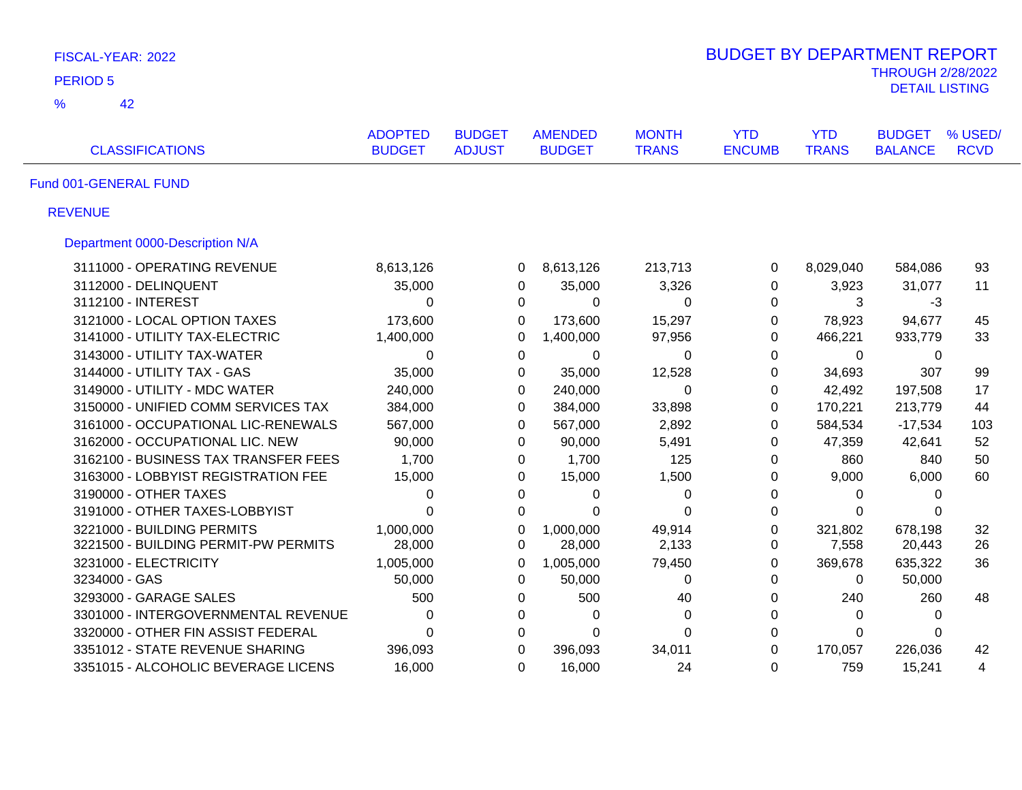| FISCAL-YEAR: 2022                    |                                 |                                |                                 |                              |                             |                            |                                                   |                        |  |  |
|--------------------------------------|---------------------------------|--------------------------------|---------------------------------|------------------------------|-----------------------------|----------------------------|---------------------------------------------------|------------------------|--|--|
| <b>PERIOD 5</b>                      |                                 |                                |                                 |                              |                             |                            | <b>THROUGH 2/28/2022</b><br><b>DETAIL LISTING</b> |                        |  |  |
| $\frac{9}{6}$<br>42                  |                                 |                                |                                 |                              |                             |                            |                                                   |                        |  |  |
| <b>CLASSIFICATIONS</b>               | <b>ADOPTED</b><br><b>BUDGET</b> | <b>BUDGET</b><br><b>ADJUST</b> | <b>AMENDED</b><br><b>BUDGET</b> | <b>MONTH</b><br><b>TRANS</b> | <b>YTD</b><br><b>ENCUMB</b> | <b>YTD</b><br><b>TRANS</b> | <b>BUDGET</b><br><b>BALANCE</b>                   | % USED/<br><b>RCVD</b> |  |  |
| Fund 001-GENERAL FUND                |                                 |                                |                                 |                              |                             |                            |                                                   |                        |  |  |
| <b>REVENUE</b>                       |                                 |                                |                                 |                              |                             |                            |                                                   |                        |  |  |
| Department 0000-Description N/A      |                                 |                                |                                 |                              |                             |                            |                                                   |                        |  |  |
| 3111000 - OPERATING REVENUE          | 8,613,126                       |                                | 8,613,126<br>0                  | 213,713                      | 0                           | 8,029,040                  | 584,086                                           | 93                     |  |  |
| 3112000 - DELINQUENT                 | 35,000                          |                                | 0<br>35,000                     | 3,326                        | 0                           | 3,923                      | 31,077                                            | 11                     |  |  |
| 3112100 - INTEREST                   | 0                               |                                | 0<br>$\mathbf 0$                | $\Omega$                     | 0                           | 3                          | $-3$                                              |                        |  |  |
| 3121000 - LOCAL OPTION TAXES         | 173,600                         |                                | 0<br>173,600                    | 15,297                       | 0                           | 78,923                     | 94,677                                            | 45                     |  |  |
| 3141000 - UTILITY TAX-ELECTRIC       | 1,400,000                       |                                | 0<br>1,400,000                  | 97,956                       | 0                           | 466,221                    | 933,779                                           | 33                     |  |  |
| 3143000 - UTILITY TAX-WATER          | 0                               |                                | $\mathbf 0$<br>$\mathbf 0$      | $\Omega$                     | 0                           | $\mathbf 0$                | $\mathbf 0$                                       |                        |  |  |
| 3144000 - UTILITY TAX - GAS          | 35,000                          |                                | 0<br>35,000                     | 12,528                       | 0                           | 34,693                     | 307                                               | 99                     |  |  |
| 3149000 - UTILITY - MDC WATER        | 240,000                         |                                | 0<br>240,000                    | $\overline{0}$               | 0                           | 42,492                     | 197,508                                           | 17                     |  |  |
| 3150000 - UNIFIED COMM SERVICES TAX  | 384,000                         |                                | 384,000<br>0                    | 33,898                       | 0                           | 170,221                    | 213,779                                           | 44                     |  |  |
| 3161000 - OCCUPATIONAL LIC-RENEWALS  | 567,000                         |                                | 567,000<br>0                    | 2,892                        | 0                           | 584,534                    | $-17,534$                                         | 103                    |  |  |
| 3162000 - OCCUPATIONAL LIC. NEW      | 90,000                          |                                | 90,000<br>0                     | 5,491                        | 0                           | 47,359                     | 42,641                                            | 52                     |  |  |
| 3162100 - BUSINESS TAX TRANSFER FEES | 1,700                           |                                | 1,700<br>0                      | 125                          | 0                           | 860                        | 840                                               | 50                     |  |  |
| 3163000 - LOBBYIST REGISTRATION FEE  | 15,000                          |                                | 15,000<br>0                     | 1,500                        | 0                           | 9,000                      | 6,000                                             | 60                     |  |  |
| 3190000 - OTHER TAXES                | 0                               |                                | 0<br>0                          | 0                            | 0                           | $\Omega$                   | 0                                                 |                        |  |  |
| 3191000 - OTHER TAXES-LOBBYIST       | $\overline{0}$                  |                                | $\mathbf 0$<br>$\Omega$         | $\Omega$                     | 0                           | $\Omega$                   | $\Omega$                                          |                        |  |  |
| 3221000 - BUILDING PERMITS           | 1,000,000                       |                                | 0<br>1,000,000                  | 49,914                       | $\Omega$                    | 321,802                    | 678,198                                           | 32                     |  |  |
| 3221500 - BUILDING PERMIT-PW PERMITS | 28,000                          |                                | 28,000<br>0                     | 2,133                        | 0                           | 7,558                      | 20,443                                            | 26                     |  |  |
| 3231000 - ELECTRICITY                | 1,005,000                       |                                | 0<br>1,005,000                  | 79,450                       | $\Omega$                    | 369,678                    | 635,322                                           | 36                     |  |  |
| 3234000 - GAS                        | 50,000                          |                                | $\Omega$<br>50,000              | $\Omega$                     | $\Omega$                    | $\Omega$                   | 50,000                                            |                        |  |  |
| 3293000 - GARAGE SALES               | 500                             |                                | 500<br>0                        | 40                           | $\Omega$                    | 240                        | 260                                               | 48                     |  |  |
| 3301000 - INTERGOVERNMENTAL REVENUE  | 0                               |                                | 0<br>$\Omega$                   | $\Omega$                     | $\Omega$                    | $\Omega$                   | $\Omega$                                          |                        |  |  |
| 3320000 - OTHER FIN ASSIST FEDERAL   | $\Omega$                        |                                | 0<br>$\Omega$                   | $\Omega$                     | $\Omega$                    | $\Omega$                   | 0                                                 |                        |  |  |
| 3351012 - STATE REVENUE SHARING      | 396,093                         |                                | $\Omega$<br>396,093             | 34,011                       | $\Omega$                    | 170,057                    | 226,036                                           | 42                     |  |  |
| 3351015 - ALCOHOLIC BEVERAGE LICENS  | 16,000                          |                                | 16,000<br>0                     | 24                           | $\Omega$                    | 759                        | 15,241                                            | 4                      |  |  |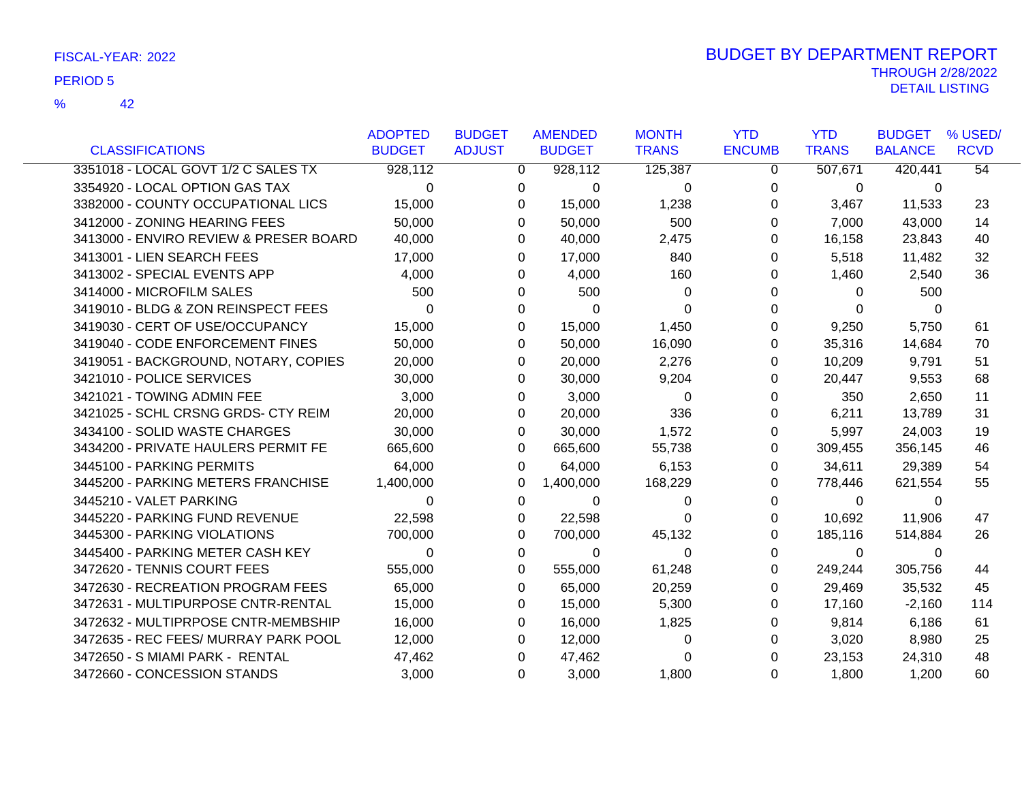|                                        | <b>ADOPTED</b> | <b>BUDGET</b>  | <b>AMENDED</b> | <b>MONTH</b> | <b>YTD</b>    | <b>YTD</b>   | <b>BUDGET</b>  | % USED/         |
|----------------------------------------|----------------|----------------|----------------|--------------|---------------|--------------|----------------|-----------------|
| <b>CLASSIFICATIONS</b>                 | <b>BUDGET</b>  | <b>ADJUST</b>  | <b>BUDGET</b>  | <b>TRANS</b> | <b>ENCUMB</b> | <b>TRANS</b> | <b>BALANCE</b> | <b>RCVD</b>     |
| 3351018 - LOCAL GOVT 1/2 C SALES TX    | 928,112        | $\overline{0}$ | 928,112        | 125,387      | $\mathbf{0}$  | 507,671      | 420,441        | $\overline{54}$ |
| 3354920 - LOCAL OPTION GAS TAX         | $\Omega$       | 0              | $\mathbf 0$    | 0            | 0             | $\mathbf 0$  | $\mathbf{0}$   |                 |
| 3382000 - COUNTY OCCUPATIONAL LICS     | 15,000         | 0              | 15,000         | 1,238        | 0             | 3,467        | 11,533         | 23              |
| 3412000 - ZONING HEARING FEES          | 50,000         | 0              | 50,000         | 500          | 0             | 7,000        | 43,000         | 14              |
| 3413000 - ENVIRO REVIEW & PRESER BOARD | 40,000         | 0              | 40,000         | 2,475        | 0             | 16,158       | 23,843         | 40              |
| 3413001 - LIEN SEARCH FEES             | 17,000         | 0              | 17,000         | 840          | 0             | 5,518        | 11,482         | 32              |
| 3413002 - SPECIAL EVENTS APP           | 4,000          | 0              | 4,000          | 160          | 0             | 1,460        | 2,540          | 36              |
| 3414000 - MICROFILM SALES              | 500            | 0              | 500            | 0            | 0             | 0            | 500            |                 |
| 3419010 - BLDG & ZON REINSPECT FEES    | $\Omega$       | 0              | $\mathbf{0}$   | $\Omega$     | 0             | 0            | $\Omega$       |                 |
| 3419030 - CERT OF USE/OCCUPANCY        | 15,000         | 0              | 15,000         | 1,450        | 0             | 9,250        | 5,750          | 61              |
| 3419040 - CODE ENFORCEMENT FINES       | 50,000         | 0              | 50,000         | 16,090       | 0             | 35,316       | 14,684         | 70              |
| 3419051 - BACKGROUND, NOTARY, COPIES   | 20,000         | 0              | 20,000         | 2,276        | 0             | 10,209       | 9,791          | 51              |
| 3421010 - POLICE SERVICES              | 30,000         | 0              | 30,000         | 9,204        | 0             | 20,447       | 9,553          | 68              |
| 3421021 - TOWING ADMIN FEE             | 3,000          | 0              | 3,000          | 0            | 0             | 350          | 2,650          | 11              |
| 3421025 - SCHL CRSNG GRDS- CTY REIM    | 20,000         | 0              | 20,000         | 336          | 0             | 6,211        | 13,789         | 31              |
| 3434100 - SOLID WASTE CHARGES          | 30,000         | 0              | 30,000         | 1,572        | 0             | 5,997        | 24,003         | 19              |
| 3434200 - PRIVATE HAULERS PERMIT FE    | 665,600        | 0              | 665,600        | 55,738       | 0             | 309,455      | 356,145        | 46              |
| 3445100 - PARKING PERMITS              | 64,000         | $\Omega$       | 64,000         | 6,153        | 0             | 34,611       | 29,389         | 54              |
| 3445200 - PARKING METERS FRANCHISE     | 1,400,000      | 0              | 1,400,000      | 168,229      | 0             | 778,446      | 621,554        | 55              |
| 3445210 - VALET PARKING                | $\Omega$       | 0              | $\Omega$       | 0            | 0             | $\Omega$     | $\Omega$       |                 |
| 3445220 - PARKING FUND REVENUE         | 22,598         | 0              | 22,598         | $\Omega$     | 0             | 10,692       | 11,906         | 47              |
| 3445300 - PARKING VIOLATIONS           | 700,000        | 0              | 700,000        | 45,132       | 0             | 185,116      | 514,884        | 26              |
| 3445400 - PARKING METER CASH KEY       | $\Omega$       | 0              | $\mathbf 0$    | 0            | 0             | $\mathbf 0$  | 0              |                 |
| 3472620 - TENNIS COURT FEES            | 555,000        | 0              | 555,000        | 61,248       | 0             | 249,244      | 305,756        | 44              |
| 3472630 - RECREATION PROGRAM FEES      | 65,000         | 0              | 65,000         | 20,259       | 0             | 29,469       | 35,532         | 45              |
| 3472631 - MULTIPURPOSE CNTR-RENTAL     | 15,000         | 0              | 15,000         | 5,300        | 0             | 17,160       | $-2,160$       | 114             |
| 3472632 - MULTIPRPOSE CNTR-MEMBSHIP    | 16,000         | $\Omega$       | 16,000         | 1,825        | 0             | 9,814        | 6,186          | 61              |
| 3472635 - REC FEES/ MURRAY PARK POOL   | 12,000         | 0              | 12,000         | 0            | 0             | 3,020        | 8,980          | 25              |
| 3472650 - S MIAMI PARK - RENTAL        | 47,462         | 0              | 47,462         | 0            | 0             | 23,153       | 24,310         | 48              |
| 3472660 - CONCESSION STANDS            | 3,000          | $\Omega$       | 3,000          | 1,800        | 0             | 1,800        | 1,200          | 60              |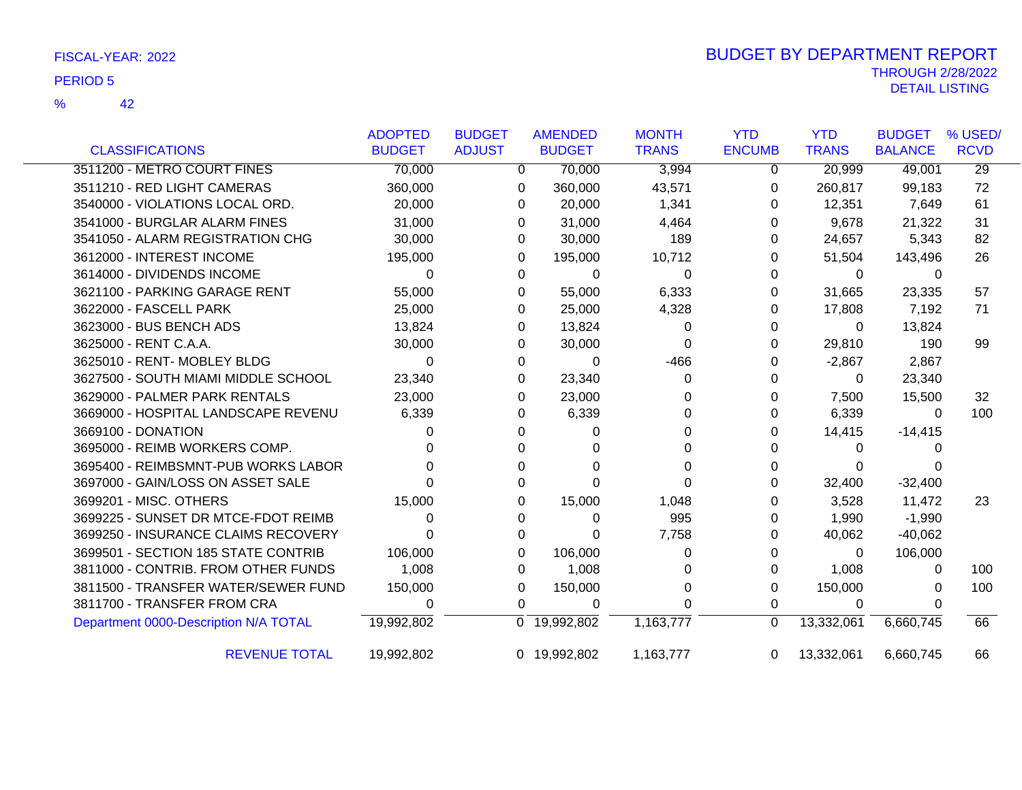|                                       | <b>ADOPTED</b> | <b>BUDGET</b> |              | <b>AMENDED</b> | <b>MONTH</b> | <b>YTD</b>    | <b>YTD</b>   | <b>BUDGET</b>  | % USED/         |
|---------------------------------------|----------------|---------------|--------------|----------------|--------------|---------------|--------------|----------------|-----------------|
| <b>CLASSIFICATIONS</b>                | <b>BUDGET</b>  | <b>ADJUST</b> |              | <b>BUDGET</b>  | <b>TRANS</b> | <b>ENCUMB</b> | <b>TRANS</b> | <b>BALANCE</b> | <b>RCVD</b>     |
| 3511200 - METRO COURT FINES           | 70,000         |               | $\mathbf{0}$ | 70,000         | 3,994        | 0             | 20,999       | 49,001         | $\overline{29}$ |
| 3511210 - RED LIGHT CAMERAS           | 360,000        |               | 0            | 360,000        | 43,571       | 0             | 260,817      | 99,183         | 72              |
| 3540000 - VIOLATIONS LOCAL ORD.       | 20,000         |               | 0            | 20,000         | 1,341        | 0             | 12,351       | 7,649          | 61              |
| 3541000 - BURGLAR ALARM FINES         | 31,000         |               | $\Omega$     | 31,000         | 4,464        | 0             | 9,678        | 21,322         | 31              |
| 3541050 - ALARM REGISTRATION CHG      | 30,000         |               | 0            | 30,000         | 189          | 0             | 24,657       | 5,343          | 82              |
| 3612000 - INTEREST INCOME             | 195,000        |               | 0            | 195,000        | 10,712       | 0             | 51,504       | 143,496        | 26              |
| 3614000 - DIVIDENDS INCOME            | 0              |               | $\Omega$     | $\Omega$       | $\Omega$     | 0             | $\Omega$     | 0              |                 |
| 3621100 - PARKING GARAGE RENT         | 55,000         |               | 0            | 55,000         | 6,333        | 0             | 31,665       | 23,335         | 57              |
| 3622000 - FASCELL PARK                | 25,000         |               | 0            | 25,000         | 4,328        | 0             | 17,808       | 7,192          | 71              |
| 3623000 - BUS BENCH ADS               | 13,824         |               | 0            | 13,824         | 0            | 0             | 0            | 13,824         |                 |
| 3625000 - RENT C.A.A.                 | 30,000         |               | 0            | 30,000         | 0            | 0             | 29,810       | 190            | 99              |
| 3625010 - RENT- MOBLEY BLDG           | $\Omega$       |               | $\Omega$     | $\Omega$       | $-466$       | 0             | $-2,867$     | 2,867          |                 |
| 3627500 - SOUTH MIAMI MIDDLE SCHOOL   | 23,340         |               | 0            | 23,340         | 0            | 0             | 0            | 23,340         |                 |
| 3629000 - PALMER PARK RENTALS         | 23,000         |               | $\Omega$     | 23,000         | 0            | 0             | 7,500        | 15,500         | 32              |
| 3669000 - HOSPITAL LANDSCAPE REVENU   | 6,339          |               | 0            | 6,339          | 0            | 0             | 6,339        | $\Omega$       | 100             |
| 3669100 - DONATION                    | O              |               | 0            | 0              | 0            | O             | 14,415       | $-14,415$      |                 |
| 3695000 - REIMB WORKERS COMP.         |                |               | 0            | 0              | O            |               | 0            |                |                 |
| 3695400 - REIMBSMNT-PUB WORKS LABOR   |                |               | 0            | 0              |              |               | 0            |                |                 |
| 3697000 - GAIN/LOSS ON ASSET SALE     |                |               | 0            | $\Omega$       | 0            | 0             | 32,400       | $-32,400$      |                 |
| 3699201 - MISC. OTHERS                | 15,000         |               | $\Omega$     | 15,000         | 1,048        | 0             | 3,528        | 11,472         | 23              |
| 3699225 - SUNSET DR MTCE-FDOT REIMB   | 0              |               | 0            | 0              | 995          | 0             | 1,990        | $-1,990$       |                 |
| 3699250 - INSURANCE CLAIMS RECOVERY   | 0              |               | 0            | 0              | 7,758        | 0             | 40,062       | $-40,062$      |                 |
| 3699501 - SECTION 185 STATE CONTRIB   | 106,000        |               | 0            | 106,000        | 0            | 0             | 0            | 106,000        |                 |
| 3811000 - CONTRIB. FROM OTHER FUNDS   | 1,008          |               | 0            | 1,008          | 0            | 0             | 1,008        | 0              | 100             |
| 3811500 - TRANSFER WATER/SEWER FUND   | 150,000        |               | 0            | 150,000        | 0            | 0             | 150,000      | $\Omega$       | 100             |
| 3811700 - TRANSFER FROM CRA           | 0              |               | $\Omega$     | 0              | 0            | 0             | 0            | $\Omega$       |                 |
| Department 0000-Description N/A TOTAL | 19,992,802     |               |              | 0 19,992,802   | 1,163,777    | $\Omega$      | 13,332,061   | 6,660,745      | 66              |
| <b>REVENUE TOTAL</b>                  | 19,992,802     |               |              | 0 19,992,802   | 1,163,777    | $\Omega$      | 13,332,061   | 6,660,745      | 66              |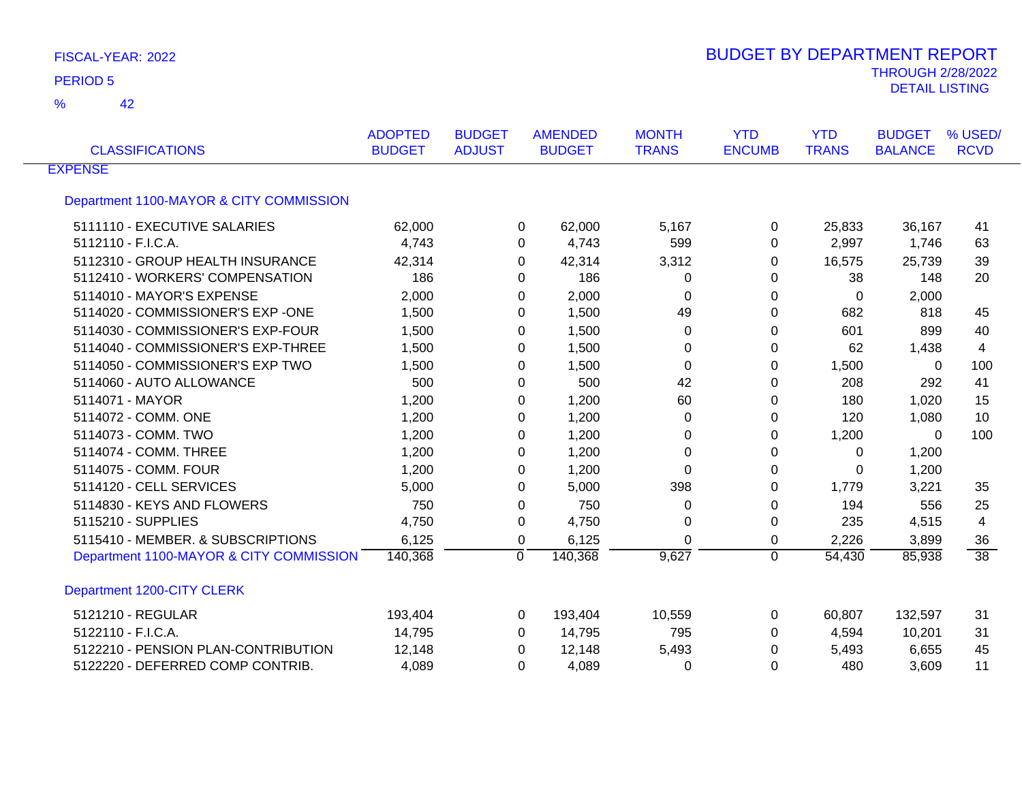| <b>CLASSIFICATIONS</b>                  | <b>ADOPTED</b><br><b>BUDGET</b> | <b>BUDGET</b><br><b>ADJUST</b> | <b>AMENDED</b><br><b>BUDGET</b> | <b>MONTH</b><br><b>TRANS</b> | <b>YTD</b><br><b>ENCUMB</b> | <b>YTD</b><br><b>TRANS</b> | <b>BUDGET</b><br><b>BALANCE</b> | % USED/<br><b>RCVD</b> |
|-----------------------------------------|---------------------------------|--------------------------------|---------------------------------|------------------------------|-----------------------------|----------------------------|---------------------------------|------------------------|
| <b>EXPENSE</b>                          |                                 |                                |                                 |                              |                             |                            |                                 |                        |
| Department 1100-MAYOR & CITY COMMISSION |                                 |                                |                                 |                              |                             |                            |                                 |                        |
| 5111110 - EXECUTIVE SALARIES            | 62,000                          |                                | 62,000<br>0                     | 5,167                        | $\Omega$                    | 25,833                     | 36,167                          | 41                     |
| 5112110 - F.I.C.A.                      | 4,743                           |                                | 4,743<br>0                      | 599                          | 0                           | 2,997                      | 1,746                           | 63                     |
| 5112310 - GROUP HEALTH INSURANCE        | 42,314                          |                                | 42,314<br>0                     | 3,312                        | 0                           | 16,575                     | 25,739                          | 39                     |
| 5112410 - WORKERS' COMPENSATION         | 186                             |                                | 186<br>0                        | 0                            | 0                           | 38                         | 148                             | 20                     |
| 5114010 - MAYOR'S EXPENSE               | 2,000                           |                                | 2,000<br>0                      | 0                            | 0                           | $\mathbf 0$                | 2,000                           |                        |
| 5114020 - COMMISSIONER'S EXP -ONE       | 1,500                           |                                | 1,500<br>0                      | 49                           | 0                           | 682                        | 818                             | 45                     |
| 5114030 - COMMISSIONER'S EXP-FOUR       | 1,500                           |                                | 1,500<br>0                      | 0                            | 0                           | 601                        | 899                             | 40                     |
| 5114040 - COMMISSIONER'S EXP-THREE      | 1,500                           |                                | 1,500<br>$\Omega$               | 0                            | $\Omega$                    | 62                         | 1,438                           | 4                      |
| 5114050 - COMMISSIONER'S EXP TWO        | 1,500                           |                                | 1,500<br>0                      | 0                            | 0                           | 1,500                      | $\Omega$                        | 100                    |
| 5114060 - AUTO ALLOWANCE                | 500                             |                                | 500<br>0                        | 42                           | 0                           | 208                        | 292                             | 41                     |
| 5114071 - MAYOR                         | 1,200                           |                                | 1,200<br>0                      | 60                           | 0                           | 180                        | 1,020                           | 15                     |
| 5114072 - COMM. ONE                     | 1,200                           |                                | 1,200<br>0                      | 0                            | 0                           | 120                        | 1,080                           | 10                     |
| 5114073 - COMM. TWO                     | 1,200                           |                                | 0<br>1,200                      | 0                            | 0                           | 1,200                      | $\Omega$                        | 100                    |
| 5114074 - COMM. THREE                   | 1,200                           |                                | 1,200<br>0                      | 0                            | 0                           | 0                          | 1,200                           |                        |
| 5114075 - COMM, FOUR                    | 1,200                           |                                | 1,200<br>0                      | $\Omega$                     | 0                           | 0                          | 1,200                           |                        |
| 5114120 - CELL SERVICES                 | 5,000                           |                                | 5,000<br>$\Omega$               | 398                          | 0                           | 1,779                      | 3,221                           | 35                     |
| 5114830 - KEYS AND FLOWERS              | 750                             |                                | 750<br>0                        | 0                            | 0                           | 194                        | 556                             | 25                     |
| 5115210 - SUPPLIES                      | 4,750                           |                                | 4,750<br>0                      | 0                            | 0                           | 235                        | 4,515                           | 4                      |
| 5115410 - MEMBER, & SUBSCRIPTIONS       | 6,125                           |                                | 0<br>6,125                      | $\Omega$                     | 0                           | 2,226                      | 3,899                           | 36                     |
| Department 1100-MAYOR & CITY COMMISSION | 140,368                         | 0                              | 140,368                         | 9,627                        | 0                           | 54,430                     | 85,938                          | $\overline{38}$        |
| Department 1200-CITY CLERK              |                                 |                                |                                 |                              |                             |                            |                                 |                        |
| 5121210 - REGULAR                       | 193,404                         |                                | 193,404<br>0                    | 10,559                       | 0                           | 60,807                     | 132,597                         | 31                     |
| 5122110 - F.I.C.A.                      | 14,795                          |                                | 14,795<br>0                     | 795                          | 0                           | 4,594                      | 10,201                          | 31                     |
| 5122210 - PENSION PLAN-CONTRIBUTION     | 12,148                          |                                | 12,148<br>$\Omega$              | 5,493                        | 0                           | 5,493                      | 6,655                           | 45                     |
| 5122220 - DEFERRED COMP CONTRIB.        | 4,089                           |                                | 4,089<br>0                      | 0                            | 0                           | 480                        | 3,609                           | 11                     |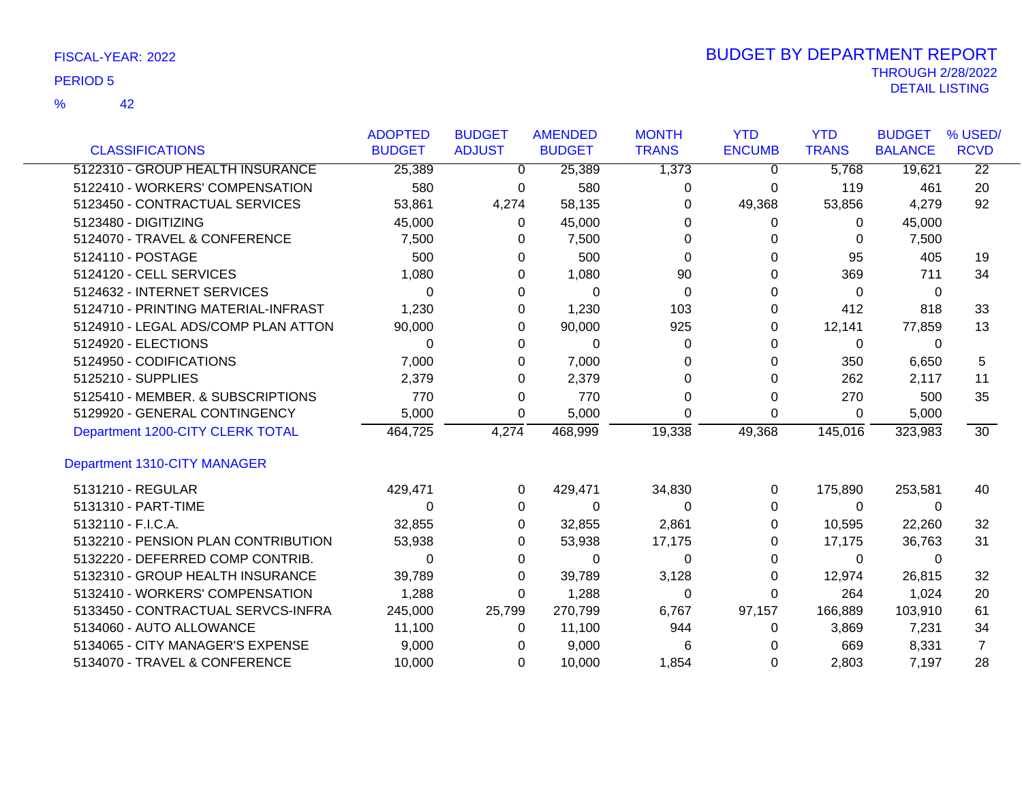|                                     | <b>ADOPTED</b> | <b>BUDGET</b> | <b>AMENDED</b> | <b>MONTH</b> | <b>YTD</b>    | <b>YTD</b>   | <b>BUDGET</b>  | % USED/         |
|-------------------------------------|----------------|---------------|----------------|--------------|---------------|--------------|----------------|-----------------|
| <b>CLASSIFICATIONS</b>              | <b>BUDGET</b>  | <b>ADJUST</b> | <b>BUDGET</b>  | <b>TRANS</b> | <b>ENCUMB</b> | <b>TRANS</b> | <b>BALANCE</b> | <b>RCVD</b>     |
| 5122310 - GROUP HEALTH INSURANCE    | 25,389         | $\mathbf 0$   | 25,389         | 1,373        | 0             | 5,768        | 19,621         | $\overline{22}$ |
| 5122410 - WORKERS' COMPENSATION     | 580            | 0             | 580            | 0            | 0             | 119          | 461            | 20              |
| 5123450 - CONTRACTUAL SERVICES      | 53,861         | 4,274         | 58,135         | 0            | 49,368        | 53,856       | 4,279          | 92              |
| 5123480 - DIGITIZING                | 45,000         | $\mathbf{0}$  | 45,000         | $\Omega$     | 0             | $\Omega$     | 45,000         |                 |
| 5124070 - TRAVEL & CONFERENCE       | 7,500          | 0             | 7,500          | 0            | 0             | 0            | 7,500          |                 |
| 5124110 - POSTAGE                   | 500            | 0             | 500            | $\Omega$     | 0             | 95           | 405            | 19              |
| 5124120 - CELL SERVICES             | 1,080          | 0             | 1,080          | 90           | 0             | 369          | 711            | 34              |
| 5124632 - INTERNET SERVICES         | $\Omega$       | 0             | 0              | 0            | 0             | $\Omega$     | 0              |                 |
| 5124710 - PRINTING MATERIAL-INFRAST | 1,230          | 0             | 1,230          | 103          | 0             | 412          | 818            | 33              |
| 5124910 - LEGAL ADS/COMP PLAN ATTON | 90,000         | 0             | 90,000         | 925          | 0             | 12,141       | 77,859         | 13              |
| 5124920 - ELECTIONS                 | 0              | 0             | 0              | 0            | 0             | 0            | 0              |                 |
| 5124950 - CODIFICATIONS             | 7,000          | 0             | 7,000          | 0            | 0             | 350          | 6,650          | 5               |
| 5125210 - SUPPLIES                  | 2,379          | 0             | 2,379          | 0            |               | 262          | 2,117          | 11              |
| 5125410 - MEMBER. & SUBSCRIPTIONS   | 770            | $\Omega$      | 770            | 0            | 0             | 270          | 500            | 35              |
| 5129920 - GENERAL CONTINGENCY       | 5,000          | 0             | 5,000          | 0            | 0             | 0            | 5,000          |                 |
| Department 1200-CITY CLERK TOTAL    | 464,725        | 4,274         | 468,999        | 19,338       | 49,368        | 145,016      | 323,983        | 30              |
| Department 1310-CITY MANAGER        |                |               |                |              |               |              |                |                 |
| 5131210 - REGULAR                   | 429,471        | 0             | 429,471        | 34,830       | 0             | 175,890      | 253,581        | 40              |
| 5131310 - PART-TIME                 | 0              | 0             | 0              | 0            | 0             | $\Omega$     | 0              |                 |
| 5132110 - F.I.C.A.                  | 32,855         | 0             | 32,855         | 2,861        | 0             | 10,595       | 22,260         | 32              |
| 5132210 - PENSION PLAN CONTRIBUTION | 53,938         | 0             | 53,938         | 17,175       | 0             | 17,175       | 36,763         | 31              |
| 5132220 - DEFERRED COMP CONTRIB.    | 0              | 0             | 0              | 0            | 0             | $\Omega$     | 0              |                 |
| 5132310 - GROUP HEALTH INSURANCE    | 39,789         | 0             | 39,789         | 3,128        | 0             | 12,974       | 26,815         | 32              |
| 5132410 - WORKERS' COMPENSATION     | 1,288          | $\Omega$      | 1,288          | 0            | 0             | 264          | 1,024          | 20              |
| 5133450 - CONTRACTUAL SERVCS-INFRA  | 245,000        | 25,799        | 270,799        | 6,767        | 97,157        | 166,889      | 103,910        | 61              |
| 5134060 - AUTO ALLOWANCE            | 11,100         | 0             | 11,100         | 944          | 0             | 3,869        | 7,231          | 34              |
| 5134065 - CITY MANAGER'S EXPENSE    | 9,000          | 0             | 9,000          | 6            |               | 669          | 8,331          | $\overline{7}$  |
| 5134070 - TRAVEL & CONFERENCE       | 10,000         | $\Omega$      | 10,000         | 1,854        | 0             | 2,803        | 7,197          | 28              |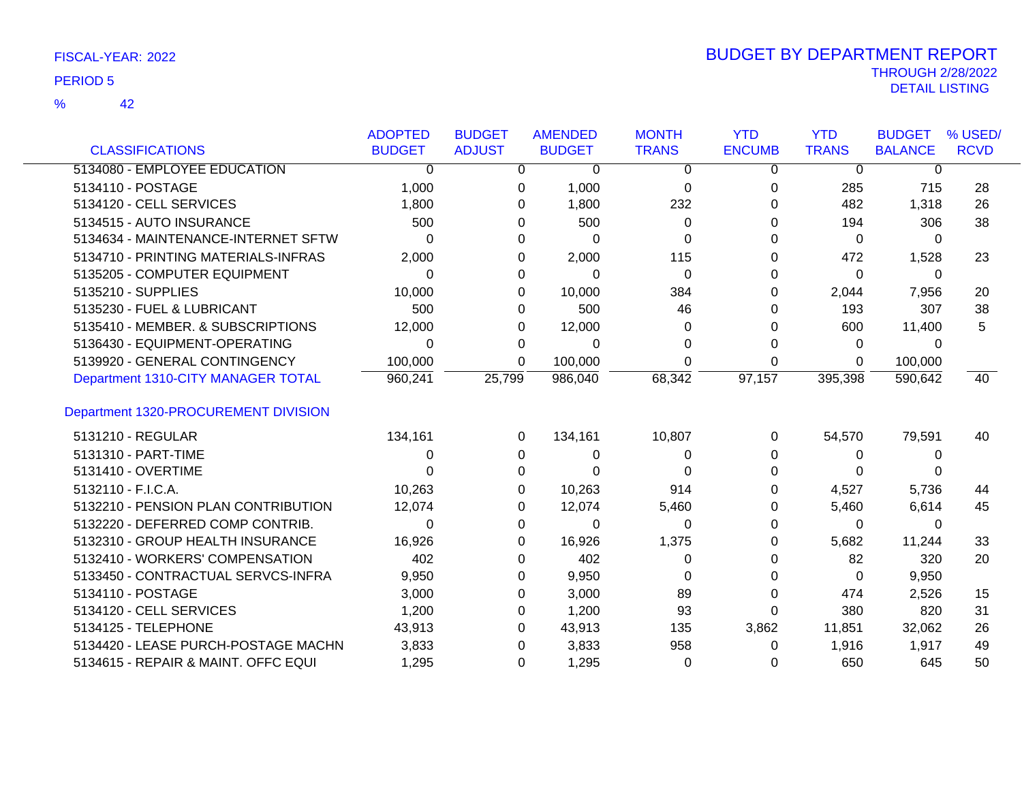|                                      | <b>ADOPTED</b> | <b>BUDGET</b> | <b>AMENDED</b> | <b>MONTH</b> | <b>YTD</b>    | <b>YTD</b>   | <b>BUDGET</b>  | % USED/     |
|--------------------------------------|----------------|---------------|----------------|--------------|---------------|--------------|----------------|-------------|
| <b>CLASSIFICATIONS</b>               | <b>BUDGET</b>  | <b>ADJUST</b> | <b>BUDGET</b>  | <b>TRANS</b> | <b>ENCUMB</b> | <b>TRANS</b> | <b>BALANCE</b> | <b>RCVD</b> |
| 5134080 - EMPLOYEE EDUCATION         | $\Omega$       | 0             | 0              | 0            | 0             | $\mathbf 0$  | 0              |             |
| 5134110 - POSTAGE                    | 1,000          | 0             | 1,000          | $\Omega$     | 0             | 285          | 715            | 28          |
| 5134120 - CELL SERVICES              | 1,800          | 0             | 1,800          | 232          |               | 482          | 1,318          | 26          |
| 5134515 - AUTO INSURANCE             | 500            | 0             | 500            | 0            |               | 194          | 306            | 38          |
| 5134634 - MAINTENANCE-INTERNET SFTW  | $\Omega$       | 0             | $\Omega$       | 0            | 0             | 0            | 0              |             |
| 5134710 - PRINTING MATERIALS-INFRAS  | 2,000          | 0             | 2,000          | 115          |               | 472          | 1,528          | 23          |
| 5135205 - COMPUTER EQUIPMENT         | 0              | 0             | $\Omega$       | 0            | 0             | 0            | $\Omega$       |             |
| 5135210 - SUPPLIES                   | 10,000         | 0             | 10,000         | 384          | 0             | 2,044        | 7,956          | 20          |
| 5135230 - FUEL & LUBRICANT           | 500            | 0             | 500            | 46           | 0             | 193          | 307            | 38          |
| 5135410 - MEMBER. & SUBSCRIPTIONS    | 12,000         | 0             | 12,000         | 0            |               | 600          | 11,400         | 5           |
| 5136430 - EQUIPMENT-OPERATING        | 0              | 0             | 0              | 0            | 0             | 0            | $\Omega$       |             |
| 5139920 - GENERAL CONTINGENCY        | 100,000        | 0             | 100,000        | 0            | 0             | 0            | 100,000        |             |
| Department 1310-CITY MANAGER TOTAL   | 960,241        | 25,799        | 986,040        | 68,342       | 97,157        | 395,398      | 590,642        | 40          |
| Department 1320-PROCUREMENT DIVISION |                |               |                |              |               |              |                |             |
| 5131210 - REGULAR                    | 134,161        | 0             | 134,161        | 10,807       | 0             | 54,570       | 79,591         | 40          |
| 5131310 - PART-TIME                  | 0              | $\Omega$      | 0              | 0            | 0             | $\Omega$     | 0              |             |
| 5131410 - OVERTIME                   |                | 0             | 0              | ∩            | 0             | 0            |                |             |
| 5132110 - F.I.C.A.                   | 10,263         | 0             | 10,263         | 914          |               | 4,527        | 5,736          | 44          |
| 5132210 - PENSION PLAN CONTRIBUTION  | 12,074         | 0             | 12,074         | 5,460        | 0             | 5,460        | 6,614          | 45          |
| 5132220 - DEFERRED COMP CONTRIB.     | 0              | 0             | 0              | 0            | 0             | $\Omega$     | 0              |             |
| 5132310 - GROUP HEALTH INSURANCE     | 16,926         | 0             | 16,926         | 1,375        | 0             | 5,682        | 11,244         | 33          |
| 5132410 - WORKERS' COMPENSATION      | 402            | 0             | 402            | 0            | 0             | 82           | 320            | 20          |
| 5133450 - CONTRACTUAL SERVCS-INFRA   | 9,950          | 0             | 9,950          | 0            |               | 0            | 9,950          |             |
| 5134110 - POSTAGE                    | 3,000          | 0             | 3,000          | 89           | 0             | 474          | 2,526          | 15          |
| 5134120 - CELL SERVICES              | 1,200          | 0             | 1,200          | 93           | 0             | 380          | 820            | 31          |
| 5134125 - TELEPHONE                  | 43,913         | 0             | 43,913         | 135          | 3,862         | 11,851       | 32,062         | 26          |
| 5134420 - LEASE PURCH-POSTAGE MACHN  | 3,833          | 0             | 3,833          | 958          | 0             | 1,916        | 1,917          | 49          |
| 5134615 - REPAIR & MAINT. OFFC EQUI  | 1,295          | $\Omega$      | 1,295          | $\Omega$     | 0             | 650          | 645            | 50          |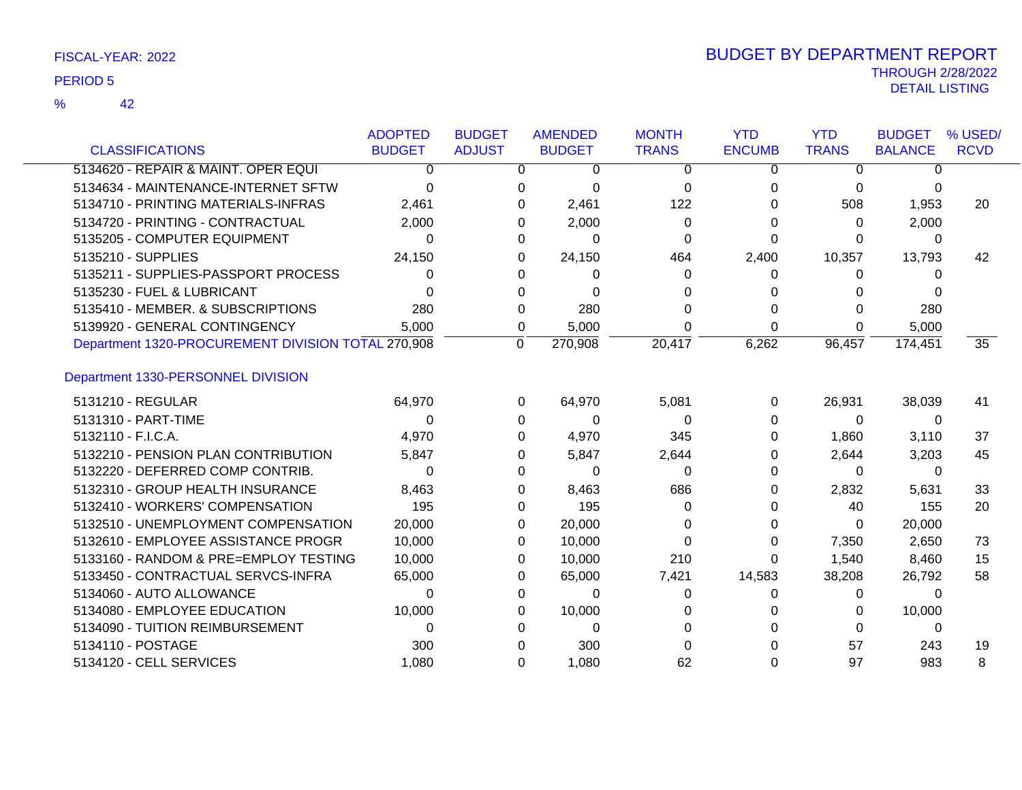| <b>CLASSIFICATIONS</b>                             | <b>ADOPTED</b> | <b>BUDGET</b><br><b>ADJUST</b> | <b>AMENDED</b> | <b>MONTH</b><br><b>TRANS</b> | <b>YTD</b><br><b>ENCUMB</b> | <b>YTD</b><br><b>TRANS</b> | <b>BUDGET</b><br><b>BALANCE</b> | % USED/<br><b>RCVD</b> |
|----------------------------------------------------|----------------|--------------------------------|----------------|------------------------------|-----------------------------|----------------------------|---------------------------------|------------------------|
|                                                    | <b>BUDGET</b>  |                                | <b>BUDGET</b>  |                              |                             |                            |                                 |                        |
| 5134620 - REPAIR & MAINT. OPER EQUI                | 0              |                                | 0              | 0<br>$\Omega$                | $\Omega$                    | $\Omega$                   | O                               |                        |
| 5134634 - MAINTENANCE-INTERNET SFTW                | $\Omega$       |                                | 0              | $\Omega$<br>$\Omega$         | 0                           | 0                          | 0                               |                        |
| 5134710 - PRINTING MATERIALS-INFRAS                | 2,461          |                                | 2,461<br>O     | 122                          | 0                           | 508                        | 1,953                           | 20                     |
| 5134720 - PRINTING - CONTRACTUAL                   | 2,000          |                                | 2,000          | 0                            | 0                           | 0                          | 2,000                           |                        |
| 5135205 - COMPUTER EQUIPMENT                       | 0              |                                | 0              | 0<br>0                       | 0                           | 0                          | 0                               |                        |
| 5135210 - SUPPLIES                                 | 24,150         |                                | 24,150<br>0    | 464                          | 2,400                       | 10,357                     | 13,793                          | 42                     |
| 5135211 - SUPPLIES-PASSPORT PROCESS                | 0              |                                |                | 0<br>U                       | 0                           | 0                          | 0                               |                        |
| 5135230 - FUEL & LUBRICANT                         | U              |                                | O              | 0                            |                             | 0                          |                                 |                        |
| 5135410 - MEMBER. & SUBSCRIPTIONS                  | 280            |                                | 280<br>0       |                              | 0                           | 0                          | 280                             |                        |
| 5139920 - GENERAL CONTINGENCY                      | 5,000          |                                | 5,000<br>0     |                              | 0                           | 0                          | 5,000                           |                        |
| Department 1320-PROCUREMENT DIVISION TOTAL 270,908 |                |                                | 270,908<br>0   | 20,417                       | 6,262                       | 96,457                     | 174,451                         | 35                     |
| Department 1330-PERSONNEL DIVISION                 |                |                                |                |                              |                             |                            |                                 |                        |
| 5131210 - REGULAR                                  | 64,970         |                                | 64,970<br>0    | 5,081                        | $\Omega$                    | 26,931                     | 38,039                          | 41                     |
| 5131310 - PART-TIME                                | 0              |                                | 0              | $\Omega$<br>0                | 0                           | $\Omega$                   | 0                               |                        |
| 5132110 - F.I.C.A.                                 | 4,970          |                                | 4,970<br>0     | 345                          | 0                           | 1,860                      | 3,110                           | 37                     |
| 5132210 - PENSION PLAN CONTRIBUTION                | 5,847          |                                | 5,847<br>0     | 2,644                        | 0                           | 2,644                      | 3,203                           | 45                     |
| 5132220 - DEFERRED COMP CONTRIB.                   | 0              |                                |                | $\Omega$<br>0                | 0                           | 0                          | 0                               |                        |
| 5132310 - GROUP HEALTH INSURANCE                   | 8,463          |                                | 8,463          | 686                          | 0                           | 2,832                      | 5,631                           | 33                     |
| 5132410 - WORKERS' COMPENSATION                    | 195            |                                | 195<br>0       | $\Omega$                     | O                           | 40                         | 155                             | 20                     |
| 5132510 - UNEMPLOYMENT COMPENSATION                | 20,000         |                                | 20,000<br>0    |                              | 0                           | $\Omega$                   | 20,000                          |                        |
| 5132610 - EMPLOYEE ASSISTANCE PROGR                | 10,000         |                                | 10,000<br>0    | 0                            | 0                           | 7,350                      | 2,650                           | 73                     |
| 5133160 - RANDOM & PRE=EMPLOY TESTING              | 10,000         |                                | 10,000<br>0    | 210                          | 0                           | 1,540                      | 8,460                           | 15                     |
| 5133450 - CONTRACTUAL SERVCS-INFRA                 | 65,000         |                                | 65,000<br>0    | 7,421                        | 14,583                      | 38,208                     | 26,792                          | 58                     |
| 5134060 - AUTO ALLOWANCE                           | 0              |                                | O              | $\Omega$<br>0                | 0                           | 0                          | $\Omega$                        |                        |
| 5134080 - EMPLOYEE EDUCATION                       | 10,000         |                                | 10,000<br>0    | 0                            |                             | 0                          | 10,000                          |                        |
| 5134090 - TUITION REIMBURSEMENT                    | 0              |                                | 0              | 0                            |                             | $\Omega$                   | 0                               |                        |
| 5134110 - POSTAGE                                  | 300            |                                | 300            |                              |                             | 57                         | 243                             | 19                     |
| 5134120 - CELL SERVICES                            | 1.080          |                                | 1,080<br>0     | 62                           | 0                           | 97                         | 983                             | 8                      |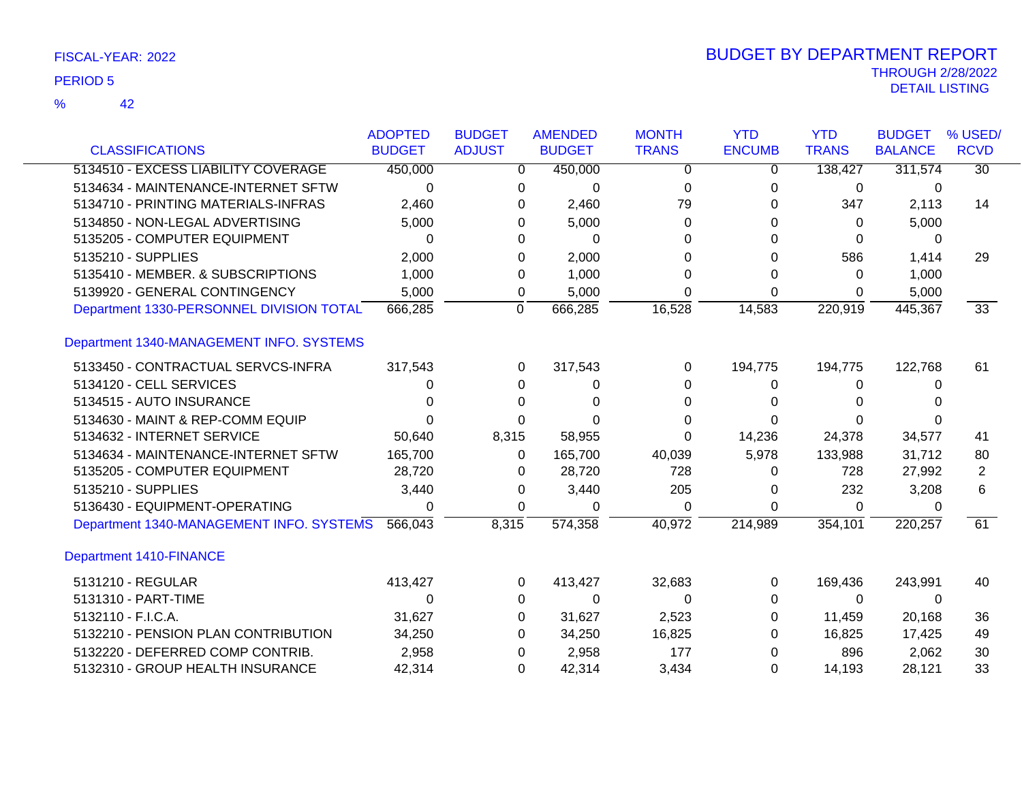|                                          | <b>ADOPTED</b> | <b>BUDGET</b> | <b>AMENDED</b>            | <b>MONTH</b> | <b>YTD</b>    | <b>YTD</b>   | <b>BUDGET</b>  | % USED/         |
|------------------------------------------|----------------|---------------|---------------------------|--------------|---------------|--------------|----------------|-----------------|
| <b>CLASSIFICATIONS</b>                   | <b>BUDGET</b>  | <b>ADJUST</b> | <b>BUDGET</b>             | <b>TRANS</b> | <b>ENCUMB</b> | <b>TRANS</b> | <b>BALANCE</b> | <b>RCVD</b>     |
| 5134510 - EXCESS LIABILITY COVERAGE      | 450,000        |               | 450,000<br>0              | 0            | 0             | 138,427      | 311,574        | $\overline{30}$ |
| 5134634 - MAINTENANCE-INTERNET SFTW      | 0              |               | 0<br>$\Omega$             | $\Omega$     | $\Omega$      | 0            | 0              |                 |
| 5134710 - PRINTING MATERIALS-INFRAS      | 2,460          |               | 2,460<br>0                | 79           | 0             | 347          | 2,113          | 14              |
| 5134850 - NON-LEGAL ADVERTISING          | 5,000          |               | 5,000<br>0                | 0            | 0             | 0            | 5,000          |                 |
| 5135205 - COMPUTER EQUIPMENT             | $\Omega$       |               | $\Omega$<br>0             | $\Omega$     | 0             | $\Omega$     | 0              |                 |
| 5135210 - SUPPLIES                       | 2,000          |               | 2,000<br>0                | 0            | 0             | 586          | 1,414          | 29              |
| 5135410 - MEMBER. & SUBSCRIPTIONS        | 1,000          |               | 1,000<br>0                | $\Omega$     | 0             | 0            | 1,000          |                 |
| 5139920 - GENERAL CONTINGENCY            | 5,000          |               | 5,000<br>0                | $\Omega$     | 0             | 0            | 5,000          |                 |
| Department 1330-PERSONNEL DIVISION TOTAL | 666,285        |               | $\overline{0}$<br>666,285 | 16,528       | 14,583        | 220,919      | 445,367        | $\overline{33}$ |
| Department 1340-MANAGEMENT INFO. SYSTEMS |                |               |                           |              |               |              |                |                 |
| 5133450 - CONTRACTUAL SERVCS-INFRA       | 317,543        |               | 317,543<br>0              | 0            | 194,775       | 194,775      | 122,768        | 61              |
| 5134120 - CELL SERVICES                  | 0              |               | 0<br>0                    | 0            | 0             | 0            | 0              |                 |
| 5134515 - AUTO INSURANCE                 | ∩              |               | 0<br>$\Omega$             | $\Omega$     | 0             | 0            |                |                 |
| 5134630 - MAINT & REP-COMM EQUIP         | 0              |               | 0<br>O                    | 0            | 0             | 0            |                |                 |
| 5134632 - INTERNET SERVICE               | 50,640         | 8,315         | 58,955                    | $\Omega$     | 14,236        | 24,378       | 34,577         | 41              |
| 5134634 - MAINTENANCE-INTERNET SFTW      | 165,700        |               | 165,700<br>0              | 40,039       | 5,978         | 133,988      | 31,712         | 80              |
| 5135205 - COMPUTER EQUIPMENT             | 28,720         |               | 28,720<br>0               | 728          | 0             | 728          | 27,992         | $\overline{2}$  |
| 5135210 - SUPPLIES                       | 3,440          |               | 3,440<br>0                | 205          | 0             | 232          | 3,208          | 6               |
| 5136430 - EQUIPMENT-OPERATING            | 0              |               | 0<br>0                    | 0            | 0             | 0            | 0              |                 |
| Department 1340-MANAGEMENT INFO. SYSTEMS | 566,043        | 8,315         | 574,358                   | 40,972       | 214,989       | 354,101      | 220,257        | $\overline{61}$ |
| <b>Department 1410-FINANCE</b>           |                |               |                           |              |               |              |                |                 |
| 5131210 - REGULAR                        | 413,427        |               | 413,427<br>0              | 32,683       | 0             | 169,436      | 243,991        | 40              |
| 5131310 - PART-TIME                      | 0              |               | $\Omega$<br>0             | $\Omega$     | 0             | 0            | $\Omega$       |                 |
| 5132110 - F.I.C.A.                       | 31,627         |               | 31,627<br>0               | 2,523        | 0             | 11,459       | 20,168         | 36              |
| 5132210 - PENSION PLAN CONTRIBUTION      | 34,250         |               | 0<br>34,250               | 16,825       | 0             | 16,825       | 17,425         | 49              |
| 5132220 - DEFERRED COMP CONTRIB.         | 2,958          |               | 2,958<br>0                | 177          | 0             | 896          | 2,062          | 30              |
| 5132310 - GROUP HEALTH INSURANCE         | 42,314         |               | 42,314<br>0               | 3,434        | 0             | 14,193       | 28,121         | 33              |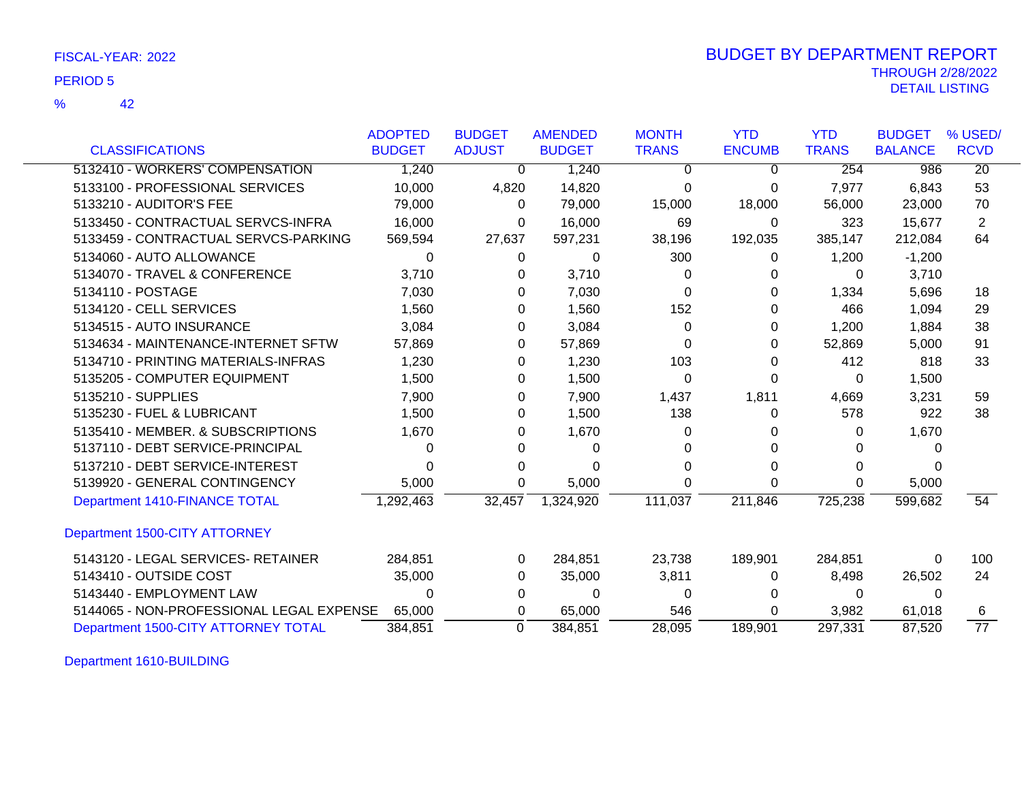42 %

|                                          | <b>ADOPTED</b> | <b>BUDGET</b> | <b>AMENDED</b> | <b>MONTH</b> | <b>YTD</b>    | <b>YTD</b>   | <b>BUDGET</b>  | % USED/         |
|------------------------------------------|----------------|---------------|----------------|--------------|---------------|--------------|----------------|-----------------|
| <b>CLASSIFICATIONS</b>                   | <b>BUDGET</b>  | <b>ADJUST</b> | <b>BUDGET</b>  | <b>TRANS</b> | <b>ENCUMB</b> | <b>TRANS</b> | <b>BALANCE</b> | <b>RCVD</b>     |
| 5132410 - WORKERS' COMPENSATION          | 1,240          | 0             | 1,240          | 0            | 0             | 254          | 986            | $\overline{20}$ |
| 5133100 - PROFESSIONAL SERVICES          | 10,000         | 4,820         | 14,820         | 0            | 0             | 7,977        | 6,843          | 53              |
| 5133210 - AUDITOR'S FEE                  | 79,000         | 0             | 79,000         | 15,000       | 18,000        | 56,000       | 23,000         | 70              |
| 5133450 - CONTRACTUAL SERVCS-INFRA       | 16,000         | 0             | 16,000         | 69           | 0             | 323          | 15,677         | 2               |
| 5133459 - CONTRACTUAL SERVCS-PARKING     | 569,594        | 27,637        | 597,231        | 38,196       | 192,035       | 385,147      | 212,084        | 64              |
| 5134060 - AUTO ALLOWANCE                 | 0              | 0             | $\Omega$       | 300          | 0             | 1,200        | $-1,200$       |                 |
| 5134070 - TRAVEL & CONFERENCE            | 3,710          | 0             | 3,710          | 0            | 0             | 0            | 3,710          |                 |
| 5134110 - POSTAGE                        | 7,030          | 0             | 7,030          | 0            | 0             | 1,334        | 5,696          | 18              |
| 5134120 - CELL SERVICES                  | 1,560          | 0             | 1,560          | 152          |               | 466          | 1,094          | 29              |
| 5134515 - AUTO INSURANCE                 | 3,084          | 0             | 3,084          | 0            | 0             | 1,200        | 1,884          | 38              |
| 5134634 - MAINTENANCE-INTERNET SFTW      | 57,869         | 0             | 57,869         | 0            | 0             | 52,869       | 5,000          | 91              |
| 5134710 - PRINTING MATERIALS-INFRAS      | 1,230          | 0             | 1,230          | 103          | 0             | 412          | 818            | 33              |
| 5135205 - COMPUTER EQUIPMENT             | 1,500          | 0             | 1,500          | 0            | 0             | 0            | 1,500          |                 |
| 5135210 - SUPPLIES                       | 7,900          | 0             | 7,900          | 1,437        | 1,811         | 4,669        | 3,231          | 59              |
| 5135230 - FUEL & LUBRICANT               | 1,500          | 0             | 1,500          | 138          | 0             | 578          | 922            | 38              |
| 5135410 - MEMBER. & SUBSCRIPTIONS        | 1,670          | 0             | 1,670          | 0            | 0             | 0            | 1,670          |                 |
| 5137110 - DEBT SERVICE-PRINCIPAL         | 0              | 0             | $\Omega$       | O            | 0             | 0            |                |                 |
| 5137210 - DEBT SERVICE-INTEREST          | 0              |               | 0              | 0            | 0             | 0            |                |                 |
| 5139920 - GENERAL CONTINGENCY            | 5,000          | 0             | 5,000          | 0            | 0             | 0            | 5,000          |                 |
| Department 1410-FINANCE TOTAL            | 1,292,463      | 32,457        | 1,324,920      | 111,037      | 211,846       | 725,238      | 599,682        | 54              |
| Department 1500-CITY ATTORNEY            |                |               |                |              |               |              |                |                 |
| 5143120 - LEGAL SERVICES- RETAINER       | 284,851        | 0             | 284,851        | 23,738       | 189,901       | 284,851      | 0              | 100             |
| 5143410 - OUTSIDE COST                   | 35,000         | 0             | 35,000         | 3,811        | 0             | 8,498        | 26,502         | 24              |
| 5143440 - EMPLOYMENT LAW                 | 0              | 0             | 0              | 0            |               | 0            | 0              |                 |
| 5144065 - NON-PROFESSIONAL LEGAL EXPENSE | 65,000         | 0             | 65,000         | 546          | 0             | 3,982        | 61,018         | 6               |
| Department 1500-CITY ATTORNEY TOTAL      | 384,851        | 0             | 384,851        | 28,095       | 189,901       | 297,331      | 87,520         | $\overline{77}$ |

Department 1610-BUILDING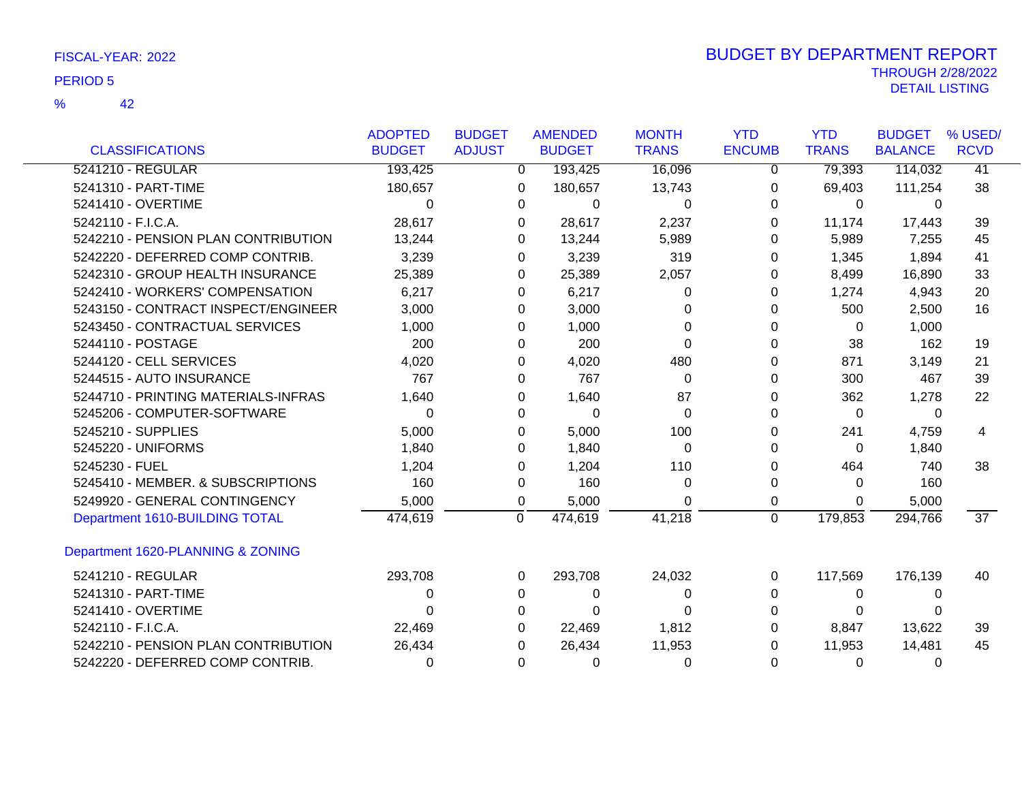|                                     | <b>ADOPTED</b> | <b>BUDGET</b>  | <b>AMENDED</b> | <b>MONTH</b> | <b>YTD</b>    | <b>YTD</b>   | <b>BUDGET</b>  | % USED/         |
|-------------------------------------|----------------|----------------|----------------|--------------|---------------|--------------|----------------|-----------------|
| <b>CLASSIFICATIONS</b>              | <b>BUDGET</b>  | <b>ADJUST</b>  | <b>BUDGET</b>  | <b>TRANS</b> | <b>ENCUMB</b> | <b>TRANS</b> | <b>BALANCE</b> | <b>RCVD</b>     |
| 5241210 - REGULAR                   | 193,425        |                | 193,425<br>0   | 16,096       | 0             | 79,393       | 114,032        | 41              |
| 5241310 - PART-TIME                 | 180,657        | 0              | 180,657        | 13,743       | $\Omega$      | 69,403       | 111,254        | 38              |
| 5241410 - OVERTIME                  | $\Omega$       | $\Omega$       | 0              | 0            | $\Omega$      | 0            | 0              |                 |
| 5242110 - F.I.C.A.                  | 28,617         |                | 28,617<br>0    | 2,237        | 0             | 11,174       | 17,443         | 39              |
| 5242210 - PENSION PLAN CONTRIBUTION | 13,244         | 0              | 13,244         | 5,989        | 0             | 5,989        | 7,255          | 45              |
| 5242220 - DEFERRED COMP CONTRIB.    | 3,239          | 0              | 3,239          | 319          | 0             | 1,345        | 1,894          | 41              |
| 5242310 - GROUP HEALTH INSURANCE    | 25,389         |                | 25,389<br>0    | 2,057        | 0             | 8,499        | 16,890         | 33              |
| 5242410 - WORKERS' COMPENSATION     | 6,217          | 0              | 6,217          | 0            | $\Omega$      | 1,274        | 4,943          | 20              |
| 5243150 - CONTRACT INSPECT/ENGINEER | 3,000          | 0              | 3,000          | 0            | 0             | 500          | 2,500          | 16              |
| 5243450 - CONTRACTUAL SERVICES      | 1,000          | 0              | 1,000          | U            | 0             | $\Omega$     | 1,000          |                 |
| 5244110 - POSTAGE                   | 200            | 0              | 200            | 0            | 0             | 38           | 162            | 19              |
| 5244120 - CELL SERVICES             | 4,020          | 0              | 4,020          | 480          | 0             | 871          | 3,149          | 21              |
| 5244515 - AUTO INSURANCE            | 767            | 0              | 767            | $\Omega$     | 0             | 300          | 467            | 39              |
| 5244710 - PRINTING MATERIALS-INFRAS | 1,640          | 0              | 1,640          | 87           | 0             | 362          | 1,278          | 22              |
| 5245206 - COMPUTER-SOFTWARE         | 0              | 0              | $\Omega$       | $\Omega$     | 0             | $\Omega$     | 0              |                 |
| 5245210 - SUPPLIES                  | 5,000          | 0              | 5,000          | 100          | 0             | 241          | 4,759          | 4               |
| 5245220 - UNIFORMS                  | 1,840          | 0              | 1,840          | $\Omega$     | 0             | $\Omega$     | 1,840          |                 |
| 5245230 - FUEL                      | 1,204          | 0              | 1,204          | 110          | 0             | 464          | 740            | 38              |
| 5245410 - MEMBER. & SUBSCRIPTIONS   | 160            | 0              | 160            | 0            | 0             | $\Omega$     | 160            |                 |
| 5249920 - GENERAL CONTINGENCY       | 5,000          | 0              | 5,000          | 0            | 0             | $\Omega$     | 5,000          |                 |
| Department 1610-BUILDING TOTAL      | 474,619        | $\overline{0}$ | 474,619        | 41,218       | $\mathbf{0}$  | 179,853      | 294,766        | $\overline{37}$ |
| Department 1620-PLANNING & ZONING   |                |                |                |              |               |              |                |                 |
| 5241210 - REGULAR                   | 293,708        | 0              | 293,708        | 24,032       | 0             | 117,569      | 176,139        | 40              |
| 5241310 - PART-TIME                 | 0              | 0              | 0              | 0            | 0             | $\Omega$     | 0              |                 |
| 5241410 - OVERTIME                  | 0              | 0              | $\Omega$       | ∩            | 0             | 0            | 0              |                 |
| 5242110 - F.I.C.A.                  | 22,469         | 0              | 22,469         | 1,812        | 0             | 8,847        | 13,622         | 39              |
| 5242210 - PENSION PLAN CONTRIBUTION | 26,434         | 0              | 26,434         | 11,953       | 0             | 11,953       | 14,481         | 45              |
| 5242220 - DEFERRED COMP CONTRIB.    | 0              | 0              | 0              | 0            | $\Omega$      | 0            | 0              |                 |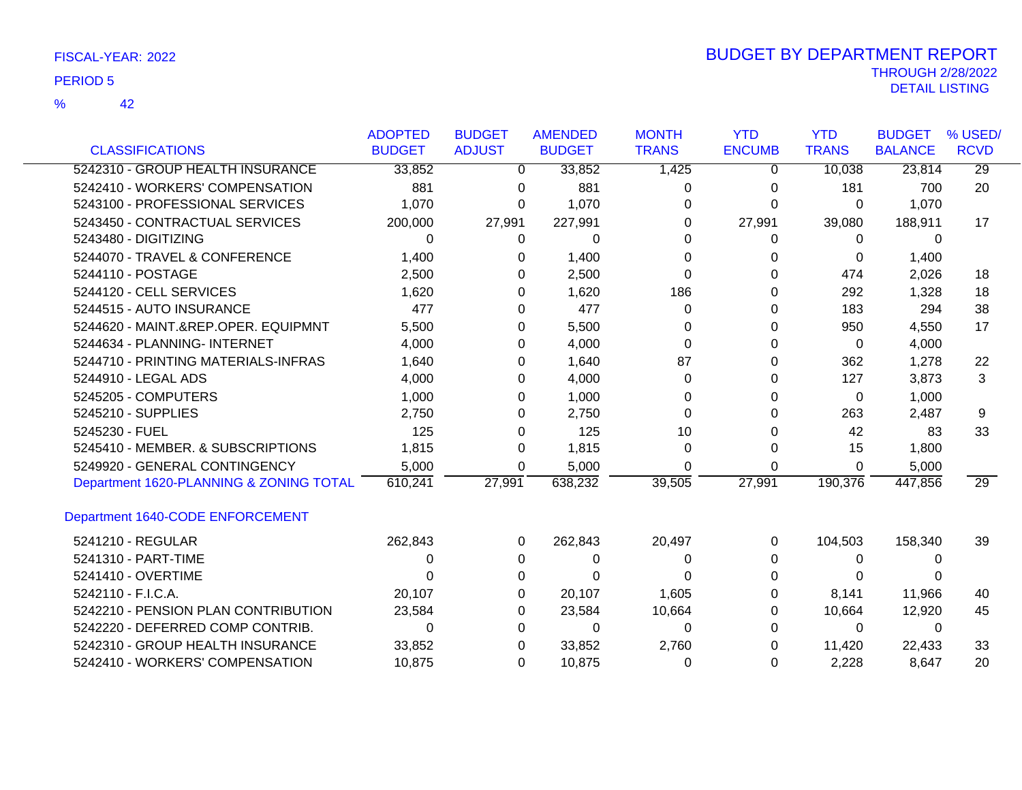|                                         | <b>ADOPTED</b> | <b>BUDGET</b> | <b>AMENDED</b> | <b>MONTH</b> | <b>YTD</b>    | <b>YTD</b>   | <b>BUDGET</b>  | % USED/         |
|-----------------------------------------|----------------|---------------|----------------|--------------|---------------|--------------|----------------|-----------------|
| <b>CLASSIFICATIONS</b>                  | <b>BUDGET</b>  | <b>ADJUST</b> | <b>BUDGET</b>  | <b>TRANS</b> | <b>ENCUMB</b> | <b>TRANS</b> | <b>BALANCE</b> | <b>RCVD</b>     |
| 5242310 - GROUP HEALTH INSURANCE        | 33,852         | 0             | 33,852         | 1,425        | 0             | 10,038       | 23,814         | $\overline{29}$ |
| 5242410 - WORKERS' COMPENSATION         | 881            | 0             | 881            | 0            | 0             | 181          | 700            | 20              |
| 5243100 - PROFESSIONAL SERVICES         | 1,070          | 0             | 1,070          | 0            | U             | 0            | 1,070          |                 |
| 5243450 - CONTRACTUAL SERVICES          | 200,000        | 27,991        | 227,991        | 0            | 27,991        | 39,080       | 188,911        | 17              |
| 5243480 - DIGITIZING                    | 0              | 0             | 0              | 0            | 0             | 0            | $\Omega$       |                 |
| 5244070 - TRAVEL & CONFERENCE           | 1,400          | 0             | 1,400          | 0            | 0             | 0            | 1,400          |                 |
| 5244110 - POSTAGE                       | 2,500          | 0             | 2,500          | 0            | 0             | 474          | 2,026          | 18              |
| 5244120 - CELL SERVICES                 | 1,620          | 0             | 1,620          | 186          | 0             | 292          | 1,328          | 18              |
| 5244515 - AUTO INSURANCE                | 477            | 0             | 477            | 0            | 0             | 183          | 294            | 38              |
| 5244620 - MAINT.&REP.OPER. EQUIPMNT     | 5,500          | 0             | 5,500          | 0            | O             | 950          | 4,550          | 17              |
| 5244634 - PLANNING- INTERNET            | 4,000          | 0             | 4,000          | 0            | 0             | 0            | 4,000          |                 |
| 5244710 - PRINTING MATERIALS-INFRAS     | 1,640          | 0             | 1,640          | 87           | 0             | 362          | 1,278          | 22              |
| 5244910 - LEGAL ADS                     | 4,000          | 0             | 4,000          | 0            | 0             | 127          | 3,873          | 3               |
| 5245205 - COMPUTERS                     | 1,000          | 0             | 1,000          | 0            | 0             | 0            | 1,000          |                 |
| 5245210 - SUPPLIES                      | 2,750          | 0             | 2,750          | 0            | U             | 263          | 2,487          | 9               |
| 5245230 - FUEL                          | 125            | 0             | 125            | 10           | 0             | 42           | 83             | 33              |
| 5245410 - MEMBER. & SUBSCRIPTIONS       | 1,815          | 0             | 1,815          | 0            | 0             | 15           | 1,800          |                 |
| 5249920 - GENERAL CONTINGENCY           | 5,000          | 0             | 5,000          | 0            | $\Omega$      | 0            | 5,000          |                 |
| Department 1620-PLANNING & ZONING TOTAL | 610,241        | 27,991        | 638,232        | 39,505       | 27,991        | 190,376      | 447,856        | 29              |
| Department 1640-CODE ENFORCEMENT        |                |               |                |              |               |              |                |                 |
| 5241210 - REGULAR                       | 262,843        | 0             | 262,843        | 20,497       | 0             | 104,503      | 158,340        | 39              |
| 5241310 - PART-TIME                     | ი              | 0             | 0              | 0            | 0             | 0            | $\Omega$       |                 |
| 5241410 - OVERTIME                      |                | 0             |                | 0            | 0             |              |                |                 |
| 5242110 - F.I.C.A.                      | 20,107         | 0             | 20,107         | 1,605        | 0             | 8,141        | 11,966         | 40              |
| 5242210 - PENSION PLAN CONTRIBUTION     | 23,584         | 0             | 23,584         | 10,664       | 0             | 10,664       | 12,920         | 45              |
| 5242220 - DEFERRED COMP CONTRIB.        | 0              | 0             | 0              | 0            | $^{(1)}$      | 0            | 0              |                 |
| 5242310 - GROUP HEALTH INSURANCE        | 33,852         | 0             | 33,852         | 2,760        | O             | 11,420       | 22,433         | 33              |
| 5242410 - WORKERS' COMPENSATION         | 10,875         | 0             | 10,875         | 0            | 0             | 2,228        | 8,647          | 20              |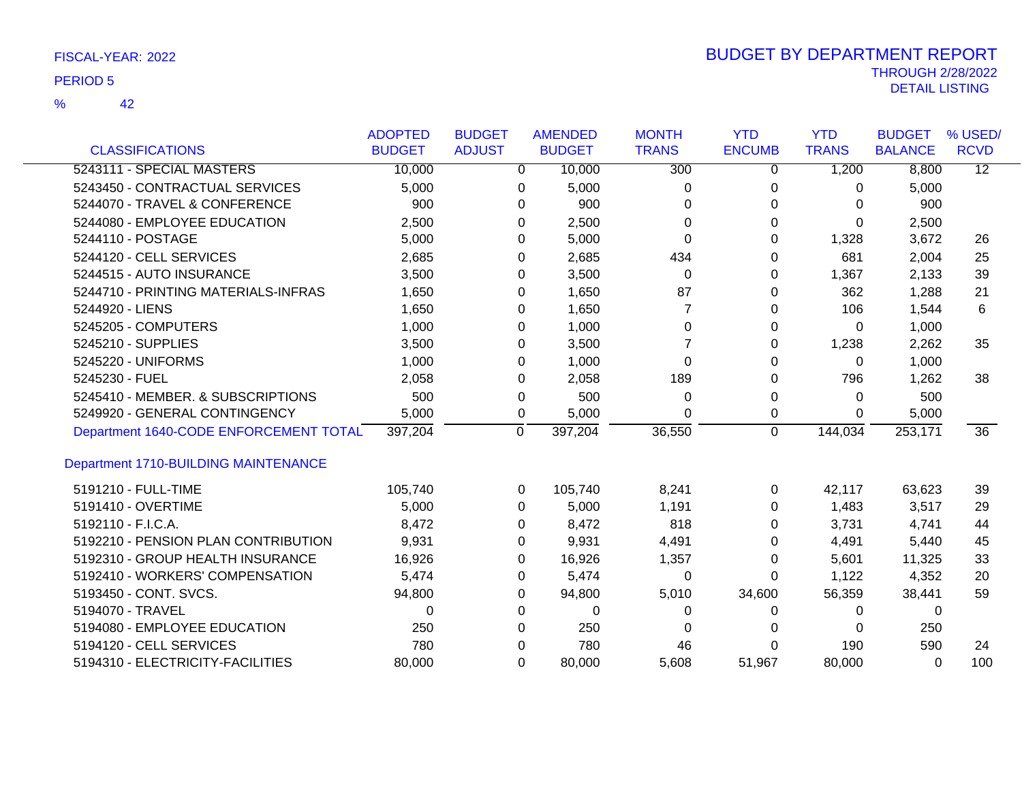|                                        | <b>ADOPTED</b> | <b>BUDGET</b> | <b>AMENDED</b>            | <b>MONTH</b>     | <b>YTD</b>     | <b>YTD</b>   | <b>BUDGET</b>  | % USED/         |
|----------------------------------------|----------------|---------------|---------------------------|------------------|----------------|--------------|----------------|-----------------|
| <b>CLASSIFICATIONS</b>                 | <b>BUDGET</b>  | <b>ADJUST</b> | <b>BUDGET</b>             | <b>TRANS</b>     | <b>ENCUMB</b>  | <b>TRANS</b> | <b>BALANCE</b> | <b>RCVD</b>     |
| 5243111 - SPECIAL MASTERS              | 10,000         |               | 10,000<br>0               | $\overline{300}$ | 0              | 1,200        | 8,800          | $\overline{12}$ |
| 5243450 - CONTRACTUAL SERVICES         | 5,000          |               | 5,000<br>0                | 0                | 0              | 0            | 5,000          |                 |
| 5244070 - TRAVEL & CONFERENCE          | 900            |               | 0                         | 900<br>0         | 0              | 0            | 900            |                 |
| 5244080 - EMPLOYEE EDUCATION           | 2,500          |               | 2,500<br>0                | 0                | 0              | $\Omega$     | 2,500          |                 |
| 5244110 - POSTAGE                      | 5,000          |               | 5,000<br>0                | 0                | 0              | 1,328        | 3,672          | 26              |
| 5244120 - CELL SERVICES                | 2,685          |               | 2,685<br>0                | 434              | 0              | 681          | 2,004          | 25              |
| 5244515 - AUTO INSURANCE               | 3,500          |               | 3,500<br>0                | $\Omega$         | $\Omega$       | 1,367        | 2,133          | 39              |
| 5244710 - PRINTING MATERIALS-INFRAS    | 1,650          |               | 1,650<br>0                | 87               | $\Omega$       | 362          | 1,288          | 21              |
| 5244920 - LIENS                        | 1,650          |               | 1,650<br>0                | $\overline{7}$   | 0              | 106          | 1,544          | 6               |
| 5245205 - COMPUTERS                    | 1,000          |               | 1,000<br>0                | 0                | 0              | 0            | 1,000          |                 |
| 5245210 - SUPPLIES                     | 3,500          |               | 3,500<br>0                | 7                | 0              | 1,238        | 2,262          | 35              |
| 5245220 - UNIFORMS                     | 1,000          |               | 1,000<br>0                | $\Omega$         | 0              | $\Omega$     | 1,000          |                 |
| 5245230 - FUEL                         | 2,058          |               | 2,058<br>0                | 189              | $\Omega$       | 796          | 1,262          | 38              |
| 5245410 - MEMBER, & SUBSCRIPTIONS      | 500            |               | 0                         | 500<br>$\Omega$  | 0              | $\Omega$     | 500            |                 |
| 5249920 - GENERAL CONTINGENCY          | 5,000          |               | 5,000<br>0                | $\Omega$         | 0              | 0            | 5,000          |                 |
| Department 1640-CODE ENFORCEMENT TOTAL | 397,204        |               | $\overline{0}$<br>397,204 | 36,550           | $\overline{0}$ | 144,034      | 253,171        | $\overline{36}$ |
| Department 1710-BUILDING MAINTENANCE   |                |               |                           |                  |                |              |                |                 |
| 5191210 - FULL-TIME                    | 105,740        |               | 105,740<br>$\Omega$       | 8,241            | $\mathbf 0$    | 42,117       | 63,623         | 39              |
| 5191410 - OVERTIME                     | 5,000          |               | 5,000<br>$\Omega$         | 1,191            | $\Omega$       | 1,483        | 3,517          | 29              |
| 5192110 - F.I.C.A.                     | 8,472          |               | 8,472<br>0                | 818              | $\Omega$       | 3,731        | 4,741          | 44              |
| 5192210 - PENSION PLAN CONTRIBUTION    | 9,931          |               | 9,931<br>0                | 4,491            | 0              | 4,491        | 5,440          | 45              |
| 5192310 - GROUP HEALTH INSURANCE       | 16,926         |               | 0<br>16,926               | 1,357            | $\Omega$       | 5,601        | 11,325         | 33              |
| 5192410 - WORKERS' COMPENSATION        | 5,474          |               | 5,474<br>0                | 0                | 0              | 1,122        | 4,352          | 20              |
| 5193450 - CONT. SVCS.                  | 94,800         |               | 94,800<br>0               | 5,010            | 34,600         | 56,359       | 38,441         | 59              |
| 5194070 - TRAVEL                       | 0              |               | 0                         | 0<br>0           | 0              | 0            | 0              |                 |
| 5194080 - EMPLOYEE EDUCATION           | 250            |               | $\Omega$                  | 250<br>0         | 0              | $\Omega$     | 250            |                 |
| 5194120 - CELL SERVICES                | 780            |               | 0                         | 780<br>46        | 0              | 190          | 590            | 24              |
| 5194310 - ELECTRICITY-FACILITIES       | 80,000         |               | $\Omega$<br>80,000        | 5,608            | 51,967         | 80,000       | 0              | 100             |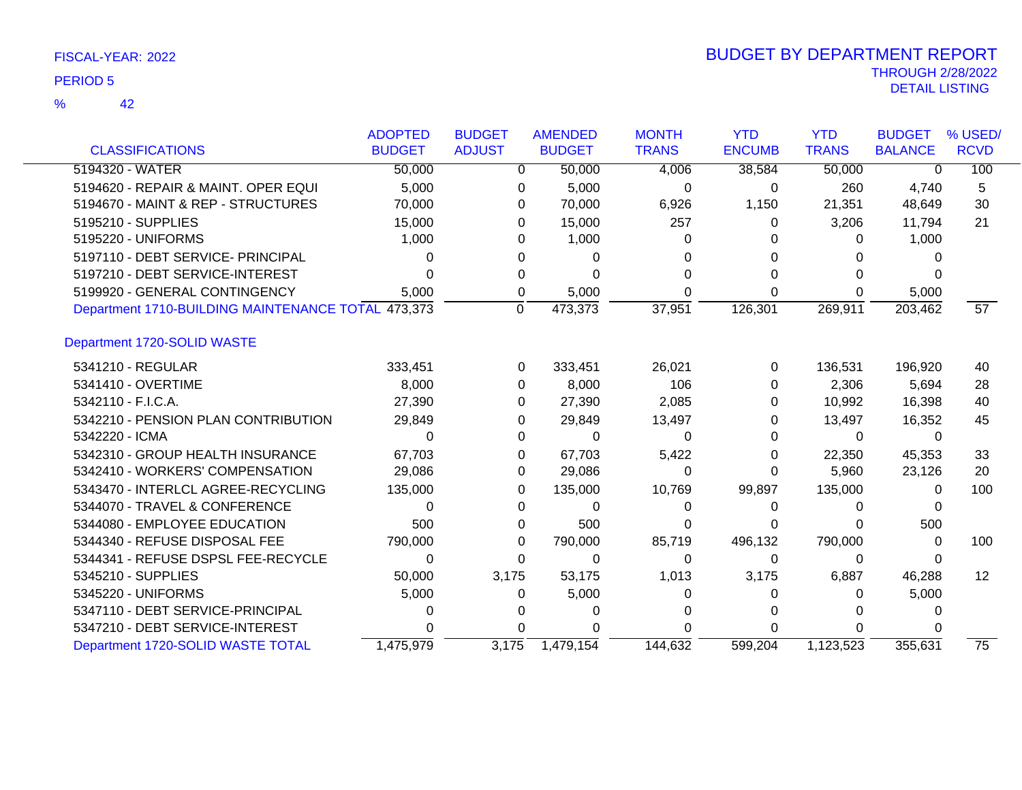|                                                    | <b>ADOPTED</b> | <b>BUDGET</b> | <b>AMENDED</b> | <b>MONTH</b> | <b>YTD</b>    | <b>YTD</b>   | <b>BUDGET</b>  | % USED/           |
|----------------------------------------------------|----------------|---------------|----------------|--------------|---------------|--------------|----------------|-------------------|
| <b>CLASSIFICATIONS</b>                             | <b>BUDGET</b>  | <b>ADJUST</b> | <b>BUDGET</b>  | <b>TRANS</b> | <b>ENCUMB</b> | <b>TRANS</b> | <b>BALANCE</b> | <b>RCVD</b>       |
| 5194320 - WATER                                    | 50,000         | 0             | 50,000         | 4,006        | 38,584        | 50,000       | $\Omega$       | 100               |
| 5194620 - REPAIR & MAINT. OPER EQUI                | 5,000          | 0             | 5,000          | 0            | 0             | 260          | 4,740          | 5                 |
| 5194670 - MAINT & REP - STRUCTURES                 | 70,000         | 0             | 70,000         | 6,926        | 1,150         | 21,351       | 48,649         | 30                |
| 5195210 - SUPPLIES                                 | 15,000         | 0             | 15,000         | 257          | 0             | 3,206        | 11,794         | 21                |
| 5195220 - UNIFORMS                                 | 1,000          | $\Omega$      | 1,000          | $\Omega$     |               | 0            | 1,000          |                   |
| 5197110 - DEBT SERVICE- PRINCIPAL                  | 0              |               | $\Omega$       |              |               | 0            |                |                   |
| 5197210 - DEBT SERVICE-INTEREST                    | ი              | 0             | 0              |              | 0             | 0            |                |                   |
| 5199920 - GENERAL CONTINGENCY                      | 5,000          | 0             | 5,000          | U            | 0             | 0            | 5,000          |                   |
| Department 1710-BUILDING MAINTENANCE TOTAL 473,373 |                | 0             | 473,373        | 37,951       | 126,301       | 269,911      | 203,462        | 57                |
| Department 1720-SOLID WASTE                        |                |               |                |              |               |              |                |                   |
| 5341210 - REGULAR                                  | 333,451        | 0             | 333,451        | 26,021       | 0             | 136,531      | 196,920        | 40                |
| 5341410 - OVERTIME                                 | 8,000          | $\Omega$      | 8,000          | 106          | 0             | 2,306        | 5,694          | 28                |
| 5342110 - F.I.C.A.                                 | 27,390         | 0             | 27,390         | 2,085        | 0             | 10,992       | 16,398         | 40                |
| 5342210 - PENSION PLAN CONTRIBUTION                | 29,849         | 0             | 29,849         | 13,497       | 0             | 13,497       | 16,352         | 45                |
| 5342220 - ICMA                                     | 0              | 0             | 0              | 0            | 0             | $\Omega$     | $\Omega$       |                   |
| 5342310 - GROUP HEALTH INSURANCE                   | 67,703         | 0             | 67,703         | 5,422        | 0             | 22,350       | 45,353         | 33                |
| 5342410 - WORKERS' COMPENSATION                    | 29,086         | 0             | 29,086         | 0            | 0             | 5,960        | 23,126         | 20                |
| 5343470 - INTERLCL AGREE-RECYCLING                 | 135,000        | 0             | 135,000        | 10,769       | 99,897        | 135,000      | 0              | 100               |
| 5344070 - TRAVEL & CONFERENCE                      | 0              | 0             | 0              | 0            | 0             | 0            | 0              |                   |
| 5344080 - EMPLOYEE EDUCATION                       | 500            | 0             | 500            | 0            | 0             | 0            | 500            |                   |
| 5344340 - REFUSE DISPOSAL FEE                      | 790,000        | 0             | 790,000        | 85,719       | 496,132       | 790,000      | 0              | 100               |
| 5344341 - REFUSE DSPSL FEE-RECYCLE                 | 0              | 0             | 0              | 0            | 0             | 0            | 0              |                   |
| 5345210 - SUPPLIES                                 | 50,000         | 3,175         | 53,175         | 1,013        | 3,175         | 6,887        | 46,288         | $12 \overline{ }$ |
| 5345220 - UNIFORMS                                 | 5,000          | 0             | 5,000          | O            | 0             | 0            | 5,000          |                   |
| 5347110 - DEBT SERVICE-PRINCIPAL                   |                |               | 0              |              |               | 0            | 0              |                   |
| 5347210 - DEBT SERVICE-INTEREST                    |                | 0             |                |              | U             | 0            |                |                   |
| Department 1720-SOLID WASTE TOTAL                  | 1,475,979      | 3,175         | 1,479,154      | 144.632      | 599.204       | 1,123,523    | 355.631        | $\overline{75}$   |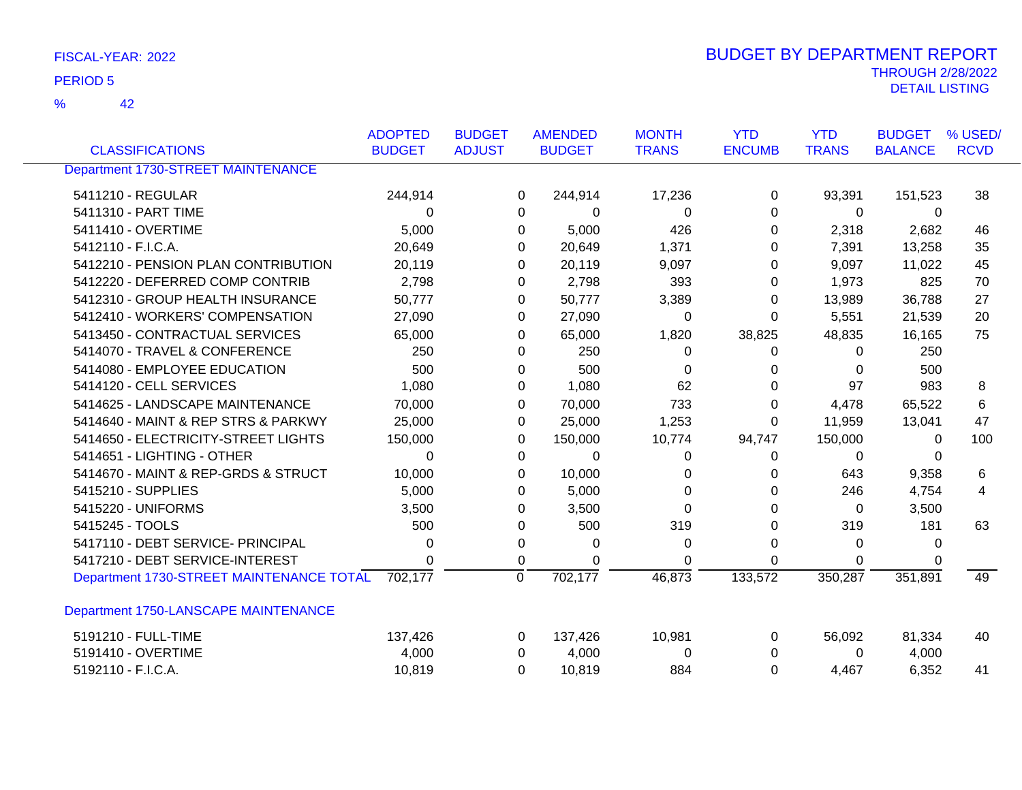| FISCAL-YEAR: 2022 | <b>BUDGET BY DEPARTMENT REPORT</b> |
|-------------------|------------------------------------|
|                   | <b>THROUGH 2/28/2022</b>           |
| <b>PERIOD 5</b>   | DETAIL LISTING                     |

| <b>CLASSIFICATIONS</b>                           | <b>ADOPTED</b><br><b>BUDGET</b> | <b>BUDGET</b><br><b>ADJUST</b> |                | <b>AMENDED</b><br><b>BUDGET</b> | <b>MONTH</b><br><b>TRANS</b> | <b>YTD</b><br><b>ENCUMB</b> | <b>YTD</b><br><b>TRANS</b> | <b>BUDGET</b><br><b>BALANCE</b> | % USED/<br><b>RCVD</b> |
|--------------------------------------------------|---------------------------------|--------------------------------|----------------|---------------------------------|------------------------------|-----------------------------|----------------------------|---------------------------------|------------------------|
|                                                  |                                 |                                |                |                                 |                              |                             |                            |                                 |                        |
| <b>Department 1730-STREET MAINTENANCE</b>        |                                 |                                |                |                                 |                              |                             |                            |                                 |                        |
| 5411210 - REGULAR                                | 244,914                         |                                | 0              | 244,914                         | 17,236                       | 0                           | 93,391                     | 151,523                         | 38                     |
| 5411310 - PART TIME                              | 0                               |                                | 0              | 0                               | 0                            | 0                           | 0                          | 0                               |                        |
| 5411410 - OVERTIME                               | 5,000                           |                                | 0              | 5,000                           | 426                          | 0                           | 2,318                      | 2,682                           | 46                     |
| 5412110 - F.I.C.A.                               | 20,649                          |                                | 0              | 20,649                          | 1,371                        | 0                           | 7,391                      | 13,258                          | 35                     |
| 5412210 - PENSION PLAN CONTRIBUTION              | 20,119                          |                                | 0              | 20,119                          | 9,097                        | 0                           | 9,097                      | 11,022                          | 45                     |
| 5412220 - DEFERRED COMP CONTRIB                  | 2,798                           |                                | 0              | 2,798                           | 393                          | 0                           | 1,973                      | 825                             | 70                     |
| 5412310 - GROUP HEALTH INSURANCE                 | 50,777                          |                                | 0              | 50,777                          | 3,389                        | 0                           | 13,989                     | 36,788                          | 27                     |
| 5412410 - WORKERS' COMPENSATION                  | 27,090                          |                                | 0              | 27,090                          | 0                            | 0                           | 5,551                      | 21,539                          | 20                     |
| 5413450 - CONTRACTUAL SERVICES                   | 65,000                          |                                | 0              | 65,000                          | 1,820                        | 38,825                      | 48,835                     | 16,165                          | 75                     |
| 5414070 - TRAVEL & CONFERENCE                    | 250                             |                                | 0              | 250                             | 0                            | 0                           | 0                          | 250                             |                        |
| 5414080 - EMPLOYEE EDUCATION                     | 500                             |                                | 0              | 500                             | 0                            | 0                           | $\Omega$                   | 500                             |                        |
| 5414120 - CELL SERVICES                          | 1,080                           |                                | 0              | 1,080                           | 62                           | 0                           | 97                         | 983                             | 8                      |
| 5414625 - LANDSCAPE MAINTENANCE                  | 70,000                          |                                | 0              | 70,000                          | 733                          | 0                           | 4,478                      | 65,522                          | 6                      |
| 5414640 - MAINT & REP STRS & PARKWY              | 25,000                          |                                | 0              | 25,000                          | 1,253                        | 0                           | 11,959                     | 13,041                          | 47                     |
| 5414650 - ELECTRICITY-STREET LIGHTS              | 150,000                         |                                | 0              | 150,000                         | 10,774                       | 94,747                      | 150,000                    | 0                               | 100                    |
| 5414651 - LIGHTING - OTHER                       | $\Omega$                        |                                | 0              | 0                               | 0                            | 0                           | 0                          | 0                               |                        |
| 5414670 - MAINT & REP-GRDS & STRUCT              | 10,000                          |                                | 0              | 10,000                          | 0                            | 0                           | 643                        | 9,358                           | 6                      |
| 5415210 - SUPPLIES                               | 5,000                           |                                | 0              | 5,000                           | 0                            | 0                           | 246                        | 4,754                           | 4                      |
| 5415220 - UNIFORMS                               | 3,500                           |                                | 0              | 3,500                           | 0                            | 0                           | 0                          | 3,500                           |                        |
| 5415245 - TOOLS                                  | 500                             |                                | 0              | 500                             | 319                          | 0                           | 319                        | 181                             | 63                     |
| 5417110 - DEBT SERVICE- PRINCIPAL                | 0                               |                                | 0              | 0                               | 0                            | 0                           | 0                          | 0                               |                        |
| 5417210 - DEBT SERVICE-INTEREST                  | 0                               |                                | 0              | 0                               | 0                            | $\Omega$                    | 0                          | 0                               |                        |
| Department 1730-STREET MAINTENANCE TOTAL 702,177 |                                 |                                | $\overline{0}$ | 702,177                         | 46,873                       | 133,572                     | 350,287                    | 351,891                         | 49                     |
| Department 1750-LANSCAPE MAINTENANCE             |                                 |                                |                |                                 |                              |                             |                            |                                 |                        |
| 5191210 - FULL-TIME                              | 137,426                         |                                | 0              | 137,426                         | 10,981                       | 0                           | 56,092                     | 81,334                          | 40                     |
| 5191410 - OVERTIME                               | 4,000                           |                                | 0              | 4,000                           | 0                            | 0                           | 0                          | 4,000                           |                        |
| 5192110 - F.I.C.A.                               | 10,819                          |                                | 0              | 10,819                          | 884                          | $\Omega$                    | 4,467                      | 6,352                           | 41                     |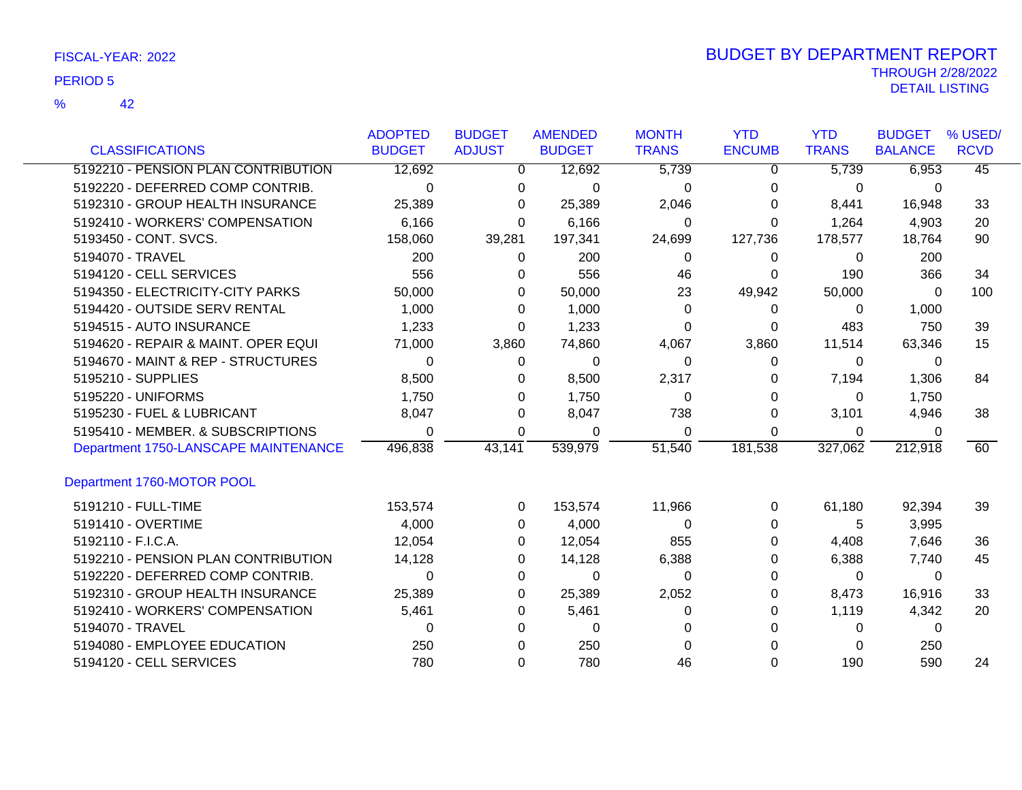42 %

|                                      | <b>ADOPTED</b> | <b>BUDGET</b> | <b>AMENDED</b> | <b>MONTH</b> | <b>YTD</b>    | <b>YTD</b>   | <b>BUDGET</b>  | % USED/         |
|--------------------------------------|----------------|---------------|----------------|--------------|---------------|--------------|----------------|-----------------|
| <b>CLASSIFICATIONS</b>               | <b>BUDGET</b>  | <b>ADJUST</b> | <b>BUDGET</b>  | <b>TRANS</b> | <b>ENCUMB</b> | <b>TRANS</b> | <b>BALANCE</b> | <b>RCVD</b>     |
| 5192210 - PENSION PLAN CONTRIBUTION  | 12,692         | 0             | 12,692         | 5,739        | 0             | 5,739        | 6,953          | $\overline{45}$ |
| 5192220 - DEFERRED COMP CONTRIB.     | $\Omega$       | 0             | 0              | 0            | 0             | 0            | $\Omega$       |                 |
| 5192310 - GROUP HEALTH INSURANCE     | 25,389         | 0             | 25,389         | 2,046        | 0             | 8,441        | 16,948         | 33              |
| 5192410 - WORKERS' COMPENSATION      | 6,166          | 0             | 6,166          | 0            | 0             | 1,264        | 4,903          | 20              |
| 5193450 - CONT. SVCS.                | 158,060        | 39,281        | 197,341        | 24,699       | 127,736       | 178,577      | 18,764         | 90              |
| 5194070 - TRAVEL                     | 200            | 0             | 200            | 0            | 0             | 0            | 200            |                 |
| 5194120 - CELL SERVICES              | 556            | 0             | 556            | 46           | 0             | 190          | 366            | 34              |
| 5194350 - ELECTRICITY-CITY PARKS     | 50,000         | 0             | 50,000         | 23           | 49,942        | 50,000       | $\Omega$       | 100             |
| 5194420 - OUTSIDE SERV RENTAL        | 1,000          | 0             | 1,000          | 0            | 0             | 0            | 1,000          |                 |
| 5194515 - AUTO INSURANCE             | 1,233          | $\Omega$      | 1,233          | 0            | $\Omega$      | 483          | 750            | 39              |
| 5194620 - REPAIR & MAINT. OPER EQUI  | 71,000         | 3,860         | 74,860         | 4,067        | 3,860         | 11,514       | 63,346         | 15              |
| 5194670 - MAINT & REP - STRUCTURES   | $\Omega$       | 0             | $\Omega$       | 0            | $\Omega$      | 0            | $\Omega$       |                 |
| 5195210 - SUPPLIES                   | 8,500          | 0             | 8,500          | 2,317        | 0             | 7,194        | 1,306          | 84              |
| 5195220 - UNIFORMS                   | 1,750          | 0             | 1,750          | 0            | 0             | 0            | 1,750          |                 |
| 5195230 - FUEL & LUBRICANT           | 8,047          | 0             | 8,047          | 738          | 0             | 3,101        | 4,946          | 38              |
| 5195410 - MEMBER. & SUBSCRIPTIONS    | 0              | 0             | 0              | 0            | 0             | 0            | 0              |                 |
| Department 1750-LANSCAPE MAINTENANCE | 496,838        | 43,141        | 539,979        | 51,540       | 181,538       | 327,062      | 212,918        | 60              |
| Department 1760-MOTOR POOL           |                |               |                |              |               |              |                |                 |
| 5191210 - FULL-TIME                  | 153,574        | 0             | 153,574        | 11,966       | 0             | 61,180       | 92,394         | 39              |
| 5191410 - OVERTIME                   | 4,000          | 0             | 4,000          | 0            | 0             | 5            | 3,995          |                 |
| 5192110 - F.I.C.A.                   | 12,054         | 0             | 12,054         | 855          | 0             | 4,408        | 7,646          | 36              |
| 5192210 - PENSION PLAN CONTRIBUTION  | 14,128         | 0             | 14,128         | 6,388        | 0             | 6,388        | 7,740          | 45              |
| 5192220 - DEFERRED COMP CONTRIB.     | 0              | 0             | 0              | 0            | 0             | 0            | 0              |                 |
| 5192310 - GROUP HEALTH INSURANCE     | 25,389         | 0             | 25,389         | 2,052        | 0             | 8,473        | 16,916         | 33              |
| 5192410 - WORKERS' COMPENSATION      | 5,461          | 0             | 5,461          | 0            | 0             | 1,119        | 4,342          | 20              |
| 5194070 - TRAVEL                     | 0              | 0             | 0              | 0            |               | 0            | 0              |                 |
| 5194080 - EMPLOYEE EDUCATION         | 250            | 0             | 250            | 0            |               | 0            | 250            |                 |
| 5194120 - CELL SERVICES              | 780            | 0             | 780            | 46           | 0             | 190          | 590            | 24              |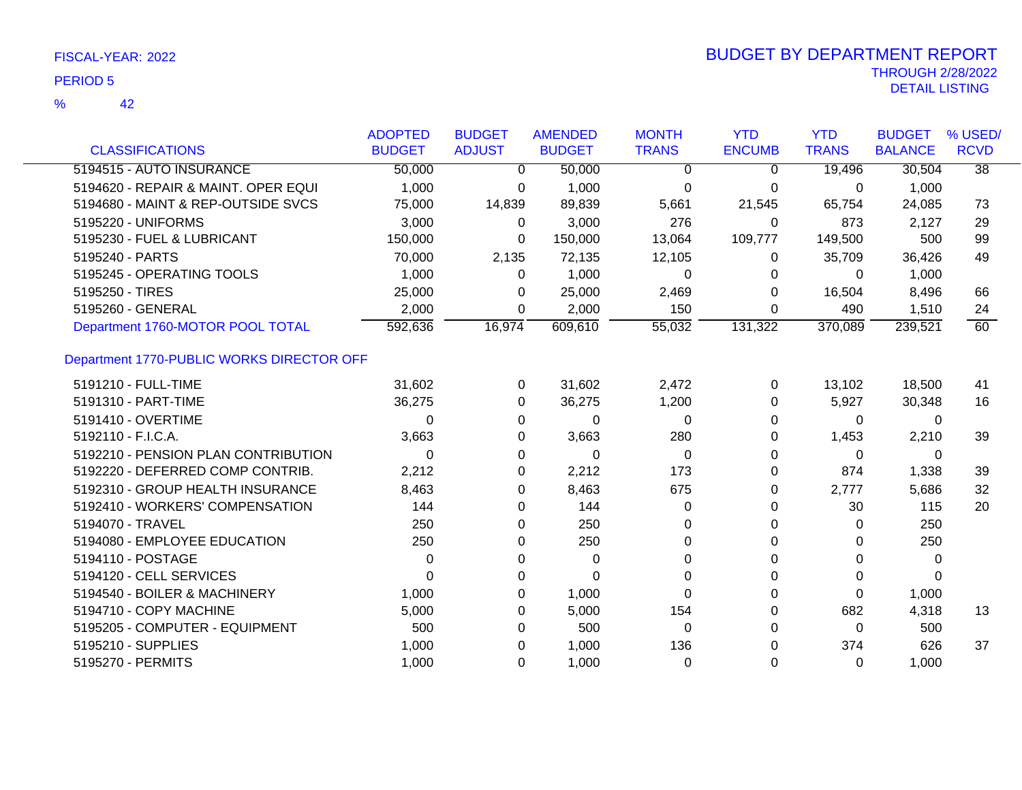|                                           | <b>ADOPTED</b> | <b>BUDGET</b> | <b>AMENDED</b> | <b>MONTH</b> | <b>YTD</b>    | <b>YTD</b>   | <b>BUDGET</b>  | % USED/         |
|-------------------------------------------|----------------|---------------|----------------|--------------|---------------|--------------|----------------|-----------------|
| <b>CLASSIFICATIONS</b>                    | <b>BUDGET</b>  | <b>ADJUST</b> | <b>BUDGET</b>  | <b>TRANS</b> | <b>ENCUMB</b> | <b>TRANS</b> | <b>BALANCE</b> | <b>RCVD</b>     |
| 5194515 - AUTO INSURANCE                  | 50,000         | $\mathbf{0}$  | 50,000         | 0            | 0             | 19,496       | 30,504         | $\overline{38}$ |
| 5194620 - REPAIR & MAINT. OPER EQUI       | 1,000          | 0             | 1,000          | 0            | 0             | 0            | 1,000          |                 |
| 5194680 - MAINT & REP-OUTSIDE SVCS        | 75,000         | 14,839        | 89,839         | 5,661        | 21,545        | 65,754       | 24,085         | 73              |
| 5195220 - UNIFORMS                        | 3,000          | 0             | 3,000          | 276          | 0             | 873          | 2,127          | 29              |
| 5195230 - FUEL & LUBRICANT                | 150,000        | 0             | 150,000        | 13,064       | 109,777       | 149,500      | 500            | 99              |
| 5195240 - PARTS                           | 70,000         | 2,135         | 72,135         | 12,105       | 0             | 35,709       | 36,426         | 49              |
| 5195245 - OPERATING TOOLS                 | 1,000          | 0             | 1,000          | 0            | 0             | $\Omega$     | 1,000          |                 |
| 5195250 - TIRES                           | 25,000         | 0             | 25,000         | 2,469        | 0             | 16,504       | 8,496          | 66              |
| 5195260 - GENERAL                         | 2,000          | $\Omega$      | 2,000          | 150          | 0             | 490          | 1,510          | 24              |
| Department 1760-MOTOR POOL TOTAL          | 592,636        | 16,974        | 609,610        | 55,032       | 131,322       | 370,089      | 239,521        | 60              |
| Department 1770-PUBLIC WORKS DIRECTOR OFF |                |               |                |              |               |              |                |                 |
| 5191210 - FULL-TIME                       | 31,602         | 0             | 31,602         | 2,472        | 0             | 13,102       | 18,500         | 41              |
| 5191310 - PART-TIME                       | 36,275         | 0             | 36,275         | 1,200        | 0             | 5,927        | 30,348         | 16              |
| 5191410 - OVERTIME                        | 0              | 0             | $\Omega$       | $\Omega$     | 0             | $\Omega$     | 0              |                 |
| 5192110 - F.I.C.A.                        | 3,663          | 0             | 3,663          | 280          | 0             | 1,453        | 2,210          | 39              |
| 5192210 - PENSION PLAN CONTRIBUTION       | 0              | 0             | 0              | $\Omega$     | 0             | $\Omega$     | 0              |                 |
| 5192220 - DEFERRED COMP CONTRIB.          | 2,212          | 0             | 2,212          | 173          | 0             | 874          | 1,338          | 39              |
| 5192310 - GROUP HEALTH INSURANCE          | 8,463          | 0             | 8,463          | 675          | 0             | 2,777        | 5,686          | 32              |
| 5192410 - WORKERS' COMPENSATION           | 144            | 0             | 144            | 0            | 0             | 30           | 115            | 20              |
| 5194070 - TRAVEL                          | 250            | 0             | 250            | 0            | 0             | 0            | 250            |                 |
| 5194080 - EMPLOYEE EDUCATION              | 250            | 0             | 250            | $\Omega$     | $\Omega$      | $\Omega$     | 250            |                 |
| 5194110 - POSTAGE                         | 0              | 0             | $\mathbf 0$    | 0            | $\Omega$      | $\Omega$     | 0              |                 |
| 5194120 - CELL SERVICES                   | 0              | 0             | $\Omega$       | 0            | 0             | 0            | $\Omega$       |                 |
| 5194540 - BOILER & MACHINERY              | 1,000          | 0             | 1,000          | 0            | 0             | $\Omega$     | 1,000          |                 |
| 5194710 - COPY MACHINE                    | 5,000          | 0             | 5,000          | 154          | 0             | 682          | 4,318          | 13              |
| 5195205 - COMPUTER - EQUIPMENT            | 500            | 0             | 500            | $\Omega$     | 0             | $\Omega$     | 500            |                 |
| 5195210 - SUPPLIES                        | 1,000          | 0             | 1,000          | 136          | 0             | 374          | 626            | 37              |
| 5195270 - PERMITS                         | 1,000          | $\Omega$      | 1,000          | 0            | 0             | $\Omega$     | 1,000          |                 |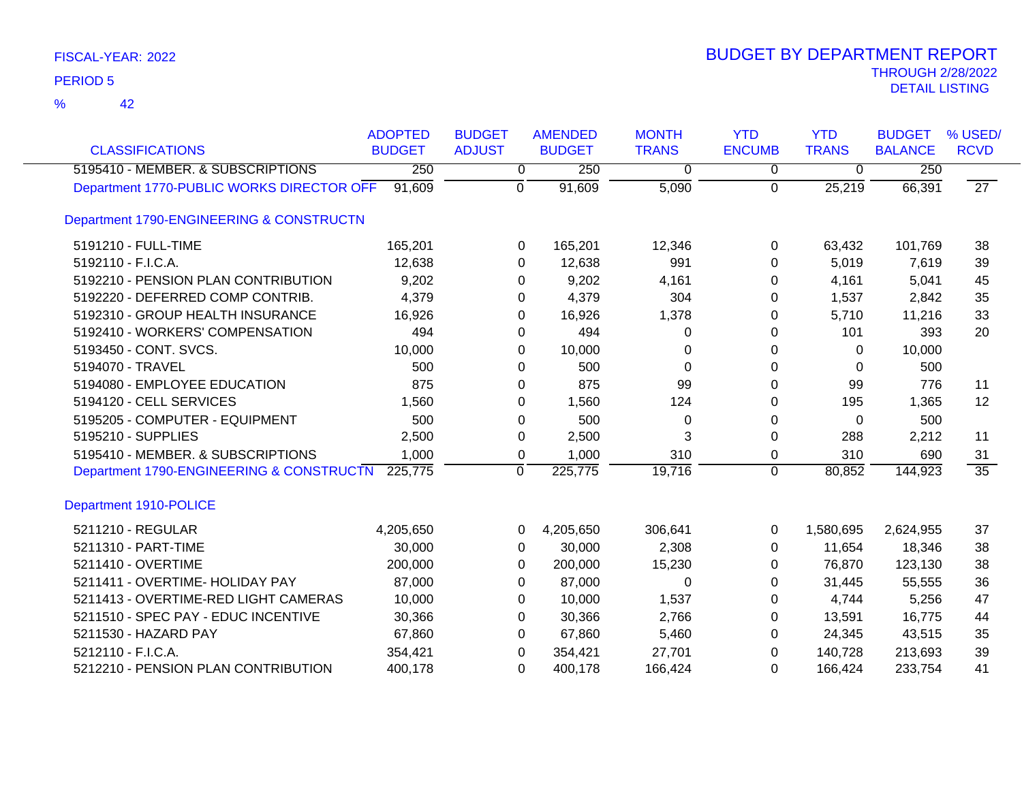| <b>CLASSIFICATIONS</b>                    | <b>ADOPTED</b><br><b>BUDGET</b> | <b>BUDGET</b><br><b>ADJUST</b> | <b>AMENDED</b><br><b>BUDGET</b> | <b>MONTH</b><br><b>TRANS</b> | <b>YTD</b><br><b>ENCUMB</b> | <b>YTD</b><br><b>TRANS</b> | <b>BUDGET</b><br><b>BALANCE</b> | % USED/<br><b>RCVD</b> |
|-------------------------------------------|---------------------------------|--------------------------------|---------------------------------|------------------------------|-----------------------------|----------------------------|---------------------------------|------------------------|
| 5195410 - MEMBER. & SUBSCRIPTIONS         | 250                             | 0                              | 250                             | 0                            | 0                           | 0                          | 250                             |                        |
| Department 1770-PUBLIC WORKS DIRECTOR OFF | 91,609                          | $\mathbf 0$                    | 91,609                          | 5,090                        | $\mathbf 0$                 | 25,219                     | 66,391                          | $\overline{27}$        |
| Department 1790-ENGINEERING & CONSTRUCTN  |                                 |                                |                                 |                              |                             |                            |                                 |                        |
| 5191210 - FULL-TIME                       | 165,201                         | 0                              | 165,201                         | 12,346                       | 0                           | 63,432                     | 101,769                         | 38                     |
| 5192110 - F.I.C.A.                        | 12,638                          | 0                              | 12,638                          | 991                          | 0                           | 5,019                      | 7,619                           | 39                     |
| 5192210 - PENSION PLAN CONTRIBUTION       | 9,202                           | 0                              | 9,202                           | 4,161                        | $\Omega$                    | 4,161                      | 5,041                           | 45                     |
| 5192220 - DEFERRED COMP CONTRIB.          | 4,379                           | 0                              | 4,379                           | 304                          | 0                           | 1,537                      | 2,842                           | 35                     |
| 5192310 - GROUP HEALTH INSURANCE          | 16,926                          | 0                              | 16,926                          | 1,378                        | 0                           | 5,710                      | 11,216                          | 33                     |
| 5192410 - WORKERS' COMPENSATION           | 494                             | 0                              | 494                             | $\Omega$                     | 0                           | 101                        | 393                             | 20                     |
| 5193450 - CONT. SVCS.                     | 10,000                          | 0                              | 10,000                          | 0                            | 0                           | 0                          | 10,000                          |                        |
| 5194070 - TRAVEL                          | 500                             | 0                              | 500                             | $\Omega$                     | 0                           | 0                          | 500                             |                        |
| 5194080 - EMPLOYEE EDUCATION              | 875                             | 0                              | 875                             | 99                           | 0                           | 99                         | 776                             | 11                     |
| 5194120 - CELL SERVICES                   | 1,560                           | 0                              | 1,560                           | 124                          | 0                           | 195                        | 1,365                           | 12                     |
| 5195205 - COMPUTER - EQUIPMENT            | 500                             | 0                              | 500                             | 0                            | 0                           | 0                          | 500                             |                        |
| 5195210 - SUPPLIES                        | 2,500                           | 0                              | 2,500                           | 3                            | 0                           | 288                        | 2,212                           | 11                     |
| 5195410 - MEMBER. & SUBSCRIPTIONS         | 1,000                           | $\pmb{0}$                      | 1,000                           | 310                          | 0                           | 310                        | 690                             | 31                     |
| Department 1790-ENGINEERING & CONSTRUCTN  | 225,775                         | $\mathbf 0$                    | 225,775                         | 19,716                       | $\Omega$                    | 80,852                     | 144,923                         | $\overline{35}$        |
| Department 1910-POLICE                    |                                 |                                |                                 |                              |                             |                            |                                 |                        |
| 5211210 - REGULAR                         | 4,205,650                       | 0                              | 4,205,650                       | 306,641                      | 0                           | 1,580,695                  | 2,624,955                       | 37                     |
| 5211310 - PART-TIME                       | 30,000                          | 0                              | 30,000                          | 2,308                        | 0                           | 11,654                     | 18,346                          | 38                     |
| 5211410 - OVERTIME                        | 200,000                         | 0                              | 200,000                         | 15,230                       | 0                           | 76,870                     | 123,130                         | 38                     |
| 5211411 - OVERTIME- HOLIDAY PAY           | 87,000                          | 0                              | 87,000                          | 0                            | 0                           | 31,445                     | 55,555                          | 36                     |
| 5211413 - OVERTIME-RED LIGHT CAMERAS      | 10,000                          | 0                              | 10,000                          | 1,537                        | 0                           | 4,744                      | 5,256                           | 47                     |
| 5211510 - SPEC PAY - EDUC INCENTIVE       | 30,366                          | 0                              | 30,366                          | 2,766                        | 0                           | 13,591                     | 16,775                          | 44                     |
| 5211530 - HAZARD PAY                      | 67,860                          | 0                              | 67,860                          | 5,460                        | 0                           | 24,345                     | 43,515                          | 35                     |
| 5212110 - F.I.C.A.                        | 354,421                         | 0                              | 354,421                         | 27,701                       | 0                           | 140,728                    | 213,693                         | 39                     |
| 5212210 - PENSION PLAN CONTRIBUTION       | 400,178                         | 0                              | 400,178                         | 166,424                      | 0                           | 166,424                    | 233,754                         | 41                     |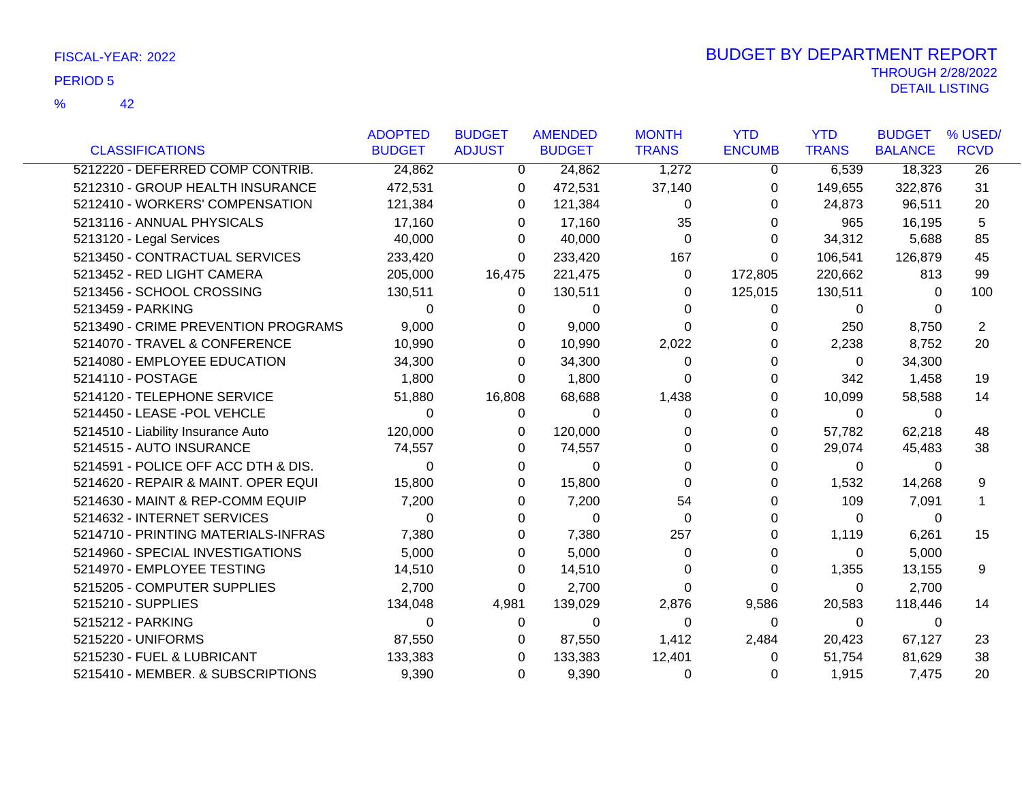|                                     | <b>ADOPTED</b> | <b>BUDGET</b> | <b>AMENDED</b> | <b>MONTH</b> | <b>YTD</b>    | <b>YTD</b>   | <b>BUDGET</b>  | % USED/         |
|-------------------------------------|----------------|---------------|----------------|--------------|---------------|--------------|----------------|-----------------|
| <b>CLASSIFICATIONS</b>              | <b>BUDGET</b>  | <b>ADJUST</b> | <b>BUDGET</b>  | <b>TRANS</b> | <b>ENCUMB</b> | <b>TRANS</b> | <b>BALANCE</b> | <b>RCVD</b>     |
| 5212220 - DEFERRED COMP CONTRIB.    | 24,862         | $\Omega$      | 24,862         | 1,272        | 0             | 6,539        | 18,323         | $\overline{26}$ |
| 5212310 - GROUP HEALTH INSURANCE    | 472,531        | 0             | 472,531        | 37,140       | 0             | 149,655      | 322,876        | 31              |
| 5212410 - WORKERS' COMPENSATION     | 121,384        | 0             | 121,384        | $\Omega$     | 0             | 24,873       | 96,511         | 20              |
| 5213116 - ANNUAL PHYSICALS          | 17,160         | 0             | 17,160         | 35           | 0             | 965          | 16,195         | 5               |
| 5213120 - Legal Services            | 40,000         | 0             | 40,000         | $\Omega$     | 0             | 34,312       | 5,688          | 85              |
| 5213450 - CONTRACTUAL SERVICES      | 233,420        | 0             | 233,420        | 167          | 0             | 106,541      | 126,879        | 45              |
| 5213452 - RED LIGHT CAMERA          | 205,000        | 16,475        | 221,475        | 0            | 172,805       | 220,662      | 813            | 99              |
| 5213456 - SCHOOL CROSSING           | 130,511        | 0             | 130,511        | 0            | 125,015       | 130,511      | 0              | 100             |
| 5213459 - PARKING                   | $\Omega$       | 0             | $\Omega$       | O            | 0             | 0            | 0              |                 |
| 5213490 - CRIME PREVENTION PROGRAMS | 9,000          | 0             | 9,000          | $\Omega$     |               | 250          | 8,750          | $\overline{2}$  |
| 5214070 - TRAVEL & CONFERENCE       | 10,990         | 0             | 10,990         | 2,022        | 0             | 2,238        | 8,752          | 20              |
| 5214080 - EMPLOYEE EDUCATION        | 34,300         | 0             | 34,300         | 0            | 0             | $\Omega$     | 34,300         |                 |
| 5214110 - POSTAGE                   | 1,800          | 0             | 1,800          | 0            | 0             | 342          | 1,458          | 19              |
| 5214120 - TELEPHONE SERVICE         | 51,880         | 16,808        | 68,688         | 1,438        |               | 10,099       | 58,588         | 14              |
| 5214450 - LEASE -POL VEHCLE         | $\Omega$       | 0             | 0              | 0            | 0             | $\Omega$     | 0              |                 |
| 5214510 - Liability Insurance Auto  | 120,000        | 0             | 120,000        | 0            | 0             | 57,782       | 62,218         | 48              |
| 5214515 - AUTO INSURANCE            | 74,557         | 0             | 74,557         | 0            | 0             | 29,074       | 45,483         | 38              |
| 5214591 - POLICE OFF ACC DTH & DIS. | $\Omega$       | 0             | 0              | 0            | 0             | 0            | 0              |                 |
| 5214620 - REPAIR & MAINT. OPER EQUI | 15,800         | 0             | 15,800         | 0            |               | 1,532        | 14,268         | 9               |
| 5214630 - MAINT & REP-COMM EQUIP    | 7,200          | 0             | 7,200          | 54           |               | 109          | 7,091          | 1               |
| 5214632 - INTERNET SERVICES         | $\Omega$       | 0             | 0              | 0            | ი             | $\Omega$     | 0              |                 |
| 5214710 - PRINTING MATERIALS-INFRAS | 7,380          | 0             | 7,380          | 257          | 0             | 1,119        | 6,261          | 15              |
| 5214960 - SPECIAL INVESTIGATIONS    | 5,000          | 0             | 5,000          | 0            | 0             | 0            | 5,000          |                 |
| 5214970 - EMPLOYEE TESTING          | 14,510         | 0             | 14,510         | 0            | 0             | 1,355        | 13,155         | 9               |
| 5215205 - COMPUTER SUPPLIES         | 2,700          | 0             | 2,700          | 0            | 0             | 0            | 2,700          |                 |
| 5215210 - SUPPLIES                  | 134,048        | 4,981         | 139,029        | 2,876        | 9,586         | 20,583       | 118,446        | 14              |
| 5215212 - PARKING                   | $\Omega$       | 0             | 0              | $\Omega$     | 0             | 0            | 0              |                 |
| 5215220 - UNIFORMS                  | 87,550         | 0             | 87,550         | 1,412        | 2,484         | 20,423       | 67,127         | 23              |
| 5215230 - FUEL & LUBRICANT          | 133,383        | 0             | 133,383        | 12,401       | 0             | 51,754       | 81,629         | 38              |
| 5215410 - MEMBER. & SUBSCRIPTIONS   | 9,390          | 0             | 9,390          | 0            | 0             | 1,915        | 7,475          | 20              |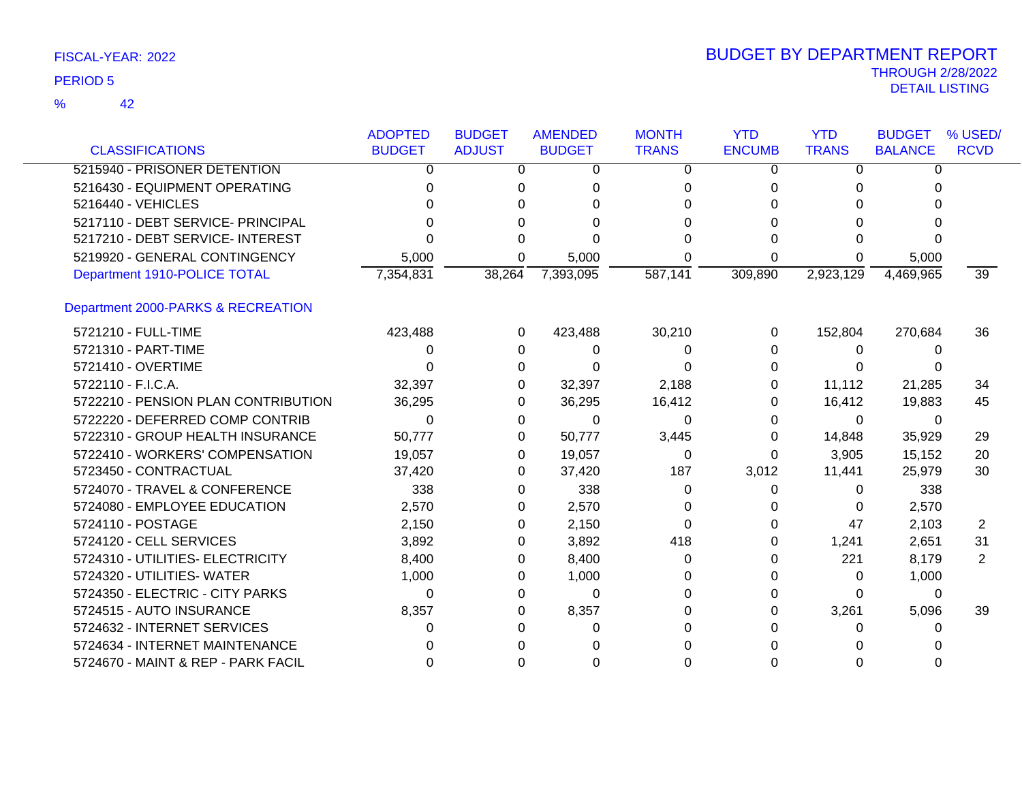| <b>CLASSIFICATIONS</b>              | <b>ADOPTED</b><br><b>BUDGET</b> | <b>BUDGET</b><br><b>ADJUST</b> | <b>AMENDED</b><br><b>BUDGET</b> | <b>MONTH</b><br><b>TRANS</b> | <b>YTD</b><br><b>ENCUMB</b> | <b>YTD</b><br><b>TRANS</b> | <b>BUDGET</b><br><b>BALANCE</b> | % USED/<br><b>RCVD</b> |
|-------------------------------------|---------------------------------|--------------------------------|---------------------------------|------------------------------|-----------------------------|----------------------------|---------------------------------|------------------------|
| 5215940 - PRISONER DETENTION        | 0                               | 0                              | 0                               | 0                            | 0                           | 0                          | $\Omega$                        |                        |
| 5216430 - EQUIPMENT OPERATING       | 0                               | 0                              | 0                               | 0                            | 0                           | 0                          | 0                               |                        |
| 5216440 - VEHICLES                  | 0                               |                                |                                 |                              |                             | 0                          | O                               |                        |
| 5217110 - DEBT SERVICE- PRINCIPAL   | ∩                               |                                |                                 |                              |                             | 0                          |                                 |                        |
| 5217210 - DEBT SERVICE- INTEREST    | 0                               |                                |                                 |                              | ი                           | 0                          | ი                               |                        |
| 5219920 - GENERAL CONTINGENCY       | 5,000                           | 0                              | 5,000                           | 0                            | 0                           | 0                          | 5,000                           |                        |
| Department 1910-POLICE TOTAL        | 7,354,831                       | 38,264                         | 7,393,095                       | 587,141                      | 309,890                     | 2,923,129                  | 4,469,965                       | 39                     |
| Department 2000-PARKS & RECREATION  |                                 |                                |                                 |                              |                             |                            |                                 |                        |
| 5721210 - FULL-TIME                 | 423,488                         | 0                              | 423,488                         | 30,210                       | 0                           | 152,804                    | 270,684                         | 36                     |
| 5721310 - PART-TIME                 | 0                               | 0                              | $\Omega$                        | 0                            | 0                           | 0                          | 0                               |                        |
| 5721410 - OVERTIME                  | 0                               | 0                              | 0                               | 0                            | 0                           | $\Omega$                   | O                               |                        |
| 5722110 - F.I.C.A.                  | 32,397                          | 0                              | 32,397                          | 2,188                        | 0                           | 11,112                     | 21,285                          | 34                     |
| 5722210 - PENSION PLAN CONTRIBUTION | 36,295                          | 0                              | 36,295                          | 16,412                       | 0                           | 16,412                     | 19,883                          | 45                     |
| 5722220 - DEFERRED COMP CONTRIB     | 0                               | 0                              | 0                               | $\Omega$                     | 0                           | 0                          | 0                               |                        |
| 5722310 - GROUP HEALTH INSURANCE    | 50,777                          | 0                              | 50,777                          | 3,445                        | 0                           | 14,848                     | 35,929                          | 29                     |
| 5722410 - WORKERS' COMPENSATION     | 19,057                          | 0                              | 19,057                          | 0                            | 0                           | 3,905                      | 15,152                          | 20                     |
| 5723450 - CONTRACTUAL               | 37,420                          | 0                              | 37,420                          | 187                          | 3,012                       | 11,441                     | 25,979                          | 30                     |
| 5724070 - TRAVEL & CONFERENCE       | 338                             | 0                              | 338                             | 0                            | 0                           | 0                          | 338                             |                        |
| 5724080 - EMPLOYEE EDUCATION        | 2,570                           | 0                              | 2,570                           | 0                            | O                           | 0                          | 2,570                           |                        |
| 5724110 - POSTAGE                   | 2,150                           | 0                              | 2,150                           | 0                            | 0                           | 47                         | 2,103                           | 2                      |
| 5724120 - CELL SERVICES             | 3,892                           | 0                              | 3,892                           | 418                          | 0                           | 1,241                      | 2,651                           | 31                     |
| 5724310 - UTILITIES- ELECTRICITY    | 8,400                           | 0                              | 8,400                           | 0                            | 0                           | 221                        | 8,179                           | 2                      |
| 5724320 - UTILITIES- WATER          | 1,000                           | 0                              | 1,000                           |                              | 0                           | 0                          | 1,000                           |                        |
| 5724350 - ELECTRIC - CITY PARKS     | 0                               | 0                              | 0                               | O                            | O                           | 0                          | 0                               |                        |
| 5724515 - AUTO INSURANCE            | 8,357                           | 0                              | 8,357                           | 0                            | 0                           | 3,261                      | 5,096                           | 39                     |
| 5724632 - INTERNET SERVICES         | 0                               |                                | 0                               |                              |                             | $\Omega$                   | 0                               |                        |
| 5724634 - INTERNET MAINTENANCE      |                                 |                                |                                 |                              |                             | U                          |                                 |                        |
| 5724670 - MAINT & REP - PARK FACIL  | 0                               |                                |                                 |                              | ი                           | 0                          |                                 |                        |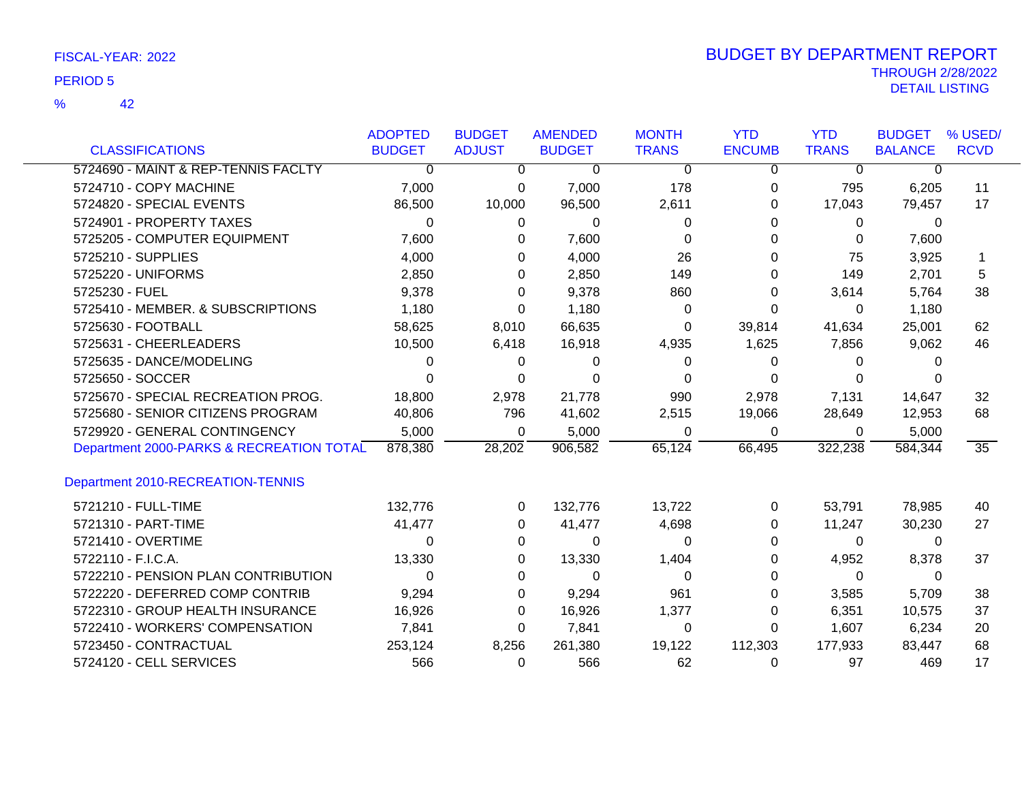|                                          | <b>ADOPTED</b> | <b>BUDGET</b> | <b>AMENDED</b> | <b>MONTH</b> | <b>YTD</b>    | <b>YTD</b>   | <b>BUDGET</b>  | % USED/         |
|------------------------------------------|----------------|---------------|----------------|--------------|---------------|--------------|----------------|-----------------|
| <b>CLASSIFICATIONS</b>                   | <b>BUDGET</b>  | <b>ADJUST</b> | <b>BUDGET</b>  | <b>TRANS</b> | <b>ENCUMB</b> | <b>TRANS</b> | <b>BALANCE</b> | <b>RCVD</b>     |
| 5724690 - MAINT & REP-TENNIS FACLTY      | $\Omega$       | 0             | 0              | $\Omega$     | 0             | $\Omega$     | $\Omega$       |                 |
| 5724710 - COPY MACHINE                   | 7,000          | 0             | 7,000          | 178          | 0             | 795          | 6,205          | 11              |
| 5724820 - SPECIAL EVENTS                 | 86,500         | 10,000        | 96,500         | 2,611        | 0             | 17,043       | 79,457         | 17              |
| 5724901 - PROPERTY TAXES                 | 0              | 0             | 0              | O            | 0             | 0            | $\Omega$       |                 |
| 5725205 - COMPUTER EQUIPMENT             | 7,600          | 0             | 7,600          | 0            |               | 0            | 7,600          |                 |
| 5725210 - SUPPLIES                       | 4,000          | 0             | 4,000          | 26           |               | 75           | 3,925          | 1               |
| 5725220 - UNIFORMS                       | 2,850          | 0             | 2,850          | 149          | 0             | 149          | 2,701          | 5               |
| 5725230 - FUEL                           | 9,378          | 0             | 9,378          | 860          | 0             | 3,614        | 5,764          | 38              |
| 5725410 - MEMBER. & SUBSCRIPTIONS        | 1,180          | 0             | 1,180          | 0            | 0             | $\Omega$     | 1,180          |                 |
| 5725630 - FOOTBALL                       | 58,625         | 8,010         | 66,635         | 0            | 39,814        | 41,634       | 25,001         | 62              |
| 5725631 - CHEERLEADERS                   | 10,500         | 6,418         | 16,918         | 4,935        | 1,625         | 7,856        | 9,062          | 46              |
| 5725635 - DANCE/MODELING                 | 0              | 0             | 0              | 0            | 0             | 0            |                |                 |
| 5725650 - SOCCER                         | 0              | 0             | 0              | 0            | 0             | $\Omega$     |                |                 |
| 5725670 - SPECIAL RECREATION PROG.       | 18,800         | 2,978         | 21,778         | 990          | 2,978         | 7,131        | 14,647         | 32              |
| 5725680 - SENIOR CITIZENS PROGRAM        | 40,806         | 796           | 41,602         | 2,515        | 19,066        | 28,649       | 12,953         | 68              |
| 5729920 - GENERAL CONTINGENCY            | 5,000          | 0             | 5,000          | 0            | $\Omega$      | $\mathbf{0}$ | 5,000          |                 |
| Department 2000-PARKS & RECREATION TOTAL | 878,380        | 28,202        | 906,582        | 65,124       | 66,495        | 322,238      | 584,344        | $\overline{35}$ |
| Department 2010-RECREATION-TENNIS        |                |               |                |              |               |              |                |                 |
| 5721210 - FULL-TIME                      | 132,776        | 0             | 132,776        | 13,722       | 0             | 53,791       | 78,985         | 40              |
| 5721310 - PART-TIME                      | 41,477         | 0             | 41,477         | 4,698        | 0             | 11,247       | 30,230         | 27              |
| 5721410 - OVERTIME                       | 0              | 0             | 0              | 0            | 0             | 0            | 0              |                 |
| 5722110 - F.I.C.A.                       | 13,330         | 0             | 13,330         | 1,404        | 0             | 4,952        | 8,378          | 37              |
| 5722210 - PENSION PLAN CONTRIBUTION      | 0              | 0             | 0              | 0            | 0             | 0            | 0              |                 |
| 5722220 - DEFERRED COMP CONTRIB          | 9,294          | 0             | 9,294          | 961          | 0             | 3,585        | 5,709          | 38              |
| 5722310 - GROUP HEALTH INSURANCE         | 16,926         | 0             | 16,926         | 1,377        | 0             | 6,351        | 10,575         | 37              |
| 5722410 - WORKERS' COMPENSATION          | 7,841          | 0             | 7,841          | 0            | 0             | 1,607        | 6,234          | 20              |
| 5723450 - CONTRACTUAL                    | 253,124        | 8,256         | 261,380        | 19,122       | 112,303       | 177,933      | 83,447         | 68              |
| 5724120 - CELL SERVICES                  | 566            | 0             | 566            | 62           | 0             | 97           | 469            | 17              |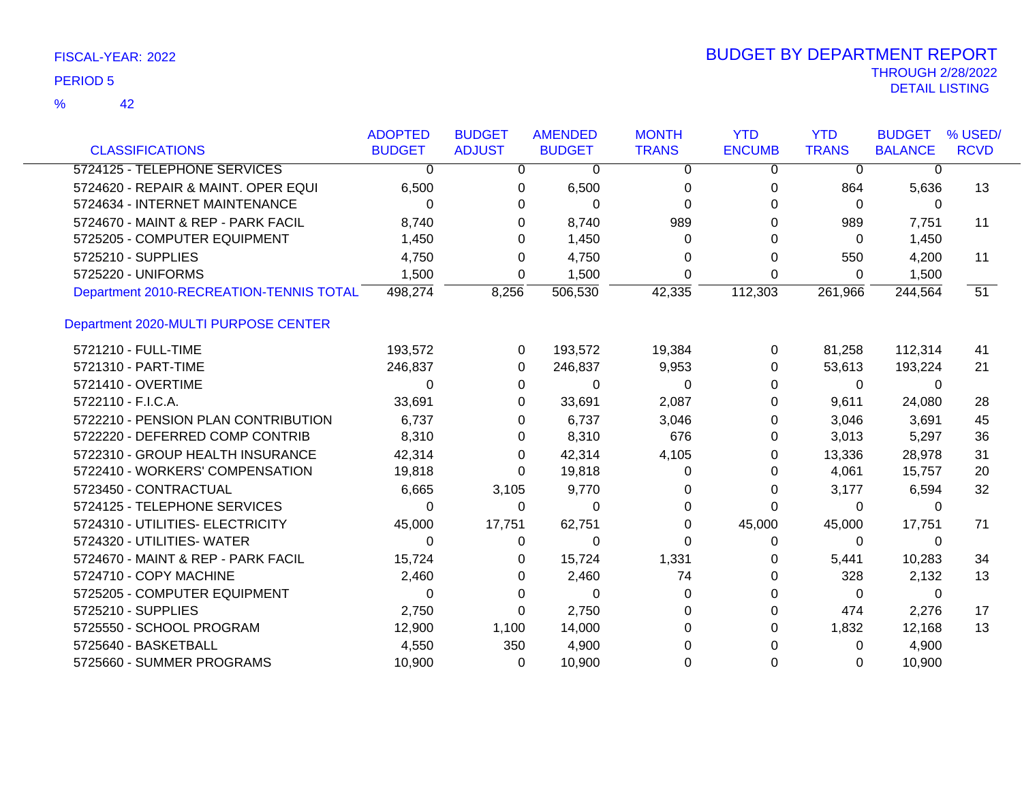|                                         | <b>ADOPTED</b> | <b>BUDGET</b> | <b>AMENDED</b> | <b>MONTH</b> | <b>YTD</b>    | <b>YTD</b>   | <b>BUDGET</b>  | % USED/     |
|-----------------------------------------|----------------|---------------|----------------|--------------|---------------|--------------|----------------|-------------|
| <b>CLASSIFICATIONS</b>                  | <b>BUDGET</b>  | <b>ADJUST</b> | <b>BUDGET</b>  | <b>TRANS</b> | <b>ENCUMB</b> | <b>TRANS</b> | <b>BALANCE</b> | <b>RCVD</b> |
| 5724125 - TELEPHONE SERVICES            | 0              | 0             | 0              | 0            | 0             | $\Omega$     | 0              |             |
| 5724620 - REPAIR & MAINT. OPER EQUI     | 6,500          | 0             | 6,500          | 0            | 0             | 864          | 5,636          | 13          |
| 5724634 - INTERNET MAINTENANCE          | $\Omega$       | $\Omega$      | 0              | $\Omega$     |               | $\Omega$     | $\Omega$       |             |
| 5724670 - MAINT & REP - PARK FACIL      | 8,740          | 0             | 8,740          | 989          | 0             | 989          | 7,751          | 11          |
| 5725205 - COMPUTER EQUIPMENT            | 1,450          | 0             | 1,450          | 0            |               | 0            | 1,450          |             |
| 5725210 - SUPPLIES                      | 4,750          | 0             | 4,750          | 0            | 0             | 550          | 4,200          | 11          |
| 5725220 - UNIFORMS                      | 1,500          | 0             | 1,500          | 0            | 0             | 0            | 1,500          |             |
| Department 2010-RECREATION-TENNIS TOTAL | 498,274        | 8,256         | 506,530        | 42,335       | 112,303       | 261,966      | 244,564        | 51          |
| Department 2020-MULTI PURPOSE CENTER    |                |               |                |              |               |              |                |             |
| 5721210 - FULL-TIME                     | 193,572        | 0             | 193,572        | 19,384       | 0             | 81,258       | 112,314        | 41          |
| 5721310 - PART-TIME                     | 246,837        | 0             | 246,837        | 9,953        | 0             | 53,613       | 193,224        | 21          |
| 5721410 - OVERTIME                      | 0              | 0             | 0              | $\Omega$     | 0             | 0            | 0              |             |
| 5722110 - F.I.C.A.                      | 33,691         | 0             | 33,691         | 2,087        | 0             | 9,611        | 24,080         | 28          |
| 5722210 - PENSION PLAN CONTRIBUTION     | 6,737          | 0             | 6,737          | 3,046        | 0             | 3,046        | 3,691          | 45          |
| 5722220 - DEFERRED COMP CONTRIB         | 8,310          | 0             | 8,310          | 676          | 0             | 3,013        | 5,297          | 36          |
| 5722310 - GROUP HEALTH INSURANCE        | 42,314         | 0             | 42,314         | 4,105        | 0             | 13,336       | 28,978         | 31          |
| 5722410 - WORKERS' COMPENSATION         | 19,818         | 0             | 19,818         | 0            | 0             | 4,061        | 15,757         | 20          |
| 5723450 - CONTRACTUAL                   | 6,665          | 3,105         | 9,770          |              | 0             | 3,177        | 6,594          | 32          |
| 5724125 - TELEPHONE SERVICES            | 0              | 0             | $\Omega$       | $\Omega$     | 0             | 0            | $\Omega$       |             |
| 5724310 - UTILITIES- ELECTRICITY        | 45,000         | 17,751        | 62,751         | 0            | 45,000        | 45,000       | 17,751         | 71          |
| 5724320 - UTILITIES- WATER              | 0              | 0             | $\Omega$       | 0            | 0             | 0            | 0              |             |
| 5724670 - MAINT & REP - PARK FACIL      | 15,724         | 0             | 15,724         | 1,331        | 0             | 5,441        | 10,283         | 34          |
| 5724710 - COPY MACHINE                  | 2,460          | 0             | 2,460          | 74           |               | 328          | 2,132          | 13          |
| 5725205 - COMPUTER EQUIPMENT            | 0              | 0             | $\Omega$       | 0            | O             | 0            | $\Omega$       |             |
| 5725210 - SUPPLIES                      | 2,750          | 0             | 2,750          | 0            |               | 474          | 2,276          | 17          |
| 5725550 - SCHOOL PROGRAM                | 12,900         | 1,100         | 14,000         | 0            |               | 1,832        | 12,168         | 13          |
| 5725640 - BASKETBALL                    | 4,550          | 350           | 4,900          |              |               | 0            | 4,900          |             |
| 5725660 - SUMMER PROGRAMS               | 10,900         | $\Omega$      | 10,900         | $\Omega$     | $\mathbf 0$   | 0            | 10,900         |             |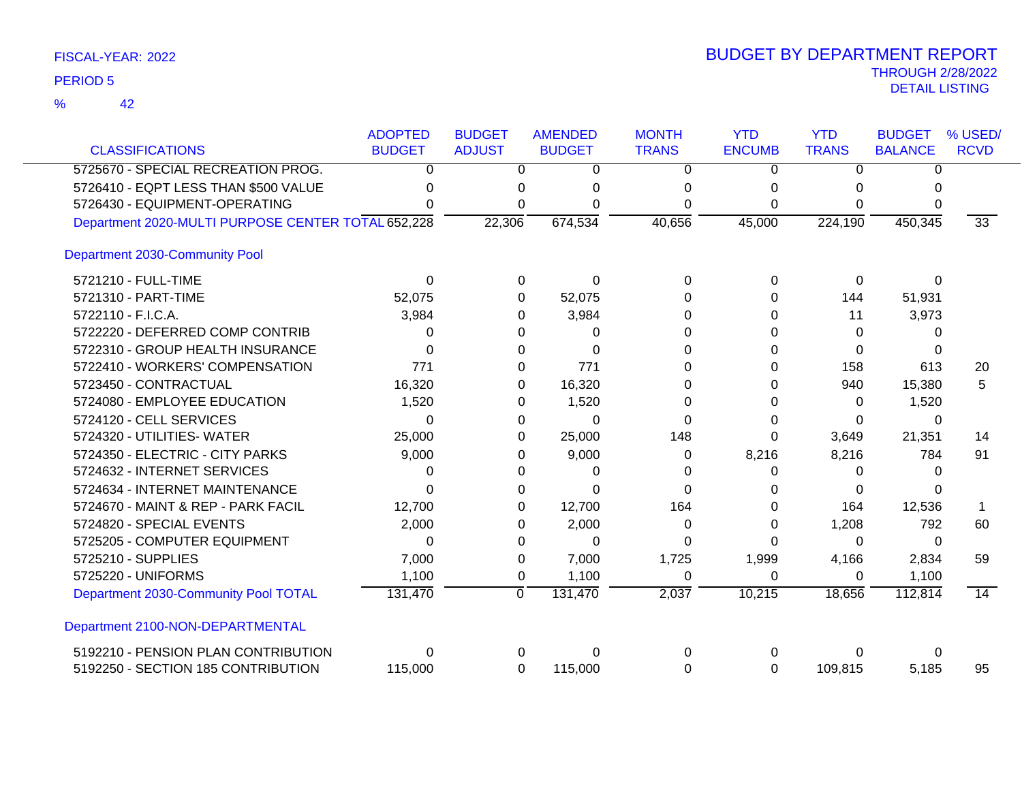|                                                    | <b>ADOPTED</b> | <b>BUDGET</b>  | <b>AMENDED</b> | <b>MONTH</b> | <b>YTD</b>    | <b>YTD</b>   | <b>BUDGET</b>  | % USED/         |
|----------------------------------------------------|----------------|----------------|----------------|--------------|---------------|--------------|----------------|-----------------|
| <b>CLASSIFICATIONS</b>                             | <b>BUDGET</b>  | <b>ADJUST</b>  | <b>BUDGET</b>  | <b>TRANS</b> | <b>ENCUMB</b> | <b>TRANS</b> | <b>BALANCE</b> | <b>RCVD</b>     |
| 5725670 - SPECIAL RECREATION PROG.                 | 0              | 0              | 0              | 0            | 0             | 0            | 0              |                 |
| 5726410 - EQPT LESS THAN \$500 VALUE               |                | 0              | n              | n            | 0             | 0            | U              |                 |
| 5726430 - EQUIPMENT-OPERATING                      |                | 0              |                | 0            | $\Omega$      | $\Omega$     | 0              |                 |
| Department 2020-MULTI PURPOSE CENTER TOTAL 652,228 |                | 22,306         | 674,534        | 40,656       | 45,000        | 224,190      | 450,345        | 33              |
| Department 2030-Community Pool                     |                |                |                |              |               |              |                |                 |
| 5721210 - FULL-TIME                                | $\Omega$       | 0              | $\Omega$       | $\Omega$     | $\Omega$      | 0            | $\Omega$       |                 |
| 5721310 - PART-TIME                                | 52,075         | 0              | 52,075         | 0            | 0             | 144          | 51,931         |                 |
| 5722110 - F.I.C.A.                                 | 3,984          | 0              | 3,984          | 0            | 0             | 11           | 3,973          |                 |
| 5722220 - DEFERRED COMP CONTRIB                    | 0              | 0              | 0              | O            | 0             | 0            | 0              |                 |
| 5722310 - GROUP HEALTH INSURANCE                   | $\Omega$       | 0              | $\Omega$       | O            | 0             | 0            | 0              |                 |
| 5722410 - WORKERS' COMPENSATION                    | 771            | 0              | 771            | 0            | 0             | 158          | 613            | 20              |
| 5723450 - CONTRACTUAL                              | 16,320         | 0              | 16,320         | 0            | 0             | 940          | 15,380         | 5               |
| 5724080 - EMPLOYEE EDUCATION                       | 1,520          | 0              | 1,520          | O            | 0             | 0            | 1,520          |                 |
| 5724120 - CELL SERVICES                            | 0              | 0              | $\Omega$       | 0            | 0             | 0            | 0              |                 |
| 5724320 - UTILITIES- WATER                         | 25,000         | 0              | 25,000         | 148          | 0             | 3,649        | 21,351         | 14              |
| 5724350 - ELECTRIC - CITY PARKS                    | 9,000          | 0              | 9,000          | 0            | 8,216         | 8,216        | 784            | 91              |
| 5724632 - INTERNET SERVICES                        | O              | 0              | 0              | 0            | 0             | 0            | 0              |                 |
| 5724634 - INTERNET MAINTENANCE                     | 0              | 0              | $\Omega$       | ∩            | 0             | 0            |                |                 |
| 5724670 - MAINT & REP - PARK FACIL                 | 12,700         | 0              | 12,700         | 164          | 0             | 164          | 12,536         |                 |
| 5724820 - SPECIAL EVENTS                           | 2,000          | 0              | 2,000          | 0            | 0             | 1,208        | 792            | 60              |
| 5725205 - COMPUTER EQUIPMENT                       | $\Omega$       | 0              | $\Omega$       | 0            | 0             | $\Omega$     | $\Omega$       |                 |
| 5725210 - SUPPLIES                                 | 7,000          | 0              | 7,000          | 1,725        | 1,999         | 4,166        | 2,834          | 59              |
| 5725220 - UNIFORMS                                 | 1,100          | 0              | 1,100          | 0            | 0             | 0            | 1,100          |                 |
| Department 2030-Community Pool TOTAL               | 131,470        | $\overline{0}$ | 131,470        | 2,037        | 10,215        | 18,656       | 112,814        | $\overline{14}$ |
| Department 2100-NON-DEPARTMENTAL                   |                |                |                |              |               |              |                |                 |
| 5192210 - PENSION PLAN CONTRIBUTION                | 0              | 0              | ∩              | 0            | 0             | $\Omega$     | 0              |                 |
| 5192250 - SECTION 185 CONTRIBUTION                 | 115,000        | 0              | 115,000        | 0            | 0             | 109,815      | 5,185          | 95              |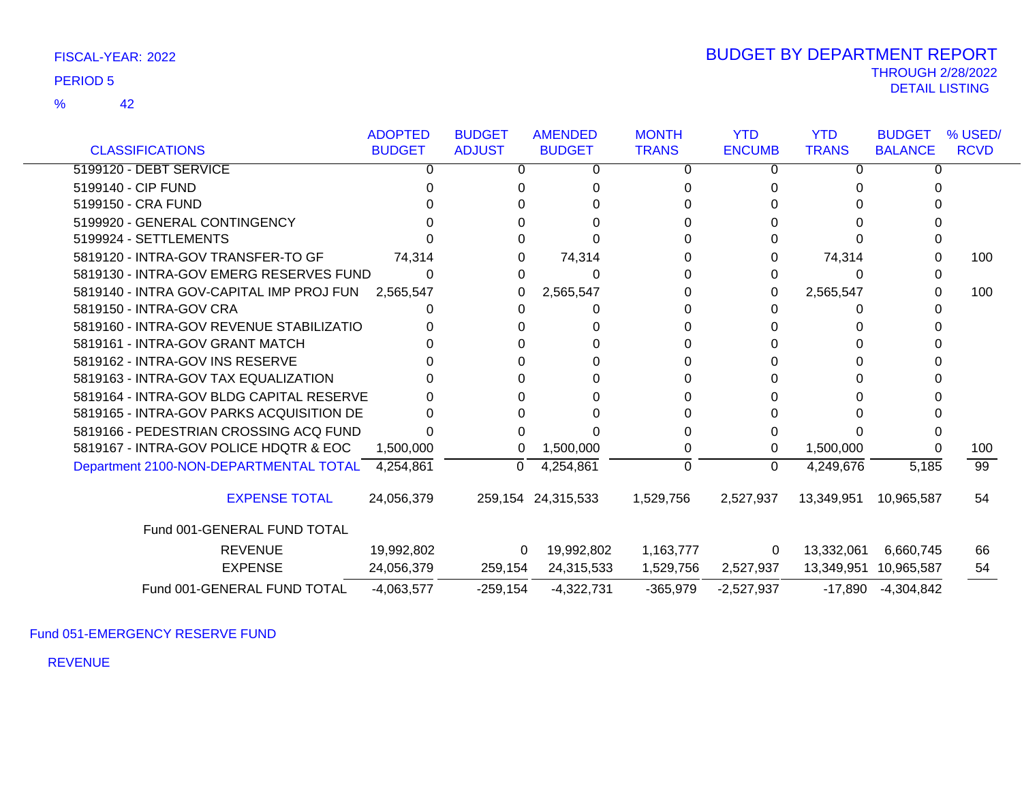42 %

|                                          | <b>ADOPTED</b> | <b>BUDGET</b> | <b>AMENDED</b>     | <b>MONTH</b> | <b>YTD</b>    | <b>YTD</b>   | <b>BUDGET</b>         | % USED/         |
|------------------------------------------|----------------|---------------|--------------------|--------------|---------------|--------------|-----------------------|-----------------|
| <b>CLASSIFICATIONS</b>                   | <b>BUDGET</b>  | <b>ADJUST</b> | <b>BUDGET</b>      | <b>TRANS</b> | <b>ENCUMB</b> | <b>TRANS</b> | <b>BALANCE</b>        | <b>RCVD</b>     |
| 5199120 - DEBT SERVICE                   |                |               | 0                  | 0            | 0             | 0            |                       |                 |
| 5199140 - CIP FUND                       |                |               |                    |              |               |              |                       |                 |
| 5199150 - CRA FUND                       |                |               |                    |              |               |              |                       |                 |
| 5199920 - GENERAL CONTINGENCY            |                |               |                    |              |               |              |                       |                 |
| 5199924 - SETTLEMENTS                    |                |               |                    |              |               |              |                       |                 |
| 5819120 - INTRA-GOV TRANSFER-TO GF       | 74,314         |               | 74,314             | 0            |               | 74,314       |                       | 100             |
| 5819130 - INTRA-GOV EMERG RESERVES FUND  |                |               | 0                  |              |               | $\Omega$     |                       |                 |
| 5819140 - INTRA GOV-CAPITAL IMP PROJ FUN | 2,565,547      |               | 2,565,547          | 0            | 0             | 2,565,547    |                       | 100             |
| 5819150 - INTRA-GOV CRA                  |                |               |                    |              |               |              |                       |                 |
| 5819160 - INTRA-GOV REVENUE STABILIZATIO |                |               |                    |              |               |              |                       |                 |
| 5819161 - INTRA-GOV GRANT MATCH          |                |               |                    |              |               |              |                       |                 |
| 5819162 - INTRA-GOV INS RESERVE          |                |               |                    |              |               | O            |                       |                 |
| 5819163 - INTRA-GOV TAX EQUALIZATION     |                |               |                    |              |               |              |                       |                 |
| 5819164 - INTRA-GOV BLDG CAPITAL RESERVE |                |               |                    |              |               |              |                       |                 |
| 5819165 - INTRA-GOV PARKS ACQUISITION DE |                |               |                    |              |               |              |                       |                 |
| 5819166 - PEDESTRIAN CROSSING ACQ FUND   |                |               |                    |              |               |              |                       |                 |
| 5819167 - INTRA-GOV POLICE HDQTR & EOC   | 1,500,000      | 0             | 1,500,000          | 0            | 0             | 1,500,000    |                       | 100             |
| Department 2100-NON-DEPARTMENTAL TOTAL   | 4,254,861      | 0             | 4,254,861          | 0            | $\Omega$      | 4,249,676    | 5,185                 | $\overline{99}$ |
| <b>EXPENSE TOTAL</b>                     | 24,056,379     |               | 259,154 24,315,533 | 1,529,756    | 2,527,937     | 13,349,951   | 10,965,587            | 54              |
| Fund 001-GENERAL FUND TOTAL              |                |               |                    |              |               |              |                       |                 |
| <b>REVENUE</b>                           | 19,992,802     | 0             | 19,992,802         | 1,163,777    | 0             | 13,332,061   | 6,660,745             | 66              |
| <b>EXPENSE</b>                           | 24,056,379     | 259,154       | 24,315,533         | 1,529,756    | 2,527,937     |              | 13,349,951 10,965,587 | 54              |
| Fund 001-GENERAL FUND TOTAL              | $-4,063,577$   | $-259,154$    | $-4,322,731$       | $-365,979$   | $-2,527,937$  | -17,890      | $-4,304,842$          |                 |

Fund 051-EMERGENCY RESERVE FUND

REVENUE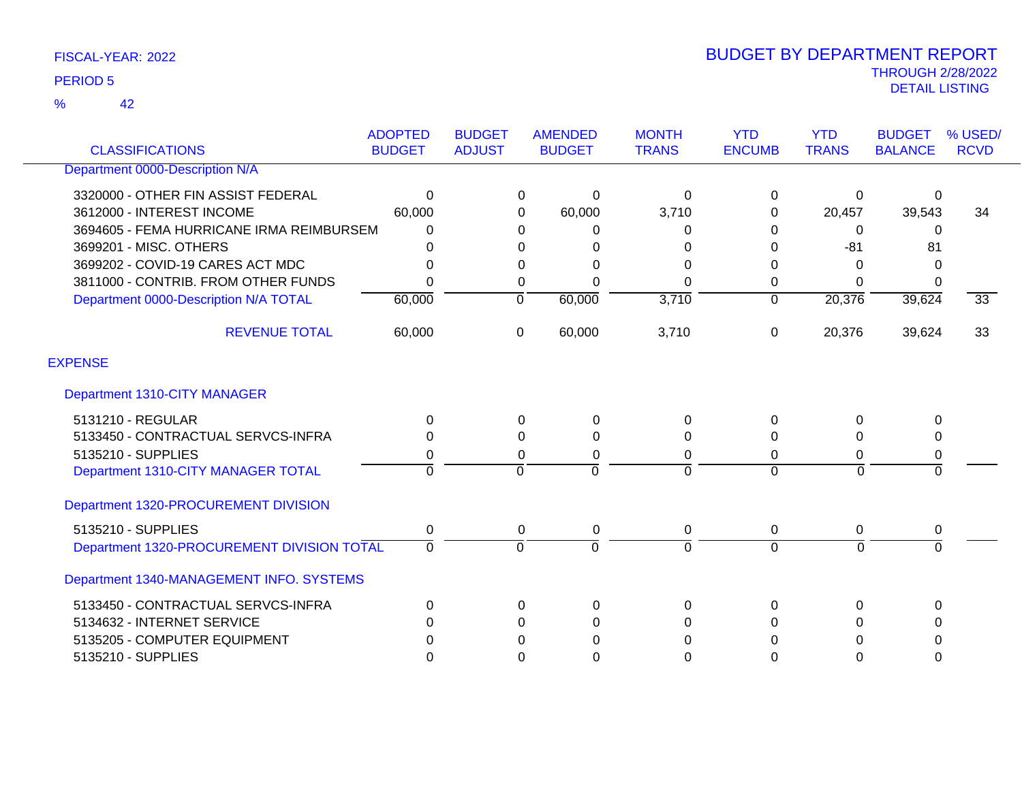42 %

| <b>CLASSIFICATIONS</b>                     | <b>ADOPTED</b><br><b>BUDGET</b> | <b>BUDGET</b><br><b>ADJUST</b> | <b>AMENDED</b><br><b>BUDGET</b> | <b>MONTH</b><br><b>TRANS</b> | <b>YTD</b><br><b>ENCUMB</b> | <b>YTD</b><br><b>TRANS</b> | <b>BUDGET</b><br><b>BALANCE</b> | % USED/<br><b>RCVD</b> |
|--------------------------------------------|---------------------------------|--------------------------------|---------------------------------|------------------------------|-----------------------------|----------------------------|---------------------------------|------------------------|
| Department 0000-Description N/A            |                                 |                                |                                 |                              |                             |                            |                                 |                        |
| 3320000 - OTHER FIN ASSIST FEDERAL         | 0                               |                                | 0<br>$\pmb{0}$                  | 0                            | 0                           | 0                          | 0                               |                        |
| 3612000 - INTEREST INCOME                  | 60,000                          |                                | 60,000<br>$\Omega$              | 3,710                        | 0                           | 20,457                     | 39,543                          | 34                     |
| 3694605 - FEMA HURRICANE IRMA REIMBURSEM   | 0                               |                                | 0<br>0                          | 0                            | 0                           | 0                          | 0                               |                        |
| 3699201 - MISC. OTHERS                     | 0                               |                                | 0<br>0                          | 0                            | 0                           | $-81$                      | 81                              |                        |
| 3699202 - COVID-19 CARES ACT MDC           | 0                               |                                | 0<br>0                          | 0                            | 0                           | 0                          | 0                               |                        |
| 3811000 - CONTRIB. FROM OTHER FUNDS        | $\overline{0}$                  |                                | 0<br>$\Omega$                   | $\Omega$                     | 0                           | $\Omega$                   | 0                               |                        |
| Department 0000-Description N/A TOTAL      | 60,000                          | $\overline{0}$                 | 60,000                          | 3,710                        | $\overline{0}$              | 20,376                     | 39,624                          | $\overline{33}$        |
| <b>REVENUE TOTAL</b>                       | 60,000                          | 0                              | 60,000                          | 3,710                        | 0                           | 20,376                     | 39,624                          | 33                     |
| <b>EXPENSE</b>                             |                                 |                                |                                 |                              |                             |                            |                                 |                        |
| Department 1310-CITY MANAGER               |                                 |                                |                                 |                              |                             |                            |                                 |                        |
| 5131210 - REGULAR                          | 0                               |                                | $\mathsf 0$<br>0                | 0                            | 0                           | 0                          | 0                               |                        |
| 5133450 - CONTRACTUAL SERVCS-INFRA         | 0                               |                                | $\Omega$<br>$\Omega$            | 0                            | 0                           | 0                          | 0                               |                        |
| 5135210 - SUPPLIES                         | 0                               |                                | 0<br>0                          | 0                            | 0                           | 0                          | 0                               |                        |
| Department 1310-CITY MANAGER TOTAL         | 0                               | $\mathbf 0$                    | 0                               | $\mathbf 0$                  | $\Omega$                    | $\Omega$                   | $\mathbf 0$                     |                        |
| Department 1320-PROCUREMENT DIVISION       |                                 |                                |                                 |                              |                             |                            |                                 |                        |
| 5135210 - SUPPLIES                         | 0                               |                                | $\mathbf 0$<br>0                | $\mathbf 0$                  | 0                           | $\mathbf 0$                | 0                               |                        |
| Department 1320-PROCUREMENT DIVISION TOTAL | 0                               | $\Omega$                       | $\Omega$                        | $\mathbf 0$                  | $\Omega$                    | $\Omega$                   | $\Omega$                        |                        |
| Department 1340-MANAGEMENT INFO. SYSTEMS   |                                 |                                |                                 |                              |                             |                            |                                 |                        |
| 5133450 - CONTRACTUAL SERVCS-INFRA         | 0                               |                                | 0<br>0                          | 0                            | 0                           | $\mathbf{0}$               | 0                               |                        |
| 5134632 - INTERNET SERVICE                 | $\Omega$                        |                                | 0<br>$\Omega$                   | 0                            | $\Omega$                    | $\Omega$                   | 0                               |                        |
| 5135205 - COMPUTER EQUIPMENT               | 0                               |                                | 0<br>0                          | 0                            | 0                           | 0                          | 0                               |                        |
| 5135210 - SUPPLIES                         | $\Omega$                        |                                | $\Omega$<br>$\Omega$            | $\Omega$                     | $\Omega$                    | $\Omega$                   | $\Omega$                        |                        |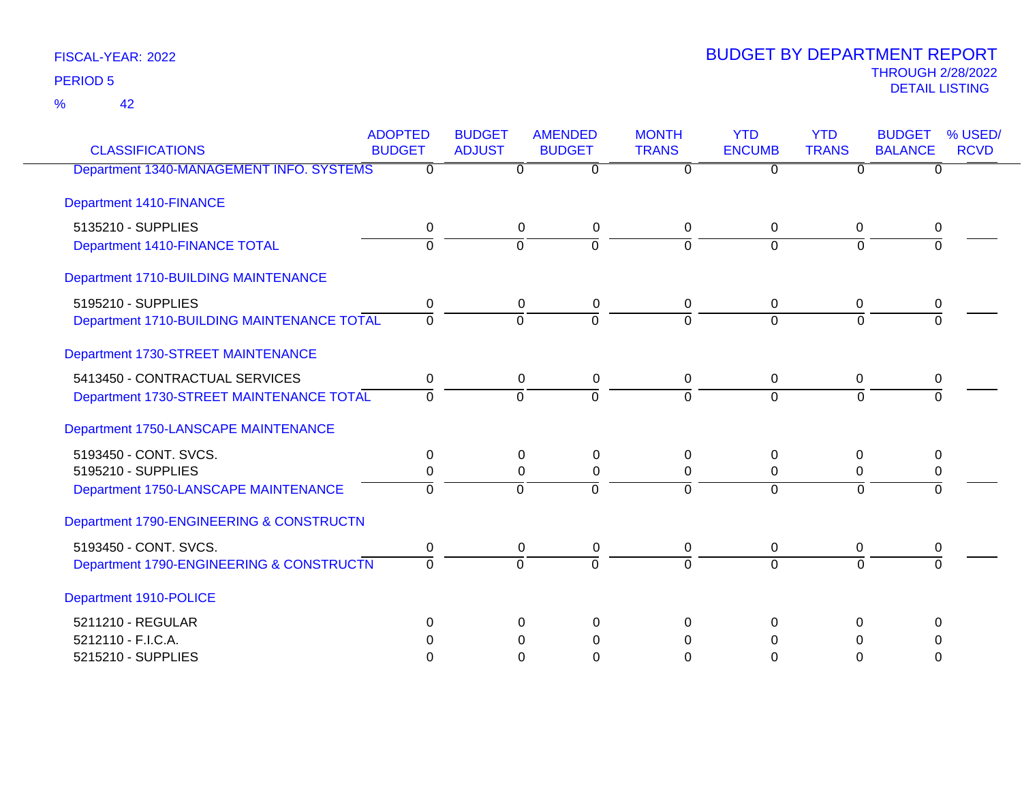42 %

| <b>CLASSIFICATIONS</b>                     | <b>ADOPTED</b><br><b>BUDGET</b> | <b>BUDGET</b><br><b>ADJUST</b> | <b>AMENDED</b><br><b>BUDGET</b> | <b>MONTH</b><br><b>TRANS</b> | <b>YTD</b><br><b>ENCUMB</b> | <b>YTD</b><br><b>TRANS</b> | <b>BUDGET</b><br>% USED/<br><b>BALANCE</b><br><b>RCVD</b> |
|--------------------------------------------|---------------------------------|--------------------------------|---------------------------------|------------------------------|-----------------------------|----------------------------|-----------------------------------------------------------|
| Department 1340-MANAGEMENT INFO. SYSTEMS   | $\Omega$                        | 0                              | $\overline{0}$                  | 0                            | $\Omega$                    | 0                          | $\Omega$                                                  |
| <b>Department 1410-FINANCE</b>             |                                 |                                |                                 |                              |                             |                            |                                                           |
| 5135210 - SUPPLIES                         | 0                               |                                | 0<br>0                          | 0                            | $\mathbf 0$                 | 0                          | 0                                                         |
| Department 1410-FINANCE TOTAL              | $\overline{0}$                  | $\overline{0}$                 | $\overline{0}$                  | $\Omega$                     | $\overline{0}$              | $\Omega$                   |                                                           |
| Department 1710-BUILDING MAINTENANCE       |                                 |                                |                                 |                              |                             |                            |                                                           |
| 5195210 - SUPPLIES                         | 0                               | $\mathbf 0$                    | 0                               | $\mathbf 0$                  | $\mathbf 0$                 | $\mathbf 0$                | 0                                                         |
| Department 1710-BUILDING MAINTENANCE TOTAL | $\overline{0}$                  | $\Omega$                       | $\Omega$                        | $\Omega$                     | $\Omega$                    | $\Omega$                   |                                                           |
| Department 1730-STREET MAINTENANCE         |                                 |                                |                                 |                              |                             |                            |                                                           |
| 5413450 - CONTRACTUAL SERVICES             | 0                               |                                | 0<br>0                          | 0                            | $\Omega$                    | 0                          | 0                                                         |
| Department 1730-STREET MAINTENANCE TOTAL   | $\Omega$                        | $\Omega$                       | $\Omega$                        | 0                            | $\Omega$                    | $\Omega$                   | $\Omega$                                                  |
| Department 1750-LANSCAPE MAINTENANCE       |                                 |                                |                                 |                              |                             |                            |                                                           |
| 5193450 - CONT. SVCS.                      | 0                               |                                | 0<br>0                          | 0                            | $\Omega$                    | 0                          | 0                                                         |
| 5195210 - SUPPLIES                         | 0                               | 0                              | 0                               | 0                            | $\mathbf 0$                 | 0                          | 0                                                         |
| Department 1750-LANSCAPE MAINTENANCE       | $\Omega$                        | $\Omega$                       | $\Omega$                        | $\Omega$                     | $\Omega$                    | $\Omega$                   | $\Omega$                                                  |
| Department 1790-ENGINEERING & CONSTRUCTN   |                                 |                                |                                 |                              |                             |                            |                                                           |
| 5193450 - CONT. SVCS.                      | 0                               |                                | 0<br>0                          | $\mathbf 0$                  | $\overline{0}$              | 0                          | 0                                                         |
| Department 1790-ENGINEERING & CONSTRUCTN   | $\Omega$                        | $\Omega$                       | $\Omega$                        | $\Omega$                     | $\Omega$                    | $\Omega$                   | $\Omega$                                                  |
| Department 1910-POLICE                     |                                 |                                |                                 |                              |                             |                            |                                                           |
| 5211210 - REGULAR                          | 0                               |                                | $\Omega$<br>$\Omega$            | 0                            | $\Omega$                    | 0                          | $\Omega$                                                  |
| 5212110 - F.I.C.A.                         | 0                               | 0                              | 0                               | 0                            | 0                           | 0                          | 0                                                         |
| 5215210 - SUPPLIES                         | $\Omega$                        | $\Omega$                       | 0                               | 0                            | $\Omega$                    | $\Omega$                   | $\Omega$                                                  |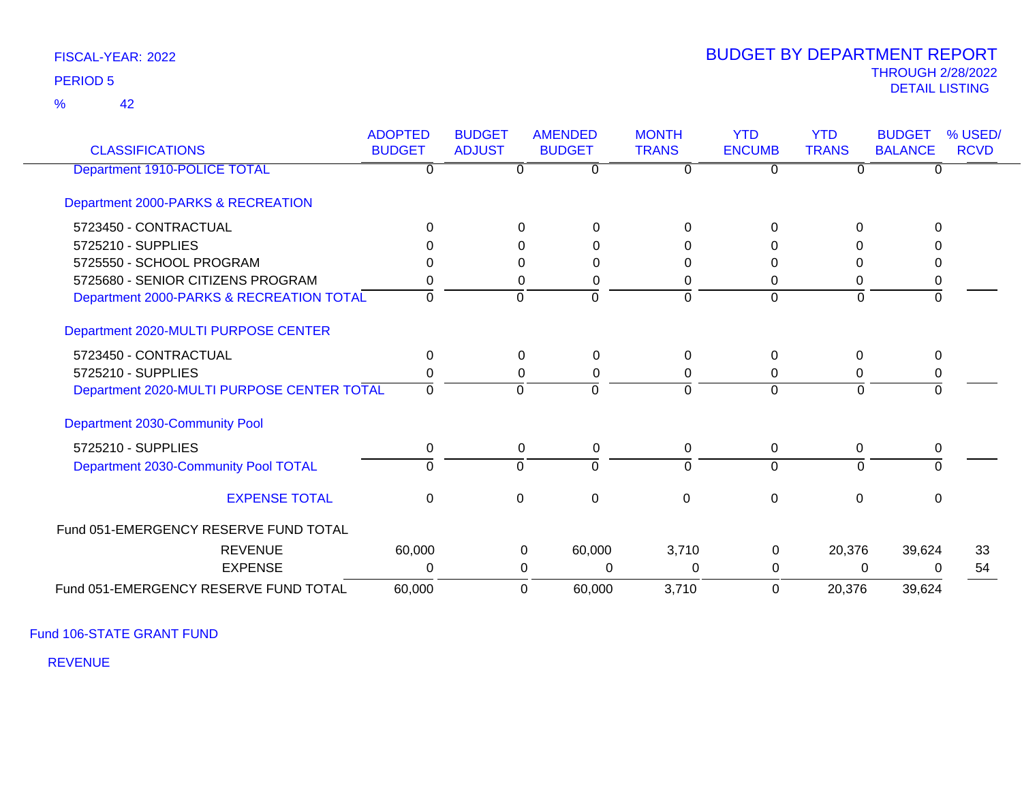42 %

### THROUGH 2/28/2022<br>DETAIL LISTING DETAIL LISTING PERIOD <sup>5</sup> BUDGET BY DEPARTMENT REPORT

| <b>CLASSIFICATIONS</b>                     | <b>ADOPTED</b><br><b>BUDGET</b> | <b>BUDGET</b><br><b>ADJUST</b> | <b>AMENDED</b><br><b>BUDGET</b> | <b>MONTH</b><br><b>TRANS</b> | <b>YTD</b><br><b>ENCUMB</b> | <b>YTD</b><br><b>TRANS</b> | <b>BUDGET</b><br><b>BALANCE</b> | % USED/<br><b>RCVD</b> |
|--------------------------------------------|---------------------------------|--------------------------------|---------------------------------|------------------------------|-----------------------------|----------------------------|---------------------------------|------------------------|
| Department 1910-POLICE TOTAL               | 0                               | $\Omega$                       | $\Omega$                        | 0                            | $\Omega$                    | n                          | $\Omega$                        |                        |
| Department 2000-PARKS & RECREATION         |                                 |                                |                                 |                              |                             |                            |                                 |                        |
| 5723450 - CONTRACTUAL                      | O                               |                                | 0<br>$\Omega$                   | $\Omega$                     |                             | ∩                          |                                 |                        |
| 5725210 - SUPPLIES                         |                                 |                                | 0<br>$\Omega$                   | 0                            |                             |                            |                                 |                        |
| 5725550 - SCHOOL PROGRAM                   |                                 |                                | $\Omega$<br>0                   | 0                            |                             |                            |                                 |                        |
| 5725680 - SENIOR CITIZENS PROGRAM          |                                 |                                | 0<br>0                          | 0                            | 0                           | 0                          | 0                               |                        |
| Department 2000-PARKS & RECREATION TOTAL   | 0                               | $\Omega$                       | $\Omega$                        | $\Omega$                     | $\Omega$                    | $\Omega$                   | $\Omega$                        |                        |
| Department 2020-MULTI PURPOSE CENTER       |                                 |                                |                                 |                              |                             |                            |                                 |                        |
| 5723450 - CONTRACTUAL                      | $\Omega$                        |                                | $\Omega$<br>$\Omega$            | $\Omega$                     | $\Omega$                    | $\Omega$                   | $\Omega$                        |                        |
| 5725210 - SUPPLIES                         |                                 |                                | 0<br>0                          | 0                            | 0                           | 0                          | 0                               |                        |
| Department 2020-MULTI PURPOSE CENTER TOTAL | $\Omega$                        | $\Omega$                       | $\Omega$                        | $\Omega$                     | $\Omega$                    | $\Omega$                   | $\Omega$                        |                        |
| Department 2030-Community Pool             |                                 |                                |                                 |                              |                             |                            |                                 |                        |
| 5725210 - SUPPLIES                         | 0                               |                                | $\mathbf 0$<br>0                | 0                            | 0                           | $\Omega$                   | 0                               |                        |
| Department 2030-Community Pool TOTAL       | $\Omega$                        | $\Omega$                       | $\Omega$                        | $\Omega$                     | $\Omega$                    | $\Omega$                   | $\Omega$                        |                        |
| <b>EXPENSE TOTAL</b>                       | $\Omega$                        | $\Omega$                       | 0                               | 0                            | $\Omega$                    | $\Omega$                   | $\Omega$                        |                        |
| Fund 051-EMERGENCY RESERVE FUND TOTAL      |                                 |                                |                                 |                              |                             |                            |                                 |                        |
| <b>REVENUE</b>                             | 60,000                          |                                | 60,000<br>0                     | 3,710                        | 0                           | 20,376                     | 39,624                          | 33                     |
| <b>EXPENSE</b>                             | 0                               |                                | $\Omega$<br>0                   | 0                            | 0                           | 0                          | $\Omega$                        | 54                     |
| Fund 051-EMERGENCY RESERVE FUND TOTAL      | 60,000                          |                                | 60,000<br>0                     | 3,710                        | $\Omega$                    | 20,376                     | 39,624                          |                        |

Fund 106-STATE GRANT FUND

REVENUE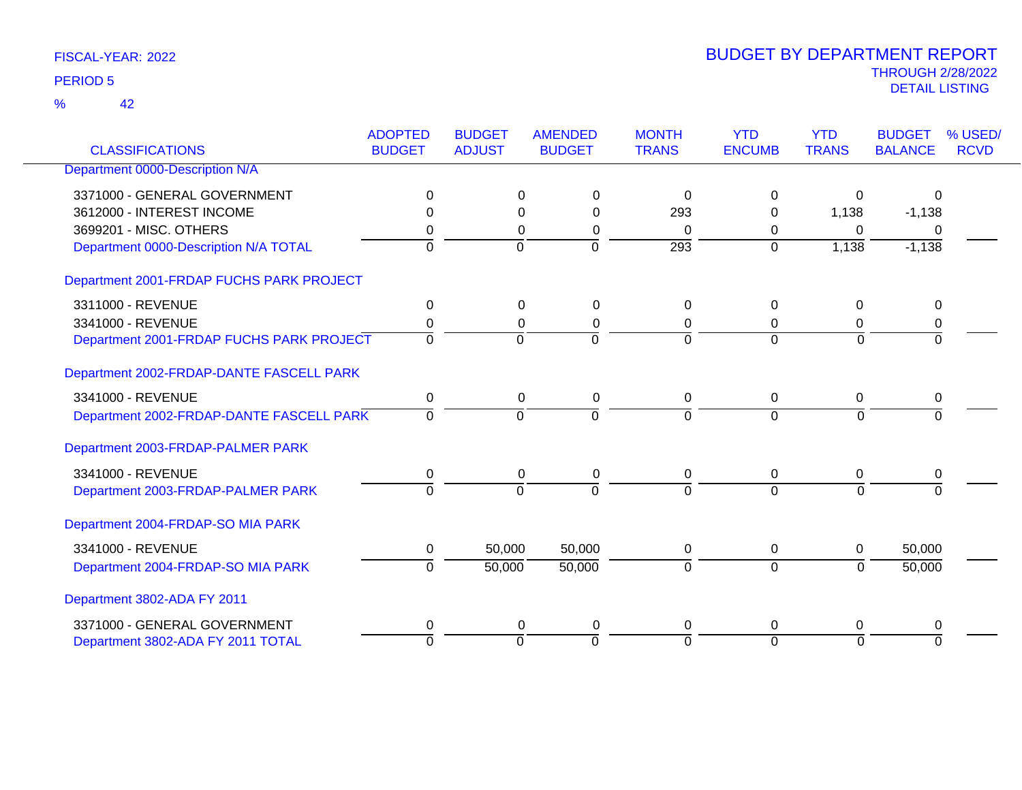42 %

| <b>CLASSIFICATIONS</b>                   | <b>ADOPTED</b><br><b>BUDGET</b> | <b>BUDGET</b><br><b>ADJUST</b> | <b>AMENDED</b><br><b>BUDGET</b> | <b>MONTH</b><br><b>TRANS</b> | <b>YTD</b><br><b>ENCUMB</b> | <b>YTD</b><br><b>TRANS</b> | <b>BUDGET</b><br><b>BALANCE</b> | % USED/<br><b>RCVD</b> |
|------------------------------------------|---------------------------------|--------------------------------|---------------------------------|------------------------------|-----------------------------|----------------------------|---------------------------------|------------------------|
| Department 0000-Description N/A          |                                 |                                |                                 |                              |                             |                            |                                 |                        |
| 3371000 - GENERAL GOVERNMENT             | 0                               |                                | $\Omega$<br>0                   | 0                            | $\Omega$                    | 0                          | $\Omega$                        |                        |
| 3612000 - INTEREST INCOME                | 0                               |                                | $\Omega$<br>$\Omega$            | 293                          | $\Omega$                    | 1,138                      | $-1,138$                        |                        |
| 3699201 - MISC, OTHERS                   | 0                               |                                | $\Omega$<br>0                   | $\Omega$                     | 0                           | $\Omega$                   | $\Omega$                        |                        |
| Department 0000-Description N/A TOTAL    | $\Omega$                        | $\mathbf 0$                    | $\overline{0}$                  | $\overline{293}$             | $\overline{0}$              | 1,138                      | $-1,138$                        |                        |
| Department 2001-FRDAP FUCHS PARK PROJECT |                                 |                                |                                 |                              |                             |                            |                                 |                        |
| 3311000 - REVENUE                        | $\mathbf 0$                     |                                | $\mathbf 0$<br>$\mathbf 0$      | $\mathbf 0$                  | $\mathbf 0$                 | $\mathbf 0$                | $\mathbf 0$                     |                        |
| 3341000 - REVENUE                        | 0                               |                                | 0<br>0                          | 0                            | 0                           | 0                          | 0                               |                        |
| Department 2001-FRDAP FUCHS PARK PROJECT | $\Omega$                        | $\overline{0}$                 | $\overline{0}$                  | $\Omega$                     | $\Omega$                    | $\overline{0}$             | $\overline{0}$                  |                        |
| Department 2002-FRDAP-DANTE FASCELL PARK |                                 |                                |                                 |                              |                             |                            |                                 |                        |
| 3341000 - REVENUE                        | 0                               |                                | $\mathbf 0$<br>$\mathbf 0$      | $\mathbf 0$                  | $\mathbf 0$                 | 0                          | 0                               |                        |
| Department 2002-FRDAP-DANTE FASCELL PARK | $\Omega$                        | $\mathbf 0$                    | $\Omega$                        | $\Omega$                     | $\Omega$                    | $\mathbf 0$                | $\Omega$                        |                        |
| Department 2003-FRDAP-PALMER PARK        |                                 |                                |                                 |                              |                             |                            |                                 |                        |
| 3341000 - REVENUE                        | 0                               |                                | $\mathbf 0$<br>0                | 0                            | $\mathbf 0$                 | 0                          | 0                               |                        |
| Department 2003-FRDAP-PALMER PARK        | $\overline{0}$                  | $\overline{0}$                 | $\overline{0}$                  | $\Omega$                     | $\Omega$                    | $\overline{0}$             | $\Omega$                        |                        |
| Department 2004-FRDAP-SO MIA PARK        |                                 |                                |                                 |                              |                             |                            |                                 |                        |
| 3341000 - REVENUE                        | 0                               | 50,000                         | 50,000                          | 0                            | 0                           | $\mathbf 0$                | 50,000                          |                        |
| Department 2004-FRDAP-SO MIA PARK        | $\Omega$                        | 50,000                         | 50,000                          | $\Omega$                     | 0                           | $\overline{0}$             | 50,000                          |                        |
| Department 3802-ADA FY 2011              |                                 |                                |                                 |                              |                             |                            |                                 |                        |
| 3371000 - GENERAL GOVERNMENT             | 0                               |                                | 0<br>0                          | 0                            | $\mathbf 0$                 | 0                          | 0                               |                        |
| Department 3802-ADA FY 2011 TOTAL        | $\overline{0}$                  | $\overline{0}$                 | $\overline{0}$                  | $\Omega$                     | $\Omega$                    | $\overline{0}$             | $\overline{0}$                  |                        |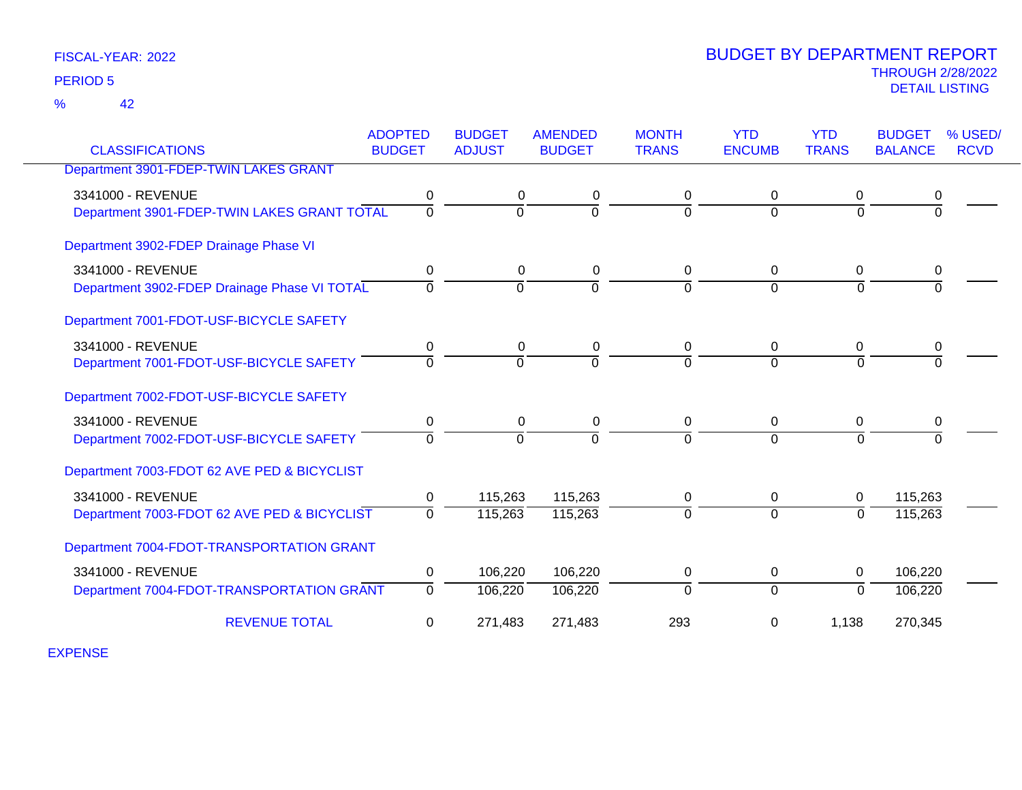42 %

| <b>CLASSIFICATIONS</b>                       | <b>ADOPTED</b><br><b>BUDGET</b> | <b>BUDGET</b><br><b>ADJUST</b> | <b>AMENDED</b><br><b>BUDGET</b> | <b>MONTH</b><br><b>TRANS</b> | <b>YTD</b><br><b>ENCUMB</b> | <b>YTD</b><br><b>TRANS</b> | <b>BUDGET</b><br><b>BALANCE</b> | % USED/<br><b>RCVD</b> |
|----------------------------------------------|---------------------------------|--------------------------------|---------------------------------|------------------------------|-----------------------------|----------------------------|---------------------------------|------------------------|
| Department 3901-FDEP-TWIN LAKES GRANT        |                                 |                                |                                 |                              |                             |                            |                                 |                        |
| 3341000 - REVENUE                            | 0                               | 0                              | 0                               | 0                            | 0                           | 0                          | 0                               |                        |
| Department 3901-FDEP-TWIN LAKES GRANT TOTAL  | $\Omega$                        | $\Omega$                       | $\Omega$                        | $\Omega$                     | $\Omega$                    | $\Omega$                   | $\Omega$                        |                        |
| Department 3902-FDEP Drainage Phase VI       |                                 |                                |                                 |                              |                             |                            |                                 |                        |
| 3341000 - REVENUE                            | 0                               | 0                              | 0                               | 0                            | 0                           | 0                          | 0                               |                        |
| Department 3902-FDEP Drainage Phase VI TOTAL | $\Omega$                        | $\overline{0}$                 | $\overline{0}$                  | $\Omega$                     | $\Omega$                    | $\Omega$                   | $\Omega$                        |                        |
| Department 7001-FDOT-USF-BICYCLE SAFETY      |                                 |                                |                                 |                              |                             |                            |                                 |                        |
| 3341000 - REVENUE                            | $\mathbf 0$                     | 0                              | $\mathbf 0$                     | $\mathbf 0$                  | 0                           | $\mathbf 0$                | 0                               |                        |
| Department 7001-FDOT-USF-BICYCLE SAFETY      | $\Omega$                        | $\Omega$                       | $\Omega$                        | $\Omega$                     | $\Omega$                    | $\Omega$                   |                                 |                        |
| Department 7002-FDOT-USF-BICYCLE SAFETY      |                                 |                                |                                 |                              |                             |                            |                                 |                        |
| 3341000 - REVENUE                            | 0                               | 0                              | $\mathbf 0$                     | 0                            | 0                           | 0                          | 0                               |                        |
| Department 7002-FDOT-USF-BICYCLE SAFETY      | $\Omega$                        | $\overline{0}$                 | $\overline{0}$                  | $\Omega$                     | $\Omega$                    | $\Omega$                   | $\Omega$                        |                        |
| Department 7003-FDOT 62 AVE PED & BICYCLIST  |                                 |                                |                                 |                              |                             |                            |                                 |                        |
| 3341000 - REVENUE                            | $\mathbf 0$                     | 115,263                        | 115,263                         | 0                            | $\mathbf 0$                 | 0                          | 115,263                         |                        |
| Department 7003-FDOT 62 AVE PED & BICYCLIST  | $\Omega$                        | 115,263                        | 115,263                         | $\Omega$                     | $\mathbf 0$                 | $\Omega$                   | 115,263                         |                        |
| Department 7004-FDOT-TRANSPORTATION GRANT    |                                 |                                |                                 |                              |                             |                            |                                 |                        |
| 3341000 - REVENUE                            | $\pmb{0}$                       | 106,220                        | 106,220                         | 0                            | 0                           | 0                          | 106,220                         |                        |
| Department 7004-FDOT-TRANSPORTATION GRANT    | $\Omega$                        | 106,220                        | 106,220                         | $\Omega$                     | $\mathbf 0$                 | $\Omega$                   | 106,220                         |                        |
| <b>REVENUE TOTAL</b>                         | 0                               | 271,483                        | 271,483                         | 293                          | 0                           | 1,138                      | 270,345                         |                        |

EXPENSE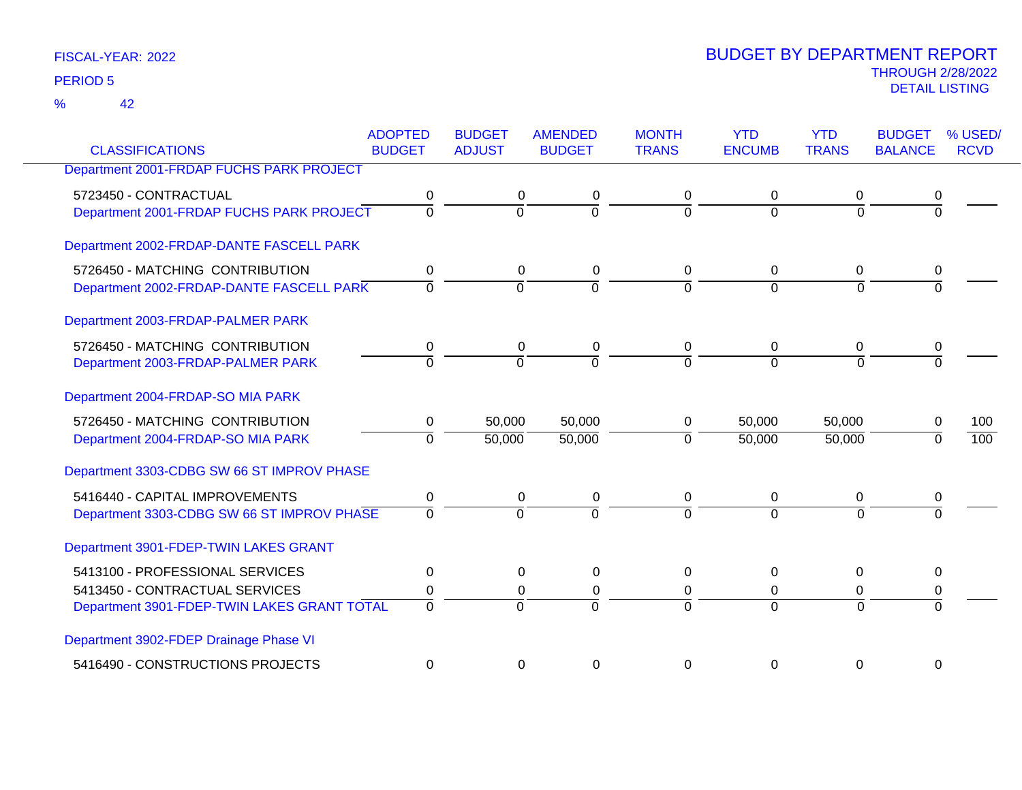42 %

| <b>CLASSIFICATIONS</b>                      | <b>ADOPTED</b><br><b>BUDGET</b> | <b>BUDGET</b><br><b>ADJUST</b> | <b>AMENDED</b><br><b>BUDGET</b> | <b>MONTH</b><br><b>TRANS</b> | <b>YTD</b><br><b>ENCUMB</b> | <b>YTD</b><br><b>TRANS</b> | <b>BUDGET</b><br><b>BALANCE</b> | % USED/<br><b>RCVD</b> |
|---------------------------------------------|---------------------------------|--------------------------------|---------------------------------|------------------------------|-----------------------------|----------------------------|---------------------------------|------------------------|
| Department 2001-FRDAP FUCHS PARK PROJECT    |                                 |                                |                                 |                              |                             |                            |                                 |                        |
|                                             |                                 |                                |                                 |                              |                             |                            |                                 |                        |
| 5723450 - CONTRACTUAL                       | 0                               | 0                              | 0                               | 0                            | $\Omega$                    | 0                          | 0                               |                        |
| Department 2001-FRDAP FUCHS PARK PROJECT    | $\overline{0}$                  | $\mathbf 0$                    | $\Omega$                        | $\Omega$                     | $\Omega$                    | $\overline{0}$             | $\Omega$                        |                        |
| Department 2002-FRDAP-DANTE FASCELL PARK    |                                 |                                |                                 |                              |                             |                            |                                 |                        |
| 5726450 - MATCHING CONTRIBUTION             | 0                               | 0                              | 0                               | 0                            | 0                           | 0                          | 0                               |                        |
| Department 2002-FRDAP-DANTE FASCELL PARK    | $\Omega$                        | $\Omega$                       | $\Omega$                        | $\Omega$                     | $\Omega$                    | $\Omega$                   | $\Omega$                        |                        |
| Department 2003-FRDAP-PALMER PARK           |                                 |                                |                                 |                              |                             |                            |                                 |                        |
| 5726450 - MATCHING CONTRIBUTION             | 0                               | 0                              | 0                               | 0                            | $\overline{0}$              | 0                          | 0                               |                        |
| Department 2003-FRDAP-PALMER PARK           | $\overline{0}$                  | $\Omega$                       | $\overline{0}$                  | $\Omega$                     | $\Omega$                    | $\Omega$                   | $\Omega$                        |                        |
| Department 2004-FRDAP-SO MIA PARK           |                                 |                                |                                 |                              |                             |                            |                                 |                        |
| 5726450 - MATCHING CONTRIBUTION             | 0                               | 50,000                         | 50,000                          | 0                            | 50,000                      | 50,000                     | 0                               | 100                    |
| Department 2004-FRDAP-SO MIA PARK           | $\Omega$                        | 50,000                         | 50,000                          | $\Omega$                     | 50,000                      | 50,000                     | $\Omega$                        | 100                    |
| Department 3303-CDBG SW 66 ST IMPROV PHASE  |                                 |                                |                                 |                              |                             |                            |                                 |                        |
| 5416440 - CAPITAL IMPROVEMENTS              | 0                               | $\mathbf 0$                    | 0                               | 0                            | $\mathbf 0$                 | 0                          | 0                               |                        |
| Department 3303-CDBG SW 66 ST IMPROV PHASE  | $\Omega$                        | $\Omega$                       | $\Omega$                        | $\Omega$                     | $\Omega$                    | $\Omega$                   |                                 |                        |
| Department 3901-FDEP-TWIN LAKES GRANT       |                                 |                                |                                 |                              |                             |                            |                                 |                        |
| 5413100 - PROFESSIONAL SERVICES             | 0                               | $\Omega$                       | $\Omega$                        | 0                            | $\Omega$                    | $\Omega$                   | 0                               |                        |
| 5413450 - CONTRACTUAL SERVICES              | 0                               | 0                              | 0                               | 0                            | 0                           | 0                          | 0                               |                        |
| Department 3901-FDEP-TWIN LAKES GRANT TOTAL | $\overline{0}$                  | $\Omega$                       | $\Omega$                        | $\Omega$                     | $\Omega$                    | $\Omega$                   | $\Omega$                        |                        |
| Department 3902-FDEP Drainage Phase VI      |                                 |                                |                                 |                              |                             |                            |                                 |                        |
| 5416490 - CONSTRUCTIONS PROJECTS            | 0                               | 0                              | 0                               | 0                            | 0                           | 0                          | 0                               |                        |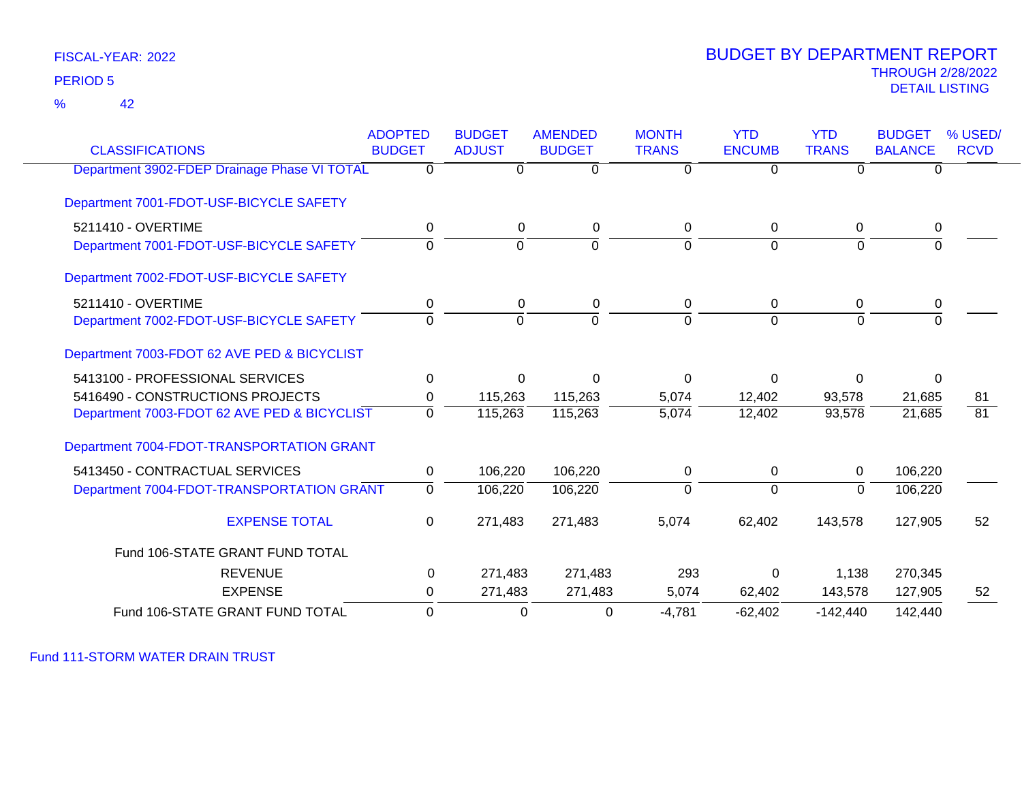42 %

### THROUGH 2/28/2022<br>DETAIL LISTING DETAIL LISTING PERIOD <sup>5</sup> BUDGET BY DEPARTMENT REPORT

| <b>CLASSIFICATIONS</b>                       | <b>ADOPTED</b><br><b>BUDGET</b> | <b>BUDGET</b><br><b>ADJUST</b> | <b>AMENDED</b><br><b>BUDGET</b> | <b>MONTH</b><br><b>TRANS</b> | <b>YTD</b><br><b>ENCUMB</b> | <b>YTD</b><br><b>TRANS</b> | <b>BUDGET</b><br><b>BALANCE</b> | % USED/<br><b>RCVD</b> |
|----------------------------------------------|---------------------------------|--------------------------------|---------------------------------|------------------------------|-----------------------------|----------------------------|---------------------------------|------------------------|
| Department 3902-FDEP Drainage Phase VI TOTAL | 0                               | $\Omega$                       | $\overline{0}$                  | $\Omega$                     | $\overline{0}$              | $\Omega$                   | $\Omega$                        |                        |
| Department 7001-FDOT-USF-BICYCLE SAFETY      |                                 |                                |                                 |                              |                             |                            |                                 |                        |
| 5211410 - OVERTIME                           | 0                               | 0                              | 0                               | 0                            | $\mathbf 0$                 | 0                          | 0                               |                        |
| Department 7001-FDOT-USF-BICYCLE SAFETY      | $\Omega$                        | $\mathbf{0}$                   | $\Omega$                        | $\Omega$                     | $\Omega$                    | $\Omega$                   | $\mathbf 0$                     |                        |
| Department 7002-FDOT-USF-BICYCLE SAFETY      |                                 |                                |                                 |                              |                             |                            |                                 |                        |
| 5211410 - OVERTIME                           | $\mathbf 0$                     | 0                              | 0                               | 0                            | $\mathbf 0$                 | 0                          | $\pmb{0}$                       |                        |
| Department 7002-FDOT-USF-BICYCLE SAFETY      | $\Omega$                        | $\Omega$                       | $\Omega$                        | $\Omega$                     | $\Omega$                    | $\Omega$                   | $\Omega$                        |                        |
| Department 7003-FDOT 62 AVE PED & BICYCLIST  |                                 |                                |                                 |                              |                             |                            |                                 |                        |
| 5413100 - PROFESSIONAL SERVICES              | $\Omega$                        | $\Omega$                       | $\Omega$                        | $\Omega$                     | $\Omega$                    | $\Omega$                   | 0                               |                        |
| 5416490 - CONSTRUCTIONS PROJECTS             | 0                               | 115,263                        | 115,263                         | 5,074                        | 12,402                      | 93,578                     | 21,685                          | 81                     |
| Department 7003-FDOT 62 AVE PED & BICYCLIST  | $\overline{0}$                  | 115,263                        | 115,263                         | $\overline{5,074}$           | 12,402                      | 93,578                     | 21,685                          | $\overline{81}$        |
| Department 7004-FDOT-TRANSPORTATION GRANT    |                                 |                                |                                 |                              |                             |                            |                                 |                        |
| 5413450 - CONTRACTUAL SERVICES               | $\mathbf 0$                     | 106,220                        | 106,220                         | 0                            | $\mathbf 0$                 | $\mathbf 0$                | 106,220                         |                        |
| Department 7004-FDOT-TRANSPORTATION GRANT    | 0                               | 106,220                        | 106,220                         | $\Omega$                     | $\mathbf 0$                 | 0                          | 106,220                         |                        |
| <b>EXPENSE TOTAL</b>                         | $\mathbf 0$                     | 271,483                        | 271,483                         | 5,074                        | 62,402                      | 143,578                    | 127,905                         | 52                     |
| Fund 106-STATE GRANT FUND TOTAL              |                                 |                                |                                 |                              |                             |                            |                                 |                        |
| <b>REVENUE</b>                               | 0                               | 271,483                        | 271,483                         | 293                          | $\Omega$                    | 1,138                      | 270,345                         |                        |
| <b>EXPENSE</b>                               | 0                               | 271,483                        | 271,483                         | 5,074                        | 62,402                      | 143,578                    | 127,905                         | 52                     |
| Fund 106-STATE GRANT FUND TOTAL              | $\Omega$                        | $\mathbf{0}$                   | $\Omega$                        | $-4.781$                     | $-62.402$                   | $-142.440$                 | 142,440                         |                        |

Fund 111-STORM WATER DRAIN TRUST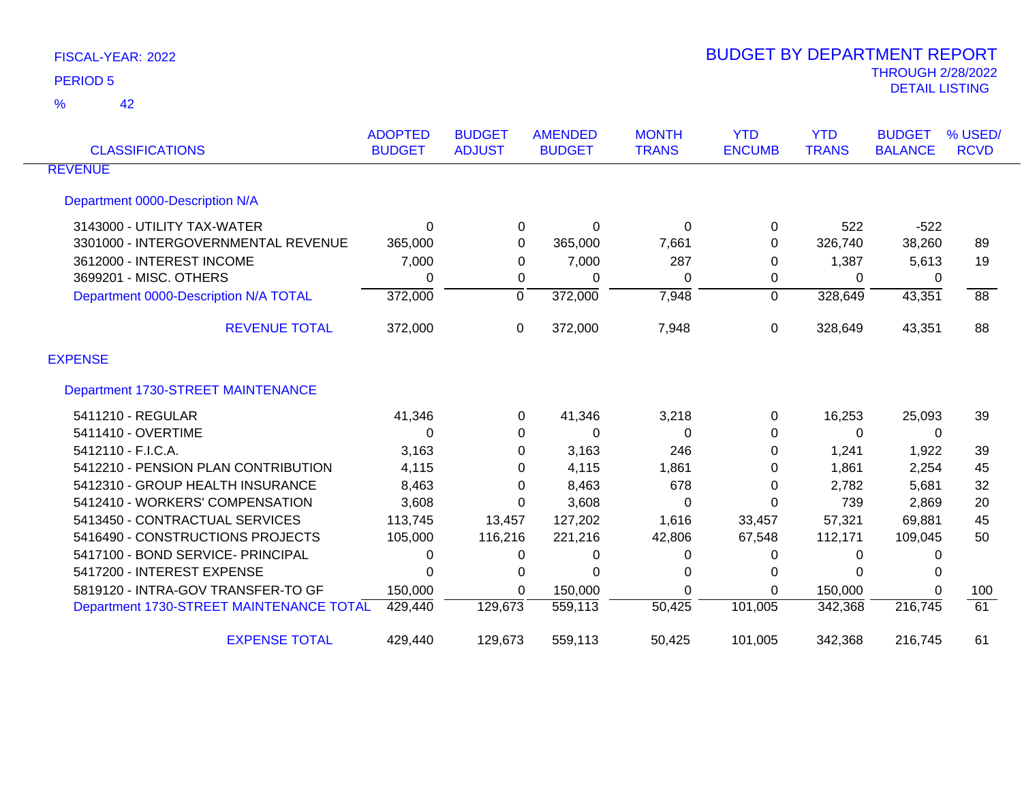| <b>CLASSIFICATIONS</b>                   | <b>ADOPTED</b><br><b>BUDGET</b> | <b>BUDGET</b><br><b>ADJUST</b> | <b>AMENDED</b><br><b>BUDGET</b> | <b>MONTH</b><br><b>TRANS</b> | <b>YTD</b><br><b>ENCUMB</b> | <b>YTD</b><br><b>TRANS</b> | <b>BUDGET</b><br><b>BALANCE</b> | % USED/<br><b>RCVD</b> |
|------------------------------------------|---------------------------------|--------------------------------|---------------------------------|------------------------------|-----------------------------|----------------------------|---------------------------------|------------------------|
| <b>REVENUE</b>                           |                                 |                                |                                 |                              |                             |                            |                                 |                        |
| Department 0000-Description N/A          |                                 |                                |                                 |                              |                             |                            |                                 |                        |
| 3143000 - UTILITY TAX-WATER              | 0                               | 0                              | 0                               | 0                            | 0                           | 522                        | $-522$                          |                        |
| 3301000 - INTERGOVERNMENTAL REVENUE      | 365,000                         | 0                              | 365,000                         | 7,661                        | 0                           | 326,740                    | 38,260                          | 89                     |
| 3612000 - INTEREST INCOME                | 7,000                           | 0                              | 7,000                           | 287                          | 0                           | 1,387                      | 5,613                           | 19                     |
| 3699201 - MISC. OTHERS                   | 0                               | 0                              | 0                               | 0                            | 0                           | 0                          | 0                               |                        |
| Department 0000-Description N/A TOTAL    | 372,000                         | $\Omega$                       | 372,000                         | 7,948                        | $\Omega$                    | 328,649                    | 43,351                          | 88                     |
| <b>REVENUE TOTAL</b>                     | 372,000                         | 0                              | 372,000                         | 7,948                        | 0                           | 328,649                    | 43,351                          | 88                     |
| <b>EXPENSE</b>                           |                                 |                                |                                 |                              |                             |                            |                                 |                        |
| Department 1730-STREET MAINTENANCE       |                                 |                                |                                 |                              |                             |                            |                                 |                        |
| 5411210 - REGULAR                        | 41,346                          | 0                              | 41,346                          | 3,218                        | 0                           | 16,253                     | 25,093                          | 39                     |
| 5411410 - OVERTIME                       | 0                               | 0                              | 0                               | $\Omega$                     | $\Omega$                    | 0                          | 0                               |                        |
| 5412110 - F.I.C.A.                       | 3,163                           | 0                              | 3,163                           | 246                          | 0                           | 1,241                      | 1,922                           | 39                     |
| 5412210 - PENSION PLAN CONTRIBUTION      | 4,115                           | 0                              | 4,115                           | 1,861                        | $\Omega$                    | 1,861                      | 2,254                           | 45                     |
| 5412310 - GROUP HEALTH INSURANCE         | 8,463                           | 0                              | 8,463                           | 678                          | 0                           | 2,782                      | 5,681                           | 32                     |
| 5412410 - WORKERS' COMPENSATION          | 3,608                           | 0                              | 3,608                           | $\Omega$                     | $\Omega$                    | 739                        | 2,869                           | 20                     |
| 5413450 - CONTRACTUAL SERVICES           | 113,745                         | 13,457                         | 127,202                         | 1,616                        | 33,457                      | 57,321                     | 69,881                          | 45                     |
| 5416490 - CONSTRUCTIONS PROJECTS         | 105,000                         | 116,216                        | 221,216                         | 42,806                       | 67,548                      | 112,171                    | 109,045                         | 50                     |
| 5417100 - BOND SERVICE- PRINCIPAL        | 0                               | 0                              | 0                               | 0                            | 0                           | 0                          | 0                               |                        |
| 5417200 - INTEREST EXPENSE               | 0                               | 0                              | 0                               | 0                            | 0                           | 0                          | 0                               |                        |
| 5819120 - INTRA-GOV TRANSFER-TO GF       | 150,000                         | 0                              | 150,000                         | $\Omega$                     | $\Omega$                    | 150,000                    | $\Omega$                        | 100                    |
| Department 1730-STREET MAINTENANCE TOTAL | 429,440                         | 129,673                        | 559,113                         | $\overline{50,425}$          | 101,005                     | 342,368                    | 216,745                         | 61                     |
| <b>EXPENSE TOTAL</b>                     | 429,440                         | 129,673                        | 559,113                         | 50,425                       | 101,005                     | 342,368                    | 216,745                         | 61                     |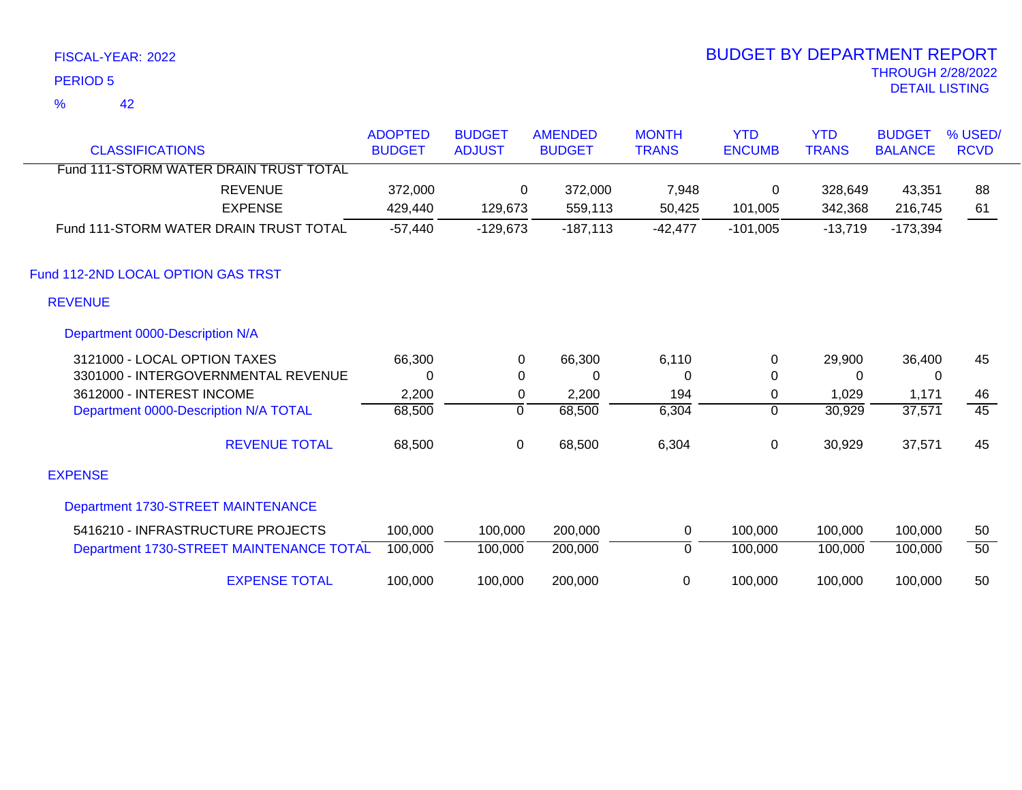42 %

|                                          | <b>ADOPTED</b> | <b>BUDGET</b> | <b>AMENDED</b> | <b>MONTH</b> | <b>YTD</b>    | <b>YTD</b>   | <b>BUDGET</b>  | % USED/         |
|------------------------------------------|----------------|---------------|----------------|--------------|---------------|--------------|----------------|-----------------|
| <b>CLASSIFICATIONS</b>                   | <b>BUDGET</b>  | <b>ADJUST</b> | <b>BUDGET</b>  | <b>TRANS</b> | <b>ENCUMB</b> | <b>TRANS</b> | <b>BALANCE</b> | <b>RCVD</b>     |
| Fund 111-STORM WATER DRAIN TRUST TOTAL   |                |               |                |              |               |              |                |                 |
| <b>REVENUE</b>                           | 372,000        | $\Omega$      | 372,000        | 7,948        | 0             | 328,649      | 43,351         | 88              |
| <b>EXPENSE</b>                           | 429,440        | 129,673       | 559,113        | 50,425       | 101,005       | 342,368      | 216,745        | 61              |
| Fund 111-STORM WATER DRAIN TRUST TOTAL   | $-57,440$      | $-129,673$    | $-187,113$     | $-42,477$    | $-101,005$    | $-13,719$    | $-173,394$     |                 |
| Fund 112-2ND LOCAL OPTION GAS TRST       |                |               |                |              |               |              |                |                 |
| <b>REVENUE</b>                           |                |               |                |              |               |              |                |                 |
| Department 0000-Description N/A          |                |               |                |              |               |              |                |                 |
| 3121000 - LOCAL OPTION TAXES             | 66,300         | 0             | 66,300         | 6,110        | 0             | 29,900       | 36,400         | 45              |
| 3301000 - INTERGOVERNMENTAL REVENUE      | $\Omega$       | 0             | 0              | $\Omega$     | $\Omega$      | $\Omega$     | $\mathbf{0}$   |                 |
| 3612000 - INTEREST INCOME                | 2,200          | 0             | 2,200          | 194          | 0             | 1,029        | 1,171          | 46              |
| Department 0000-Description N/A TOTAL    | 68,500         | 0             | 68,500         | 6,304        | $\mathbf 0$   | 30,929       | 37,571         | $\overline{45}$ |
| <b>REVENUE TOTAL</b>                     | 68,500         | 0             | 68,500         | 6,304        | 0             | 30,929       | 37,571         | 45              |
| <b>EXPENSE</b>                           |                |               |                |              |               |              |                |                 |
| Department 1730-STREET MAINTENANCE       |                |               |                |              |               |              |                |                 |
| 5416210 - INFRASTRUCTURE PROJECTS        | 100,000        | 100,000       | 200,000        | 0            | 100,000       | 100,000      | 100,000        | 50              |
| Department 1730-STREET MAINTENANCE TOTAL | 100,000        | 100,000       | 200,000        | 0            | 100,000       | 100,000      | 100,000        | 50              |
| <b>EXPENSE TOTAL</b>                     | 100,000        | 100,000       | 200,000        | 0            | 100,000       | 100,000      | 100,000        | 50              |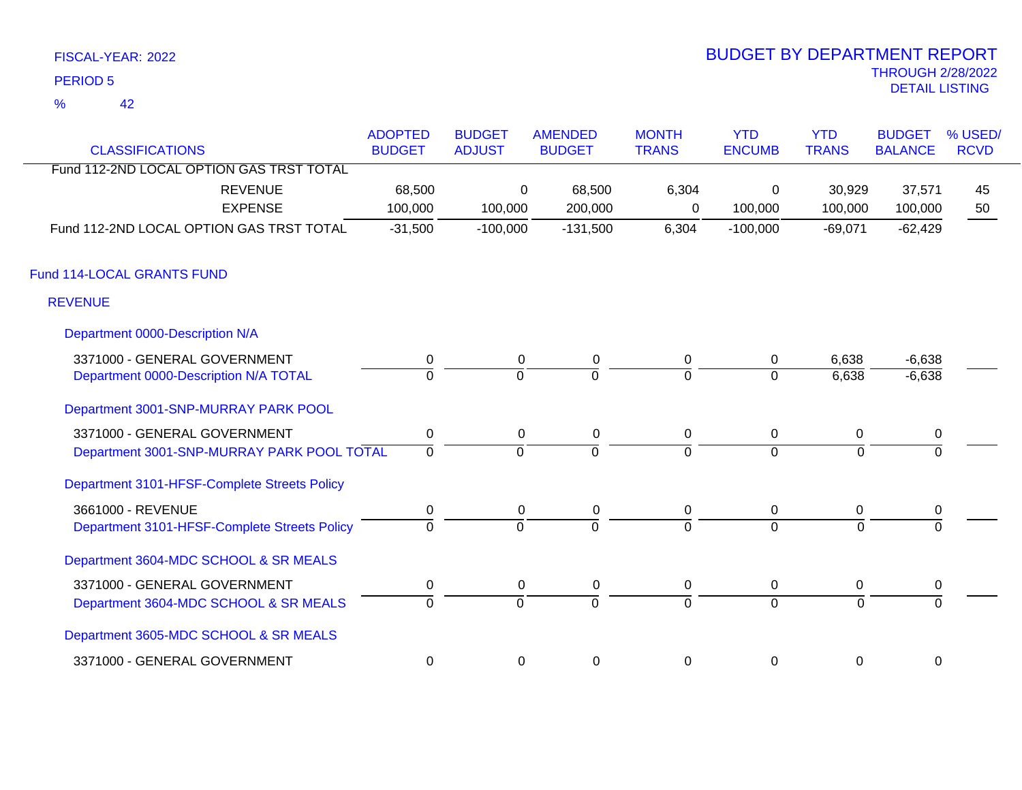42 %

| <b>CLASSIFICATIONS</b>                       | <b>ADOPTED</b><br><b>BUDGET</b> | <b>BUDGET</b><br><b>ADJUST</b> | <b>AMENDED</b><br><b>BUDGET</b> | <b>MONTH</b><br><b>TRANS</b> | <b>YTD</b><br><b>ENCUMB</b> | <b>YTD</b><br><b>TRANS</b> | <b>BUDGET</b><br><b>BALANCE</b> | % USED/<br><b>RCVD</b> |
|----------------------------------------------|---------------------------------|--------------------------------|---------------------------------|------------------------------|-----------------------------|----------------------------|---------------------------------|------------------------|
| Fund 112-2ND LOCAL OPTION GAS TRST TOTAL     |                                 |                                |                                 |                              |                             |                            |                                 |                        |
| <b>REVENUE</b><br><b>EXPENSE</b>             | 68,500<br>100,000               | 0<br>100,000                   | 68,500<br>200,000               | 6,304<br>0                   | 0<br>100,000                | 30,929<br>100,000          | 37,571<br>100,000               | 45<br>50               |
| Fund 112-2ND LOCAL OPTION GAS TRST TOTAL     | $-31,500$                       | $-100,000$                     | $-131,500$                      | 6,304                        | $-100,000$                  | $-69,071$                  | $-62,429$                       |                        |
| Fund 114-LOCAL GRANTS FUND                   |                                 |                                |                                 |                              |                             |                            |                                 |                        |
| <b>REVENUE</b>                               |                                 |                                |                                 |                              |                             |                            |                                 |                        |
| Department 0000-Description N/A              |                                 |                                |                                 |                              |                             |                            |                                 |                        |
| 3371000 - GENERAL GOVERNMENT                 | 0                               | 0                              | 0                               | 0                            | 0                           | 6,638                      | $-6,638$                        |                        |
| Department 0000-Description N/A TOTAL        | $\overline{0}$                  | $\Omega$                       | $\overline{0}$                  | $\overline{0}$               | $\Omega$                    | 6,638                      | $-6,638$                        |                        |
| Department 3001-SNP-MURRAY PARK POOL         |                                 |                                |                                 |                              |                             |                            |                                 |                        |
| 3371000 - GENERAL GOVERNMENT                 | $\mathbf 0$                     | $\mathbf 0$                    | 0                               | 0                            | $\mathbf 0$                 | $\mathbf 0$                | 0                               |                        |
| Department 3001-SNP-MURRAY PARK POOL TOTAL   | $\Omega$                        | $\Omega$                       | $\Omega$                        | $\Omega$                     | $\Omega$                    | $\Omega$                   | $\Omega$                        |                        |
| Department 3101-HFSF-Complete Streets Policy |                                 |                                |                                 |                              |                             |                            |                                 |                        |
| 3661000 - REVENUE                            | $\mathbf 0$                     | $\mathbf 0$                    | $\pmb{0}$                       | $\mathsf 0$                  | $\overline{0}$              | $\mathbf 0$                | $\pmb{0}$                       |                        |
| Department 3101-HFSF-Complete Streets Policy | $\mathbf 0$                     | $\Omega$                       | $\Omega$                        | $\Omega$                     | $\Omega$                    | $\Omega$                   | $\Omega$                        |                        |
| Department 3604-MDC SCHOOL & SR MEALS        |                                 |                                |                                 |                              |                             |                            |                                 |                        |
| 3371000 - GENERAL GOVERNMENT                 | $\mathbf 0$                     | 0                              | $\mathbf 0$                     | 0                            | $\overline{0}$              | 0                          | 0                               |                        |
| Department 3604-MDC SCHOOL & SR MEALS        | $\overline{0}$                  | $\overline{0}$                 | $\overline{0}$                  | $\overline{0}$               | $\overline{0}$              | $\overline{0}$             | $\Omega$                        |                        |
| Department 3605-MDC SCHOOL & SR MEALS        |                                 |                                |                                 |                              |                             |                            |                                 |                        |
| 3371000 - GENERAL GOVERNMENT                 | 0                               | 0                              | 0                               | 0                            | $\mathbf 0$                 | 0                          | $\mathbf 0$                     |                        |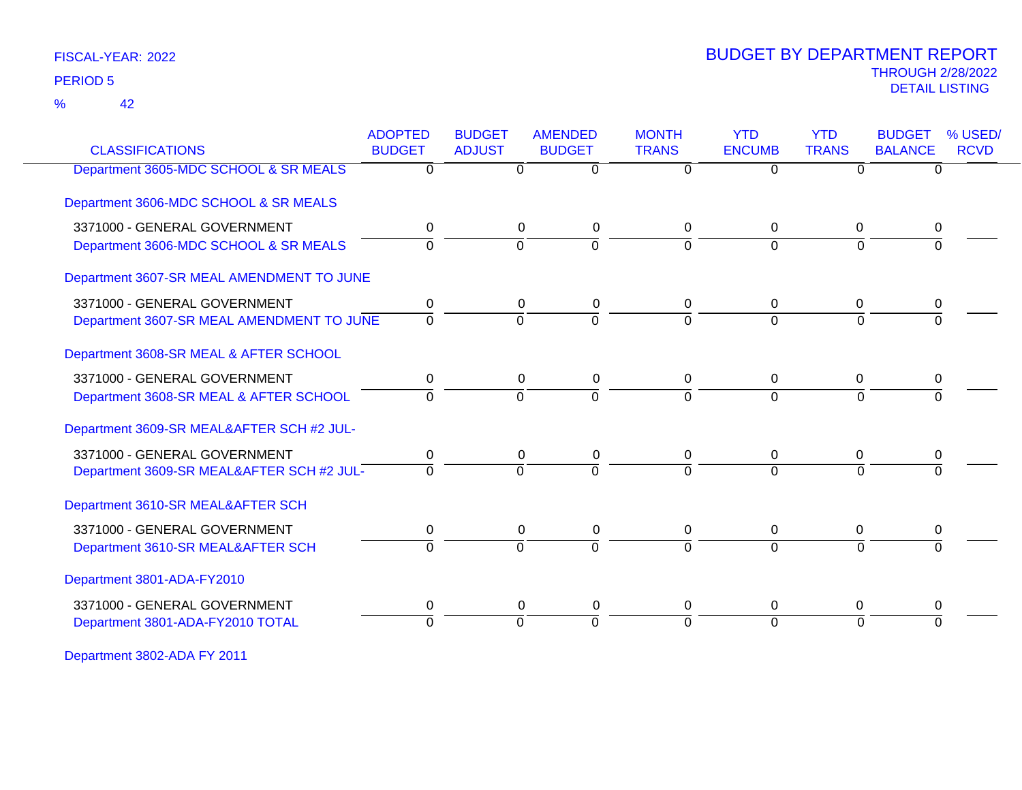42 %

### THROUGH 2/28/2022<br>DETAIL LISTING DETAIL LISTING PERIOD <sup>5</sup> BUDGET BY DEPARTMENT REPORT

| <b>CLASSIFICATIONS</b>                    | <b>ADOPTED</b><br><b>BUDGET</b> | <b>BUDGET</b><br><b>ADJUST</b> | <b>AMENDED</b><br><b>BUDGET</b> | <b>MONTH</b><br><b>TRANS</b> | <b>YTD</b><br><b>ENCUMB</b> | <b>YTD</b><br><b>TRANS</b> | <b>BUDGET</b><br><b>BALANCE</b> | % USED/<br><b>RCVD</b> |
|-------------------------------------------|---------------------------------|--------------------------------|---------------------------------|------------------------------|-----------------------------|----------------------------|---------------------------------|------------------------|
| Department 3605-MDC SCHOOL & SR MEALS     | 0                               | $\overline{0}$                 | $\overline{0}$                  | $\overline{0}$               | $\overline{0}$              | $\overline{0}$             | $\Omega$                        |                        |
| Department 3606-MDC SCHOOL & SR MEALS     |                                 |                                |                                 |                              |                             |                            |                                 |                        |
| 3371000 - GENERAL GOVERNMENT              | 0                               | 0                              | 0                               | 0                            | $\mathbf 0$                 | 0                          | 0                               |                        |
| Department 3606-MDC SCHOOL & SR MEALS     | 0                               | $\Omega$                       | $\Omega$                        | 0                            | $\Omega$                    | $\Omega$                   |                                 |                        |
| Department 3607-SR MEAL AMENDMENT TO JUNE |                                 |                                |                                 |                              |                             |                            |                                 |                        |
| 3371000 - GENERAL GOVERNMENT              | 0                               | 0                              | $\mathbf 0$                     | $\Omega$                     | $\Omega$                    | $\Omega$                   |                                 |                        |
| Department 3607-SR MEAL AMENDMENT TO JUNE | $\mathbf 0$                     | $\mathbf 0$                    | $\Omega$                        | 0                            | $\Omega$                    | $\Omega$                   | $\Omega$                        |                        |
| Department 3608-SR MEAL & AFTER SCHOOL    |                                 |                                |                                 |                              |                             |                            |                                 |                        |
| 3371000 - GENERAL GOVERNMENT              | 0                               | $\mathbf 0$                    | 0                               | 0                            | $\mathbf 0$                 | $\Omega$                   | 0                               |                        |
| Department 3608-SR MEAL & AFTER SCHOOL    | $\Omega$                        | $\Omega$                       | $\Omega$                        | 0                            | $\Omega$                    | $\Omega$                   |                                 |                        |
| Department 3609-SR MEAL&AFTER SCH #2 JUL- |                                 |                                |                                 |                              |                             |                            |                                 |                        |
| 3371000 - GENERAL GOVERNMENT              | 0                               | $\mathbf 0$                    | 0                               | 0                            | $\Omega$                    | $\Omega$                   | 0                               |                        |
| Department 3609-SR MEAL&AFTER SCH #2 JUL- | $\overline{0}$                  | $\Omega$                       | $\overline{0}$                  | $\Omega$                     | $\Omega$                    | $\Omega$                   |                                 |                        |
| Department 3610-SR MEAL&AFTER SCH         |                                 |                                |                                 |                              |                             |                            |                                 |                        |
| 3371000 - GENERAL GOVERNMENT              | 0                               | $\mathbf 0$                    | 0                               | 0                            | 0                           | $\Omega$                   | 0                               |                        |
| Department 3610-SR MEAL&AFTER SCH         | $\Omega$                        | $\Omega$                       | $\overline{0}$                  | $\Omega$                     | $\Omega$                    | $\Omega$                   | $\Omega$                        |                        |
| Department 3801-ADA-FY2010                |                                 |                                |                                 |                              |                             |                            |                                 |                        |
| 3371000 - GENERAL GOVERNMENT              | 0                               | $\mathbf 0$                    | 0                               | 0                            | 0                           | $\mathbf 0$                | 0                               |                        |
| Department 3801-ADA-FY2010 TOTAL          | $\Omega$                        | $\Omega$                       | $\Omega$                        | 0                            | $\Omega$                    | $\Omega$                   | $\Omega$                        |                        |
|                                           |                                 |                                |                                 |                              |                             |                            |                                 |                        |

Department 3802-ADA FY 2011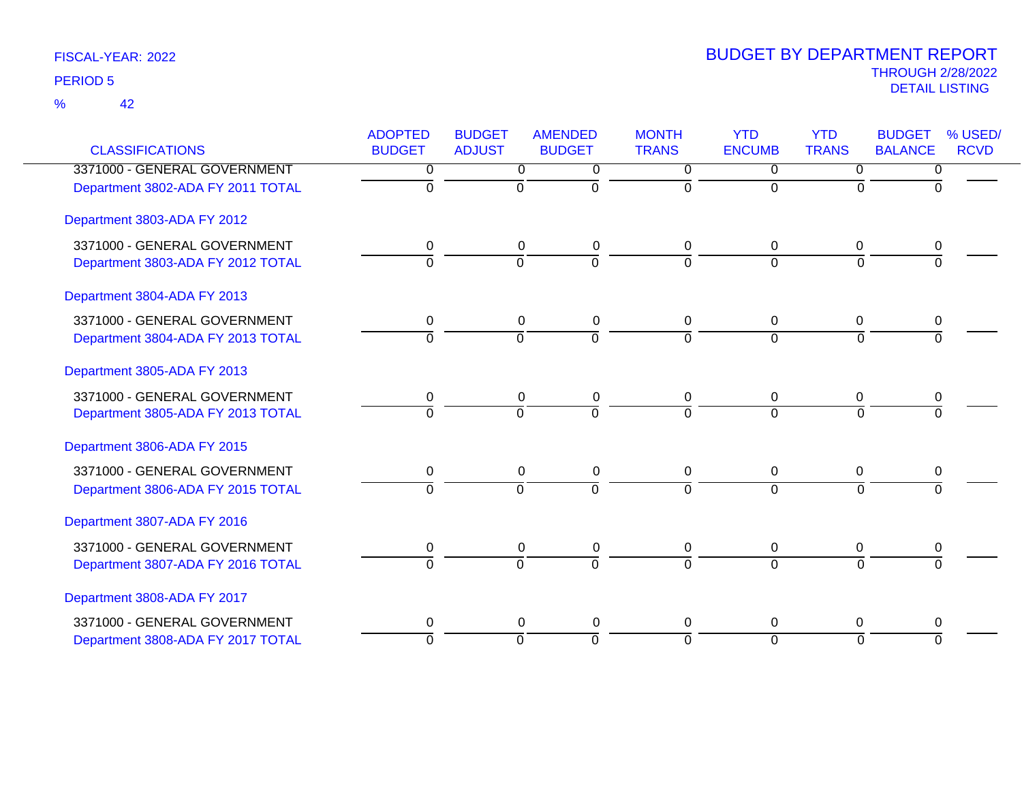| <b>CLASSIFICATIONS</b>            | <b>ADOPTED</b><br><b>BUDGET</b> | <b>BUDGET</b><br><b>ADJUST</b> | <b>AMENDED</b><br><b>BUDGET</b> | <b>MONTH</b><br><b>TRANS</b> | <b>YTD</b><br><b>ENCUMB</b> | <b>YTD</b><br><b>TRANS</b> | <b>BUDGET</b><br><b>BALANCE</b> | % USED/<br><b>RCVD</b> |
|-----------------------------------|---------------------------------|--------------------------------|---------------------------------|------------------------------|-----------------------------|----------------------------|---------------------------------|------------------------|
| 3371000 - GENERAL GOVERNMENT      | 0                               | $\overline{\mathfrak{o}}$      | 0                               | 0                            | 0                           | 0                          | 0                               |                        |
| Department 3802-ADA FY 2011 TOTAL | $\overline{0}$                  | $\overline{0}$                 | $\overline{0}$                  | $\Omega$                     | $\mathbf 0$                 | $\Omega$                   | $\Omega$                        |                        |
| Department 3803-ADA FY 2012       |                                 |                                |                                 |                              |                             |                            |                                 |                        |
| 3371000 - GENERAL GOVERNMENT      | 0                               | $\Omega$                       | $\pmb{0}$                       | 0                            | $\Omega$                    | $\Omega$                   | 0                               |                        |
| Department 3803-ADA FY 2012 TOTAL | $\overline{0}$                  | $\overline{0}$                 | $\overline{0}$                  | $\mathbf 0$                  | $\Omega$                    | $\Omega$                   | $\overline{0}$                  |                        |
| Department 3804-ADA FY 2013       |                                 |                                |                                 |                              |                             |                            |                                 |                        |
| 3371000 - GENERAL GOVERNMENT      | $\mathbf 0$                     | 0                              | $\pmb{0}$                       | 0                            | $\mathbf 0$                 | 0                          | 0                               |                        |
| Department 3804-ADA FY 2013 TOTAL | $\overline{0}$                  | 0                              | ō                               | $\Omega$                     | $\Omega$                    | $\overline{0}$             | $\overline{0}$                  |                        |
| Department 3805-ADA FY 2013       |                                 |                                |                                 |                              |                             |                            |                                 |                        |
| 3371000 - GENERAL GOVERNMENT      | 0                               | 0                              | $\pmb{0}$                       | $\mathbf 0$                  | 0                           | $\mathbf 0$                | 0                               |                        |
| Department 3805-ADA FY 2013 TOTAL | $\Omega$                        | $\mathbf 0$                    | $\overline{0}$                  | $\Omega$                     | $\Omega$                    | $\Omega$                   | $\Omega$                        |                        |
| Department 3806-ADA FY 2015       |                                 |                                |                                 |                              |                             |                            |                                 |                        |
| 3371000 - GENERAL GOVERNMENT      | 0                               | $\mathbf 0$                    | $\pmb{0}$                       | $\mathbf 0$                  | 0                           | 0                          | 0                               |                        |
| Department 3806-ADA FY 2015 TOTAL | $\Omega$                        | $\overline{0}$                 | $\overline{0}$                  | $\Omega$                     | $\Omega$                    | $\overline{0}$             | $\overline{0}$                  |                        |
| Department 3807-ADA FY 2016       |                                 |                                |                                 |                              |                             |                            |                                 |                        |
| 3371000 - GENERAL GOVERNMENT      | 0                               | 0                              | 0                               | $\mathbf 0$                  | 0                           | 0                          | 0                               |                        |
| Department 3807-ADA FY 2016 TOTAL | $\Omega$                        | $\Omega$                       | $\overline{0}$                  | $\Omega$                     | $\Omega$                    | $\Omega$                   | $\Omega$                        |                        |
| Department 3808-ADA FY 2017       |                                 |                                |                                 |                              |                             |                            |                                 |                        |
| 3371000 - GENERAL GOVERNMENT      | 0                               | 0                              | $\pmb{0}$                       | 0                            | 0                           | 0                          | 0                               |                        |
| Department 3808-ADA FY 2017 TOTAL | $\overline{0}$                  | $\overline{0}$                 | $\overline{0}$                  | $\mathbf 0$                  | $\overline{0}$              | $\overline{0}$             | ō                               |                        |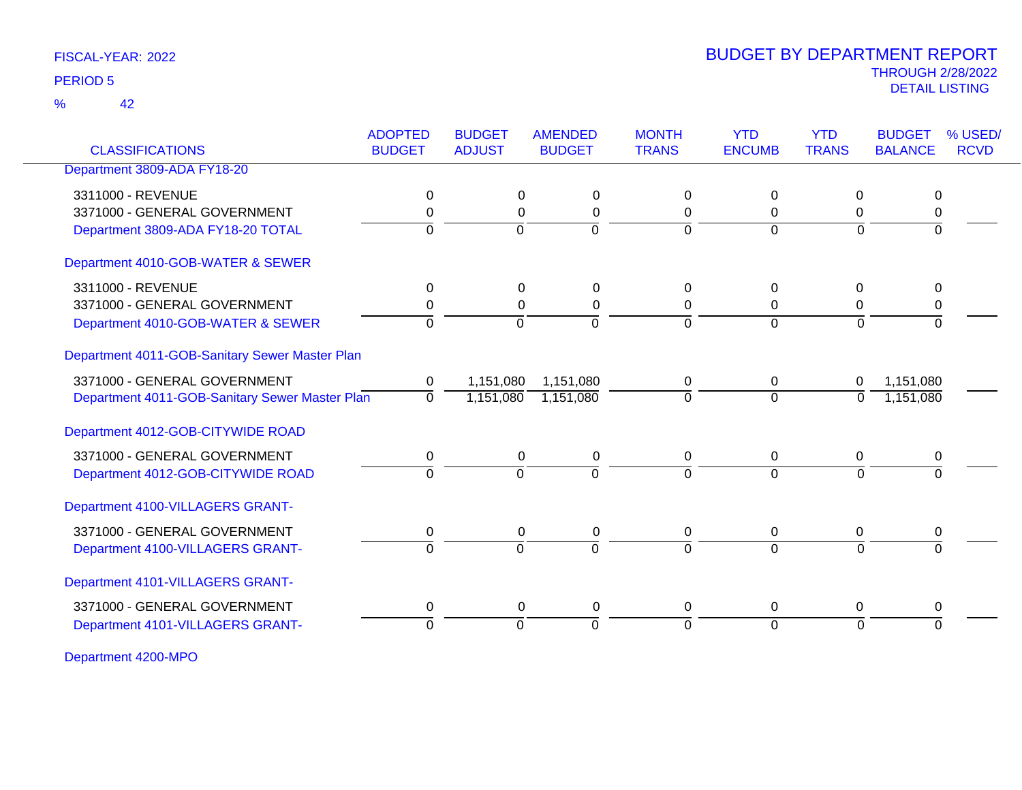42 %

### THROUGH 2/28/2022<br>DETAIL LISTING DETAIL LISTING PERIOD <sup>5</sup> BUDGET BY DEPARTMENT REPORT

| <b>CLASSIFICATIONS</b>                         | <b>ADOPTED</b><br><b>BUDGET</b> | <b>BUDGET</b><br><b>ADJUST</b> | <b>AMENDED</b><br><b>BUDGET</b> | <b>MONTH</b><br><b>TRANS</b> | <b>YTD</b><br><b>ENCUMB</b> | <b>YTD</b><br><b>TRANS</b> | <b>BUDGET</b><br><b>BALANCE</b> | % USED/<br><b>RCVD</b> |
|------------------------------------------------|---------------------------------|--------------------------------|---------------------------------|------------------------------|-----------------------------|----------------------------|---------------------------------|------------------------|
| Department 3809-ADA FY18-20                    |                                 |                                |                                 |                              |                             |                            |                                 |                        |
| 3311000 - REVENUE                              | 0                               | $\Omega$                       | 0                               | 0                            | $\Omega$                    | $\Omega$                   | $\Omega$                        |                        |
| 3371000 - GENERAL GOVERNMENT                   | 0                               | $\Omega$                       | 0                               | 0                            | $\Omega$                    | $\Omega$                   | 0                               |                        |
| Department 3809-ADA FY18-20 TOTAL              | $\Omega$                        | $\Omega$                       | $\Omega$                        | $\Omega$                     | $\Omega$                    | $\Omega$                   | $\Omega$                        |                        |
| Department 4010-GOB-WATER & SEWER              |                                 |                                |                                 |                              |                             |                            |                                 |                        |
| 3311000 - REVENUE                              | $\mathbf{0}$                    | $\Omega$                       | $\Omega$                        | 0                            | 0                           | $\Omega$                   | $\Omega$                        |                        |
| 3371000 - GENERAL GOVERNMENT                   | 0                               | $\Omega$                       | 0                               | 0                            | 0                           | 0                          | 0                               |                        |
| Department 4010-GOB-WATER & SEWER              | $\Omega$                        | $\Omega$                       | $\Omega$                        | $\Omega$                     | $\Omega$                    | $\Omega$                   | $\Omega$                        |                        |
| Department 4011-GOB-Sanitary Sewer Master Plan |                                 |                                |                                 |                              |                             |                            |                                 |                        |
| 3371000 - GENERAL GOVERNMENT                   | 0                               | 1,151,080                      | 1,151,080                       | 0                            | 0                           | 0                          | 1,151,080                       |                        |
| Department 4011-GOB-Sanitary Sewer Master Plan | $\mathbf{0}$                    | 1,151,080                      | 1,151,080                       | 0                            | $\overline{0}$              | 0                          | 1,151,080                       |                        |
| Department 4012-GOB-CITYWIDE ROAD              |                                 |                                |                                 |                              |                             |                            |                                 |                        |
| 3371000 - GENERAL GOVERNMENT                   | $\mathbf 0$                     | $\mathbf 0$                    | $\pmb{0}$                       | 0                            | 0                           | 0                          | $\pmb{0}$                       |                        |
| Department 4012-GOB-CITYWIDE ROAD              | $\Omega$                        | $\Omega$                       | $\mathbf 0$                     | 0                            | $\Omega$                    | $\Omega$                   | $\Omega$                        |                        |
| Department 4100-VILLAGERS GRANT-               |                                 |                                |                                 |                              |                             |                            |                                 |                        |
| 3371000 - GENERAL GOVERNMENT                   | 0                               | $\mathbf 0$                    | $\pmb{0}$                       | 0                            | 0                           | 0                          | 0                               |                        |
| Department 4100-VILLAGERS GRANT-               | $\Omega$                        | $\Omega$                       | $\Omega$                        | $\Omega$                     | $\Omega$                    | $\Omega$                   | $\Omega$                        |                        |
| Department 4101-VILLAGERS GRANT-               |                                 |                                |                                 |                              |                             |                            |                                 |                        |
| 3371000 - GENERAL GOVERNMENT                   | 0                               | $\Omega$                       | 0                               | 0                            | 0                           | $\Omega$                   | 0                               |                        |
| Department 4101-VILLAGERS GRANT-               | $\Omega$                        | $\mathbf 0$                    | $\Omega$                        | $\Omega$                     | $\Omega$                    | $\Omega$                   | $\Omega$                        |                        |

Department 4200-MPO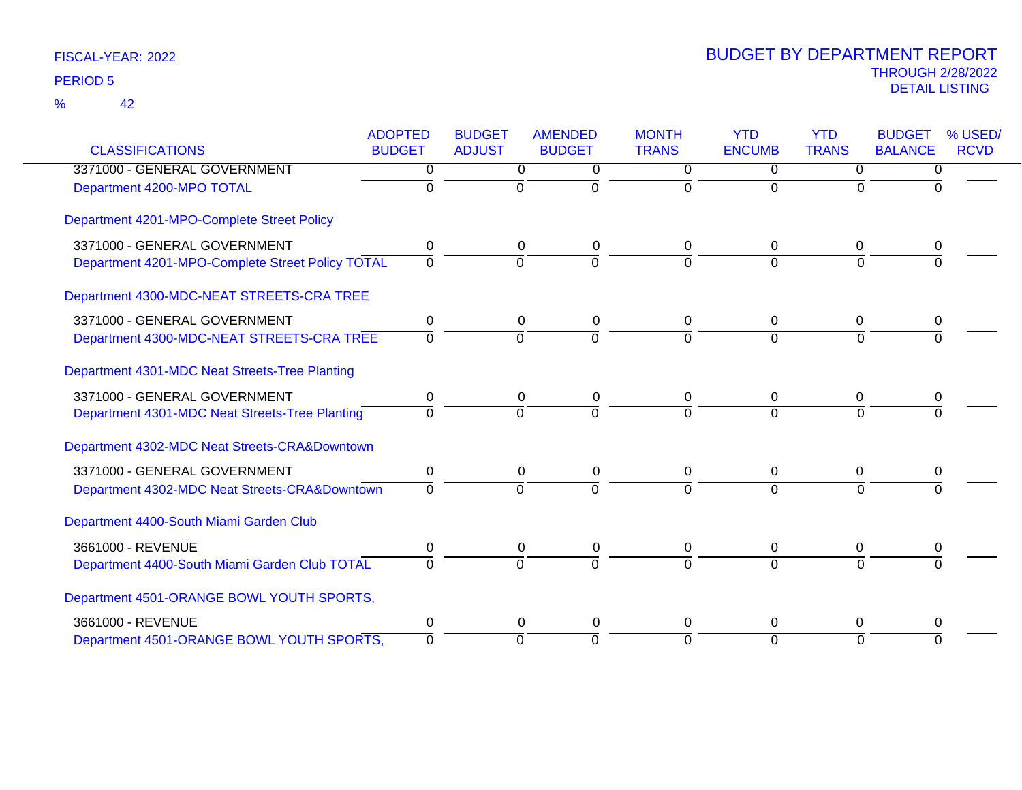42 %

| <b>CLASSIFICATIONS</b>                           | <b>ADOPTED</b><br><b>BUDGET</b> | <b>BUDGET</b><br><b>ADJUST</b> | <b>AMENDED</b><br><b>BUDGET</b> | <b>MONTH</b><br><b>TRANS</b> | <b>YTD</b><br><b>ENCUMB</b> | <b>YTD</b><br><b>TRANS</b> | <b>BUDGET</b><br><b>BALANCE</b> | % USED/<br><b>RCVD</b> |
|--------------------------------------------------|---------------------------------|--------------------------------|---------------------------------|------------------------------|-----------------------------|----------------------------|---------------------------------|------------------------|
| 3371000 - GENERAL GOVERNMENT                     | $\overline{0}$                  | $\mathbf 0$                    | 0                               | $\overline{0}$               | $\Omega$                    | $\Omega$                   | 0                               |                        |
| Department 4200-MPO TOTAL                        | $\mathbf 0$                     | $\mathbf 0$                    | $\mathbf 0$                     | $\mathbf 0$                  | $\Omega$                    | $\Omega$                   | U                               |                        |
| Department 4201-MPO-Complete Street Policy       |                                 |                                |                                 |                              |                             |                            |                                 |                        |
| 3371000 - GENERAL GOVERNMENT                     | 0                               | 0                              | 0                               | $\Omega$                     | $\Omega$                    | 0                          | 0                               |                        |
| Department 4201-MPO-Complete Street Policy TOTAL | $\overline{0}$                  | $\overline{0}$                 | $\mathbf 0$                     | $\Omega$                     | $\Omega$                    | $\Omega$                   | $\Omega$                        |                        |
| Department 4300-MDC-NEAT STREETS-CRA TREE        |                                 |                                |                                 |                              |                             |                            |                                 |                        |
| 3371000 - GENERAL GOVERNMENT                     | 0                               | 0                              | 0                               | 0                            | 0                           | 0                          | 0                               |                        |
| Department 4300-MDC-NEAT STREETS-CRA TREE        | $\Omega$                        | $\Omega$                       | $\overline{0}$                  | $\Omega$                     | $\Omega$                    | $\Omega$                   | $\Omega$                        |                        |
| Department 4301-MDC Neat Streets-Tree Planting   |                                 |                                |                                 |                              |                             |                            |                                 |                        |
| 3371000 - GENERAL GOVERNMENT                     | 0                               | 0                              | 0                               | $\mathbf{0}$                 | 0                           | 0                          | 0                               |                        |
| Department 4301-MDC Neat Streets-Tree Planting   | $\overline{0}$                  | $\overline{0}$                 | $\overline{0}$                  | $\Omega$                     | $\overline{0}$              | $\Omega$                   |                                 |                        |
| Department 4302-MDC Neat Streets-CRA&Downtown    |                                 |                                |                                 |                              |                             |                            |                                 |                        |
| 3371000 - GENERAL GOVERNMENT                     | 0                               | $\mathbf 0$                    | $\pmb{0}$                       | 0                            | 0                           | $\mathbf 0$                | 0                               |                        |
| Department 4302-MDC Neat Streets-CRA&Downtown    | $\Omega$                        | $\mathbf 0$                    | $\Omega$                        | $\Omega$                     | $\Omega$                    | $\Omega$                   | $\Omega$                        |                        |
| Department 4400-South Miami Garden Club          |                                 |                                |                                 |                              |                             |                            |                                 |                        |
| 3661000 - REVENUE                                | 0                               | 0                              | $\pmb{0}$                       | 0                            | $\Omega$                    | $\mathbf 0$                | 0                               |                        |
| Department 4400-South Miami Garden Club TOTAL    | $\Omega$                        | $\Omega$                       | $\Omega$                        | $\Omega$                     | $\Omega$                    | $\Omega$                   |                                 |                        |
| Department 4501-ORANGE BOWL YOUTH SPORTS,        |                                 |                                |                                 |                              |                             |                            |                                 |                        |
| 3661000 - REVENUE                                | 0                               | 0                              | 0                               | $\Omega$                     | 0                           | 0                          | 0                               |                        |
| Department 4501-ORANGE BOWL YOUTH SPORTS,        | $\Omega$                        | $\overline{0}$                 | $\Omega$                        | $\Omega$                     | $\Omega$                    | $\Omega$                   | $\Omega$                        |                        |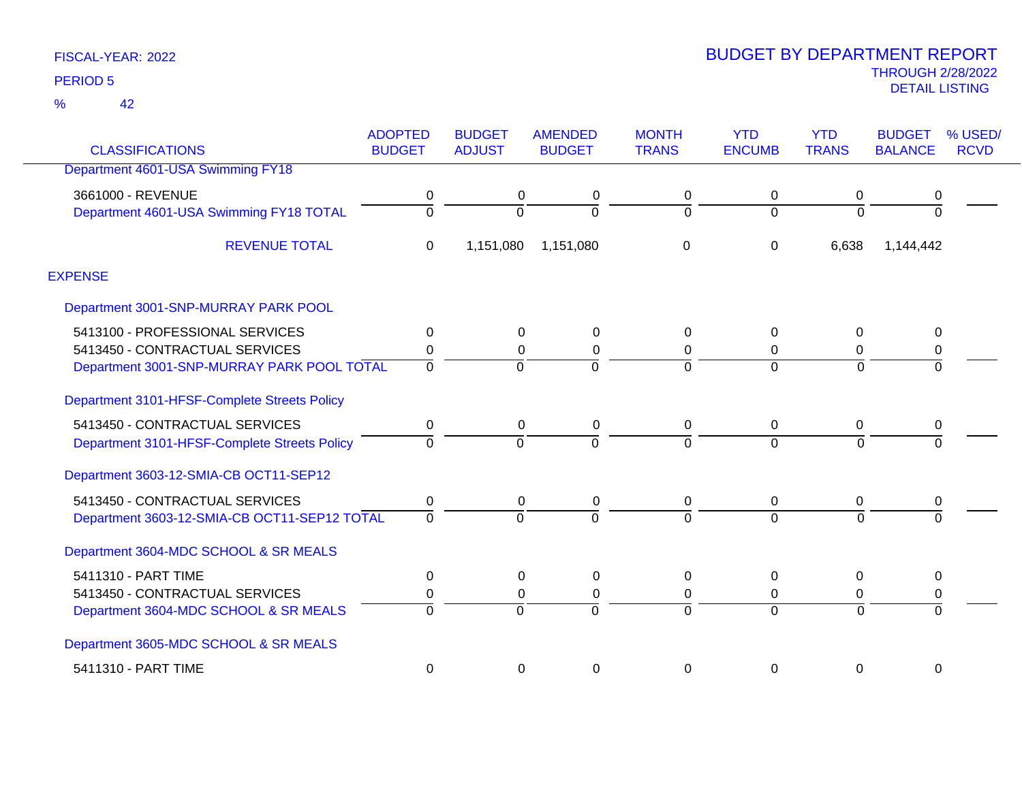42 %

|                                              | <b>ADOPTED</b> | <b>BUDGET</b>  | <b>AMENDED</b> | <b>MONTH</b>   | <b>YTD</b>    | <b>YTD</b>     | <b>BUDGET</b>  | % USED/     |
|----------------------------------------------|----------------|----------------|----------------|----------------|---------------|----------------|----------------|-------------|
| <b>CLASSIFICATIONS</b>                       | <b>BUDGET</b>  | <b>ADJUST</b>  | <b>BUDGET</b>  | <b>TRANS</b>   | <b>ENCUMB</b> | <b>TRANS</b>   | <b>BALANCE</b> | <b>RCVD</b> |
| Department 4601-USA Swimming FY18            |                |                |                |                |               |                |                |             |
| 3661000 - REVENUE                            | 0              | 0              | 0              | 0              | 0             | 0              | 0              |             |
| Department 4601-USA Swimming FY18 TOTAL      | $\overline{0}$ | 0              | $\Omega$       | $\mathbf 0$    | $\Omega$      | $\Omega$       | $\Omega$       |             |
| <b>REVENUE TOTAL</b>                         | 0              | 1,151,080      | 1,151,080      | $\mathbf 0$    | 0             | 6,638          | 1,144,442      |             |
| <b>EXPENSE</b>                               |                |                |                |                |               |                |                |             |
| Department 3001-SNP-MURRAY PARK POOL         |                |                |                |                |               |                |                |             |
| 5413100 - PROFESSIONAL SERVICES              | 0              | $\mathbf 0$    | 0              | 0              | $\Omega$      | $\Omega$       | 0              |             |
| 5413450 - CONTRACTUAL SERVICES               | 0              | 0              | $\Omega$       | 0              | $\Omega$      | 0              | 0              |             |
| Department 3001-SNP-MURRAY PARK POOL TOTAL   | $\overline{0}$ | $\overline{0}$ | $\Omega$       | $\overline{0}$ | $\Omega$      | $\Omega$       | $\overline{0}$ |             |
| Department 3101-HFSF-Complete Streets Policy |                |                |                |                |               |                |                |             |
| 5413450 - CONTRACTUAL SERVICES               | 0              | $\mathbf 0$    | 0              | $\mathbf 0$    | 0             | 0              | 0              |             |
| Department 3101-HFSF-Complete Streets Policy | $\Omega$       | $\Omega$       | $\Omega$       | $\Omega$       | $\Omega$      | $\Omega$       | $\Omega$       |             |
| Department 3603-12-SMIA-CB OCT11-SEP12       |                |                |                |                |               |                |                |             |
| 5413450 - CONTRACTUAL SERVICES               | 0              | $\mathbf 0$    | 0              | $\pmb{0}$      | 0             | 0              | $\pmb{0}$      |             |
| Department 3603-12-SMIA-CB OCT11-SEP12 TOTAL | $\Omega$       | $\Omega$       | $\Omega$       | $\Omega$       | $\Omega$      | $\Omega$       | $\Omega$       |             |
| Department 3604-MDC SCHOOL & SR MEALS        |                |                |                |                |               |                |                |             |
| 5411310 - PART TIME                          | 0              | $\mathbf 0$    | 0              | $\mathbf 0$    | $\Omega$      | $\Omega$       | $\mathbf 0$    |             |
| 5413450 - CONTRACTUAL SERVICES               | 0              | 0              | 0              | 0              | 0             | 0              | 0              |             |
| Department 3604-MDC SCHOOL & SR MEALS        | $\overline{0}$ | $\overline{0}$ | $\Omega$       | $\overline{0}$ | $\Omega$      | $\overline{0}$ | $\Omega$       |             |
| Department 3605-MDC SCHOOL & SR MEALS        |                |                |                |                |               |                |                |             |
| 5411310 - PART TIME                          | 0              | 0              | 0              | 0              | 0             | 0              | 0              |             |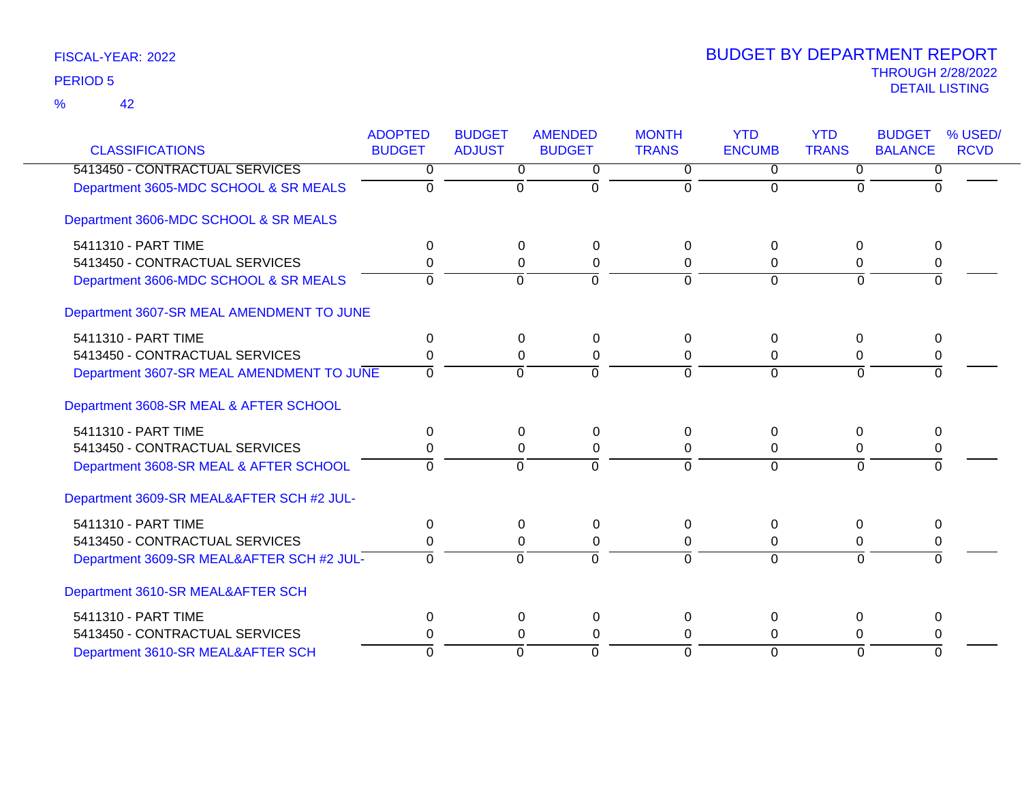42 %

| <b>CLASSIFICATIONS</b>                    | <b>ADOPTED</b><br><b>BUDGET</b> | <b>BUDGET</b><br><b>ADJUST</b> | <b>AMENDED</b><br><b>BUDGET</b> | <b>MONTH</b><br><b>TRANS</b> | <b>YTD</b><br><b>ENCUMB</b> | <b>YTD</b><br><b>TRANS</b> | <b>BUDGET</b><br>% USED/<br><b>RCVD</b><br><b>BALANCE</b> |
|-------------------------------------------|---------------------------------|--------------------------------|---------------------------------|------------------------------|-----------------------------|----------------------------|-----------------------------------------------------------|
| 5413450 - CONTRACTUAL SERVICES            | 0                               | $\overline{0}$                 | $\overline{0}$                  | $\overline{0}$               | $\overline{0}$              | $\overline{0}$             | 0                                                         |
| Department 3605-MDC SCHOOL & SR MEALS     | $\Omega$                        | $\mathbf 0$                    | $\Omega$                        | $\Omega$                     | $\Omega$                    | $\Omega$                   | O                                                         |
| Department 3606-MDC SCHOOL & SR MEALS     |                                 |                                |                                 |                              |                             |                            |                                                           |
| 5411310 - PART TIME                       | $\Omega$                        | $\Omega$                       | 0                               | $\Omega$                     | $\Omega$                    | $\Omega$                   | $\Omega$                                                  |
| 5413450 - CONTRACTUAL SERVICES            | 0                               | $\Omega$                       | 0                               | $\Omega$                     | 0                           | 0                          | 0                                                         |
| Department 3606-MDC SCHOOL & SR MEALS     | $\Omega$                        | $\overline{0}$                 | $\overline{0}$                  | $\mathbf 0$                  | $\Omega$                    | $\Omega$                   | $\Omega$                                                  |
| Department 3607-SR MEAL AMENDMENT TO JUNE |                                 |                                |                                 |                              |                             |                            |                                                           |
| 5411310 - PART TIME                       | 0                               | $\Omega$                       | 0                               | $\Omega$                     | $\Omega$                    | $\Omega$                   | $\Omega$                                                  |
| 5413450 - CONTRACTUAL SERVICES            | $\Omega$                        | $\Omega$                       | 0                               | $\Omega$                     | 0                           | 0                          | 0                                                         |
| Department 3607-SR MEAL AMENDMENT TO JUNE | $\Omega$                        | $\mathbf 0$                    | $\Omega$                        | $\Omega$                     | $\Omega$                    | $\Omega$                   | $\Omega$                                                  |
| Department 3608-SR MEAL & AFTER SCHOOL    |                                 |                                |                                 |                              |                             |                            |                                                           |
| 5411310 - PART TIME                       | $\Omega$                        | $\Omega$                       | 0                               | $\Omega$                     | $\Omega$                    | $\Omega$                   | $\Omega$                                                  |
| 5413450 - CONTRACTUAL SERVICES            | 0                               | 0                              | 0                               | 0                            | 0                           | 0                          | 0                                                         |
| Department 3608-SR MEAL & AFTER SCHOOL    | $\Omega$                        | $\overline{0}$                 | 0                               | $\Omega$                     | $\overline{0}$              | $\Omega$                   | $\mathbf 0$                                               |
| Department 3609-SR MEAL&AFTER SCH #2 JUL- |                                 |                                |                                 |                              |                             |                            |                                                           |
| 5411310 - PART TIME                       | 0                               | 0                              | 0                               | $\Omega$                     | $\Omega$                    | 0                          | $\Omega$                                                  |
| 5413450 - CONTRACTUAL SERVICES            | 0                               | 0                              | 0                               | 0                            | 0                           | 0                          | 0                                                         |
| Department 3609-SR MEAL&AFTER SCH #2 JUL- | $\Omega$                        | $\overline{0}$                 | $\overline{0}$                  | $\Omega$                     | $\overline{0}$              | $\overline{0}$             | $\overline{0}$                                            |
| Department 3610-SR MEAL&AFTER SCH         |                                 |                                |                                 |                              |                             |                            |                                                           |
| 5411310 - PART TIME                       | 0                               | $\mathbf 0$                    | 0                               | 0                            | $\Omega$                    | 0                          | $\Omega$                                                  |
| 5413450 - CONTRACTUAL SERVICES            | 0                               | $\Omega$                       | 0                               | $\Omega$                     | $\Omega$                    | $\Omega$                   | 0                                                         |
| Department 3610-SR MEAL&AFTER SCH         | $\Omega$                        | $\mathbf 0$                    | $\Omega$                        | $\Omega$                     | $\Omega$                    | $\Omega$                   | $\Omega$                                                  |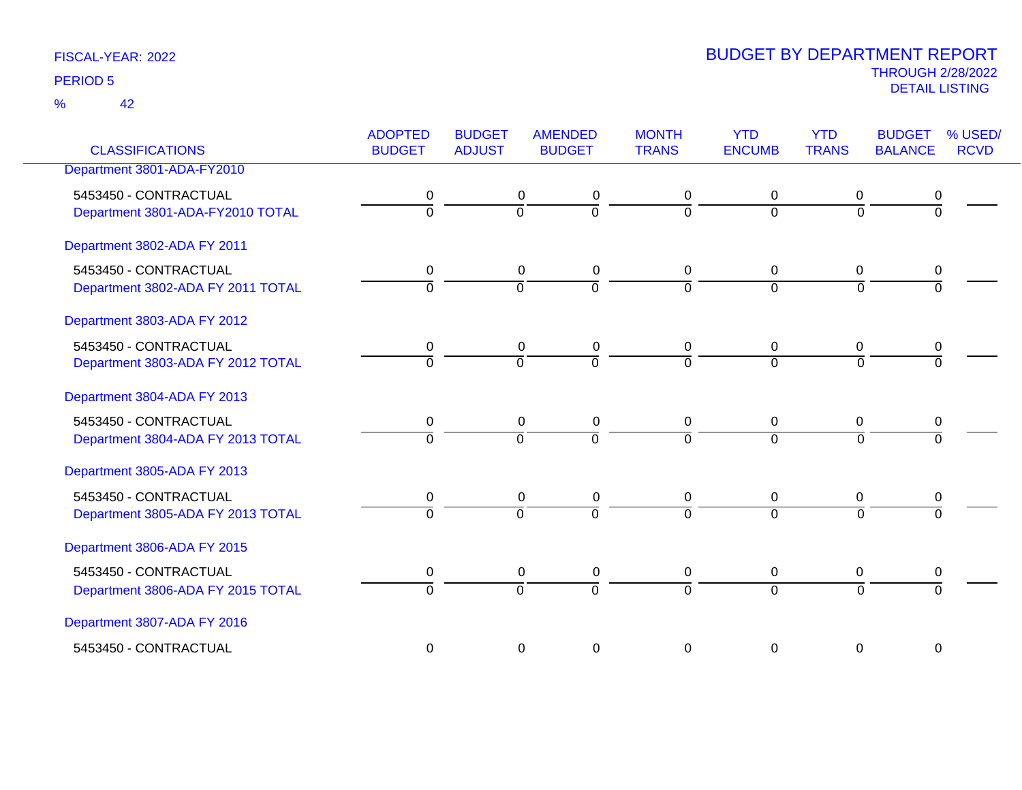42 %

| <b>CLASSIFICATIONS</b>            | <b>ADOPTED</b><br><b>BUDGET</b> | <b>BUDGET</b><br><b>ADJUST</b> | <b>AMENDED</b><br><b>BUDGET</b>  | <b>MONTH</b><br><b>TRANS</b> | <b>YTD</b><br><b>ENCUMB</b> | <b>YTD</b><br><b>TRANS</b> | <b>BUDGET</b><br><b>BALANCE</b> | % USED/<br><b>RCVD</b> |
|-----------------------------------|---------------------------------|--------------------------------|----------------------------------|------------------------------|-----------------------------|----------------------------|---------------------------------|------------------------|
| Department 3801-ADA-FY2010        |                                 |                                |                                  |                              |                             |                            |                                 |                        |
|                                   |                                 |                                |                                  |                              |                             |                            |                                 |                        |
| 5453450 - CONTRACTUAL             | 0                               |                                | 0<br>0<br>$\overline{0}$         | 0                            | 0                           | 0                          | 0                               |                        |
| Department 3801-ADA-FY2010 TOTAL  | $\Omega$                        |                                | $\overline{0}$                   | $\mathbf 0$                  | $\Omega$                    | $\overline{0}$             | $\Omega$                        |                        |
| Department 3802-ADA FY 2011       |                                 |                                |                                  |                              |                             |                            |                                 |                        |
| 5453450 - CONTRACTUAL             | 0                               |                                | $\mathbf 0$<br>0                 | 0                            | $\mathbf 0$                 | $\mathbf 0$                | $\mathbf 0$                     |                        |
| Department 3802-ADA FY 2011 TOTAL | $\overline{0}$                  |                                | $\overline{0}$<br>$\overline{0}$ | $\Omega$                     | $\overline{0}$              | $\overline{0}$             | $\overline{0}$                  |                        |
| Department 3803-ADA FY 2012       |                                 |                                |                                  |                              |                             |                            |                                 |                        |
| 5453450 - CONTRACTUAL             | 0                               |                                | $\mathbf 0$<br>0                 | $\mathbf 0$                  | $\overline{0}$              | $\mathbf 0$                | 0                               |                        |
| Department 3803-ADA FY 2012 TOTAL | $\Omega$                        |                                | $\overline{0}$<br>$\mathbf 0$    | $\Omega$                     | $\Omega$                    | $\Omega$                   | $\Omega$                        |                        |
| Department 3804-ADA FY 2013       |                                 |                                |                                  |                              |                             |                            |                                 |                        |
| 5453450 - CONTRACTUAL             | $\pmb{0}$                       |                                | $\mathbf 0$<br>0                 | $\mathbf 0$                  | 0                           | 0                          | 0                               |                        |
| Department 3804-ADA FY 2013 TOTAL | $\overline{0}$                  |                                | 0<br>$\overline{0}$              | $\Omega$                     | $\Omega$                    | $\overline{0}$             | $\Omega$                        |                        |
| Department 3805-ADA FY 2013       |                                 |                                |                                  |                              |                             |                            |                                 |                        |
| 5453450 - CONTRACTUAL             | 0                               |                                | $\mathbf 0$<br>0                 | 0                            | $\overline{0}$              | 0                          | 0                               |                        |
| Department 3805-ADA FY 2013 TOTAL | $\overline{0}$                  |                                | $\overline{0}$<br>$\overline{0}$ | $\overline{0}$               | $\Omega$                    | $\Omega$                   | $\overline{0}$                  |                        |
| Department 3806-ADA FY 2015       |                                 |                                |                                  |                              |                             |                            |                                 |                        |
| 5453450 - CONTRACTUAL             | 0                               |                                | $\mathbf 0$<br>0                 | 0                            | $\overline{0}$              | $\mathbf 0$                | 0                               |                        |
| Department 3806-ADA FY 2015 TOTAL | $\overline{0}$                  |                                | $\overline{0}$<br>$\overline{0}$ | $\overline{0}$               | $\overline{0}$              | $\overline{0}$             | $\overline{0}$                  |                        |
| Department 3807-ADA FY 2016       |                                 |                                |                                  |                              |                             |                            |                                 |                        |
| 5453450 - CONTRACTUAL             | $\mathbf 0$                     |                                | $\boldsymbol{0}$<br>0            | 0                            | 0                           | 0                          | $\mathbf 0$                     |                        |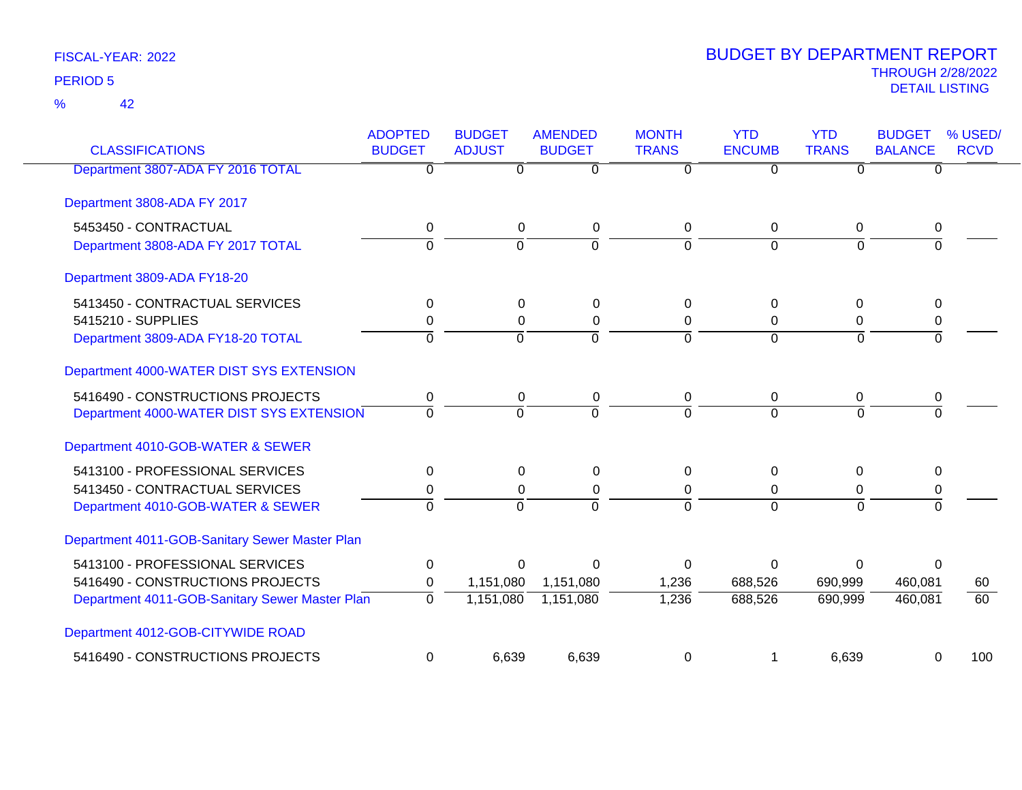42 %

| <b>CLASSIFICATIONS</b>                         | <b>ADOPTED</b><br><b>BUDGET</b> | <b>BUDGET</b><br><b>ADJUST</b> | <b>AMENDED</b><br><b>BUDGET</b> | <b>MONTH</b><br><b>TRANS</b> | <b>YTD</b><br><b>ENCUMB</b> | <b>YTD</b><br><b>TRANS</b> | <b>BUDGET</b><br><b>BALANCE</b> | % USED/<br><b>RCVD</b> |
|------------------------------------------------|---------------------------------|--------------------------------|---------------------------------|------------------------------|-----------------------------|----------------------------|---------------------------------|------------------------|
| Department 3807-ADA FY 2016 TOTAL              | 0                               | 0                              | $\overline{0}$                  | 0                            | $\Omega$                    | 0                          | $\Omega$                        |                        |
| Department 3808-ADA FY 2017                    |                                 |                                |                                 |                              |                             |                            |                                 |                        |
| 5453450 - CONTRACTUAL                          | 0                               | 0                              | 0                               | 0                            | 0                           | 0                          | 0                               |                        |
| Department 3808-ADA FY 2017 TOTAL              | $\overline{0}$                  | 0                              | ō                               | $\Omega$                     | $\overline{0}$              | $\overline{0}$             | 0                               |                        |
| Department 3809-ADA FY18-20                    |                                 |                                |                                 |                              |                             |                            |                                 |                        |
| 5413450 - CONTRACTUAL SERVICES                 | 0                               | 0                              | 0                               | 0                            | $\Omega$                    | $\Omega$                   | 0                               |                        |
| 5415210 - SUPPLIES                             | 0                               | $\Omega$                       | 0                               | 0                            | $\Omega$                    | 0                          | 0                               |                        |
| Department 3809-ADA FY18-20 TOTAL              | $\Omega$                        | $\overline{0}$                 | $\overline{0}$                  | $\Omega$                     | $\Omega$                    | $\overline{0}$             | $\Omega$                        |                        |
| Department 4000-WATER DIST SYS EXTENSION       |                                 |                                |                                 |                              |                             |                            |                                 |                        |
| 5416490 - CONSTRUCTIONS PROJECTS               | 0                               | 0                              | 0                               | 0                            | 0                           | $\Omega$                   | 0                               |                        |
| Department 4000-WATER DIST SYS EXTENSION       | $\mathbf 0$                     | $\overline{0}$                 | $\Omega$                        | $\Omega$                     | $\Omega$                    | $\Omega$                   | $\Omega$                        |                        |
| Department 4010-GOB-WATER & SEWER              |                                 |                                |                                 |                              |                             |                            |                                 |                        |
| 5413100 - PROFESSIONAL SERVICES                | 0                               | $\Omega$                       | 0                               | 0                            | $\Omega$                    | $\Omega$                   | 0                               |                        |
| 5413450 - CONTRACTUAL SERVICES                 | 0                               | $\Omega$                       | $\Omega$                        | 0                            | $\Omega$                    | 0                          | 0                               |                        |
| Department 4010-GOB-WATER & SEWER              | $\Omega$                        | $\Omega$                       | $\Omega$                        | $\Omega$                     | $\Omega$                    | $\Omega$                   | $\Omega$                        |                        |
| Department 4011-GOB-Sanitary Sewer Master Plan |                                 |                                |                                 |                              |                             |                            |                                 |                        |
| 5413100 - PROFESSIONAL SERVICES                | 0                               | $\Omega$                       | $\Omega$                        | $\Omega$                     | $\Omega$                    | $\Omega$                   | $\Omega$                        |                        |
| 5416490 - CONSTRUCTIONS PROJECTS               | 0                               | 1,151,080                      | 1,151,080                       | 1,236                        | 688,526                     | 690,999                    | 460,081                         | 60                     |
| Department 4011-GOB-Sanitary Sewer Master Plan | $\mathbf 0$                     | 1,151,080                      | 1,151,080                       | 1,236                        | 688,526                     | 690,999                    | 460,081                         | 60                     |
| Department 4012-GOB-CITYWIDE ROAD              |                                 |                                |                                 |                              |                             |                            |                                 |                        |
| 5416490 - CONSTRUCTIONS PROJECTS               | 0                               | 6,639                          | 6,639                           | $\Omega$                     |                             | 6,639                      | 0                               | 100                    |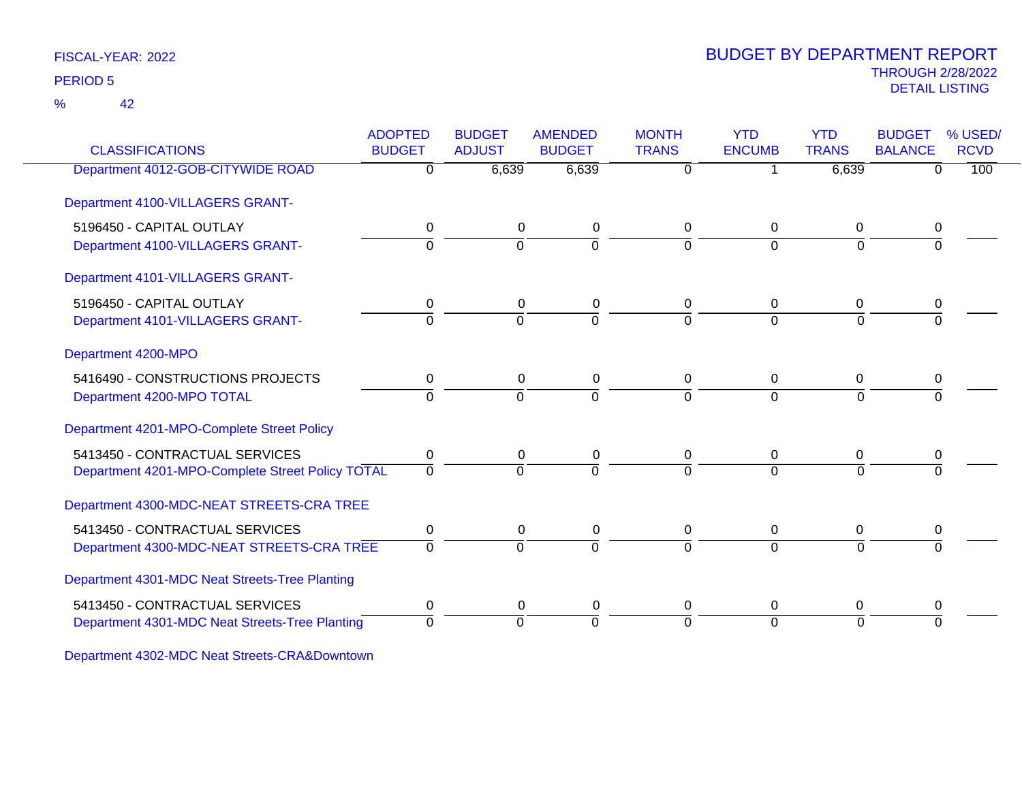42 %

### THROUGH 2/28/2022<br>DETAIL LISTING DETAIL LISTING PERIOD <sup>5</sup> BUDGET BY DEPARTMENT REPORT

| <b>CLASSIFICATIONS</b>                           | <b>BUDGET</b> | <b>ADJUST</b>  | <b>BUDGET</b>  | <b>TRANS</b> | <b>ENCUMB</b>  | <b>TRANS</b> | <b>BALANCE</b> | % USED/<br><b>RCVD</b> |
|--------------------------------------------------|---------------|----------------|----------------|--------------|----------------|--------------|----------------|------------------------|
| Department 4012-GOB-CITYWIDE ROAD                | 0             | 6,639          | 6,639          | $\Omega$     |                | 6,639        | <sup>0</sup>   | 100                    |
| Department 4100-VILLAGERS GRANT-                 |               |                |                |              |                |              |                |                        |
| 5196450 - CAPITAL OUTLAY                         | 0             | 0              | 0              | 0            | 0              | 0            | 0              |                        |
| Department 4100-VILLAGERS GRANT-                 | $\Omega$      | $\Omega$       | $\Omega$       | $\Omega$     | $\Omega$       | $\Omega$     |                |                        |
| Department 4101-VILLAGERS GRANT-                 |               |                |                |              |                |              |                |                        |
| 5196450 - CAPITAL OUTLAY                         | 0             | 0              | 0              | 0            | 0              | 0            | 0              |                        |
| Department 4101-VILLAGERS GRANT-                 | $\Omega$      | $\overline{0}$ | $\overline{0}$ | $\Omega$     | $\overline{0}$ | $\Omega$     | $\Omega$       |                        |
| Department 4200-MPO                              |               |                |                |              |                |              |                |                        |
| 5416490 - CONSTRUCTIONS PROJECTS                 | 0             | 0              | 0              | 0            | 0              | 0            | 0              |                        |
| Department 4200-MPO TOTAL                        | $\Omega$      | $\Omega$       | $\Omega$       | $\Omega$     | $\Omega$       | $\Omega$     |                |                        |
| Department 4201-MPO-Complete Street Policy       |               |                |                |              |                |              |                |                        |
| 5413450 - CONTRACTUAL SERVICES                   | 0             | 0              | 0              | 0            | $\Omega$       | 0            | 0              |                        |
| Department 4201-MPO-Complete Street Policy TOTAL | $\Omega$      | $\Omega$       | $\overline{0}$ | $\Omega$     | $\Omega$       | $\Omega$     |                |                        |
| Department 4300-MDC-NEAT STREETS-CRA TREE        |               |                |                |              |                |              |                |                        |
| 5413450 - CONTRACTUAL SERVICES                   | 0             | 0              | 0              | 0            | 0              | 0            | 0              |                        |
| Department 4300-MDC-NEAT STREETS-CRA TREE        | $\Omega$      | $\Omega$       | $\Omega$       | $\Omega$     | $\Omega$       | $\Omega$     |                |                        |
| Department 4301-MDC Neat Streets-Tree Planting   |               |                |                |              |                |              |                |                        |
| 5413450 - CONTRACTUAL SERVICES                   | 0             | 0              | 0              | 0            | 0              | 0            | 0              |                        |
| Department 4301-MDC Neat Streets-Tree Planting   | $\Omega$      | $\overline{0}$ | $\overline{0}$ | $\Omega$     | $\Omega$       | $\Omega$     | $\overline{0}$ |                        |

Department 4302-MDC Neat Streets-CRA&Downtown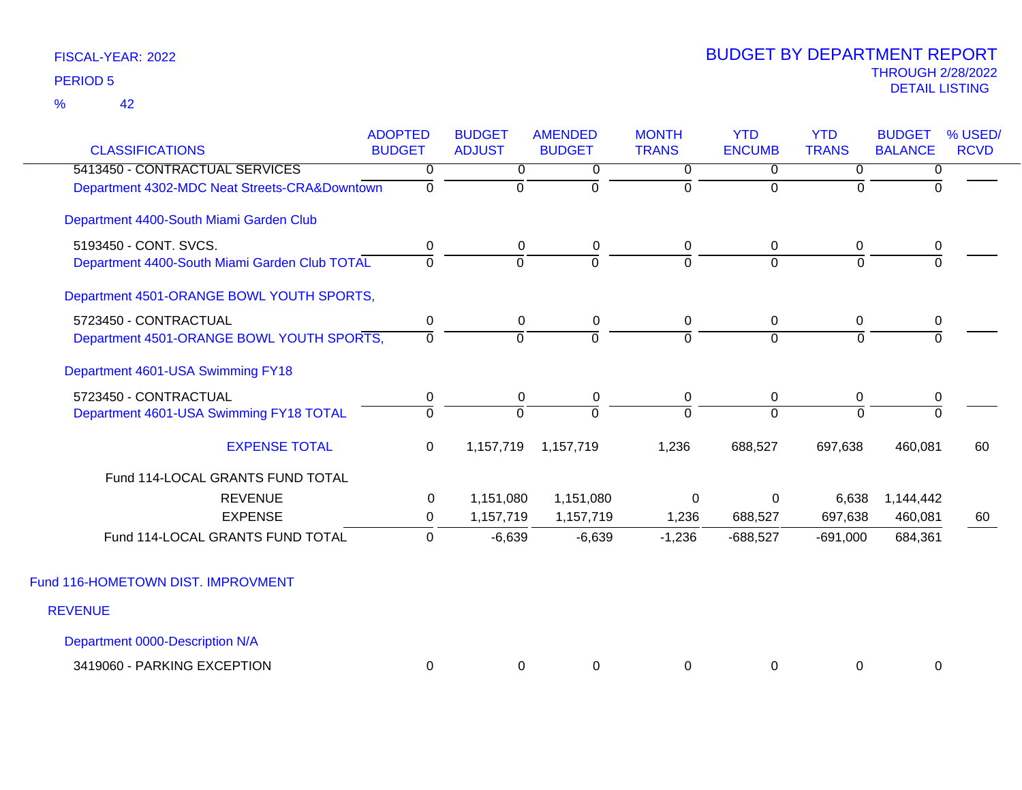|                                               | <b>ADOPTED</b> | <b>BUDGET</b>  | <b>AMENDED</b> | <b>MONTH</b>   | <b>YTD</b>     | <b>YTD</b>     | <b>BUDGET</b>  | % USED/     |
|-----------------------------------------------|----------------|----------------|----------------|----------------|----------------|----------------|----------------|-------------|
| <b>CLASSIFICATIONS</b>                        | <b>BUDGET</b>  | <b>ADJUST</b>  | <b>BUDGET</b>  | <b>TRANS</b>   | <b>ENCUMB</b>  | <b>TRANS</b>   | <b>BALANCE</b> | <b>RCVD</b> |
| 5413450 - CONTRACTUAL SERVICES                | 0              | $\overline{0}$ | 0              | 0              | $\overline{0}$ | 0              | 0              |             |
| Department 4302-MDC Neat Streets-CRA&Downtown | 0              | $\Omega$       | $\overline{0}$ | $\Omega$       | $\Omega$       | $\Omega$       | 0              |             |
| Department 4400-South Miami Garden Club       |                |                |                |                |                |                |                |             |
| 5193450 - CONT. SVCS.                         | 0              | 0              | 0              | 0              | 0              | 0              | 0              |             |
| Department 4400-South Miami Garden Club TOTAL | $\mathbf 0$    | $\mathbf 0$    | ō              | $\overline{0}$ | $\overline{0}$ | $\overline{0}$ | $\overline{0}$ |             |
| Department 4501-ORANGE BOWL YOUTH SPORTS,     |                |                |                |                |                |                |                |             |
| 5723450 - CONTRACTUAL                         | 0              | 0              | 0              | 0              | 0              | 0              | 0              |             |
| Department 4501-ORANGE BOWL YOUTH SPORTS,     | $\Omega$       | $\overline{0}$ | $\overline{0}$ | $\overline{0}$ | $\overline{0}$ | $\Omega$       | $\overline{0}$ |             |
| Department 4601-USA Swimming FY18             |                |                |                |                |                |                |                |             |
| 5723450 - CONTRACTUAL                         | $\mathbf 0$    | $\mathbf 0$    | $\pmb{0}$      | 0              | $\mathbf 0$    | 0              | $\pmb{0}$      |             |
| Department 4601-USA Swimming FY18 TOTAL       | $\Omega$       | $\Omega$       | $\overline{0}$ | $\Omega$       | $\Omega$       | $\Omega$       | $\Omega$       |             |
| <b>EXPENSE TOTAL</b>                          | $\mathbf 0$    | 1,157,719      | 1,157,719      | 1,236          | 688,527        | 697,638        | 460,081        | 60          |
| Fund 114-LOCAL GRANTS FUND TOTAL              |                |                |                |                |                |                |                |             |
| <b>REVENUE</b>                                | 0              | 1,151,080      | 1,151,080      | 0              | $\mathbf 0$    | 6,638          | 1,144,442      |             |
| <b>EXPENSE</b>                                | 0              | 1,157,719      | 1,157,719      | 1,236          | 688,527        | 697,638        | 460,081        | 60          |
| Fund 114-LOCAL GRANTS FUND TOTAL              | 0              | $-6,639$       | $-6,639$       | $-1,236$       | $-688,527$     | $-691,000$     | 684,361        |             |
| Fund 116-HOMETOWN DIST. IMPROVMENT            |                |                |                |                |                |                |                |             |
| <b>REVENUE</b>                                |                |                |                |                |                |                |                |             |
| Department 0000-Description N/A               |                |                |                |                |                |                |                |             |

| PARKING EXCEPTION<br>3419060 |  |  |  |  |
|------------------------------|--|--|--|--|
|                              |  |  |  |  |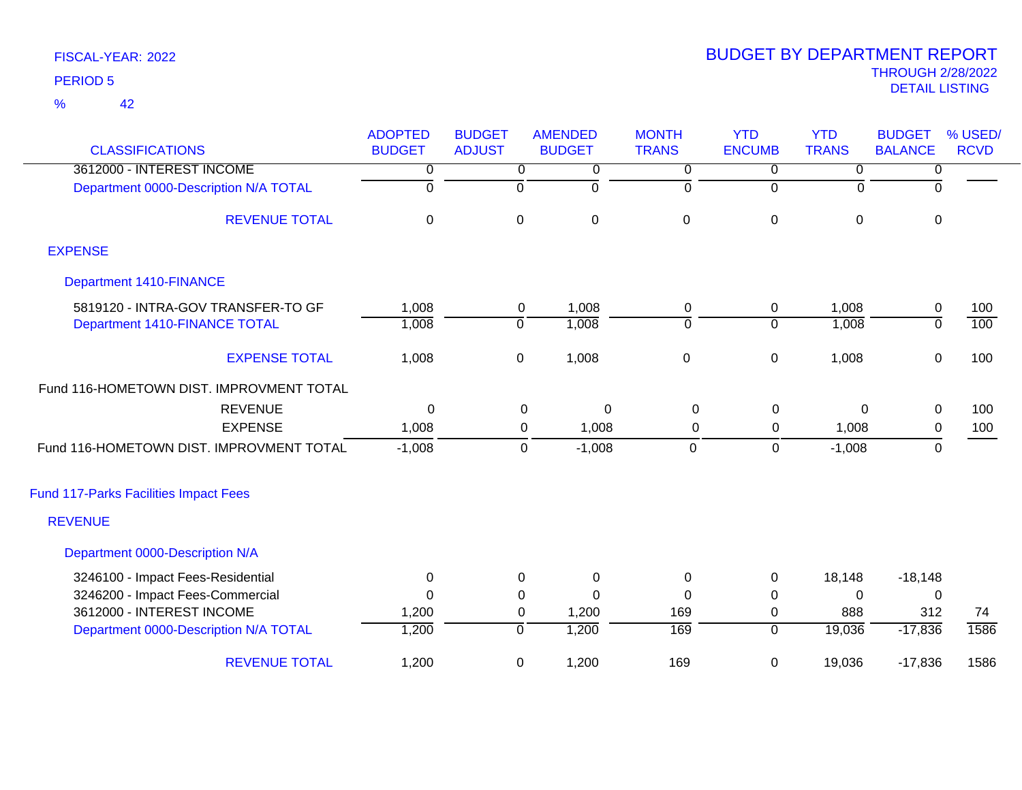42 %

| <b>CLASSIFICATIONS</b>                       | <b>ADOPTED</b><br><b>BUDGET</b> | <b>BUDGET</b><br><b>ADJUST</b> | <b>AMENDED</b><br><b>BUDGET</b> | <b>MONTH</b><br><b>TRANS</b> | <b>YTD</b><br><b>ENCUMB</b> | <b>YTD</b><br><b>TRANS</b> | <b>BUDGET</b><br><b>BALANCE</b> | % USED/<br><b>RCVD</b> |
|----------------------------------------------|---------------------------------|--------------------------------|---------------------------------|------------------------------|-----------------------------|----------------------------|---------------------------------|------------------------|
| 3612000 - INTEREST INCOME                    | $\overline{0}$                  | 0                              | $\mathbf 0$                     | 0                            | 0                           | 0                          | $\overline{0}$                  |                        |
| Department 0000-Description N/A TOTAL        | 0                               | $\overline{0}$                 | ō                               | 0                            | $\overline{0}$              | $\mathbf 0$                | $\overline{\mathfrak{o}}$       |                        |
| <b>REVENUE TOTAL</b>                         | 0                               | 0                              | $\pmb{0}$                       | $\pmb{0}$                    | $\pmb{0}$                   | $\mathbf 0$                | $\mathbf 0$                     |                        |
| <b>EXPENSE</b>                               |                                 |                                |                                 |                              |                             |                            |                                 |                        |
| <b>Department 1410-FINANCE</b>               |                                 |                                |                                 |                              |                             |                            |                                 |                        |
| 5819120 - INTRA-GOV TRANSFER-TO GF           | 1,008                           | 0                              | 1,008                           | $\pmb{0}$                    | 0                           | 1,008                      | $\overline{0}$                  | 100                    |
| Department 1410-FINANCE TOTAL                | 1,008                           | $\overline{0}$                 | 1,008                           | $\overline{0}$               | $\overline{0}$              | 1,008                      | $\overline{0}$                  | 100                    |
| <b>EXPENSE TOTAL</b>                         | 1,008                           | $\mathbf 0$                    | 1,008                           | $\boldsymbol{0}$             | $\pmb{0}$                   | 1,008                      | $\mathbf 0$                     | 100                    |
| Fund 116-HOMETOWN DIST. IMPROVMENT TOTAL     |                                 |                                |                                 |                              |                             |                            |                                 |                        |
| <b>REVENUE</b>                               | $\Omega$                        |                                | 0<br>0                          | 0                            | $\mathbf 0$                 | $\Omega$                   | $\mathbf 0$                     | 100                    |
| <b>EXPENSE</b>                               | 1,008                           |                                | 1,008<br>0                      | 0                            | 0                           | 1,008                      | $\mathbf 0$                     | 100                    |
| Fund 116-HOMETOWN DIST. IMPROVMENT TOTAL     | $-1,008$                        |                                | 0<br>$-1,008$                   | $\mathbf 0$                  | $\mathbf 0$                 | $-1,008$                   | $\mathbf 0$                     |                        |
| <b>Fund 117-Parks Facilities Impact Fees</b> |                                 |                                |                                 |                              |                             |                            |                                 |                        |
| <b>REVENUE</b>                               |                                 |                                |                                 |                              |                             |                            |                                 |                        |
| Department 0000-Description N/A              |                                 |                                |                                 |                              |                             |                            |                                 |                        |
| 3246100 - Impact Fees-Residential            | 0                               | 0                              | 0                               | 0                            | 0                           | 18,148                     | $-18,148$                       |                        |
| 3246200 - Impact Fees-Commercial             | $\Omega$                        | 0                              | $\Omega$                        | $\Omega$                     | $\pmb{0}$                   | $\Omega$                   | $\mathbf 0$                     |                        |
| 3612000 - INTEREST INCOME                    | 1,200                           | $\mathbf 0$                    | 1,200                           | 169                          | 0                           | 888                        | 312                             | 74                     |
| Department 0000-Description N/A TOTAL        | 1,200                           | $\overline{0}$                 | 1,200                           | 169                          | $\overline{0}$              | 19,036                     | $-17,836$                       | 1586                   |
| <b>REVENUE TOTAL</b>                         | 1,200                           | $\mathbf 0$                    | 1,200                           | 169                          | $\mathbf 0$                 | 19,036                     | $-17,836$                       | 1586                   |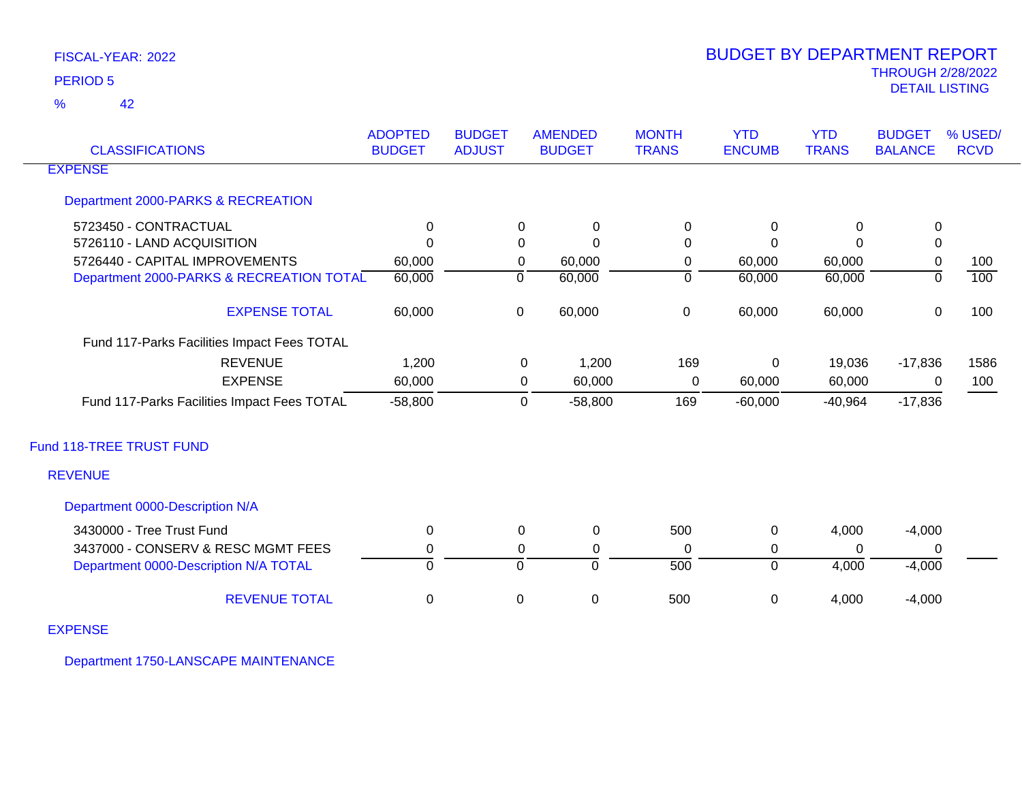42 %

| <b>CLASSIFICATIONS</b>                      | <b>ADOPTED</b><br><b>BUDGET</b> | <b>BUDGET</b><br><b>ADJUST</b> |                | <b>AMENDED</b><br><b>BUDGET</b> | <b>MONTH</b><br><b>TRANS</b> | <b>YTD</b><br><b>ENCUMB</b> | <b>YTD</b><br><b>TRANS</b> | <b>BUDGET</b><br><b>BALANCE</b> | % USED/<br><b>RCVD</b> |
|---------------------------------------------|---------------------------------|--------------------------------|----------------|---------------------------------|------------------------------|-----------------------------|----------------------------|---------------------------------|------------------------|
| <b>EXPENSE</b>                              |                                 |                                |                |                                 |                              |                             |                            |                                 |                        |
| Department 2000-PARKS & RECREATION          |                                 |                                |                |                                 |                              |                             |                            |                                 |                        |
| 5723450 - CONTRACTUAL                       | $\mathbf{0}$                    |                                | $\Omega$       | $\Omega$                        | $\Omega$                     | $\Omega$                    | 0                          | 0                               |                        |
| 5726110 - LAND ACQUISITION                  | $\Omega$                        |                                | 0              | $\Omega$                        | $\Omega$                     | $\Omega$                    | $\Omega$                   | $\pmb{0}$                       |                        |
| 5726440 - CAPITAL IMPROVEMENTS              | 60,000                          |                                | 0              | 60,000                          | 0                            | 60,000                      | 60,000                     | 0                               | 100                    |
| Department 2000-PARKS & RECREATION TOTAL    | 60,000                          |                                | $\overline{0}$ | 60,000                          | ō                            | 60,000                      | 60,000                     | $\overline{0}$                  | 100                    |
| <b>EXPENSE TOTAL</b>                        | 60,000                          |                                | $\mathbf 0$    | 60,000                          | $\mathsf 0$                  | 60,000                      | 60,000                     | $\mathsf 0$                     | 100                    |
| Fund 117-Parks Facilities Impact Fees TOTAL |                                 |                                |                |                                 |                              |                             |                            |                                 |                        |
| <b>REVENUE</b>                              | 1,200                           |                                | 0              | 1,200                           | 169                          | 0                           | 19,036                     | $-17,836$                       | 1586                   |
| <b>EXPENSE</b>                              | 60,000                          |                                | 0              | 60,000                          | 0                            | 60,000                      | 60,000                     | 0                               | 100                    |
| Fund 117-Parks Facilities Impact Fees TOTAL | $-58,800$                       |                                | 0              | $-58,800$                       | 169                          | $-60,000$                   | $-40,964$                  | $-17,836$                       |                        |
| Fund 118-TREE TRUST FUND                    |                                 |                                |                |                                 |                              |                             |                            |                                 |                        |
| <b>REVENUE</b>                              |                                 |                                |                |                                 |                              |                             |                            |                                 |                        |
| Department 0000-Description N/A             |                                 |                                |                |                                 |                              |                             |                            |                                 |                        |
| 3430000 - Tree Trust Fund                   | 0                               |                                | 0              | $\mathbf 0$                     | 500                          | 0                           | 4,000                      | $-4,000$                        |                        |
| 3437000 - CONSERV & RESC MGMT FEES          | 0                               |                                | 0              | 0                               | $\Omega$                     | 0                           | $\Omega$                   | 0                               |                        |
| Department 0000-Description N/A TOTAL       | $\Omega$                        |                                | $\Omega$       | $\overline{0}$                  | $\overline{500}$             | $\overline{0}$              | 4,000                      | $-4,000$                        |                        |
| <b>REVENUE TOTAL</b>                        | $\mathbf 0$                     |                                | 0              | $\mathsf 0$                     | 500                          | 0                           | 4,000                      | $-4,000$                        |                        |
| <b>EXPENSE</b>                              |                                 |                                |                |                                 |                              |                             |                            |                                 |                        |

Department 1750-LANSCAPE MAINTENANCE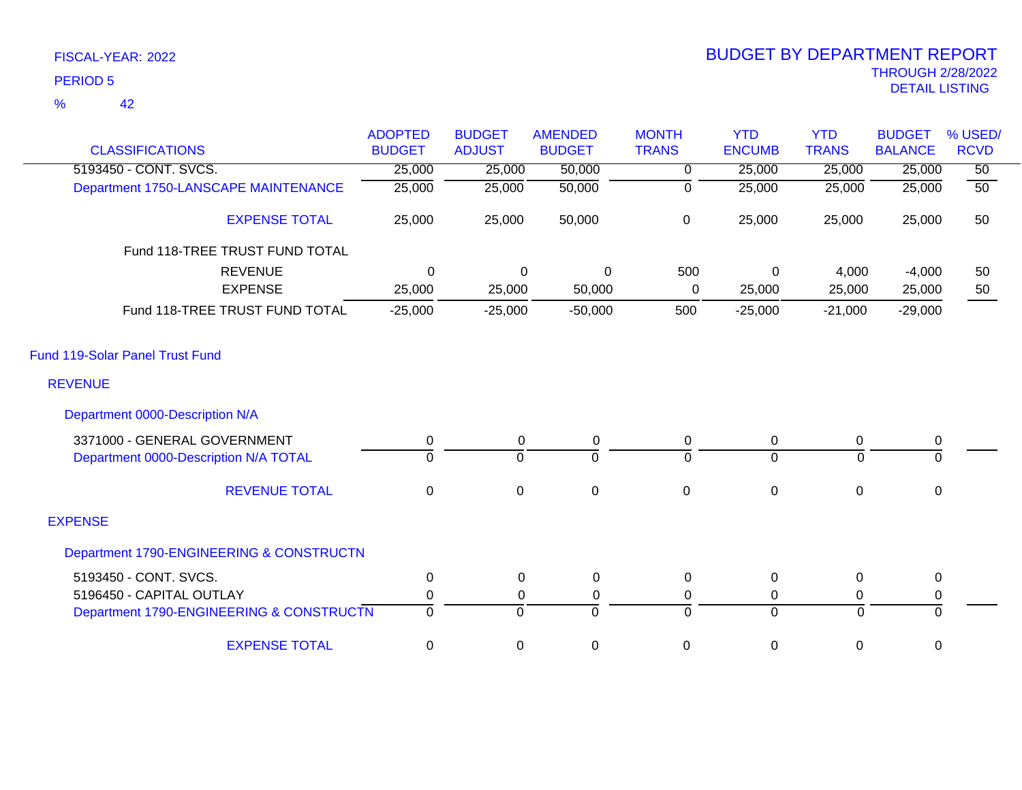| <b>CLASSIFICATIONS</b>                   | <b>ADOPTED</b><br><b>BUDGET</b> | <b>BUDGET</b><br><b>ADJUST</b> | <b>AMENDED</b><br><b>BUDGET</b> | <b>MONTH</b><br><b>TRANS</b> | <b>YTD</b><br><b>ENCUMB</b> | <b>YTD</b><br><b>TRANS</b> | <b>BUDGET</b><br><b>BALANCE</b> | % USED/<br><b>RCVD</b> |
|------------------------------------------|---------------------------------|--------------------------------|---------------------------------|------------------------------|-----------------------------|----------------------------|---------------------------------|------------------------|
| 5193450 - CONT. SVCS.                    | 25,000                          | 25,000                         | 50,000                          | 0                            | 25,000                      | 25,000                     | 25,000                          | $\overline{50}$        |
| Department 1750-LANSCAPE MAINTENANCE     | 25,000                          | 25,000                         | 50,000                          | 0                            | 25,000                      | 25,000                     | 25,000                          | $\overline{50}$        |
| <b>EXPENSE TOTAL</b>                     | 25,000                          | 25,000                         | 50,000                          | $\pmb{0}$                    | 25,000                      | 25,000                     | 25,000                          | 50                     |
| Fund 118-TREE TRUST FUND TOTAL           |                                 |                                |                                 |                              |                             |                            |                                 |                        |
| <b>REVENUE</b>                           | $\Omega$                        | $\Omega$                       | $\mathbf 0$                     | 500                          | $\mathbf 0$                 | 4,000                      | $-4,000$                        | 50                     |
| <b>EXPENSE</b>                           | 25,000                          | 25,000                         | 50,000                          | $\mathbf 0$                  | 25,000                      | 25,000                     | 25,000                          | 50                     |
| Fund 118-TREE TRUST FUND TOTAL           | $-25,000$                       | $-25,000$                      | $-50,000$                       | 500                          | $-25,000$                   | $-21,000$                  | $-29,000$                       |                        |
| <b>Fund 119-Solar Panel Trust Fund</b>   |                                 |                                |                                 |                              |                             |                            |                                 |                        |
| <b>REVENUE</b>                           |                                 |                                |                                 |                              |                             |                            |                                 |                        |
| Department 0000-Description N/A          |                                 |                                |                                 |                              |                             |                            |                                 |                        |
| 3371000 - GENERAL GOVERNMENT             | 0                               | $\mathbf 0$                    | $\pmb{0}$                       | $\pmb{0}$                    | $\boldsymbol{0}$            | $\mathbf 0$                | 0                               |                        |
| Department 0000-Description N/A TOTAL    | $\Omega$                        | $\overline{0}$                 | $\Omega$                        | $\Omega$                     | $\overline{0}$              | $\Omega$                   | $\Omega$                        |                        |
| <b>REVENUE TOTAL</b>                     | $\mathbf 0$                     | $\mathbf 0$                    | $\mathsf 0$                     | $\pmb{0}$                    | $\pmb{0}$                   | $\mathbf 0$                | $\mathbf 0$                     |                        |
| <b>EXPENSE</b>                           |                                 |                                |                                 |                              |                             |                            |                                 |                        |
| Department 1790-ENGINEERING & CONSTRUCTN |                                 |                                |                                 |                              |                             |                            |                                 |                        |
| 5193450 - CONT. SVCS.                    | 0                               | $\Omega$                       | 0                               | 0                            | $\pmb{0}$                   | 0                          | $\mathbf 0$                     |                        |
| 5196450 - CAPITAL OUTLAY                 | $\mathbf 0$                     | 0                              | 0                               | $\pmb{0}$                    | 0                           | 0                          | 0                               |                        |
| Department 1790-ENGINEERING & CONSTRUCTN | $\overline{0}$                  | $\mathbf 0$                    | $\mathbf 0$                     | $\mathbf 0$                  | $\mathbf 0$                 | $\mathbf 0$                | $\mathbf 0$                     |                        |
| <b>EXPENSE TOTAL</b>                     | 0                               | 0                              | $\mathbf 0$                     | 0                            | 0                           | 0                          | 0                               |                        |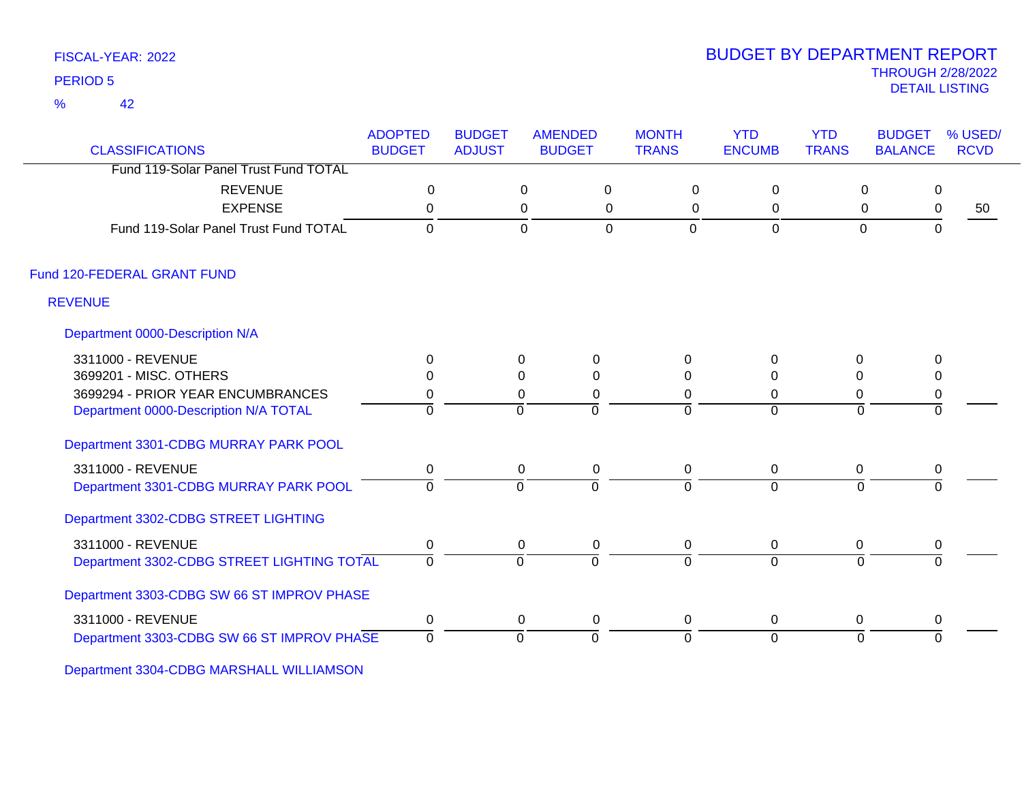42 %

### THROUGH 2/28/2022<br>DETAIL LISTING DETAIL LISTING PERIOD <sup>5</sup> BUDGET BY DEPARTMENT REPORT

| <b>CLASSIFICATIONS</b>                     | <b>ADOPTED</b><br><b>BUDGET</b> | <b>BUDGET</b><br><b>ADJUST</b> | <b>AMENDED</b><br><b>BUDGET</b> | <b>MONTH</b><br><b>TRANS</b> | <b>YTD</b><br><b>ENCUMB</b> | <b>YTD</b><br><b>TRANS</b> | <b>BUDGET</b><br>% USED/<br><b>RCVD</b><br><b>BALANCE</b> |    |
|--------------------------------------------|---------------------------------|--------------------------------|---------------------------------|------------------------------|-----------------------------|----------------------------|-----------------------------------------------------------|----|
| Fund 119-Solar Panel Trust Fund TOTAL      |                                 |                                |                                 |                              |                             |                            |                                                           |    |
| <b>REVENUE</b>                             | $\mathbf 0$                     |                                | $\Omega$                        | $\mathbf 0$<br>$\mathbf 0$   | $\mathbf 0$                 | $\mathbf 0$                | $\mathbf 0$                                               |    |
| <b>EXPENSE</b>                             | 0                               |                                | 0                               | $\mathbf 0$<br>0             | $\mathbf 0$                 | $\mathbf 0$                | $\pmb{0}$                                                 | 50 |
| Fund 119-Solar Panel Trust Fund TOTAL      | $\Omega$                        |                                | $\mathbf 0$                     | $\overline{0}$<br>0          | 0                           | $\mathbf 0$                | $\mathbf 0$                                               |    |
| Fund 120-FEDERAL GRANT FUND                |                                 |                                |                                 |                              |                             |                            |                                                           |    |
| <b>REVENUE</b>                             |                                 |                                |                                 |                              |                             |                            |                                                           |    |
| Department 0000-Description N/A            |                                 |                                |                                 |                              |                             |                            |                                                           |    |
| 3311000 - REVENUE                          | $\mathbf{0}$                    | 0                              | $\mathbf 0$                     | $\Omega$                     | 0                           | 0                          | 0                                                         |    |
| 3699201 - MISC. OTHERS                     | $\Omega$                        | $\Omega$                       | $\Omega$                        | $\Omega$                     | $\Omega$                    | $\Omega$                   | 0                                                         |    |
| 3699294 - PRIOR YEAR ENCUMBRANCES          | 0                               | 0                              | 0                               | $\Omega$                     | 0                           | 0                          | $\pmb{0}$                                                 |    |
| Department 0000-Description N/A TOTAL      | $\Omega$                        | $\Omega$                       | $\Omega$                        | $\Omega$                     | $\Omega$                    | $\Omega$                   | $\Omega$                                                  |    |
| Department 3301-CDBG MURRAY PARK POOL      |                                 |                                |                                 |                              |                             |                            |                                                           |    |
| 3311000 - REVENUE                          | $\mathbf 0$                     |                                | $\mathbf 0$<br>$\mathbf 0$      | $\mathbf 0$                  | $\mathbf 0$                 | 0                          | 0                                                         |    |
| Department 3301-CDBG MURRAY PARK POOL      | $\Omega$                        | $\Omega$                       | $\overline{0}$                  | $\Omega$                     | $\overline{0}$              | $\Omega$                   | $\Omega$                                                  |    |
| Department 3302-CDBG STREET LIGHTING       |                                 |                                |                                 |                              |                             |                            |                                                           |    |
| 3311000 - REVENUE                          | $\pmb{0}$                       | $\mathbf 0$                    | $\pmb{0}$                       | $\mathbf 0$                  | $\mathbf 0$                 | 0                          | $\pmb{0}$                                                 |    |
| Department 3302-CDBG STREET LIGHTING TOTAL | $\Omega$                        | $\Omega$                       | $\Omega$                        | $\Omega$                     | $\Omega$                    | $\Omega$                   | $\Omega$                                                  |    |
| Department 3303-CDBG SW 66 ST IMPROV PHASE |                                 |                                |                                 |                              |                             |                            |                                                           |    |
| 3311000 - REVENUE                          | 0                               |                                | 0<br>0                          | 0                            | $\mathbf 0$                 | 0                          | 0                                                         |    |
| Department 3303-CDBG SW 66 ST IMPROV PHASE | $\overline{0}$                  | $\Omega$                       | $\overline{0}$                  | $\overline{0}$               | $\overline{0}$              | $\mathbf{0}$               | $\Omega$                                                  |    |

Department 3304-CDBG MARSHALL WILLIAMSON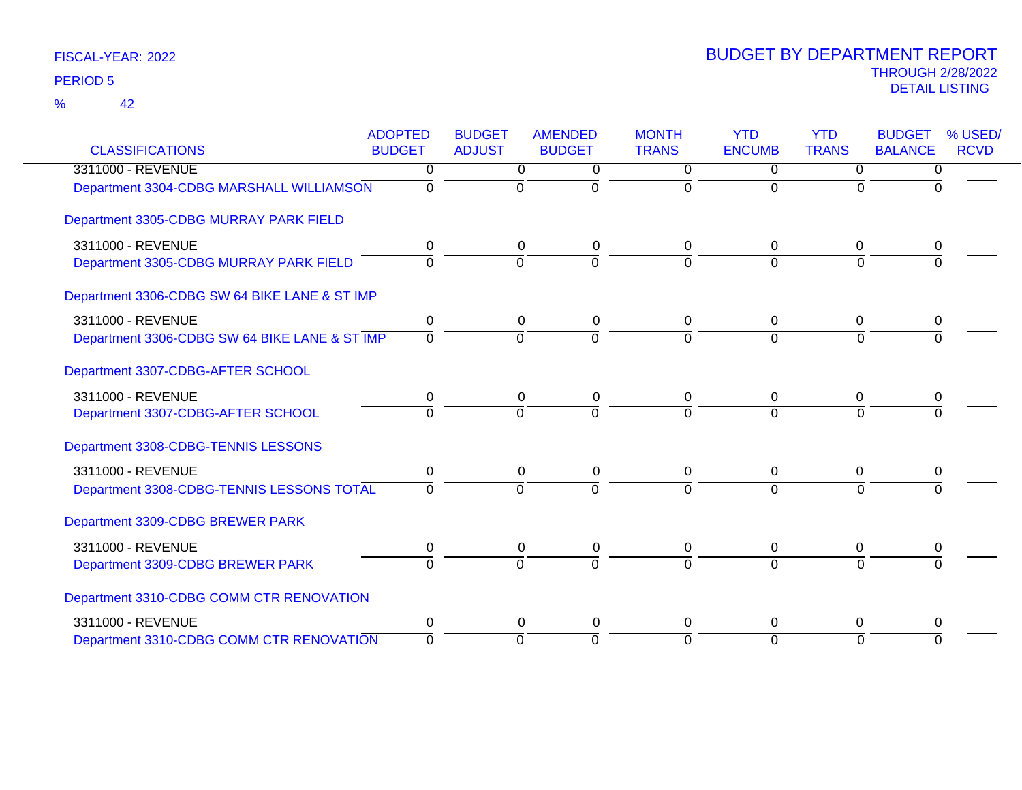| <b>CLASSIFICATIONS</b>                        | <b>ADOPTED</b><br><b>BUDGET</b> | <b>BUDGET</b><br><b>ADJUST</b> | <b>AMENDED</b><br><b>BUDGET</b> | <b>MONTH</b><br><b>TRANS</b> | <b>YTD</b><br><b>ENCUMB</b> | <b>YTD</b><br><b>TRANS</b> | <b>BUDGET</b><br>% USED/<br><b>BALANCE</b><br><b>RCVD</b> |  |
|-----------------------------------------------|---------------------------------|--------------------------------|---------------------------------|------------------------------|-----------------------------|----------------------------|-----------------------------------------------------------|--|
| 3311000 - REVENUE                             | 0                               |                                |                                 | $\Omega$                     | $\Omega$                    |                            |                                                           |  |
| Department 3304-CDBG MARSHALL WILLIAMSON      | $\Omega$                        | 0<br>$\mathbf 0$               | 0<br>$\Omega$                   | $\Omega$                     | $\Omega$                    | 0<br>$\Omega$              | 0<br>$\Omega$                                             |  |
| Department 3305-CDBG MURRAY PARK FIELD        |                                 |                                |                                 |                              |                             |                            |                                                           |  |
| 3311000 - REVENUE                             | 0                               | 0                              | 0                               | 0                            | 0                           | 0                          | 0                                                         |  |
| Department 3305-CDBG MURRAY PARK FIELD        | $\Omega$                        | $\overline{0}$                 | $\Omega$                        | $\Omega$                     | $\Omega$                    | $\Omega$                   | $\Omega$                                                  |  |
| Department 3306-CDBG SW 64 BIKE LANE & ST IMP |                                 |                                |                                 |                              |                             |                            |                                                           |  |
| 3311000 - REVENUE                             | 0                               | 0                              | 0                               | 0                            | $\mathbf 0$                 | $\mathbf 0$                | 0                                                         |  |
| Department 3306-CDBG SW 64 BIKE LANE & ST IMP | $\Omega$                        | $\Omega$                       | $\Omega$                        | $\Omega$                     | $\Omega$                    | $\Omega$                   | <sup>0</sup>                                              |  |
| Department 3307-CDBG-AFTER SCHOOL             |                                 |                                |                                 |                              |                             |                            |                                                           |  |
| 3311000 - REVENUE                             | 0                               | $\mathbf 0$                    | 0                               | 0                            | $\Omega$                    | 0                          | 0                                                         |  |
| Department 3307-CDBG-AFTER SCHOOL             | $\overline{0}$                  | $\overline{0}$                 | $\Omega$                        | $\Omega$                     | $\Omega$                    | $\Omega$                   |                                                           |  |
| Department 3308-CDBG-TENNIS LESSONS           |                                 |                                |                                 |                              |                             |                            |                                                           |  |
| 3311000 - REVENUE                             | 0                               | $\pmb{0}$                      | 0                               | 0                            | 0                           | 0                          | 0                                                         |  |
| Department 3308-CDBG-TENNIS LESSONS TOTAL     | $\Omega$                        | $\Omega$                       | $\Omega$                        | $\Omega$                     | $\Omega$                    | $\Omega$                   | $\Omega$                                                  |  |
| Department 3309-CDBG BREWER PARK              |                                 |                                |                                 |                              |                             |                            |                                                           |  |
| 3311000 - REVENUE                             | 0                               | 0                              | 0                               | 0                            | 0                           | 0                          | 0                                                         |  |
| Department 3309-CDBG BREWER PARK              | $\Omega$                        | $\Omega$                       | $\Omega$                        | $\Omega$                     | $\Omega$                    | $\Omega$                   |                                                           |  |
| Department 3310-CDBG COMM CTR RENOVATION      |                                 |                                |                                 |                              |                             |                            |                                                           |  |
| 3311000 - REVENUE                             | 0                               | $\Omega$                       | 0                               | $\Omega$                     | $\Omega$                    | $\Omega$                   | 0                                                         |  |
| Department 3310-CDBG COMM CTR RENOVATION      | $\Omega$                        | $\mathbf 0$                    | $\Omega$                        | $\Omega$                     | $\Omega$                    | $\Omega$                   | $\Omega$                                                  |  |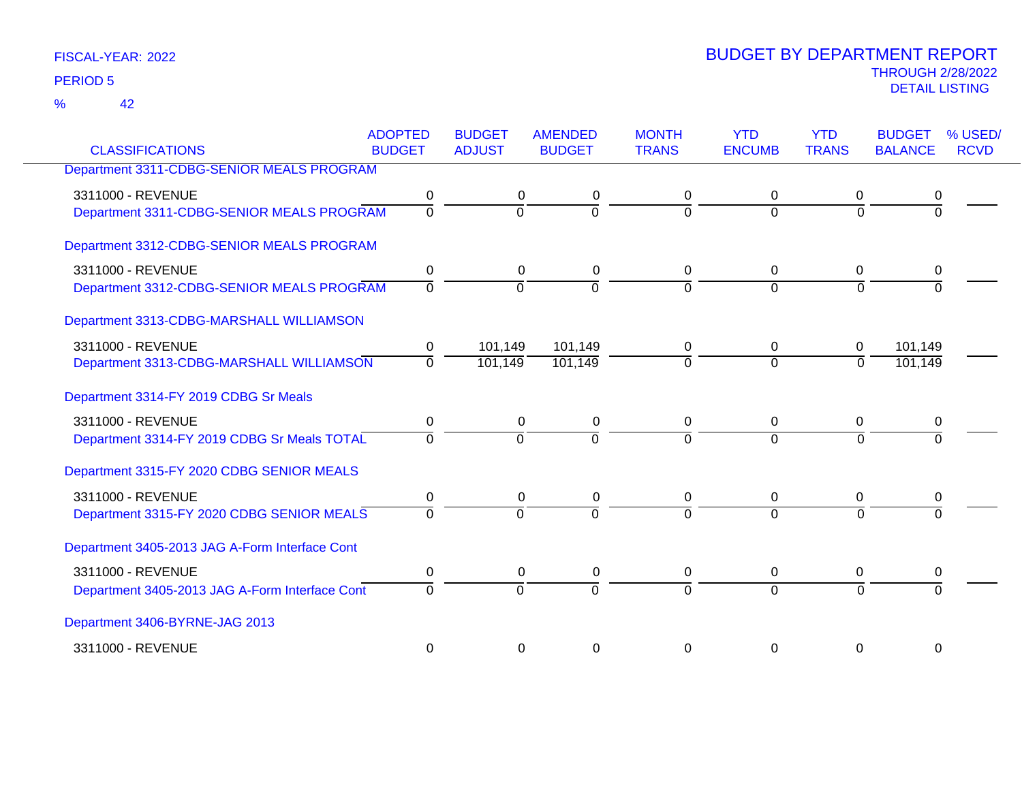42 %

| <b>CLASSIFICATIONS</b>                                                           | <b>ADOPTED</b><br><b>BUDGET</b> | <b>BUDGET</b><br><b>ADJUST</b> | <b>AMENDED</b><br><b>BUDGET</b> | <b>MONTH</b><br><b>TRANS</b> | <b>YTD</b><br><b>ENCUMB</b> | <b>YTD</b><br><b>TRANS</b>    | <b>BUDGET</b><br><b>BALANCE</b> | % USED/<br><b>RCVD</b> |
|----------------------------------------------------------------------------------|---------------------------------|--------------------------------|---------------------------------|------------------------------|-----------------------------|-------------------------------|---------------------------------|------------------------|
| Department 3311-CDBG-SENIOR MEALS PROGRAM                                        |                                 |                                |                                 |                              |                             |                               |                                 |                        |
| 3311000 - REVENUE<br>Department 3311-CDBG-SENIOR MEALS PROGRAM                   | 0<br>$\overline{0}$             | 0<br>$\Omega$                  | 0<br>$\overline{0}$             | 0<br>$\Omega$                | 0<br>$\Omega$               | 0<br>$\Omega$                 | 0<br>$\Omega$                   |                        |
| Department 3312-CDBG-SENIOR MEALS PROGRAM                                        |                                 |                                |                                 |                              |                             |                               |                                 |                        |
| 3311000 - REVENUE<br>Department 3312-CDBG-SENIOR MEALS PROGRAM                   | 0<br>$\Omega$                   | 0<br>$\Omega$                  | 0<br>$\Omega$                   | 0<br>$\Omega$                | 0<br>$\Omega$               | 0<br>$\Omega$                 | 0                               |                        |
| Department 3313-CDBG-MARSHALL WILLIAMSON                                         |                                 |                                |                                 |                              |                             |                               |                                 |                        |
| 3311000 - REVENUE<br>Department 3313-CDBG-MARSHALL WILLIAMSON                    | 0<br>$\overline{0}$             | 101,149<br>101,149             | 101,149<br>101,149              | 0<br>$\Omega$                | 0<br>$\overline{0}$         | $\mathbf 0$<br>$\overline{0}$ | 101,149<br>101,149              |                        |
| Department 3314-FY 2019 CDBG Sr Meals                                            |                                 |                                |                                 |                              |                             |                               |                                 |                        |
| 3311000 - REVENUE<br>Department 3314-FY 2019 CDBG Sr Meals TOTAL                 | 0<br>$\Omega$                   | 0<br>$\overline{0}$            | 0<br>$\overline{0}$             | 0<br>$\Omega$                | 0<br>$\Omega$               | 0<br>$\Omega$                 | 0<br>$\Omega$                   |                        |
| Department 3315-FY 2020 CDBG SENIOR MEALS                                        |                                 |                                |                                 |                              |                             |                               |                                 |                        |
| 3311000 - REVENUE<br>Department 3315-FY 2020 CDBG SENIOR MEALS                   | 0<br>$\Omega$                   | 0<br>$\Omega$                  | 0<br>$\overline{0}$             | 0<br>$\Omega$                | 0<br>$\Omega$               | 0<br>$\Omega$                 | 0<br>$\Omega$                   |                        |
| Department 3405-2013 JAG A-Form Interface Cont                                   |                                 |                                |                                 |                              |                             |                               |                                 |                        |
| 3311000 - REVENUE                                                                | 0<br>$\Omega$                   | 0<br>$\Omega$                  | 0<br>$\Omega$                   | 0<br>$\Omega$                | $\mathbf 0$<br>$\Omega$     | 0<br>$\Omega$                 | 0                               |                        |
| Department 3405-2013 JAG A-Form Interface Cont<br>Department 3406-BYRNE-JAG 2013 |                                 |                                |                                 |                              |                             |                               |                                 |                        |
| 3311000 - REVENUE                                                                | 0                               | 0                              | 0                               | 0                            | 0                           | 0                             | 0                               |                        |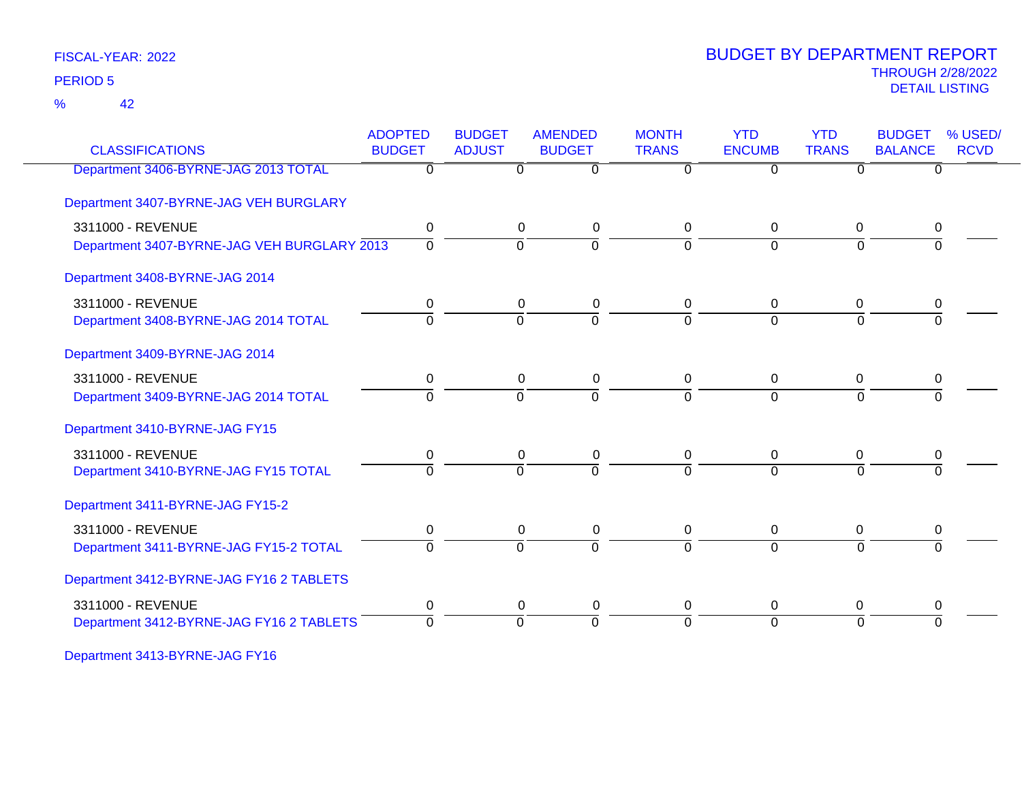42 %

### THROUGH 2/28/2022<br>DETAIL LISTING DETAIL LISTING PERIOD <sup>5</sup> BUDGET BY DEPARTMENT REPORT

| <b>CLASSIFICATIONS</b>                      | <b>ADOPTED</b><br><b>BUDGET</b> | <b>BUDGET</b><br><b>ADJUST</b> | <b>AMENDED</b><br><b>BUDGET</b> | <b>MONTH</b><br><b>TRANS</b> | <b>YTD</b><br><b>ENCUMB</b> | <b>YTD</b><br><b>TRANS</b> | <b>BUDGET</b><br><b>BALANCE</b> | % USED/<br><b>RCVD</b> |
|---------------------------------------------|---------------------------------|--------------------------------|---------------------------------|------------------------------|-----------------------------|----------------------------|---------------------------------|------------------------|
| Department 3406-BYRNE-JAG 2013 TOTAL        | $\overline{0}$                  |                                | $\overline{0}$<br>0             | 0                            | $\overline{0}$              | $\Omega$                   | $\Omega$                        |                        |
| Department 3407-BYRNE-JAG VEH BURGLARY      |                                 |                                |                                 |                              |                             |                            |                                 |                        |
| 3311000 - REVENUE                           | $\pmb{0}$                       |                                | 0<br>0                          | 0                            | 0                           | $\mathbf 0$                | 0                               |                        |
| Department 3407-BYRNE-JAG VEH BURGLARY 2013 | $\mathbf 0$                     |                                | $\Omega$<br>$\Omega$            | $\Omega$                     | $\Omega$                    | $\Omega$                   | <sup>0</sup>                    |                        |
| Department 3408-BYRNE-JAG 2014              |                                 |                                |                                 |                              |                             |                            |                                 |                        |
| 3311000 - REVENUE                           | 0                               |                                | 0<br>0                          | 0                            | $\Omega$                    | 0                          | 0                               |                        |
| Department 3408-BYRNE-JAG 2014 TOTAL        | $\Omega$                        |                                | $\overline{0}$<br>$\Omega$      | $\Omega$                     | $\Omega$                    | $\Omega$                   | $\Omega$                        |                        |
| Department 3409-BYRNE-JAG 2014              |                                 |                                |                                 |                              |                             |                            |                                 |                        |
| 3311000 - REVENUE                           | 0                               |                                | 0<br>0                          | 0                            | $\overline{0}$              | 0                          | 0                               |                        |
| Department 3409-BYRNE-JAG 2014 TOTAL        | $\Omega$                        |                                | $\Omega$<br>$\Omega$            | $\Omega$                     | $\Omega$                    | $\Omega$                   | $\Omega$                        |                        |
| Department 3410-BYRNE-JAG FY15              |                                 |                                |                                 |                              |                             |                            |                                 |                        |
| 3311000 - REVENUE                           | 0                               |                                | 0<br>0                          | 0                            | $\mathbf{0}$                | 0                          | 0                               |                        |
| Department 3410-BYRNE-JAG FY15 TOTAL        | $\overline{0}$                  |                                | $\overline{0}$<br>$\Omega$      | $\Omega$                     | $\Omega$                    | $\Omega$                   | $\Omega$                        |                        |
| Department 3411-BYRNE-JAG FY15-2            |                                 |                                |                                 |                              |                             |                            |                                 |                        |
| 3311000 - REVENUE                           | $\pmb{0}$                       |                                | 0<br>0                          | 0                            | 0                           | 0                          | 0                               |                        |
| Department 3411-BYRNE-JAG FY15-2 TOTAL      | $\Omega$                        |                                | $\Omega$<br>$\Omega$            | $\Omega$                     | $\Omega$                    | $\Omega$                   | $\Omega$                        |                        |
| Department 3412-BYRNE-JAG FY16 2 TABLETS    |                                 |                                |                                 |                              |                             |                            |                                 |                        |
| 3311000 - REVENUE                           | 0                               |                                | 0<br>0                          | 0                            | $\mathbf 0$                 | 0                          | 0                               |                        |
| Department 3412-BYRNE-JAG FY16 2 TABLETS    | $\Omega$                        |                                | $\Omega$<br>$\Omega$            | $\Omega$                     | $\Omega$                    | $\Omega$                   | $\Omega$                        |                        |

Department 3413-BYRNE-JAG FY16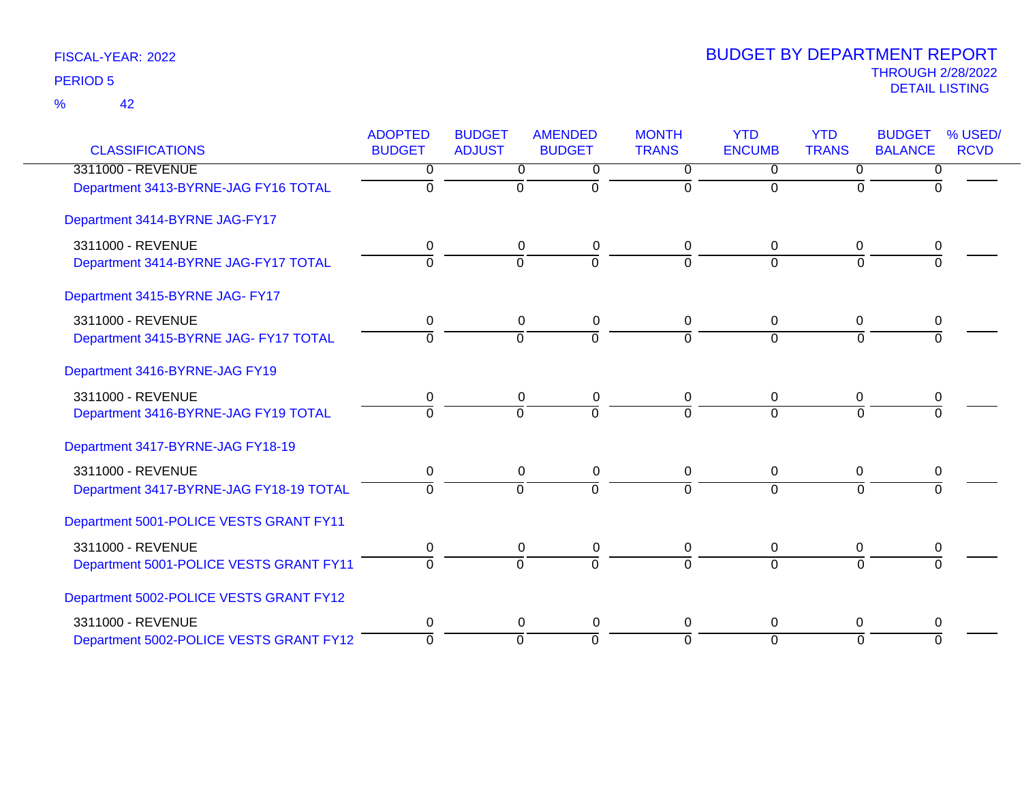|                                         | <b>ADOPTED</b> | <b>BUDGET</b>  | <b>AMENDED</b> | <b>MONTH</b> | <b>YTD</b>     | <b>YTD</b>     | <b>BUDGET</b>  | % USED/     |
|-----------------------------------------|----------------|----------------|----------------|--------------|----------------|----------------|----------------|-------------|
| <b>CLASSIFICATIONS</b>                  | <b>BUDGET</b>  | <b>ADJUST</b>  | <b>BUDGET</b>  | <b>TRANS</b> | <b>ENCUMB</b>  | <b>TRANS</b>   | <b>BALANCE</b> | <b>RCVD</b> |
| 3311000 - REVENUE                       | 0              | 0              | 0              | $\mathbf 0$  | 0              | 0              | 0              |             |
| Department 3413-BYRNE-JAG FY16 TOTAL    | 0              | $\overline{0}$ | $\Omega$       | $\Omega$     | $\overline{0}$ | $\Omega$       | $\Omega$       |             |
| Department 3414-BYRNE JAG-FY17          |                |                |                |              |                |                |                |             |
| 3311000 - REVENUE                       | 0              | $\mathbf 0$    | $\mathbf 0$    | 0            | 0              | 0              | 0              |             |
| Department 3414-BYRNE JAG-FY17 TOTAL    | $\Omega$       | $\Omega$       | $\overline{0}$ | $\Omega$     | $\Omega$       | $\Omega$       | $\Omega$       |             |
| Department 3415-BYRNE JAG- FY17         |                |                |                |              |                |                |                |             |
| 3311000 - REVENUE                       | 0              | $\mathbf 0$    | 0              | 0            | 0              | $\mathbf 0$    | 0              |             |
| Department 3415-BYRNE JAG- FY17 TOTAL   | $\Omega$       | $\Omega$       | $\Omega$       | $\Omega$     | $\Omega$       | $\Omega$       | $\Omega$       |             |
| Department 3416-BYRNE-JAG FY19          |                |                |                |              |                |                |                |             |
| 3311000 - REVENUE                       | 0              | 0              | 0              | 0            | $\mathbf 0$    | 0              | 0              |             |
| Department 3416-BYRNE-JAG FY19 TOTAL    | $\Omega$       | $\overline{0}$ | $\overline{0}$ | $\Omega$     | $\Omega$       | $\Omega$       |                |             |
| Department 3417-BYRNE-JAG FY18-19       |                |                |                |              |                |                |                |             |
| 3311000 - REVENUE                       | 0              | 0              | 0              | 0            | 0              | 0              | 0              |             |
| Department 3417-BYRNE-JAG FY18-19 TOTAL | $\Omega$       | $\overline{0}$ | $\overline{0}$ | $\Omega$     | $\Omega$       | $\overline{0}$ | $\Omega$       |             |
| Department 5001-POLICE VESTS GRANT FY11 |                |                |                |              |                |                |                |             |
| 3311000 - REVENUE                       | 0              | 0              | 0              | 0            | $\mathbf 0$    | 0              | 0              |             |
| Department 5001-POLICE VESTS GRANT FY11 | $\Omega$       | $\Omega$       | $\overline{0}$ | $\Omega$     | $\Omega$       | $\Omega$       | $\Omega$       |             |
| Department 5002-POLICE VESTS GRANT FY12 |                |                |                |              |                |                |                |             |
| 3311000 - REVENUE                       | 0              | 0              | $\mathbf 0$    | 0            | $\Omega$       | 0              | 0              |             |
| Department 5002-POLICE VESTS GRANT FY12 | $\Omega$       | $\Omega$       | $\overline{0}$ | $\Omega$     | $\Omega$       | $\Omega$       | $\Omega$       |             |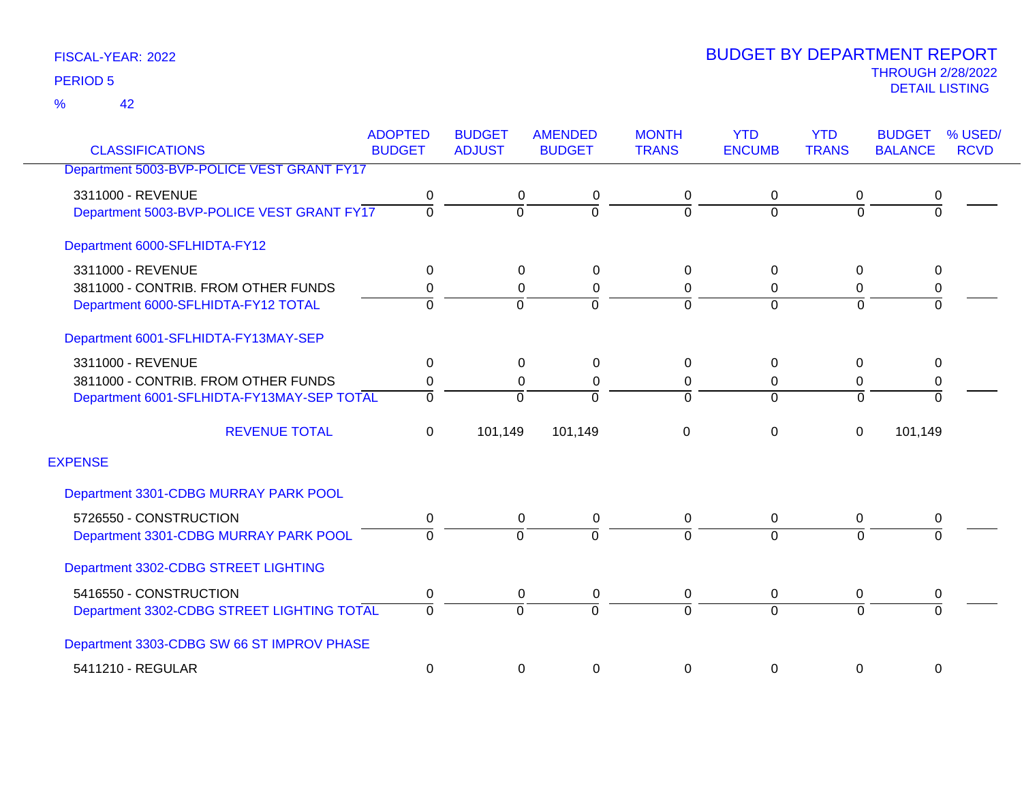42 %

|                                            | <b>ADOPTED</b> | <b>BUDGET</b>  | <b>AMENDED</b> | <b>MONTH</b>   | <b>YTD</b>     | <b>YTD</b>   | <b>BUDGET</b>  | % USED/     |
|--------------------------------------------|----------------|----------------|----------------|----------------|----------------|--------------|----------------|-------------|
| <b>CLASSIFICATIONS</b>                     | <b>BUDGET</b>  | <b>ADJUST</b>  | <b>BUDGET</b>  | <b>TRANS</b>   | <b>ENCUMB</b>  | <b>TRANS</b> | <b>BALANCE</b> | <b>RCVD</b> |
| Department 5003-BVP-POLICE VEST GRANT FY17 |                |                |                |                |                |              |                |             |
| 3311000 - REVENUE                          | 0              | 0              | 0              | 0              | 0              | 0            | 0              |             |
| Department 5003-BVP-POLICE VEST GRANT FY17 | $\overline{0}$ | $\overline{0}$ | $\overline{0}$ | $\overline{0}$ | $\Omega$       | $\Omega$     | $\overline{0}$ |             |
| Department 6000-SFLHIDTA-FY12              |                |                |                |                |                |              |                |             |
| 3311000 - REVENUE                          | 0              | 0              | 0              | 0              | $\Omega$       | 0            | 0              |             |
| 3811000 - CONTRIB. FROM OTHER FUNDS        | 0              | 0              | 0              | 0              | 0              | 0            | 0              |             |
| Department 6000-SFLHIDTA-FY12 TOTAL        | $\overline{0}$ | $\mathbf 0$    | $\Omega$       | $\mathbf 0$    | $\Omega$       | $\Omega$     | $\Omega$       |             |
| Department 6001-SFLHIDTA-FY13MAY-SEP       |                |                |                |                |                |              |                |             |
| 3311000 - REVENUE                          | 0              | 0              | 0              | 0              | 0              | 0            | 0              |             |
| 3811000 - CONTRIB. FROM OTHER FUNDS        | 0              | $\mathbf 0$    | 0              | 0              | 0              | 0            | $\mathbf 0$    |             |
| Department 6001-SFLHIDTA-FY13MAY-SEP TOTAL | $\Omega$       | $\Omega$       | $\Omega$       | $\overline{0}$ | $\Omega$       | $\Omega$     | $\Omega$       |             |
| <b>REVENUE TOTAL</b>                       | $\mathbf 0$    | 101,149        | 101,149        | 0              | 0              | $\mathbf 0$  | 101,149        |             |
| <b>EXPENSE</b>                             |                |                |                |                |                |              |                |             |
| Department 3301-CDBG MURRAY PARK POOL      |                |                |                |                |                |              |                |             |
| 5726550 - CONSTRUCTION                     | 0              | 0              | 0              | 0              | $\mathbf 0$    | 0            | 0              |             |
| Department 3301-CDBG MURRAY PARK POOL      | 0              | $\overline{0}$ | 0              | ō              | $\overline{0}$ | $\Omega$     | $\Omega$       |             |
| Department 3302-CDBG STREET LIGHTING       |                |                |                |                |                |              |                |             |
| 5416550 - CONSTRUCTION                     | 0              | 0              | 0              | 0              | 0              | 0            | 0              |             |
| Department 3302-CDBG STREET LIGHTING TOTAL | $\overline{0}$ | $\overline{0}$ | $\Omega$       | $\overline{0}$ | $\Omega$       | $\Omega$     | $\Omega$       |             |
| Department 3303-CDBG SW 66 ST IMPROV PHASE |                |                |                |                |                |              |                |             |
| 5411210 - REGULAR                          | 0              | 0              | 0              | 0              | $\Omega$       | 0            | 0              |             |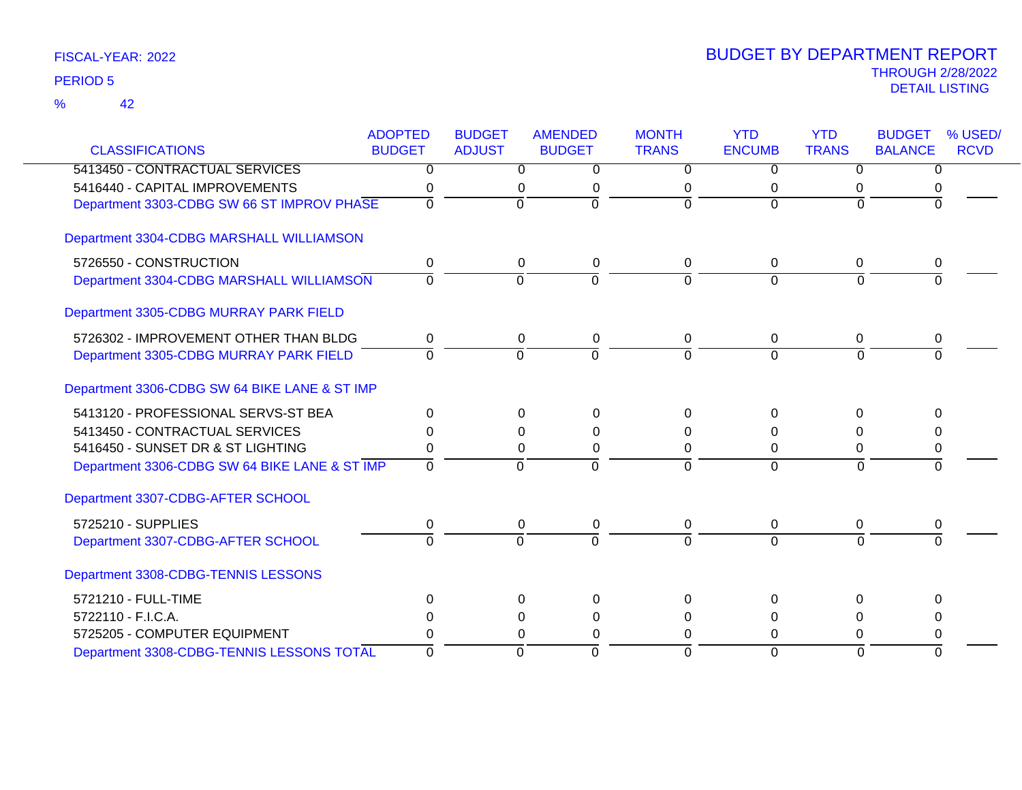42 %

|                                               | <b>ADOPTED</b> | <b>BUDGET</b>  | <b>AMENDED</b> | <b>MONTH</b>   | <b>YTD</b>     | <b>YTD</b>     | <b>BUDGET</b>  | % USED/     |
|-----------------------------------------------|----------------|----------------|----------------|----------------|----------------|----------------|----------------|-------------|
| <b>CLASSIFICATIONS</b>                        | <b>BUDGET</b>  | <b>ADJUST</b>  | <b>BUDGET</b>  | <b>TRANS</b>   | <b>ENCUMB</b>  | <b>TRANS</b>   | <b>BALANCE</b> | <b>RCVD</b> |
| 5413450 - CONTRACTUAL SERVICES                | $\overline{0}$ | $\overline{0}$ | $\overline{0}$ | $\overline{0}$ | $\overline{0}$ | $\overline{0}$ | $\overline{0}$ |             |
| 5416440 - CAPITAL IMPROVEMENTS                | 0              | 0              | 0              | 0              | 0              | 0              |                |             |
| Department 3303-CDBG SW 66 ST IMPROV PHASE    | $\Omega$       | $\Omega$       | $\Omega$       | $\Omega$       | $\Omega$       | $\Omega$       | $\Omega$       |             |
| Department 3304-CDBG MARSHALL WILLIAMSON      |                |                |                |                |                |                |                |             |
| 5726550 - CONSTRUCTION                        | 0              | 0              | 0              | $\Omega$       | $\Omega$       | 0              | 0              |             |
| Department 3304-CDBG MARSHALL WILLIAMSON      | $\mathbf 0$    | $\overline{0}$ | $\Omega$       | $\Omega$       | $\Omega$       | $\Omega$       | $\Omega$       |             |
| Department 3305-CDBG MURRAY PARK FIELD        |                |                |                |                |                |                |                |             |
| 5726302 - IMPROVEMENT OTHER THAN BLDG         | 0              | 0              | 0              | 0              | 0              | 0              | 0              |             |
| Department 3305-CDBG MURRAY PARK FIELD        | $\Omega$       | $\Omega$       | $\Omega$       | $\Omega$       | $\Omega$       | $\Omega$       | U              |             |
| Department 3306-CDBG SW 64 BIKE LANE & ST IMP |                |                |                |                |                |                |                |             |
| 5413120 - PROFESSIONAL SERVS-ST BEA           | $\Omega$       | $\Omega$       | $\Omega$       | $\Omega$       | $\Omega$       | $\Omega$       | $\Omega$       |             |
| 5413450 - CONTRACTUAL SERVICES                | <sup>0</sup>   | 0              | 0              | $\Omega$       | 0              | $\Omega$       |                |             |
| 5416450 - SUNSET DR & ST LIGHTING             | 0              | 0              | 0              | 0              | 0              | 0              | 0              |             |
| Department 3306-CDBG SW 64 BIKE LANE & ST IMP | $\mathbf 0$    | $\overline{0}$ | $\Omega$       | $\Omega$       | $\overline{0}$ | $\Omega$       | $\Omega$       |             |
| Department 3307-CDBG-AFTER SCHOOL             |                |                |                |                |                |                |                |             |
| 5725210 - SUPPLIES                            | 0              | 0              | 0              | 0              | 0              | 0              | 0              |             |
| Department 3307-CDBG-AFTER SCHOOL             | $\overline{0}$ | $\overline{0}$ | $\overline{0}$ | $\Omega$       | $\overline{0}$ | $\Omega$       | $\Omega$       |             |
| Department 3308-CDBG-TENNIS LESSONS           |                |                |                |                |                |                |                |             |
| 5721210 - FULL-TIME                           | $\Omega$       | $\Omega$       | 0              | $\Omega$       | $\Omega$       | $\Omega$       | 0              |             |
| 5722110 - F.I.C.A.                            | 0              | 0              | 0              | 0              | 0              | 0              | 0              |             |
| 5725205 - COMPUTER EQUIPMENT                  | 0              | 0              | 0              | $\Omega$       | $\Omega$       | $\Omega$       | 0              |             |
| Department 3308-CDBG-TENNIS LESSONS TOTAL     | $\Omega$       | 0              | $\Omega$       | $\Omega$       | $\Omega$       | $\Omega$       | $\Omega$       |             |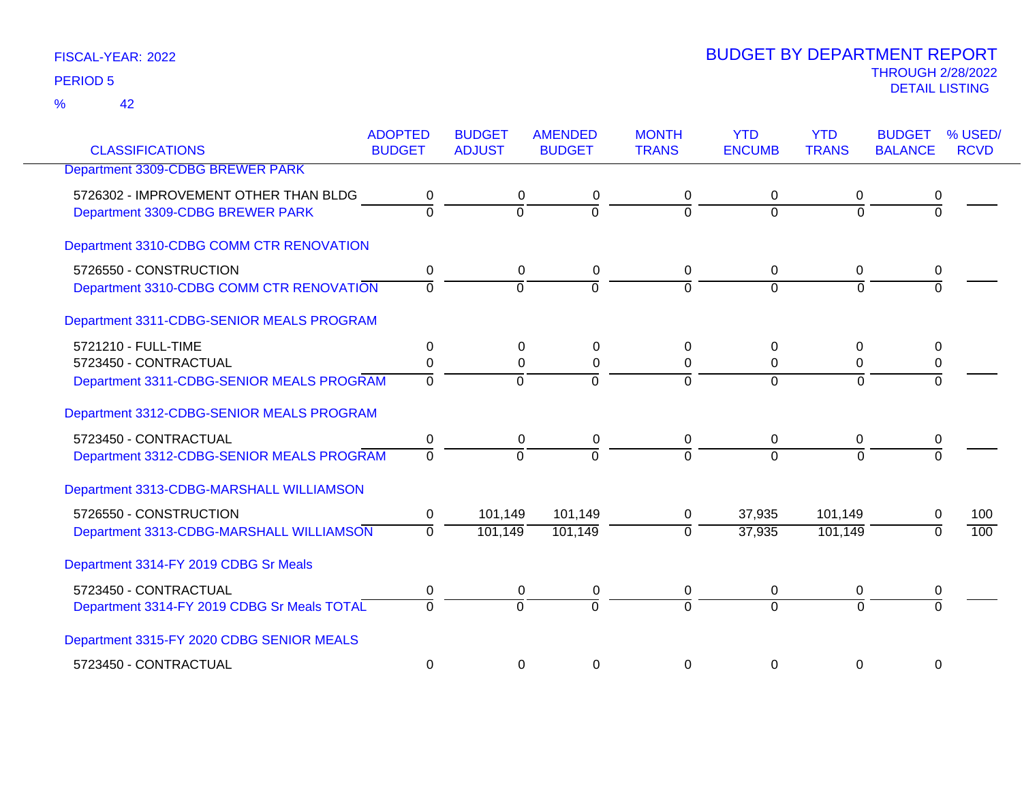42 %

| <b>CLASSIFICATIONS</b>                      | <b>ADOPTED</b><br><b>BUDGET</b> | <b>BUDGET</b><br><b>ADJUST</b> | <b>AMENDED</b><br><b>BUDGET</b> | <b>MONTH</b><br><b>TRANS</b> | <b>YTD</b><br><b>ENCUMB</b> | <b>YTD</b><br><b>TRANS</b> | <b>BUDGET</b><br><b>BALANCE</b> | % USED/<br><b>RCVD</b> |
|---------------------------------------------|---------------------------------|--------------------------------|---------------------------------|------------------------------|-----------------------------|----------------------------|---------------------------------|------------------------|
| Department 3309-CDBG BREWER PARK            |                                 |                                |                                 |                              |                             |                            |                                 |                        |
|                                             |                                 |                                |                                 |                              |                             |                            |                                 |                        |
| 5726302 - IMPROVEMENT OTHER THAN BLDG       | 0                               | 0                              | 0                               | 0                            | 0                           | 0                          | 0                               |                        |
| Department 3309-CDBG BREWER PARK            | $\overline{0}$                  | $\Omega$                       | $\overline{0}$                  | $\Omega$                     | $\Omega$                    | $\Omega$                   | $\Omega$                        |                        |
| Department 3310-CDBG COMM CTR RENOVATION    |                                 |                                |                                 |                              |                             |                            |                                 |                        |
| 5726550 - CONSTRUCTION                      | 0                               | 0                              | 0                               | 0                            | 0                           | 0                          | 0                               |                        |
| Department 3310-CDBG COMM CTR RENOVATION    | $\overline{0}$                  | $\overline{0}$                 | $\overline{0}$                  | $\Omega$                     | $\Omega$                    | $\overline{0}$             | $\Omega$                        |                        |
| Department 3311-CDBG-SENIOR MEALS PROGRAM   |                                 |                                |                                 |                              |                             |                            |                                 |                        |
| 5721210 - FULL-TIME                         | 0                               | $\Omega$                       | 0                               | 0                            | 0                           | 0                          | 0                               |                        |
| 5723450 - CONTRACTUAL                       | 0                               | $\Omega$                       | 0                               | 0                            | $\Omega$                    | 0                          | 0                               |                        |
| Department 3311-CDBG-SENIOR MEALS PROGRAM   | $\overline{0}$                  | $\Omega$                       | $\overline{0}$                  | $\Omega$                     | $\Omega$                    | $\Omega$                   |                                 |                        |
| Department 3312-CDBG-SENIOR MEALS PROGRAM   |                                 |                                |                                 |                              |                             |                            |                                 |                        |
| 5723450 - CONTRACTUAL                       | $\pmb{0}$                       | 0                              | $\mathbf 0$                     | 0                            | 0                           | 0                          | 0                               |                        |
| Department 3312-CDBG-SENIOR MEALS PROGRAM   | $\overline{0}$                  | $\Omega$                       | $\overline{0}$                  | $\Omega$                     | $\Omega$                    | $\Omega$                   |                                 |                        |
| Department 3313-CDBG-MARSHALL WILLIAMSON    |                                 |                                |                                 |                              |                             |                            |                                 |                        |
| 5726550 - CONSTRUCTION                      | 0                               | 101,149                        | 101,149                         | 0                            | 37,935                      | 101,149                    | 0                               | 100                    |
| Department 3313-CDBG-MARSHALL WILLIAMSON    | 0                               | 101,149                        | 101,149                         | $\Omega$                     | 37,935                      | 101,149                    | $\Omega$                        | $\overline{100}$       |
| Department 3314-FY 2019 CDBG Sr Meals       |                                 |                                |                                 |                              |                             |                            |                                 |                        |
| 5723450 - CONTRACTUAL                       | 0                               | 0                              | 0                               | 0                            | 0                           | 0                          | 0                               |                        |
| Department 3314-FY 2019 CDBG Sr Meals TOTAL | $\overline{0}$                  | $\Omega$                       | $\overline{0}$                  | $\Omega$                     | $\Omega$                    | $\Omega$                   | $\Omega$                        |                        |
| Department 3315-FY 2020 CDBG SENIOR MEALS   |                                 |                                |                                 |                              |                             |                            |                                 |                        |
| 5723450 - CONTRACTUAL                       | 0                               | $\Omega$                       | 0                               | 0                            | $\Omega$                    | 0                          | 0                               |                        |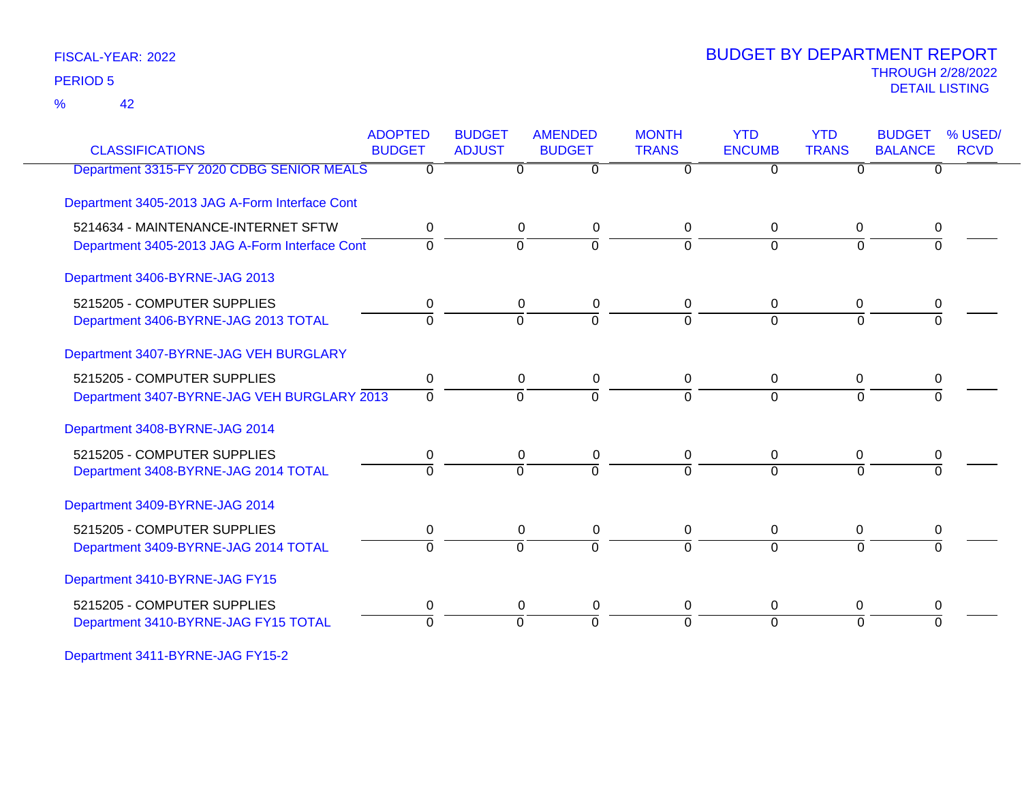42 %

### THROUGH 2/28/2022<br>DETAIL LISTING DETAIL LISTING PERIOD <sup>5</sup> BUDGET BY DEPARTMENT REPORT

| <b>CLASSIFICATIONS</b>                         | <b>ADOPTED</b><br><b>BUDGET</b> | <b>BUDGET</b><br><b>ADJUST</b> | <b>AMENDED</b><br><b>BUDGET</b> | <b>MONTH</b><br><b>TRANS</b> | <b>YTD</b><br><b>ENCUMB</b> | <b>YTD</b><br><b>TRANS</b> | <b>BUDGET</b><br><b>BALANCE</b> | % USED/<br><b>RCVD</b> |
|------------------------------------------------|---------------------------------|--------------------------------|---------------------------------|------------------------------|-----------------------------|----------------------------|---------------------------------|------------------------|
| Department 3315-FY 2020 CDBG SENIOR MEALS      | 0                               | 0                              | $\overline{0}$                  | $\Omega$                     | $\Omega$                    | 0                          | $\Omega$                        |                        |
| Department 3405-2013 JAG A-Form Interface Cont |                                 |                                |                                 |                              |                             |                            |                                 |                        |
| 5214634 - MAINTENANCE-INTERNET SFTW            | 0                               | 0                              | 0                               | 0                            | 0                           | 0                          | 0                               |                        |
| Department 3405-2013 JAG A-Form Interface Cont | $\Omega$                        | $\Omega$                       | $\overline{0}$                  | $\Omega$                     | $\Omega$                    | $\Omega$                   |                                 |                        |
| Department 3406-BYRNE-JAG 2013                 |                                 |                                |                                 |                              |                             |                            |                                 |                        |
| 5215205 - COMPUTER SUPPLIES                    | 0                               | 0                              | 0                               | 0                            | 0                           | 0                          | 0                               |                        |
| Department 3406-BYRNE-JAG 2013 TOTAL           | $\mathbf 0$                     | $\overline{0}$                 | $\overline{0}$                  | $\Omega$                     | $\Omega$                    | $\Omega$                   | $\Omega$                        |                        |
| Department 3407-BYRNE-JAG VEH BURGLARY         |                                 |                                |                                 |                              |                             |                            |                                 |                        |
| 5215205 - COMPUTER SUPPLIES                    | 0                               | 0                              | 0                               | 0                            | 0                           | 0                          | 0                               |                        |
| Department 3407-BYRNE-JAG VEH BURGLARY 2013    | 0                               | $\overline{0}$                 | $\overline{0}$                  | $\Omega$                     | $\overline{0}$              | $\overline{0}$             |                                 |                        |
| Department 3408-BYRNE-JAG 2014                 |                                 |                                |                                 |                              |                             |                            |                                 |                        |
| 5215205 - COMPUTER SUPPLIES                    | 0                               | 0                              | 0                               | 0                            | 0                           | 0                          | 0                               |                        |
| Department 3408-BYRNE-JAG 2014 TOTAL           | $\Omega$                        | $\Omega$                       | $\Omega$                        | $\Omega$                     | $\Omega$                    | $\Omega$                   |                                 |                        |
| Department 3409-BYRNE-JAG 2014                 |                                 |                                |                                 |                              |                             |                            |                                 |                        |
| 5215205 - COMPUTER SUPPLIES                    | 0                               | 0                              | 0                               | 0                            | 0                           | 0                          | 0                               |                        |
| Department 3409-BYRNE-JAG 2014 TOTAL           | $\Omega$                        | $\Omega$                       | $\overline{0}$                  | $\Omega$                     | $\Omega$                    | $\Omega$                   | $\Omega$                        |                        |
| Department 3410-BYRNE-JAG FY15                 |                                 |                                |                                 |                              |                             |                            |                                 |                        |
| 5215205 - COMPUTER SUPPLIES                    | 0                               | 0                              | 0                               | 0                            | 0                           | 0                          | 0                               |                        |
| Department 3410-BYRNE-JAG FY15 TOTAL           | 0                               | $\Omega$                       | $\Omega$                        | $\Omega$                     | $\Omega$                    | $\Omega$                   |                                 |                        |
|                                                |                                 |                                |                                 |                              |                             |                            |                                 |                        |

Department 3411-BYRNE-JAG FY15-2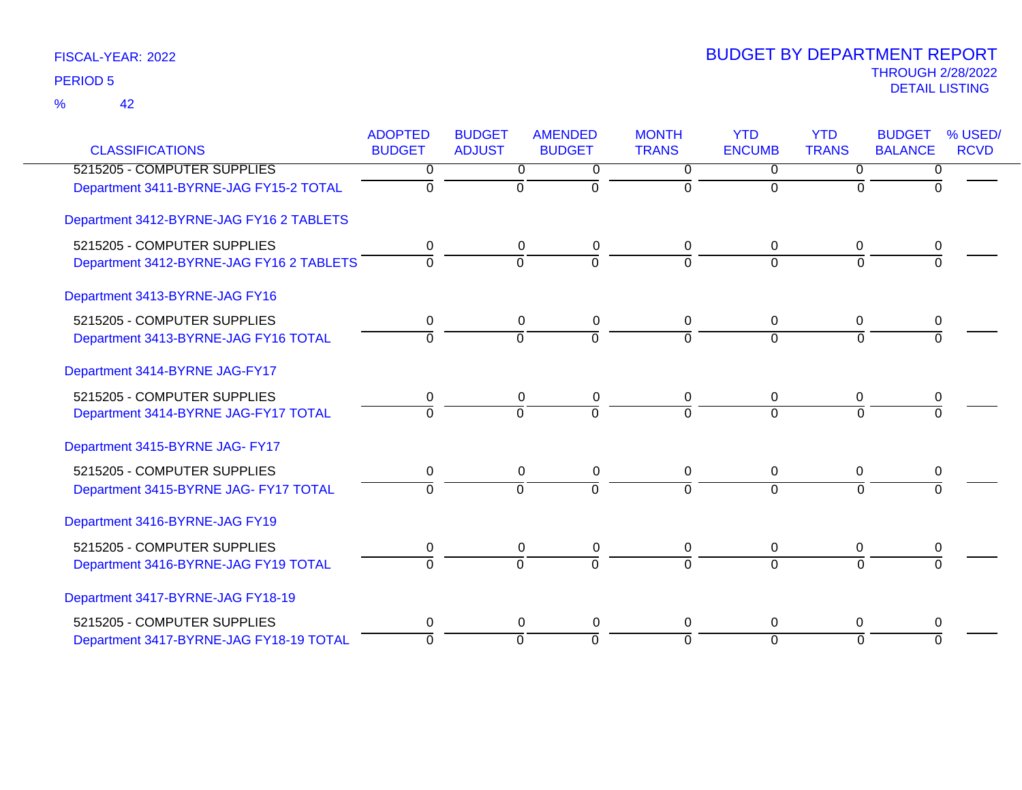| <b>CLASSIFICATIONS</b>                   | <b>ADOPTED</b><br><b>BUDGET</b> | <b>BUDGET</b><br><b>ADJUST</b> | <b>AMENDED</b><br><b>BUDGET</b> | <b>MONTH</b><br><b>TRANS</b> | <b>YTD</b><br><b>ENCUMB</b> | <b>YTD</b><br><b>TRANS</b> | <b>BUDGET</b><br><b>BALANCE</b> | % USED/<br><b>RCVD</b> |
|------------------------------------------|---------------------------------|--------------------------------|---------------------------------|------------------------------|-----------------------------|----------------------------|---------------------------------|------------------------|
| 5215205 - COMPUTER SUPPLIES              | 0                               | 0                              | 0                               | $\Omega$                     | $\Omega$                    | 0                          | 0                               |                        |
| Department 3411-BYRNE-JAG FY15-2 TOTAL   | $\Omega$                        | $\mathbf 0$                    | $\Omega$                        | $\Omega$                     | $\Omega$                    | $\Omega$                   | $\Omega$                        |                        |
| Department 3412-BYRNE-JAG FY16 2 TABLETS |                                 |                                |                                 |                              |                             |                            |                                 |                        |
| 5215205 - COMPUTER SUPPLIES              | 0                               | 0                              | $\pmb{0}$                       | 0                            | 0                           | 0                          | 0                               |                        |
| Department 3412-BYRNE-JAG FY16 2 TABLETS | $\Omega$                        | $\overline{0}$                 | $\overline{0}$                  | $\Omega$                     | $\Omega$                    | $\Omega$                   | $\Omega$                        |                        |
| Department 3413-BYRNE-JAG FY16           |                                 |                                |                                 |                              |                             |                            |                                 |                        |
| 5215205 - COMPUTER SUPPLIES              | 0                               | 0                              | 0                               | 0                            | $\mathbf{0}$                | $\mathbf{0}$               | 0                               |                        |
| Department 3413-BYRNE-JAG FY16 TOTAL     | $\Omega$                        | $\Omega$                       | $\Omega$                        | $\Omega$                     | $\Omega$                    | $\Omega$                   | $\Omega$                        |                        |
| Department 3414-BYRNE JAG-FY17           |                                 |                                |                                 |                              |                             |                            |                                 |                        |
| 5215205 - COMPUTER SUPPLIES              | 0                               | 0                              | 0                               | 0                            | 0                           | 0                          | 0                               |                        |
| Department 3414-BYRNE JAG-FY17 TOTAL     | $\overline{0}$                  | $\overline{0}$                 | $\overline{0}$                  | $\Omega$                     | $\Omega$                    | $\Omega$                   | $\Omega$                        |                        |
| Department 3415-BYRNE JAG- FY17          |                                 |                                |                                 |                              |                             |                            |                                 |                        |
| 5215205 - COMPUTER SUPPLIES              | 0                               | 0                              | 0                               | 0                            | 0                           | 0                          | 0                               |                        |
| Department 3415-BYRNE JAG- FY17 TOTAL    | $\Omega$                        | $\overline{0}$                 | $\overline{0}$                  | $\Omega$                     | $\Omega$                    | $\Omega$                   | $\Omega$                        |                        |
| Department 3416-BYRNE-JAG FY19           |                                 |                                |                                 |                              |                             |                            |                                 |                        |
| 5215205 - COMPUTER SUPPLIES              | 0                               | 0                              | 0                               | 0                            | 0                           | 0                          | 0                               |                        |
| Department 3416-BYRNE-JAG FY19 TOTAL     | $\Omega$                        | $\Omega$                       | $\Omega$                        | $\Omega$                     | $\Omega$                    | $\Omega$                   |                                 |                        |
| Department 3417-BYRNE-JAG FY18-19        |                                 |                                |                                 |                              |                             |                            |                                 |                        |
| 5215205 - COMPUTER SUPPLIES              | 0                               | 0                              | 0                               | 0                            | 0                           | $\Omega$                   | 0                               |                        |
| Department 3417-BYRNE-JAG FY18-19 TOTAL  | $\Omega$                        | $\Omega$                       | $\Omega$                        | $\Omega$                     | $\Omega$                    | $\Omega$                   | $\Omega$                        |                        |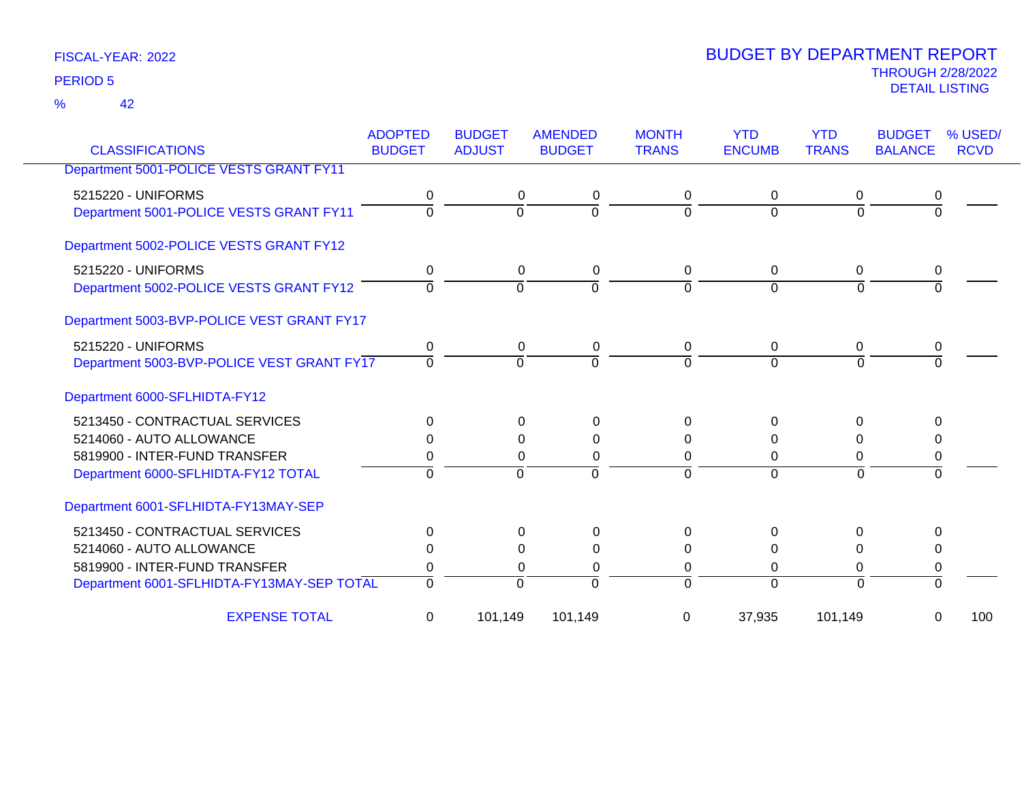42 %

| <b>CLASSIFICATIONS</b>                     | <b>ADOPTED</b><br><b>BUDGET</b> | <b>BUDGET</b><br><b>ADJUST</b> | <b>AMENDED</b><br><b>BUDGET</b> | <b>MONTH</b><br><b>TRANS</b> | <b>YTD</b><br><b>ENCUMB</b> | <b>YTD</b><br><b>TRANS</b> | <b>BUDGET</b><br><b>BALANCE</b> | % USED/<br><b>RCVD</b> |
|--------------------------------------------|---------------------------------|--------------------------------|---------------------------------|------------------------------|-----------------------------|----------------------------|---------------------------------|------------------------|
| Department 5001-POLICE VESTS GRANT FY11    |                                 |                                |                                 |                              |                             |                            |                                 |                        |
| 5215220 - UNIFORMS                         | 0                               | 0                              | 0                               | 0                            | 0                           | 0                          | 0                               |                        |
| Department 5001-POLICE VESTS GRANT FY11    | $\Omega$                        | $\Omega$                       | $\Omega$                        | $\Omega$                     | $\Omega$                    | $\Omega$                   | $\Omega$                        |                        |
| Department 5002-POLICE VESTS GRANT FY12    |                                 |                                |                                 |                              |                             |                            |                                 |                        |
| 5215220 - UNIFORMS                         | 0                               | 0                              | 0                               | $\mathbf 0$                  | 0                           | $\Omega$                   | 0                               |                        |
| Department 5002-POLICE VESTS GRANT FY12    | $\Omega$                        | $\Omega$                       | $\Omega$                        | $\Omega$                     | $\Omega$                    | $\Omega$                   | $\Omega$                        |                        |
| Department 5003-BVP-POLICE VEST GRANT FY17 |                                 |                                |                                 |                              |                             |                            |                                 |                        |
| 5215220 - UNIFORMS                         | 0                               | $\Omega$                       | 0                               | 0                            | $\Omega$                    | $\Omega$                   | 0                               |                        |
| Department 5003-BVP-POLICE VEST GRANT FY17 | $\Omega$                        | $\Omega$                       | $\Omega$                        | $\Omega$                     | $\Omega$                    | $\Omega$                   | $\Omega$                        |                        |
| Department 6000-SFLHIDTA-FY12              |                                 |                                |                                 |                              |                             |                            |                                 |                        |
| 5213450 - CONTRACTUAL SERVICES             | $\Omega$                        | $\Omega$                       | $\Omega$                        | $\Omega$                     | $\Omega$                    | $\Omega$                   | $\Omega$                        |                        |
| 5214060 - AUTO ALLOWANCE                   | 0                               | 0                              | 0                               | 0                            | 0                           | 0                          | $\Omega$                        |                        |
| 5819900 - INTER-FUND TRANSFER              | 0                               | 0                              | 0                               | 0                            | $\Omega$                    | 0                          | 0                               |                        |
| Department 6000-SFLHIDTA-FY12 TOTAL        | $\Omega$                        | $\overline{0}$                 | $\Omega$                        | $\Omega$                     | $\Omega$                    | $\overline{0}$             | $\Omega$                        |                        |
| Department 6001-SFLHIDTA-FY13MAY-SEP       |                                 |                                |                                 |                              |                             |                            |                                 |                        |
| 5213450 - CONTRACTUAL SERVICES             | $\Omega$                        | $\Omega$                       | $\Omega$                        | $\Omega$                     | $\Omega$                    | 0                          | 0                               |                        |
| 5214060 - AUTO ALLOWANCE                   | 0                               | 0                              | $\Omega$                        | $\Omega$                     | $\Omega$                    | $\Omega$                   | 0                               |                        |
| 5819900 - INTER-FUND TRANSFER              | 0                               | 0                              | 0                               | 0                            | 0                           | 0                          | 0                               |                        |
| Department 6001-SFLHIDTA-FY13MAY-SEP TOTAL | $\Omega$                        | $\Omega$                       | $\Omega$                        | $\Omega$                     | $\Omega$                    | $\Omega$                   | $\Omega$                        |                        |
| <b>EXPENSE TOTAL</b>                       | 0                               | 101,149                        | 101,149                         | 0                            | 37,935                      | 101,149                    | 0                               | 100                    |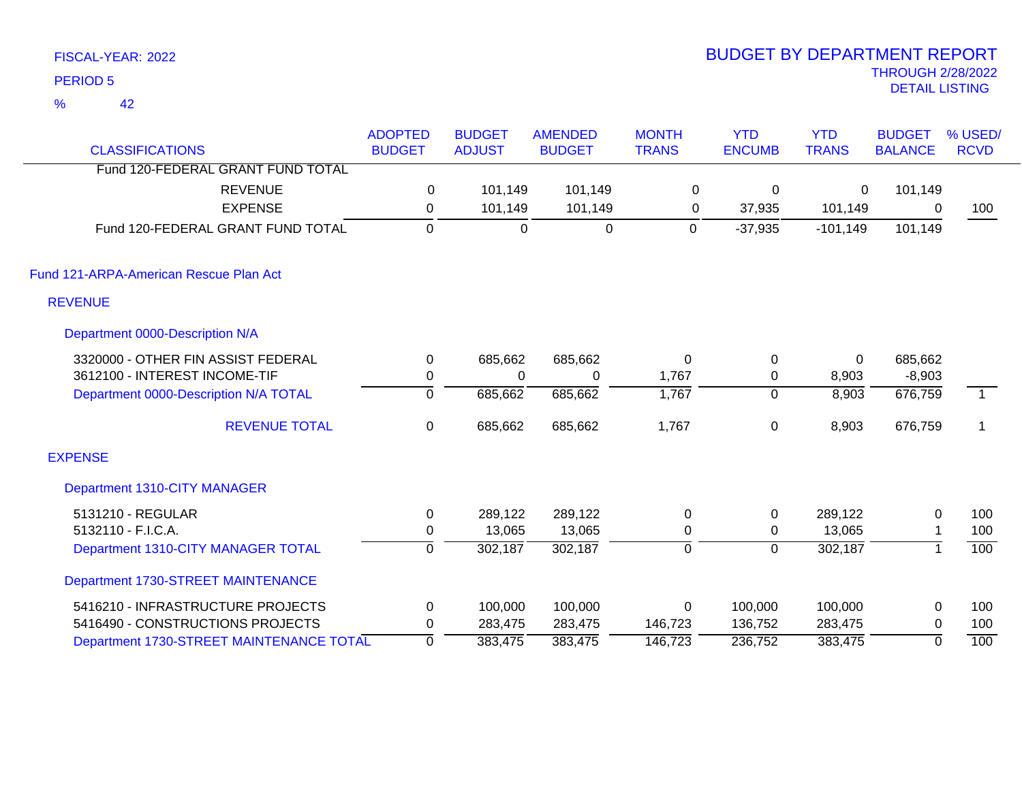|                 | FISCAL-YEAR: 2022                                                   |                                 |                                |                                 |                              | <b>BUDGET BY DEPARTMENT REPORT</b> |                            |                                                   |                        |
|-----------------|---------------------------------------------------------------------|---------------------------------|--------------------------------|---------------------------------|------------------------------|------------------------------------|----------------------------|---------------------------------------------------|------------------------|
| <b>PERIOD 5</b> |                                                                     |                                 |                                |                                 |                              |                                    |                            | <b>THROUGH 2/28/2022</b><br><b>DETAIL LISTING</b> |                        |
| %               | 42                                                                  |                                 |                                |                                 |                              |                                    |                            |                                                   |                        |
|                 | <b>CLASSIFICATIONS</b>                                              | <b>ADOPTED</b><br><b>BUDGET</b> | <b>BUDGET</b><br><b>ADJUST</b> | <b>AMENDED</b><br><b>BUDGET</b> | <b>MONTH</b><br><b>TRANS</b> | <b>YTD</b><br><b>ENCUMB</b>        | <b>YTD</b><br><b>TRANS</b> | <b>BUDGET</b><br><b>BALANCE</b>                   | % USED/<br><b>RCVD</b> |
|                 | Fund 120-FEDERAL GRANT FUND TOTAL                                   |                                 |                                |                                 |                              |                                    |                            |                                                   |                        |
|                 | <b>REVENUE</b><br><b>EXPENSE</b>                                    | $\mathbf 0$<br>0                | 101,149<br>101,149             | 101,149<br>101,149              | 0<br>0                       | 0<br>37,935                        | 0<br>101,149               | 101,149<br>0                                      | 100                    |
|                 | Fund 120-FEDERAL GRANT FUND TOTAL                                   | $\mathbf 0$                     | $\mathbf 0$                    | $\boldsymbol{0}$                | $\mathbf 0$                  | $-37,935$                          | $-101,149$                 | 101,149                                           |                        |
|                 | Fund 121-ARPA-American Rescue Plan Act                              |                                 |                                |                                 |                              |                                    |                            |                                                   |                        |
| <b>REVENUE</b>  |                                                                     |                                 |                                |                                 |                              |                                    |                            |                                                   |                        |
|                 | Department 0000-Description N/A                                     |                                 |                                |                                 |                              |                                    |                            |                                                   |                        |
|                 | 3320000 - OTHER FIN ASSIST FEDERAL<br>3612100 - INTEREST INCOME-TIF | 0<br>0                          | 685,662<br>$\Omega$            | 685,662<br>$\Omega$             | 0<br>1,767                   | $\mathbf 0$<br>$\mathbf{0}$        | 0<br>8,903                 | 685,662<br>$-8,903$                               |                        |
|                 | Department 0000-Description N/A TOTAL                               | 0                               | 685,662                        | 685,662                         | 1,767                        | $\Omega$                           | 8,903                      | 676,759                                           | $\overline{1}$         |
|                 | <b>REVENUE TOTAL</b>                                                | $\mathbf 0$                     | 685,662                        | 685,662                         | 1,767                        | $\mathbf 0$                        | 8,903                      | 676,759                                           | $\mathbf 1$            |
| <b>EXPENSE</b>  |                                                                     |                                 |                                |                                 |                              |                                    |                            |                                                   |                        |
|                 | Department 1310-CITY MANAGER                                        |                                 |                                |                                 |                              |                                    |                            |                                                   |                        |
|                 | 5131210 - REGULAR<br>5132110 - F.I.C.A.                             | 0<br>0                          | 289,122<br>13,065              | 289,122<br>13,065               | 0<br>0                       | $\Omega$<br>$\Omega$               | 289,122<br>13,065          | 0                                                 | 100<br>100             |

Department 1310-CITY MANAGER TOTAL  $\overline{0}$  302,187 302,187 0 0 302,187 1 100

5416210 - INFRASTRUCTURE PROJECTS 0 100,000 100,000 0 100,000 100,000 0 100 5416490 - CONSTRUCTIONS PROJECTS 0 283,475 283,475 146,723 136,752 283,475 0 100 Department 1730-STREET MAINTENANCE TOTAL 0 383,475 383,475 146,723 236,752 383,475 0 100

Department 1730-STREET MAINTENANCE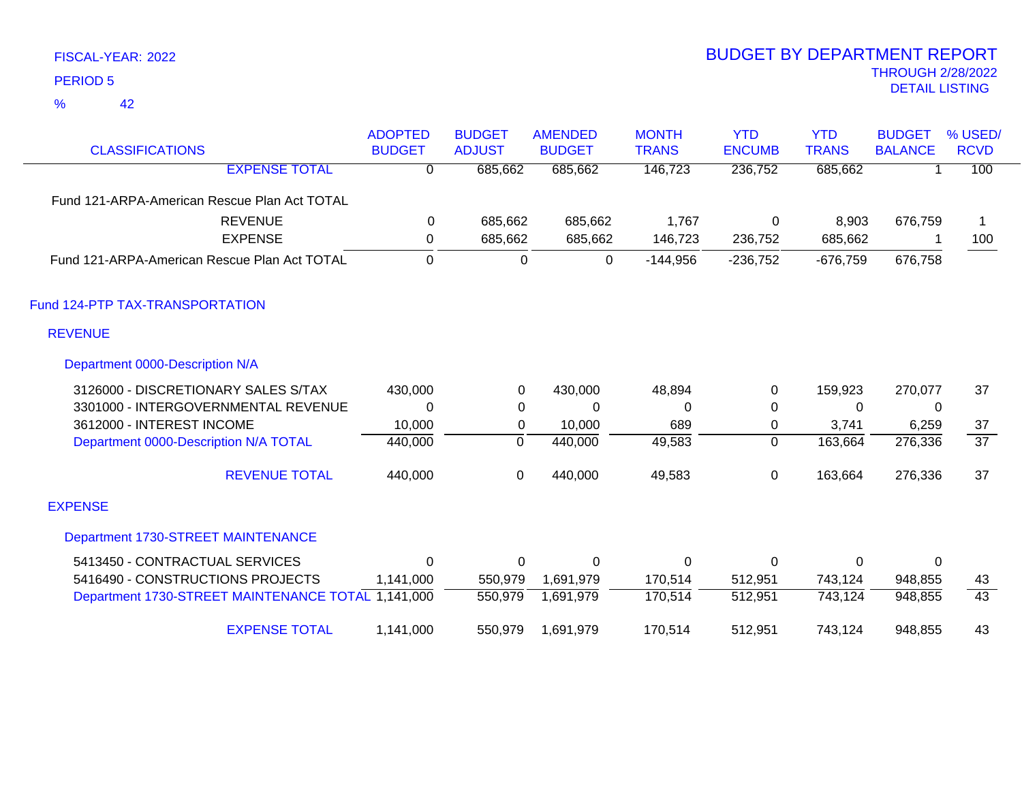42 %

| <b>CLASSIFICATIONS</b>                             | <b>ADOPTED</b><br><b>BUDGET</b> | <b>BUDGET</b><br><b>ADJUST</b> | <b>AMENDED</b><br><b>BUDGET</b> | <b>MONTH</b><br><b>TRANS</b> | <b>YTD</b><br><b>ENCUMB</b> | <b>YTD</b><br><b>TRANS</b> | <b>BUDGET</b><br><b>BALANCE</b> | % USED/<br><b>RCVD</b> |
|----------------------------------------------------|---------------------------------|--------------------------------|---------------------------------|------------------------------|-----------------------------|----------------------------|---------------------------------|------------------------|
| <b>EXPENSE TOTAL</b>                               | $\overline{0}$                  | 685,662                        | 685,662                         | 146,723                      | 236,752                     | 685,662                    |                                 | 100                    |
| Fund 121-ARPA-American Rescue Plan Act TOTAL       |                                 |                                |                                 |                              |                             |                            |                                 |                        |
| <b>REVENUE</b>                                     | 0                               | 685,662                        | 685,662                         | 1,767                        | 0                           | 8,903                      | 676,759                         |                        |
| <b>EXPENSE</b>                                     | $\mathbf 0$                     | 685,662                        | 685,662                         | 146,723                      | 236,752                     | 685,662                    |                                 | 100                    |
| Fund 121-ARPA-American Rescue Plan Act TOTAL       | $\mathbf 0$                     | $\mathbf 0$                    | 0                               | $-144,956$                   | $-236,752$                  | $-676,759$                 | 676,758                         |                        |
| Fund 124-PTP TAX-TRANSPORTATION                    |                                 |                                |                                 |                              |                             |                            |                                 |                        |
| <b>REVENUE</b>                                     |                                 |                                |                                 |                              |                             |                            |                                 |                        |
| Department 0000-Description N/A                    |                                 |                                |                                 |                              |                             |                            |                                 |                        |
| 3126000 - DISCRETIONARY SALES S/TAX                | 430,000                         | 0                              | 430,000                         | 48,894                       | $\mathbf 0$                 | 159,923                    | 270,077                         | 37                     |
| 3301000 - INTERGOVERNMENTAL REVENUE                | $\Omega$                        | 0                              | $\Omega$                        | $\Omega$                     | 0                           | $\Omega$                   | $\mathbf{0}$                    |                        |
| 3612000 - INTEREST INCOME                          | 10,000                          | 0                              | 10,000                          | 689                          | 0                           | 3,741                      | 6,259                           | 37                     |
| Department 0000-Description N/A TOTAL              | 440,000                         | $\mathbf 0$                    | 440,000                         | 49,583                       | $\overline{0}$              | 163,664                    | 276,336                         | $\overline{37}$        |
| <b>REVENUE TOTAL</b>                               | 440,000                         | 0                              | 440,000                         | 49,583                       | 0                           | 163,664                    | 276,336                         | 37                     |
| <b>EXPENSE</b>                                     |                                 |                                |                                 |                              |                             |                            |                                 |                        |
| Department 1730-STREET MAINTENANCE                 |                                 |                                |                                 |                              |                             |                            |                                 |                        |
| 5413450 - CONTRACTUAL SERVICES                     | $\mathbf{0}$                    | 0                              | $\mathbf 0$                     | $\Omega$                     | $\mathbf 0$                 | $\Omega$                   | 0                               |                        |
| 5416490 - CONSTRUCTIONS PROJECTS                   | 1,141,000                       | 550,979                        | 1,691,979                       | 170,514                      | 512,951                     | 743,124                    | 948,855                         | 43                     |
| Department 1730-STREET MAINTENANCE TOTAL 1,141,000 |                                 | 550,979                        | 1,691,979                       | 170,514                      | 512,951                     | 743,124                    | 948,855                         | 43                     |
| <b>EXPENSE TOTAL</b>                               | 1,141,000                       | 550,979                        | 1,691,979                       | 170,514                      | 512,951                     | 743,124                    | 948,855                         | 43                     |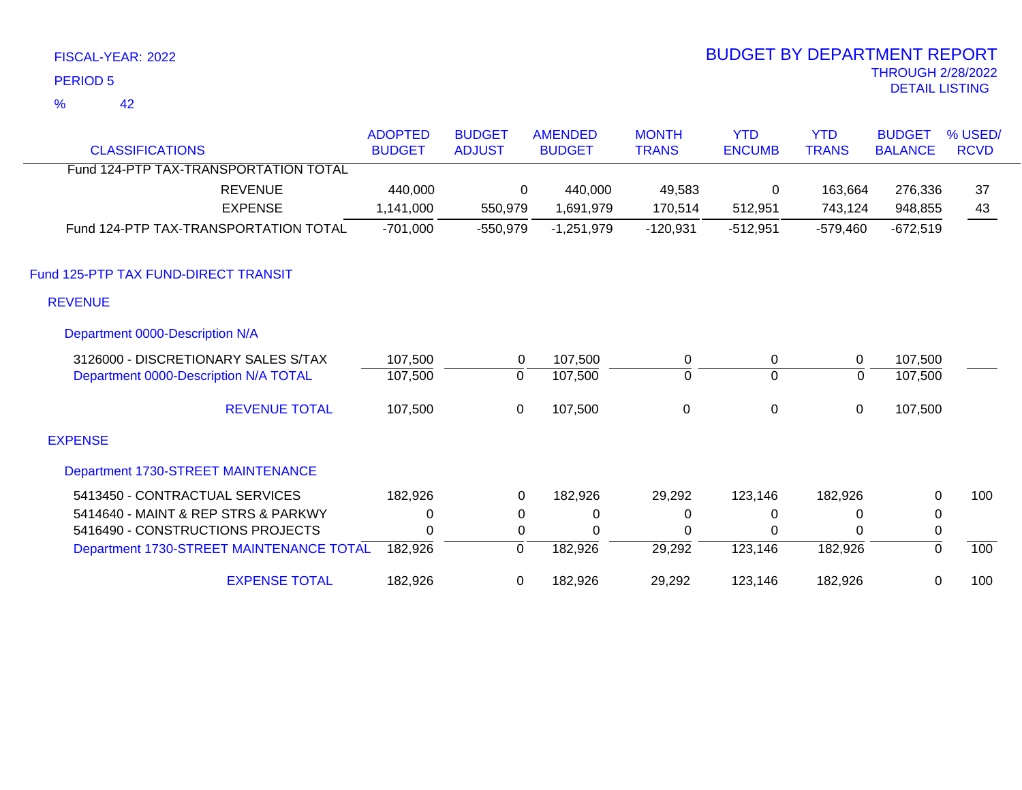42 %

| <b>CLASSIFICATIONS</b>                   | <b>ADOPTED</b><br><b>BUDGET</b> | <b>BUDGET</b><br><b>ADJUST</b> | <b>AMENDED</b><br><b>BUDGET</b> | <b>MONTH</b><br><b>TRANS</b> | <b>YTD</b><br><b>ENCUMB</b> | <b>YTD</b><br><b>TRANS</b> | <b>BUDGET</b><br><b>BALANCE</b> | % USED/<br><b>RCVD</b> |
|------------------------------------------|---------------------------------|--------------------------------|---------------------------------|------------------------------|-----------------------------|----------------------------|---------------------------------|------------------------|
| Fund 124-PTP TAX-TRANSPORTATION TOTAL    |                                 |                                |                                 |                              |                             |                            |                                 |                        |
| <b>REVENUE</b>                           | 440,000                         | 0                              | 440,000                         | 49,583                       | 0                           | 163,664                    | 276,336                         | 37                     |
| <b>EXPENSE</b>                           | 1,141,000                       | 550,979                        | 1,691,979                       | 170,514                      | 512,951                     | 743,124                    | 948,855                         | 43                     |
| Fund 124-PTP TAX-TRANSPORTATION TOTAL    | $-701,000$                      | $-550,979$                     | $-1,251,979$                    | $-120,931$                   | $-512,951$                  | $-579,460$                 | $-672,519$                      |                        |
| Fund 125-PTP TAX FUND-DIRECT TRANSIT     |                                 |                                |                                 |                              |                             |                            |                                 |                        |
| <b>REVENUE</b>                           |                                 |                                |                                 |                              |                             |                            |                                 |                        |
| Department 0000-Description N/A          |                                 |                                |                                 |                              |                             |                            |                                 |                        |
| 3126000 - DISCRETIONARY SALES S/TAX      | 107,500                         | $\mathbf 0$                    | 107,500                         | 0                            | $\mathbf 0$                 | 0                          | 107,500                         |                        |
| Department 0000-Description N/A TOTAL    | 107,500                         | $\mathbf 0$                    | 107,500                         | $\mathbf 0$                  | $\overline{0}$              | $\Omega$                   | 107,500                         |                        |
| <b>REVENUE TOTAL</b>                     | 107,500                         | 0                              | 107,500                         | $\boldsymbol{0}$             | $\boldsymbol{0}$            | $\mathbf 0$                | 107,500                         |                        |
| <b>EXPENSE</b>                           |                                 |                                |                                 |                              |                             |                            |                                 |                        |
| Department 1730-STREET MAINTENANCE       |                                 |                                |                                 |                              |                             |                            |                                 |                        |
| 5413450 - CONTRACTUAL SERVICES           | 182,926                         | $\mathbf 0$                    | 182,926                         | 29,292                       | 123,146                     | 182,926                    | 0                               | 100                    |
| 5414640 - MAINT & REP STRS & PARKWY      | 0                               | 0                              | 0                               | 0                            | 0                           | $\Omega$                   | 0                               |                        |
| 5416490 - CONSTRUCTIONS PROJECTS         | 0                               | 0                              | 0                               | 0                            | 0                           | $\Omega$                   | 0                               |                        |
| Department 1730-STREET MAINTENANCE TOTAL | 182,926                         | 0                              | 182,926                         | 29,292                       | 123,146                     | 182,926                    | $\mathbf{0}$                    | 100                    |
| <b>EXPENSE TOTAL</b>                     | 182,926                         | 0                              | 182,926                         | 29,292                       | 123,146                     | 182,926                    | 0                               | 100                    |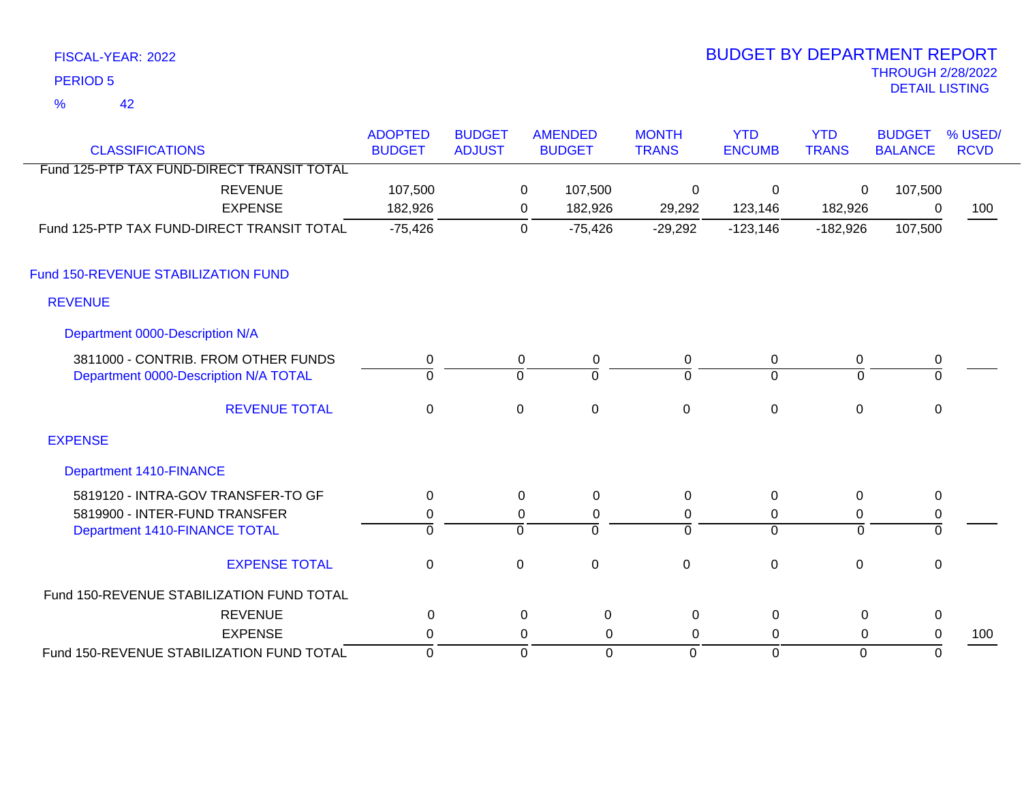42 %

| <b>CLASSIFICATIONS</b>                     | <b>ADOPTED</b><br><b>BUDGET</b> | <b>BUDGET</b><br><b>ADJUST</b> |             | <b>AMENDED</b><br><b>BUDGET</b> | <b>MONTH</b><br><b>TRANS</b> | <b>YTD</b><br><b>ENCUMB</b> | <b>YTD</b><br><b>TRANS</b> | <b>BUDGET</b><br><b>BALANCE</b> | % USED/<br><b>RCVD</b> |
|--------------------------------------------|---------------------------------|--------------------------------|-------------|---------------------------------|------------------------------|-----------------------------|----------------------------|---------------------------------|------------------------|
| Fund 125-PTP TAX FUND-DIRECT TRANSIT TOTAL |                                 |                                |             |                                 |                              |                             |                            |                                 |                        |
| <b>REVENUE</b>                             | 107,500                         |                                | 0           | 107,500                         | $\mathbf 0$                  | $\mathbf{0}$                | 0                          | 107,500                         |                        |
| <b>EXPENSE</b>                             | 182,926                         |                                | 0           | 182,926                         | 29,292                       | 123,146                     | 182,926                    | 0                               | 100                    |
| Fund 125-PTP TAX FUND-DIRECT TRANSIT TOTAL | $-75,426$                       |                                | $\mathbf 0$ | $-75,426$                       | $-29,292$                    | $-123,146$                  | $-182,926$                 | 107,500                         |                        |
| Fund 150-REVENUE STABILIZATION FUND        |                                 |                                |             |                                 |                              |                             |                            |                                 |                        |
| <b>REVENUE</b>                             |                                 |                                |             |                                 |                              |                             |                            |                                 |                        |
| Department 0000-Description N/A            |                                 |                                |             |                                 |                              |                             |                            |                                 |                        |
| 3811000 - CONTRIB. FROM OTHER FUNDS        | 0                               |                                | 0           | 0                               | $\mathbf 0$                  | 0                           | 0                          | $\pmb{0}$                       |                        |
| Department 0000-Description N/A TOTAL      | $\Omega$                        |                                | 0           | $\Omega$                        | 0                            | $\mathbf 0$                 | $\Omega$                   | 0                               |                        |
| <b>REVENUE TOTAL</b>                       | $\pmb{0}$                       |                                | $\mathbf 0$ | $\mathbf 0$                     | $\mathbf 0$                  | $\mathbf 0$                 | $\mathbf 0$                | $\mathbf 0$                     |                        |
| <b>EXPENSE</b>                             |                                 |                                |             |                                 |                              |                             |                            |                                 |                        |
| <b>Department 1410-FINANCE</b>             |                                 |                                |             |                                 |                              |                             |                            |                                 |                        |
| 5819120 - INTRA-GOV TRANSFER-TO GF         | 0                               |                                | 0           | $\pmb{0}$                       | 0                            | 0                           | $\mathbf 0$                | $\mathbf 0$                     |                        |
| 5819900 - INTER-FUND TRANSFER              | 0                               |                                | 0           | 0                               | 0                            | 0                           | 0                          | 0                               |                        |
| Department 1410-FINANCE TOTAL              | $\overline{0}$                  |                                | ō           | $\Omega$                        | $\Omega$                     | $\overline{0}$              | $\overline{0}$             | $\overline{0}$                  |                        |
| <b>EXPENSE TOTAL</b>                       | $\mathbf 0$                     |                                | $\mathbf 0$ | $\mathbf 0$                     | $\mathbf 0$                  | $\mathbf 0$                 | $\mathbf 0$                | 0                               |                        |
| Fund 150-REVENUE STABILIZATION FUND TOTAL  |                                 |                                |             |                                 |                              |                             |                            |                                 |                        |
| <b>REVENUE</b>                             | 0                               |                                | 0           | 0                               | 0                            | $\Omega$                    | 0                          | 0                               |                        |
| <b>EXPENSE</b>                             | 0                               |                                | 0           | 0                               | 0                            | 0                           | 0                          | 0                               | 100                    |
| Fund 150-REVENUE STABILIZATION FUND TOTAL  | $\mathbf 0$                     |                                | $\mathbf 0$ | $\Omega$                        | $\mathbf 0$                  | $\mathbf 0$                 | $\overline{0}$             | $\mathbf 0$                     |                        |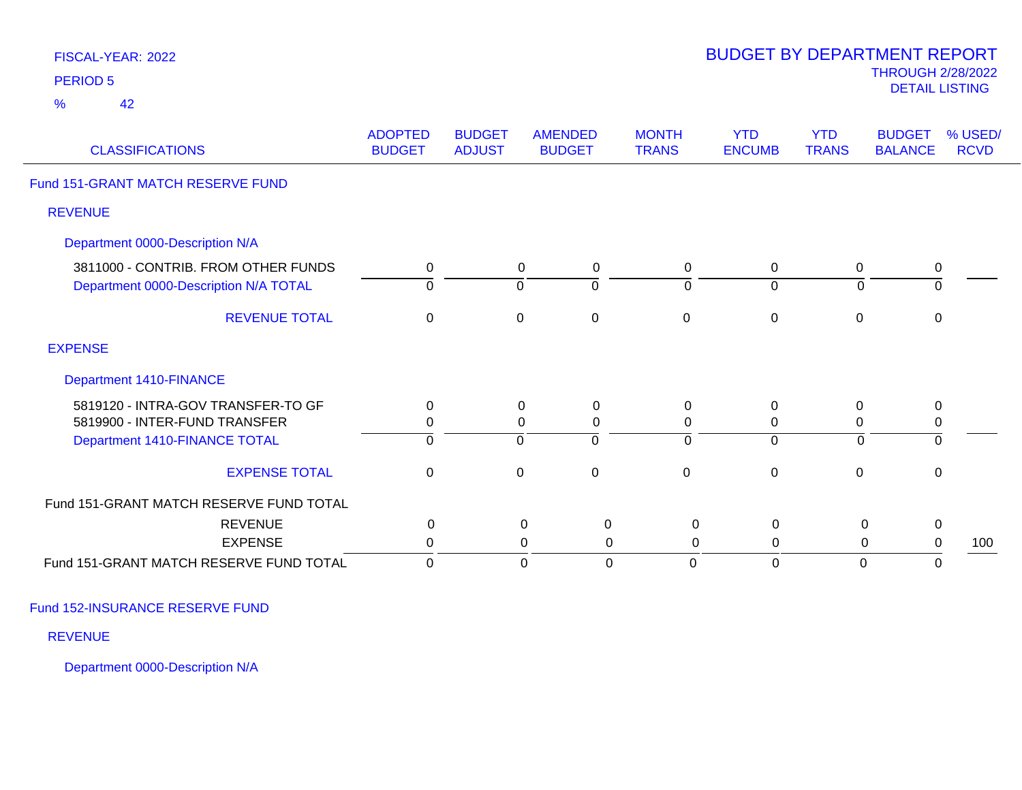| FISCAL-YEAR: 2022<br><b>PERIOD 5</b>                                         |                                 |                                |                                 |                          |                               | <b>BUDGET BY DEPARTMENT REPORT</b> |                            | <b>THROUGH 2/28/2022</b><br><b>DETAIL LISTING</b> |                        |
|------------------------------------------------------------------------------|---------------------------------|--------------------------------|---------------------------------|--------------------------|-------------------------------|------------------------------------|----------------------------|---------------------------------------------------|------------------------|
| 42<br>$\frac{9}{6}$                                                          |                                 |                                |                                 |                          |                               |                                    |                            |                                                   |                        |
| <b>CLASSIFICATIONS</b>                                                       | <b>ADOPTED</b><br><b>BUDGET</b> | <b>BUDGET</b><br><b>ADJUST</b> | <b>AMENDED</b><br><b>BUDGET</b> |                          | <b>MONTH</b><br><b>TRANS</b>  | <b>YTD</b><br><b>ENCUMB</b>        | <b>YTD</b><br><b>TRANS</b> | <b>BUDGET</b><br><b>BALANCE</b>                   | % USED/<br><b>RCVD</b> |
| Fund 151-GRANT MATCH RESERVE FUND                                            |                                 |                                |                                 |                          |                               |                                    |                            |                                                   |                        |
| <b>REVENUE</b>                                                               |                                 |                                |                                 |                          |                               |                                    |                            |                                                   |                        |
| Department 0000-Description N/A                                              |                                 |                                |                                 |                          |                               |                                    |                            |                                                   |                        |
| 3811000 - CONTRIB. FROM OTHER FUNDS<br>Department 0000-Description N/A TOTAL | 0<br>$\Omega$                   |                                | 0<br>$\mathbf 0$                | $\pmb{0}$<br>$\mathbf 0$ | $\mathbf 0$<br>$\overline{0}$ | $\pmb{0}$<br>$\mathbf 0$           | 0<br>$\Omega$              | $\pmb{0}$<br>$\overline{0}$                       |                        |
| <b>REVENUE TOTAL</b>                                                         | $\mathbf 0$                     |                                | $\mathbf 0$                     | $\pmb{0}$                | $\pmb{0}$                     | $\pmb{0}$                          | $\pmb{0}$                  | $\pmb{0}$                                         |                        |
| <b>EXPENSE</b>                                                               |                                 |                                |                                 |                          |                               |                                    |                            |                                                   |                        |
| Department 1410-FINANCE                                                      |                                 |                                |                                 |                          |                               |                                    |                            |                                                   |                        |
| 5819120 - INTRA-GOV TRANSFER-TO GF                                           | 0                               |                                | $\Omega$                        | $\mathbf 0$              | $\mathbf 0$                   | 0                                  | 0                          | $\mathbf 0$                                       |                        |
| 5819900 - INTER-FUND TRANSFER                                                | 0                               |                                | 0                               | $\pmb{0}$                | $\mathbf 0$                   | $\mathbf 0$                        | $\mathbf 0$                | $\pmb{0}$                                         |                        |
| Department 1410-FINANCE TOTAL                                                | $\Omega$                        |                                | $\Omega$                        | $\Omega$                 | $\Omega$                      | $\mathbf 0$                        | $\mathbf 0$                | $\mathbf 0$                                       |                        |
| <b>EXPENSE TOTAL</b>                                                         | $\mathbf 0$                     |                                | $\mathbf 0$                     | $\pmb{0}$                | $\pmb{0}$                     | $\pmb{0}$                          | $\pmb{0}$                  | $\mathsf 0$                                       |                        |
| Fund 151-GRANT MATCH RESERVE FUND TOTAL                                      |                                 |                                |                                 |                          |                               |                                    |                            |                                                   |                        |
| <b>REVENUE</b>                                                               | 0                               |                                | $\mathbf 0$                     | $\mathbf 0$              | $\pmb{0}$                     | $\mathsf 0$                        | 0                          | $\pmb{0}$                                         |                        |
| <b>EXPENSE</b>                                                               | 0                               |                                | 0                               | $\overline{0}$           | $\pmb{0}$                     | $\mathbf 0$                        | 0                          | $\pmb{0}$                                         | 100                    |
| Fund 151-GRANT MATCH RESERVE FUND TOTAL                                      | $\Omega$                        |                                | 0                               | $\overline{0}$           | $\Omega$                      | $\mathbf 0$                        | 0                          | $\mathbf 0$                                       |                        |

Fund 152-INSURANCE RESERVE FUND

REVENUE

Department 0000-Description N/A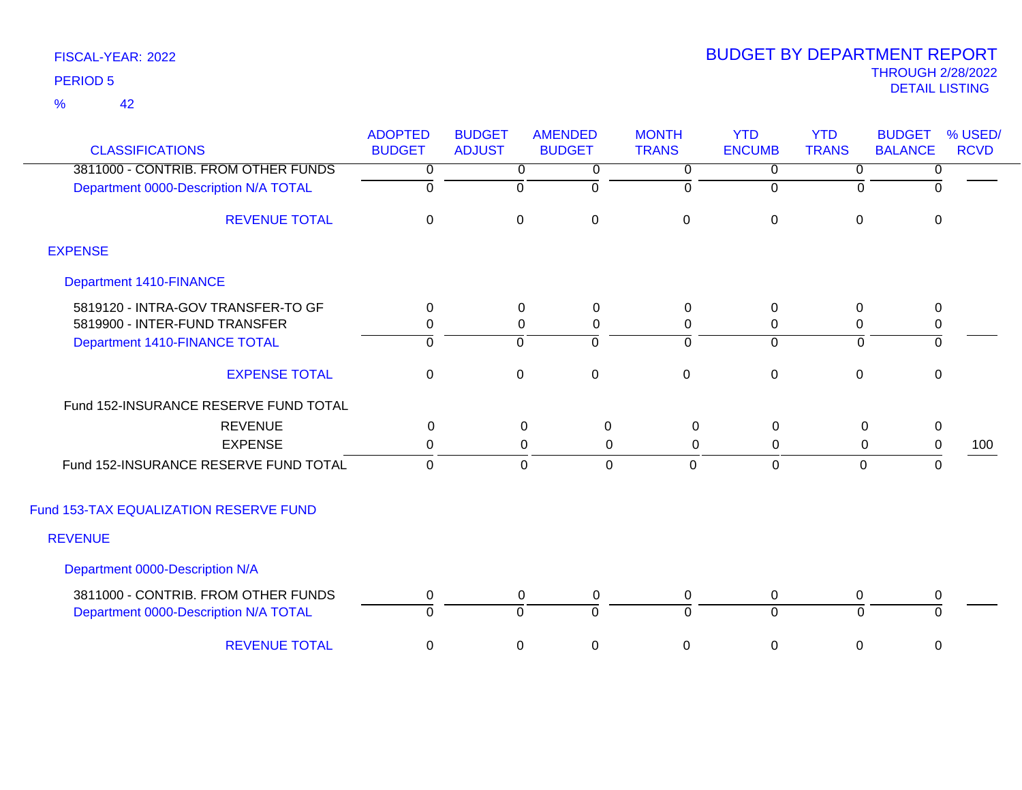42 %

| <b>CLASSIFICATIONS</b>                                                       | <b>ADOPTED</b><br><b>BUDGET</b> | <b>BUDGET</b><br><b>ADJUST</b> | <b>AMENDED</b><br><b>BUDGET</b> | <b>MONTH</b><br><b>TRANS</b> | <b>YTD</b><br><b>ENCUMB</b> | <b>YTD</b><br><b>TRANS</b> | <b>BUDGET</b><br><b>BALANCE</b> | % USED/<br><b>RCVD</b> |
|------------------------------------------------------------------------------|---------------------------------|--------------------------------|---------------------------------|------------------------------|-----------------------------|----------------------------|---------------------------------|------------------------|
| 3811000 - CONTRIB. FROM OTHER FUNDS                                          | $\overline{0}$                  | $\overline{0}$                 | $\mathbf 0$                     | $\overline{0}$               | $\overline{0}$              | $\overline{0}$             | 0                               |                        |
| Department 0000-Description N/A TOTAL                                        | $\overline{0}$                  | $\mathbf 0$                    | $\overline{0}$                  | $\overline{0}$               | $\mathbf 0$                 | $\Omega$                   | $\Omega$                        |                        |
| <b>REVENUE TOTAL</b>                                                         | $\mathbf{0}$                    | $\mathbf 0$                    | $\mathbf 0$                     | $\mathbf 0$                  | $\mathbf 0$                 | $\mathbf 0$                | $\mathbf 0$                     |                        |
| <b>EXPENSE</b>                                                               |                                 |                                |                                 |                              |                             |                            |                                 |                        |
| <b>Department 1410-FINANCE</b>                                               |                                 |                                |                                 |                              |                             |                            |                                 |                        |
| 5819120 - INTRA-GOV TRANSFER-TO GF                                           | 0                               | 0                              | $\mathbf 0$                     | $\mathbf 0$                  | 0                           | $\mathbf 0$                | $\mathbf 0$                     |                        |
| 5819900 - INTER-FUND TRANSFER                                                | 0                               | 0                              | $\mathbf 0$                     | $\pmb{0}$                    | 0                           | 0                          | 0                               |                        |
| Department 1410-FINANCE TOTAL                                                | $\overline{0}$                  | $\overline{0}$                 | ō                               | $\overline{0}$               | $\overline{0}$              | $\mathbf 0$                | $\overline{0}$                  |                        |
| <b>EXPENSE TOTAL</b>                                                         | 0                               | 0                              | $\mathbf 0$                     | $\mathbf 0$                  | $\mathbf 0$                 | $\mathbf 0$                | 0                               |                        |
| Fund 152-INSURANCE RESERVE FUND TOTAL                                        |                                 |                                |                                 |                              |                             |                            |                                 |                        |
| <b>REVENUE</b>                                                               | 0                               |                                | $\mathbf 0$<br>0                | $\mathbf 0$                  | $\mathsf 0$                 | $\mathbf 0$                | $\mathbf 0$                     |                        |
| <b>EXPENSE</b>                                                               | 0                               |                                | 0<br>$\mathbf{0}$               | 0                            | 0                           | 0                          | $\mathbf 0$                     | 100                    |
| Fund 152-INSURANCE RESERVE FUND TOTAL                                        | $\mathbf 0$                     |                                | 0<br>$\mathbf 0$                | $\mathbf 0$                  | $\mathbf 0$                 | 0                          | $\mathbf 0$                     |                        |
| Fund 153-TAX EQUALIZATION RESERVE FUND                                       |                                 |                                |                                 |                              |                             |                            |                                 |                        |
| <b>REVENUE</b>                                                               |                                 |                                |                                 |                              |                             |                            |                                 |                        |
| Department 0000-Description N/A                                              |                                 |                                |                                 |                              |                             |                            |                                 |                        |
| 3811000 - CONTRIB. FROM OTHER FUNDS<br>Department 0000-Description N/A TOTAL | $\mathbf 0$<br>$\Omega$         | 0<br>$\Omega$                  | $\mathbf 0$<br>$\overline{0}$   | $\mathbf 0$<br>$\Omega$      | 0<br>$\Omega$               | 0<br>$\Omega$              | 0<br>$\Omega$                   |                        |
| <b>REVENUE TOTAL</b>                                                         | $\pmb{0}$                       | $\pmb{0}$                      | $\pmb{0}$                       | $\boldsymbol{0}$             | $\boldsymbol{0}$            | $\mathbf 0$                | 0                               |                        |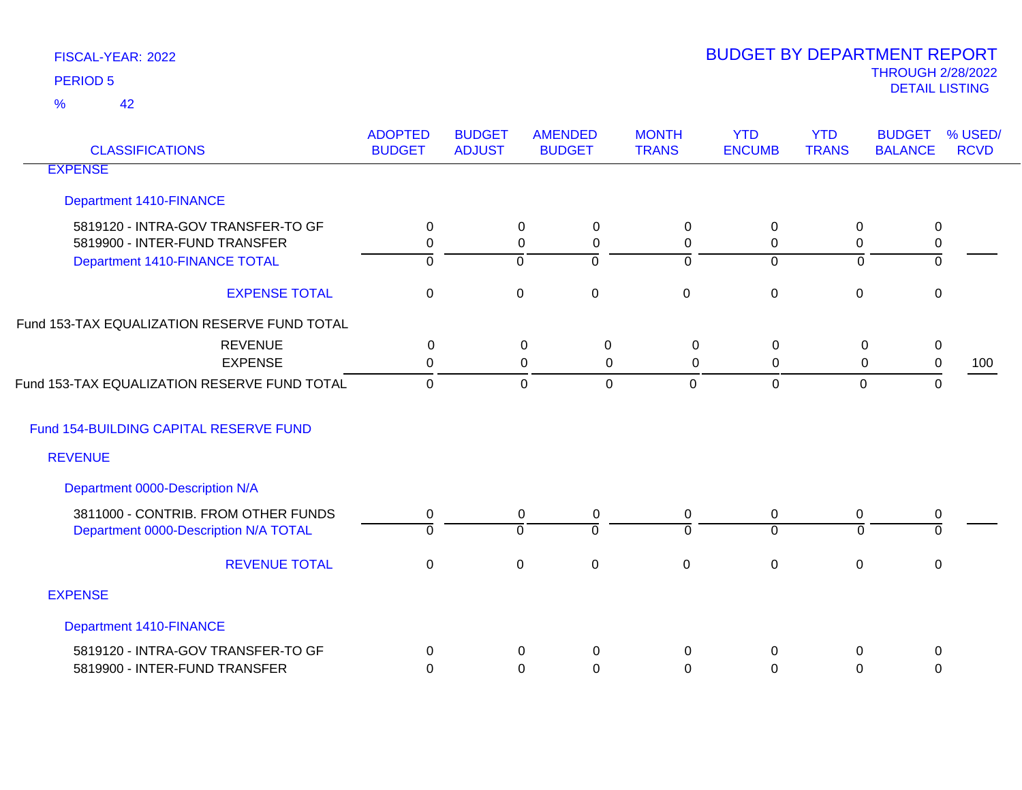42 %

| <b>CLASSIFICATIONS</b>                                              | <b>ADOPTED</b><br><b>BUDGET</b> | <b>BUDGET</b><br><b>ADJUST</b> | <b>AMENDED</b><br><b>BUDGET</b>                | <b>MONTH</b><br><b>TRANS</b> | <b>YTD</b><br><b>ENCUMB</b> | <b>YTD</b><br><b>TRANS</b> | <b>BUDGET</b><br><b>BALANCE</b> | % USED/<br><b>RCVD</b> |
|---------------------------------------------------------------------|---------------------------------|--------------------------------|------------------------------------------------|------------------------------|-----------------------------|----------------------------|---------------------------------|------------------------|
| <b>EXPENSE</b>                                                      |                                 |                                |                                                |                              |                             |                            |                                 |                        |
| <b>Department 1410-FINANCE</b>                                      |                                 |                                |                                                |                              |                             |                            |                                 |                        |
| 5819120 - INTRA-GOV TRANSFER-TO GF<br>5819900 - INTER-FUND TRANSFER | $\mathbf 0$<br>0                |                                | $\mathbf 0$<br>0<br>$\mathbf 0$<br>$\mathbf 0$ | 0<br>0                       | 0<br>0                      | 0<br>$\mathbf 0$           | 0<br>0                          |                        |
| Department 1410-FINANCE TOTAL                                       | ō                               |                                | $\overline{0}$<br>$\mathbf 0$                  | $\overline{0}$               | $\overline{0}$              | $\overline{0}$             | ō                               |                        |
| <b>EXPENSE TOTAL</b>                                                | $\mathbf 0$                     |                                | $\mathbf 0$<br>$\mathbf 0$                     | $\mathbf 0$                  | $\mathbf 0$                 | $\mathbf 0$                | 0                               |                        |
| Fund 153-TAX EQUALIZATION RESERVE FUND TOTAL                        |                                 |                                |                                                |                              |                             |                            |                                 |                        |
| <b>REVENUE</b>                                                      | $\mathbf{0}$                    |                                | 0<br>0                                         | 0                            | 0                           | 0                          | 0                               |                        |
| <b>EXPENSE</b>                                                      | 0                               |                                | 0<br>0                                         | $\Omega$                     | 0                           | 0                          | $\pmb{0}$                       | 100                    |
| Fund 153-TAX EQUALIZATION RESERVE FUND TOTAL                        | $\Omega$                        |                                | $\mathbf 0$<br>$\mathbf{0}$                    | $\mathbf 0$                  | $\mathbf 0$                 | $\mathbf 0$                | 0                               |                        |
| Fund 154-BUILDING CAPITAL RESERVE FUND                              |                                 |                                |                                                |                              |                             |                            |                                 |                        |
| <b>REVENUE</b>                                                      |                                 |                                |                                                |                              |                             |                            |                                 |                        |
| Department 0000-Description N/A                                     |                                 |                                |                                                |                              |                             |                            |                                 |                        |
| 3811000 - CONTRIB. FROM OTHER FUNDS                                 | 0                               |                                | $\mathbf 0$<br>0                               | 0                            | $\mathbf 0$                 | 0                          | 0                               |                        |
| Department 0000-Description N/A TOTAL                               | $\overline{0}$                  |                                | $\Omega$<br>$\Omega$                           | $\Omega$                     | $\overline{0}$              | $\overline{0}$             | $\Omega$                        |                        |
| <b>REVENUE TOTAL</b>                                                | $\mathbf 0$                     |                                | $\mathbf 0$<br>$\pmb{0}$                       | $\mathbf 0$                  | $\mathbf 0$                 | $\pmb{0}$                  | 0                               |                        |
| <b>EXPENSE</b>                                                      |                                 |                                |                                                |                              |                             |                            |                                 |                        |
| <b>Department 1410-FINANCE</b>                                      |                                 |                                |                                                |                              |                             |                            |                                 |                        |
| 5819120 - INTRA-GOV TRANSFER-TO GF                                  | $\Omega$                        |                                | 0<br>0                                         | 0                            | $\Omega$                    | 0                          | 0                               |                        |
| 5819900 - INTER-FUND TRANSFER                                       | $\Omega$                        |                                | 0<br>0                                         | 0                            | 0                           | 0                          | 0                               |                        |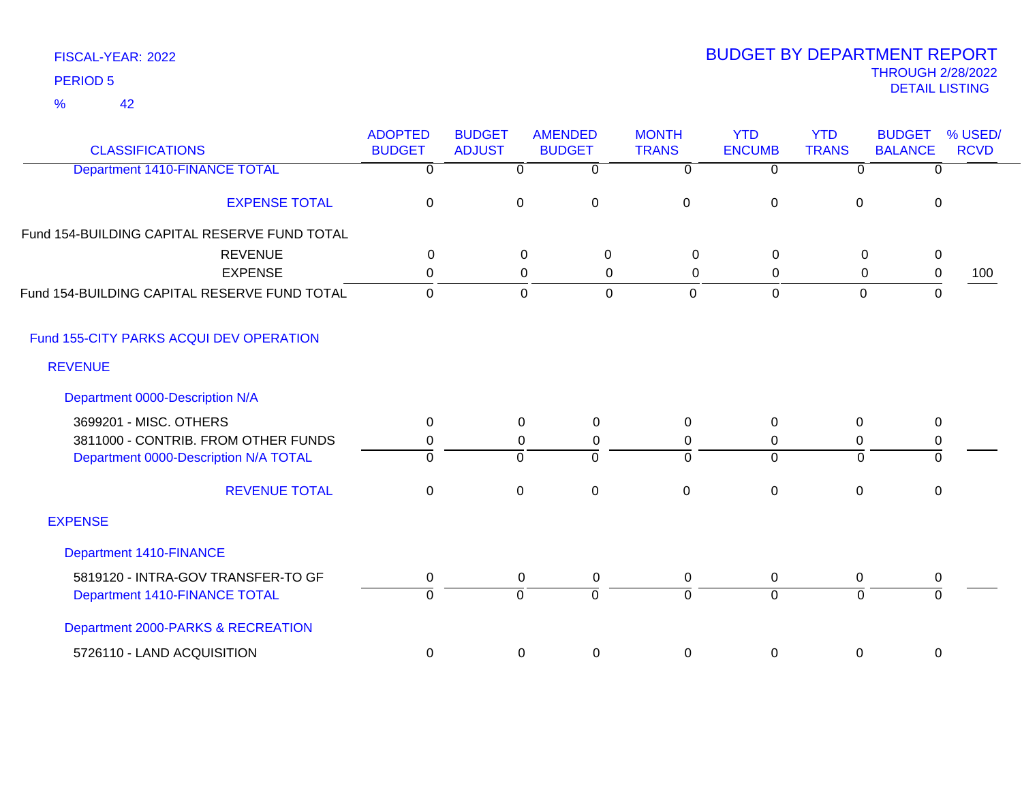| FISCAL-YEAR: 2022 |  |
|-------------------|--|
| <b>PERIOD 5</b>   |  |

| <b>CLASSIFICATIONS</b>                       | <b>ADOPTED</b><br><b>BUDGET</b> | <b>BUDGET</b><br><b>ADJUST</b> | <b>AMENDED</b><br><b>BUDGET</b> | <b>MONTH</b><br><b>TRANS</b> | <b>YTD</b><br><b>ENCUMB</b> | <b>YTD</b><br><b>TRANS</b> | <b>BUDGET</b><br><b>BALANCE</b> | % USED/<br><b>RCVD</b> |
|----------------------------------------------|---------------------------------|--------------------------------|---------------------------------|------------------------------|-----------------------------|----------------------------|---------------------------------|------------------------|
| Department 1410-FINANCE TOTAL                | $\overline{0}$                  | $\overline{0}$                 | $\overline{0}$                  | $\overline{0}$               | $\overline{0}$              | $\overline{0}$             | $\overline{0}$                  |                        |
| <b>EXPENSE TOTAL</b>                         | $\mathbf 0$                     | $\pmb{0}$                      | $\mathbf 0$                     | $\overline{0}$               | $\mathbf 0$                 | $\mathbf 0$                | 0                               |                        |
| Fund 154-BUILDING CAPITAL RESERVE FUND TOTAL |                                 |                                |                                 |                              |                             |                            |                                 |                        |
| <b>REVENUE</b>                               | 0                               |                                | $\mathbf 0$<br>$\Omega$         | $\mathbf 0$                  | 0                           | 0                          | 0                               |                        |
| <b>EXPENSE</b>                               | 0                               |                                | 0<br>0                          | $\mathbf 0$                  | 0                           | 0                          | $\,0\,$                         | 100                    |
| Fund 154-BUILDING CAPITAL RESERVE FUND TOTAL | 0                               |                                | $\mathbf 0$<br>$\Omega$         | $\overline{0}$               | $\mathbf 0$                 | $\overline{0}$             | 0                               |                        |
| Fund 155-CITY PARKS ACQUI DEV OPERATION      |                                 |                                |                                 |                              |                             |                            |                                 |                        |
| <b>REVENUE</b>                               |                                 |                                |                                 |                              |                             |                            |                                 |                        |
| Department 0000-Description N/A              |                                 |                                |                                 |                              |                             |                            |                                 |                        |
| 3699201 - MISC. OTHERS                       | $\mathbf 0$                     | $\pmb{0}$                      | 0                               | 0                            | $\boldsymbol{0}$            | $\mathbf 0$                | $\,0\,$                         |                        |
| 3811000 - CONTRIB. FROM OTHER FUNDS          | 0                               | $\mathbf 0$                    | 0                               | 0                            | 0                           | $\mathbf 0$                | $\pmb{0}$                       |                        |
| Department 0000-Description N/A TOTAL        | $\Omega$                        | $\Omega$                       | $\Omega$                        | $\Omega$                     | $\Omega$                    | $\Omega$                   | $\Omega$                        |                        |
| <b>REVENUE TOTAL</b>                         | 0                               | $\mathbf 0$                    | $\mathbf 0$                     | $\mathbf 0$                  | $\mathbf 0$                 | $\mathbf 0$                | $\mathbf 0$                     |                        |
| <b>EXPENSE</b>                               |                                 |                                |                                 |                              |                             |                            |                                 |                        |
| Department 1410-FINANCE                      |                                 |                                |                                 |                              |                             |                            |                                 |                        |
| 5819120 - INTRA-GOV TRANSFER-TO GF           | 0                               | 0                              | 0                               | 0                            | $\mathbf 0$                 | 0                          | 0                               |                        |
| Department 1410-FINANCE TOTAL                | $\overline{0}$                  | $\overline{0}$                 | $\Omega$                        | $\Omega$                     | $\overline{0}$              | $\Omega$                   | $\mathbf 0$                     |                        |
| Department 2000-PARKS & RECREATION           |                                 |                                |                                 |                              |                             |                            |                                 |                        |
| 5726110 - LAND ACQUISITION                   | 0                               | $\mathbf 0$                    | 0                               | 0                            | $\mathbf 0$                 | 0                          | 0                               |                        |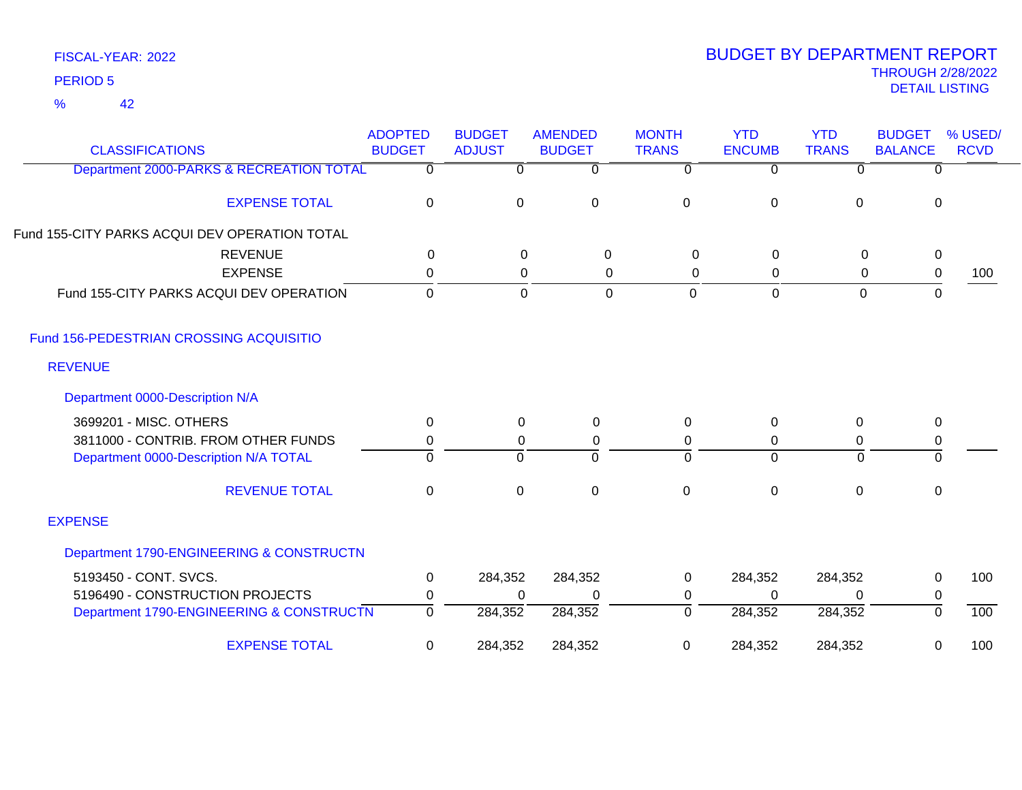42 %

| <b>CLASSIFICATIONS</b>                        | <b>ADOPTED</b><br><b>BUDGET</b> | <b>BUDGET</b><br><b>ADJUST</b> | <b>AMENDED</b><br><b>BUDGET</b> | <b>MONTH</b><br><b>TRANS</b> | <b>YTD</b><br><b>ENCUMB</b> | <b>YTD</b><br><b>TRANS</b> | <b>BUDGET</b><br><b>BALANCE</b> | % USED/<br><b>RCVD</b> |
|-----------------------------------------------|---------------------------------|--------------------------------|---------------------------------|------------------------------|-----------------------------|----------------------------|---------------------------------|------------------------|
| Department 2000-PARKS & RECREATION TOTAL      | $\Omega$                        | 0                              | $\overline{0}$                  | 0                            | $\overline{0}$              | $\Omega$                   | 0                               |                        |
| <b>EXPENSE TOTAL</b>                          | $\pmb{0}$                       | $\mathbf 0$                    | $\mathbf 0$                     | $\mathbf 0$                  | $\mathbf 0$                 | 0                          | $\mathbf 0$                     |                        |
| Fund 155-CITY PARKS ACQUI DEV OPERATION TOTAL |                                 |                                |                                 |                              |                             |                            |                                 |                        |
| <b>REVENUE</b>                                | $\mathbf{0}$                    | $\mathbf 0$                    | 0                               | $\Omega$                     | 0                           | 0                          | $\pmb{0}$                       |                        |
| <b>EXPENSE</b>                                | 0                               | 0                              | 0                               | 0                            | 0                           | 0                          | $\boldsymbol{0}$                | 100                    |
| Fund 155-CITY PARKS ACQUI DEV OPERATION       | $\mathbf 0$                     | $\mathbf 0$                    | 0                               | $\mathbf 0$                  | $\mathbf 0$                 | $\mathbf 0$                | $\mathbf 0$                     |                        |
| Fund 156-PEDESTRIAN CROSSING ACQUISITIO       |                                 |                                |                                 |                              |                             |                            |                                 |                        |
| <b>REVENUE</b>                                |                                 |                                |                                 |                              |                             |                            |                                 |                        |
| Department 0000-Description N/A               |                                 |                                |                                 |                              |                             |                            |                                 |                        |
| 3699201 - MISC. OTHERS                        | 0                               | 0                              | 0                               | $\Omega$                     | 0                           | 0                          | $\mathbf 0$                     |                        |
| 3811000 - CONTRIB. FROM OTHER FUNDS           | 0                               | 0                              | 0                               | 0                            | 0                           | 0                          | $\pmb{0}$                       |                        |
| Department 0000-Description N/A TOTAL         | $\Omega$                        | $\mathbf 0$                    | $\Omega$                        | 0                            | $\Omega$                    | $\Omega$                   | 0                               |                        |
| <b>REVENUE TOTAL</b>                          | $\pmb{0}$                       | $\mathbf 0$                    | $\pmb{0}$                       | $\mathbf 0$                  | $\mathbf 0$                 | $\pmb{0}$                  | $\pmb{0}$                       |                        |
| <b>EXPENSE</b>                                |                                 |                                |                                 |                              |                             |                            |                                 |                        |
| Department 1790-ENGINEERING & CONSTRUCTN      |                                 |                                |                                 |                              |                             |                            |                                 |                        |
| 5193450 - CONT. SVCS.                         | 0                               | 284,352                        | 284,352                         | 0                            | 284,352                     | 284,352                    | $\mathbf 0$                     | 100                    |
| 5196490 - CONSTRUCTION PROJECTS               | 0                               | $\Omega$                       | $\Omega$                        | 0                            | $\Omega$                    | $\Omega$                   | $\pmb{0}$                       |                        |
| Department 1790-ENGINEERING & CONSTRUCTN      | $\overline{0}$                  | 284,352                        | 284,352                         | 0                            | 284,352                     | 284,352                    | 0                               | 100                    |
| <b>EXPENSE TOTAL</b>                          | $\mathbf 0$                     | 284,352                        | 284,352                         | 0                            | 284,352                     | 284,352                    | 0                               | 100                    |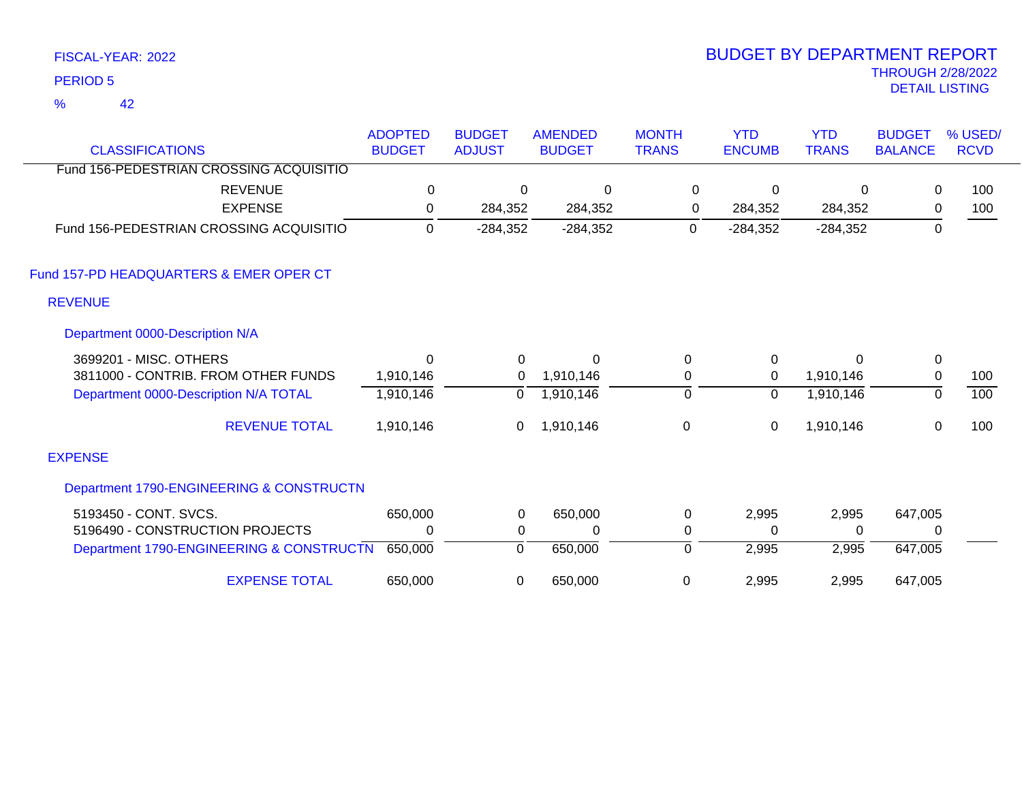42 %

| <b>CLASSIFICATIONS</b>                           | <b>ADOPTED</b><br><b>BUDGET</b> | <b>BUDGET</b><br><b>ADJUST</b> | <b>AMENDED</b><br><b>BUDGET</b> | <b>MONTH</b><br><b>TRANS</b> | <b>YTD</b><br><b>ENCUMB</b> | <b>YTD</b><br><b>TRANS</b> | <b>BUDGET</b><br><b>BALANCE</b> | % USED/<br><b>RCVD</b> |
|--------------------------------------------------|---------------------------------|--------------------------------|---------------------------------|------------------------------|-----------------------------|----------------------------|---------------------------------|------------------------|
| Fund 156-PEDESTRIAN CROSSING ACQUISITIO          |                                 |                                |                                 |                              |                             |                            |                                 |                        |
| <b>REVENUE</b>                                   | 0                               | 0                              | 0                               | $\mathbf 0$                  | 0                           | 0                          | $\mathbf 0$                     | 100                    |
| <b>EXPENSE</b>                                   | 0                               | 284,352                        | 284,352                         | 0                            | 284,352                     | 284,352                    | 0                               | 100                    |
| Fund 156-PEDESTRIAN CROSSING ACQUISITIO          | $\mathbf{0}$                    | $-284,352$                     | $-284,352$                      | 0                            | $-284,352$                  | $-284,352$                 | 0                               |                        |
| Fund 157-PD HEADQUARTERS & EMER OPER CT          |                                 |                                |                                 |                              |                             |                            |                                 |                        |
| <b>REVENUE</b>                                   |                                 |                                |                                 |                              |                             |                            |                                 |                        |
| Department 0000-Description N/A                  |                                 |                                |                                 |                              |                             |                            |                                 |                        |
| 3699201 - MISC. OTHERS                           | $\Omega$                        | 0                              | $\Omega$                        | 0                            | $\mathbf 0$                 | 0                          | 0                               |                        |
| 3811000 - CONTRIB. FROM OTHER FUNDS              | 1,910,146                       | 0                              | 1,910,146                       | 0                            | $\mathbf 0$                 | 1,910,146                  | $\mathbf 0$                     | 100                    |
| Department 0000-Description N/A TOTAL            | 1,910,146                       | 0                              | 1,910,146                       | $\overline{0}$               | $\overline{0}$              | 1,910,146                  | 0                               | 100                    |
| <b>REVENUE TOTAL</b>                             | 1,910,146                       | 0                              | 1,910,146                       | $\mathbf 0$                  | 0                           | 1,910,146                  | $\mathbf 0$                     | 100                    |
| <b>EXPENSE</b>                                   |                                 |                                |                                 |                              |                             |                            |                                 |                        |
| Department 1790-ENGINEERING & CONSTRUCTN         |                                 |                                |                                 |                              |                             |                            |                                 |                        |
| 5193450 - CONT. SVCS.                            | 650,000                         | 0                              | 650,000                         | 0                            | 2,995                       | 2,995                      | 647,005                         |                        |
| 5196490 - CONSTRUCTION PROJECTS                  | 0                               | 0                              | 0                               | 0                            | 0                           | 0                          | 0                               |                        |
| Department 1790-ENGINEERING & CONSTRUCTN 650,000 |                                 | 0                              | 650,000                         | $\Omega$                     | 2,995                       | 2,995                      | 647,005                         |                        |
| <b>EXPENSE TOTAL</b>                             | 650,000                         | 0                              | 650,000                         | 0                            | 2,995                       | 2,995                      | 647,005                         |                        |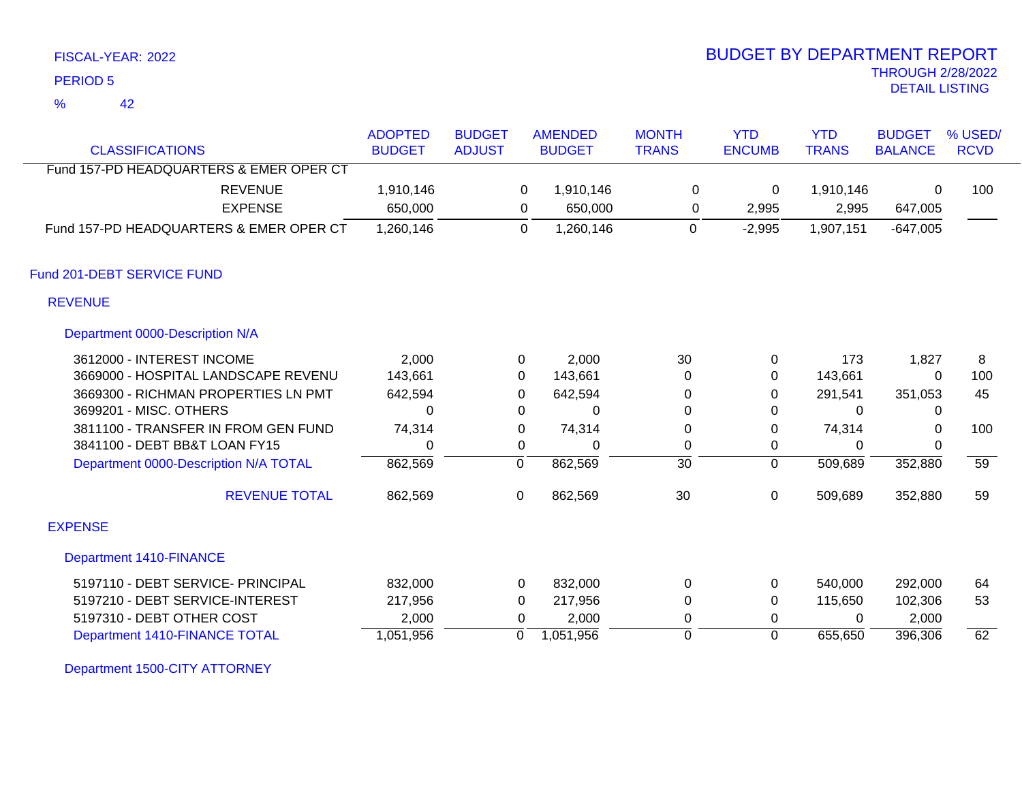42 %

### THROUGH 2/28/2022<br>DETAIL LISTING DETAIL LISTING PERIOD <sup>5</sup> BUDGET BY DEPARTMENT REPORT

| <b>CLASSIFICATIONS</b>                  | <b>ADOPTED</b><br><b>BUDGET</b> | <b>BUDGET</b><br><b>ADJUST</b> | <b>AMENDED</b><br><b>BUDGET</b> | <b>MONTH</b><br><b>TRANS</b> | <b>YTD</b><br><b>ENCUMB</b> | <b>YTD</b><br><b>TRANS</b> | <b>BUDGET</b><br><b>BALANCE</b> | % USED/<br><b>RCVD</b> |
|-----------------------------------------|---------------------------------|--------------------------------|---------------------------------|------------------------------|-----------------------------|----------------------------|---------------------------------|------------------------|
| Fund 157-PD HEADQUARTERS & EMER OPER CT |                                 |                                |                                 |                              |                             |                            |                                 |                        |
| <b>REVENUE</b>                          | 1,910,146                       |                                | 1,910,146<br>$\Omega$           | 0                            | 0                           | 1,910,146                  | $\mathbf{0}$                    | 100                    |
| <b>EXPENSE</b>                          | 650,000                         |                                | 650,000<br>0                    | 0                            | 2,995                       | 2,995                      | 647,005                         |                        |
| Fund 157-PD HEADQUARTERS & EMER OPER CT | 1,260,146                       |                                | 1,260,146<br>0                  | 0                            | $-2,995$                    | 1,907,151                  | $-647,005$                      |                        |
| Fund 201-DEBT SERVICE FUND              |                                 |                                |                                 |                              |                             |                            |                                 |                        |
| <b>REVENUE</b>                          |                                 |                                |                                 |                              |                             |                            |                                 |                        |
| Department 0000-Description N/A         |                                 |                                |                                 |                              |                             |                            |                                 |                        |
| 3612000 - INTEREST INCOME               | 2,000                           |                                | 2,000<br>$\mathbf{0}$           | 30                           | 0                           | 173                        | 1,827                           | 8                      |
| 3669000 - HOSPITAL LANDSCAPE REVENU     | 143,661                         |                                | 0<br>143,661                    | 0                            | 0                           | 143,661                    | 0                               | 100                    |
| 3669300 - RICHMAN PROPERTIES LN PMT     | 642,594                         |                                | 642,594<br>0                    | 0                            | 0                           | 291,541                    | 351,053                         | 45                     |
| 3699201 - MISC. OTHERS                  | $\Omega$                        |                                | 0<br>$\Omega$                   | 0                            | 0                           | $\Omega$                   | 0                               |                        |
| 3811100 - TRANSFER IN FROM GEN FUND     | 74,314                          |                                | 74,314<br>0                     | 0                            | 0                           | 74,314                     | 0                               | 100                    |
| 3841100 - DEBT BB&T LOAN FY15           | $\Omega$                        |                                | 0<br>$\Omega$                   | 0                            | 0                           | 0                          | $\mathbf{0}$                    |                        |
| Department 0000-Description N/A TOTAL   | 862,569                         | 0                              | 862,569                         | $\overline{30}$              | $\overline{0}$              | 509,689                    | 352,880                         | $\overline{59}$        |
| <b>REVENUE TOTAL</b>                    | 862,569                         | 0                              | 862,569                         | 30                           | $\mathbf 0$                 | 509,689                    | 352,880                         | 59                     |
| <b>EXPENSE</b>                          |                                 |                                |                                 |                              |                             |                            |                                 |                        |
| <b>Department 1410-FINANCE</b>          |                                 |                                |                                 |                              |                             |                            |                                 |                        |
| 5197110 - DEBT SERVICE- PRINCIPAL       | 832,000                         |                                | 832,000<br>0                    | 0                            | 0                           | 540,000                    | 292,000                         | 64                     |
| 5197210 - DEBT SERVICE-INTEREST         | 217,956                         |                                | 217,956<br>0                    | 0                            | 0                           | 115,650                    | 102,306                         | 53                     |
| 5197310 - DEBT OTHER COST               | 2,000                           |                                | 2,000<br>$\Omega$               | 0                            | 0                           | $\Omega$                   | 2,000                           |                        |
| Department 1410-FINANCE TOTAL           | 1,051,956                       | 0                              | 1,051,956                       | $\Omega$                     | $\Omega$                    | 655,650                    | 396,306                         | 62                     |

Department 1500-CITY ATTORNEY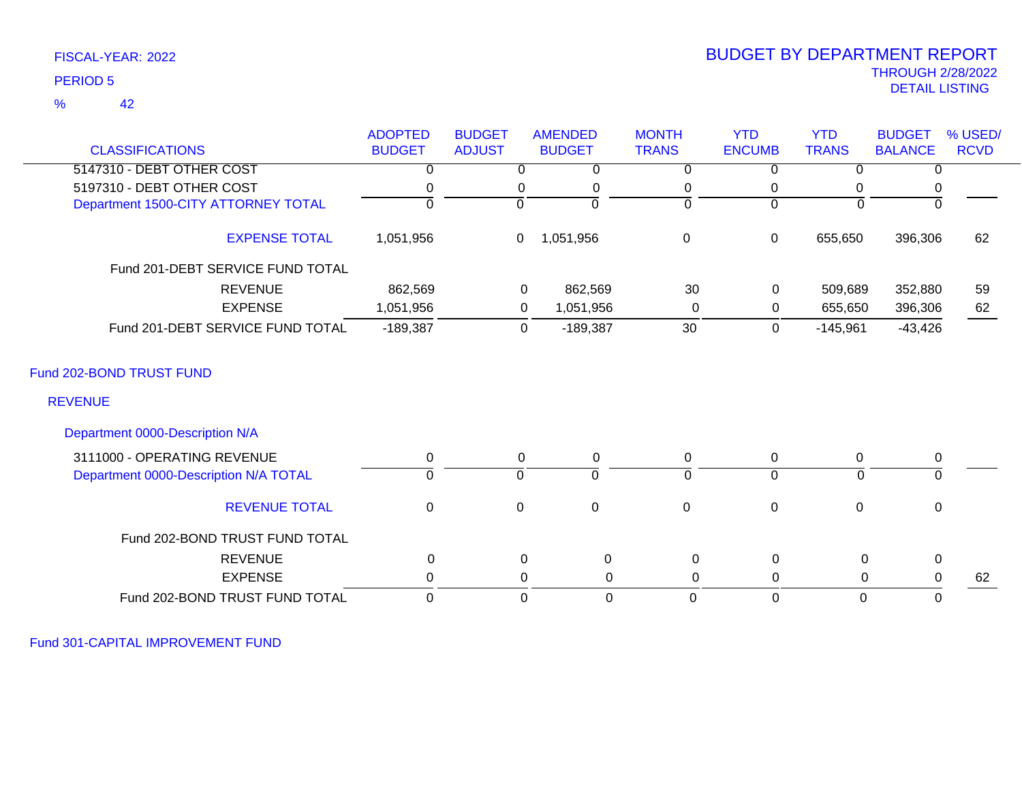#### 42 %

### THROUGH 2/28/2022<br>DETAIL LISTING DETAIL LISTING PERIOD <sup>5</sup> BUDGET BY DEPARTMENT REPORT

| <b>CLASSIFICATIONS</b>                     | <b>ADOPTED</b><br><b>BUDGET</b> | <b>BUDGET</b><br><b>ADJUST</b> | <b>AMENDED</b><br><b>BUDGET</b> | <b>MONTH</b><br><b>TRANS</b> | <b>YTD</b><br><b>ENCUMB</b> | <b>YTD</b><br><b>TRANS</b> | <b>BUDGET</b><br><b>BALANCE</b> | % USED/<br><b>RCVD</b> |
|--------------------------------------------|---------------------------------|--------------------------------|---------------------------------|------------------------------|-----------------------------|----------------------------|---------------------------------|------------------------|
| 5147310 - DEBT OTHER COST                  | 0                               | $\Omega$                       | 0                               | 0                            | 0                           | 0                          | 0                               |                        |
| 5197310 - DEBT OTHER COST                  |                                 | 0                              | 0                               | 0                            | 0                           | 0                          | 0                               |                        |
| Department 1500-CITY ATTORNEY TOTAL        | $\Omega$                        | $\Omega$                       | $\Omega$                        | $\Omega$                     | $\Omega$                    | $\Omega$                   | $\Omega$                        |                        |
|                                            |                                 |                                |                                 |                              |                             |                            |                                 |                        |
| <b>EXPENSE TOTAL</b>                       | 1,051,956                       | 0                              | 1,051,956                       | $\pmb{0}$                    | 0                           | 655,650                    | 396,306                         | 62                     |
| Fund 201-DEBT SERVICE FUND TOTAL           |                                 |                                |                                 |                              |                             |                            |                                 |                        |
| <b>REVENUE</b>                             | 862,569                         |                                | 862,569<br>0                    | 30                           | 0                           | 509,689                    | 352,880                         | 59                     |
| <b>EXPENSE</b>                             | 1,051,956                       |                                | 1,051,956<br>$\mathbf 0$        | $\Omega$                     | 0                           | 655,650                    | 396,306                         | 62                     |
| Fund 201-DEBT SERVICE FUND TOTAL           | $-189,387$                      |                                | $-189,387$<br>0                 | 30                           | 0                           | $-145,961$                 | $-43,426$                       |                        |
| Fund 202-BOND TRUST FUND<br><b>REVENUE</b> |                                 |                                |                                 |                              |                             |                            |                                 |                        |
| Department 0000-Description N/A            |                                 |                                |                                 |                              |                             |                            |                                 |                        |
| 3111000 - OPERATING REVENUE                | 0                               | 0                              | 0                               | 0                            | 0                           | 0                          | 0                               |                        |
| Department 0000-Description N/A TOTAL      | $\Omega$                        | 0                              | 0                               | 0                            | $\mathbf 0$                 | $\Omega$                   | 0                               |                        |
| <b>REVENUE TOTAL</b>                       | $\mathbf 0$                     | $\mathbf 0$                    | $\mathbf 0$                     | $\mathsf 0$                  | 0                           | $\mathbf 0$                | $\mathbf 0$                     |                        |
| Fund 202-BOND TRUST FUND TOTAL             |                                 |                                |                                 |                              |                             |                            |                                 |                        |
| <b>REVENUE</b>                             | 0                               |                                | $\mathbf 0$<br>$\mathbf 0$      | 0                            | 0                           | 0                          | $\mathbf 0$                     |                        |
| <b>EXPENSE</b>                             | 0                               |                                | 0<br>$\mathbf 0$                | 0                            | 0                           | 0                          | $\mathbf 0$                     | 62                     |
| Fund 202-BOND TRUST FUND TOTAL             | 0                               |                                | $\overline{0}$<br>$\mathbf{0}$  | $\Omega$                     | $\mathbf 0$                 | $\mathbf 0$                | $\mathbf 0$                     |                        |
|                                            |                                 |                                |                                 |                              |                             |                            |                                 |                        |

Fund 301-CAPITAL IMPROVEMENT FUND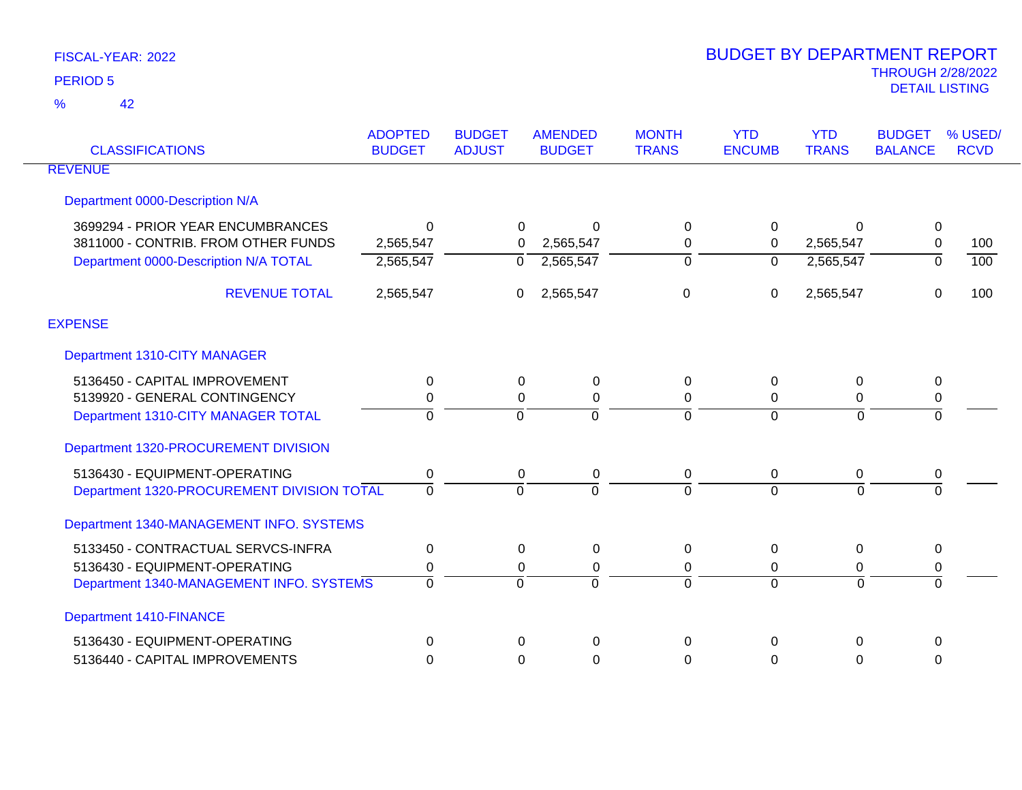42 %

| <b>CLASSIFICATIONS</b>                     | <b>ADOPTED</b><br><b>BUDGET</b> | <b>BUDGET</b><br><b>ADJUST</b> | <b>AMENDED</b><br><b>BUDGET</b> | <b>MONTH</b><br><b>TRANS</b> | <b>YTD</b><br><b>ENCUMB</b> | <b>YTD</b><br><b>TRANS</b> | <b>BUDGET</b><br><b>BALANCE</b> | % USED/<br><b>RCVD</b> |
|--------------------------------------------|---------------------------------|--------------------------------|---------------------------------|------------------------------|-----------------------------|----------------------------|---------------------------------|------------------------|
| <b>REVENUE</b>                             |                                 |                                |                                 |                              |                             |                            |                                 |                        |
| Department 0000-Description N/A            |                                 |                                |                                 |                              |                             |                            |                                 |                        |
| 3699294 - PRIOR YEAR ENCUMBRANCES          | ∩                               | $\Omega$                       | 0                               | 0                            | 0                           | $\Omega$                   | $\mathbf 0$                     |                        |
| 3811000 - CONTRIB. FROM OTHER FUNDS        | 2,565,547                       | $\Omega$                       | 2,565,547                       | 0                            | 0                           | 2,565,547                  | $\mathbf 0$                     | 100                    |
| Department 0000-Description N/A TOTAL      | 2,565,547                       | $\Omega$                       | 2,565,547                       | 0                            | $\mathbf 0$                 | 2,565,547                  | $\overline{0}$                  | $\overline{100}$       |
| <b>REVENUE TOTAL</b>                       | 2,565,547                       | $\mathbf{0}$                   | 2,565,547                       | $\mathbf 0$                  | 0                           | 2,565,547                  | $\mathbf 0$                     | 100                    |
| <b>EXPENSE</b>                             |                                 |                                |                                 |                              |                             |                            |                                 |                        |
| Department 1310-CITY MANAGER               |                                 |                                |                                 |                              |                             |                            |                                 |                        |
| 5136450 - CAPITAL IMPROVEMENT              | $\Omega$                        | $\Omega$                       | 0                               | 0                            | $\Omega$                    | 0                          | 0                               |                        |
| 5139920 - GENERAL CONTINGENCY              | 0                               | 0                              | 0                               | 0                            | 0                           | 0                          | $\pmb{0}$                       |                        |
| Department 1310-CITY MANAGER TOTAL         | $\Omega$                        | $\Omega$                       | $\Omega$                        | $\Omega$                     | $\Omega$                    | $\overline{0}$             | $\overline{0}$                  |                        |
| Department 1320-PROCUREMENT DIVISION       |                                 |                                |                                 |                              |                             |                            |                                 |                        |
| 5136430 - EQUIPMENT-OPERATING              | 0                               | $\mathbf 0$                    | $\pmb{0}$                       | 0                            | 0                           | 0                          | 0                               |                        |
| Department 1320-PROCUREMENT DIVISION TOTAL | $\Omega$                        | $\Omega$                       | $\Omega$                        | $\Omega$                     | $\Omega$                    | $\overline{0}$             | $\overline{0}$                  |                        |
| Department 1340-MANAGEMENT INFO. SYSTEMS   |                                 |                                |                                 |                              |                             |                            |                                 |                        |
| 5133450 - CONTRACTUAL SERVCS-INFRA         | $\Omega$                        | 0                              | 0                               | 0                            | $\Omega$                    | 0                          | 0                               |                        |
| 5136430 - EQUIPMENT-OPERATING              | 0                               | 0                              | 0                               | 0                            | 0                           | 0                          | 0                               |                        |
| Department 1340-MANAGEMENT INFO. SYSTEMS   | $\Omega$                        | $\Omega$                       | $\Omega$                        | 0                            | $\Omega$                    | $\Omega$                   | $\Omega$                        |                        |
| <b>Department 1410-FINANCE</b>             |                                 |                                |                                 |                              |                             |                            |                                 |                        |
| 5136430 - EQUIPMENT-OPERATING              | $\Omega$                        | $\Omega$                       | $\Omega$                        | $\Omega$                     | 0                           | $\Omega$                   | $\Omega$                        |                        |
| 5136440 - CAPITAL IMPROVEMENTS             | $\Omega$                        | 0                              | 0                               | 0                            | 0                           | 0                          | $\mathbf{0}$                    |                        |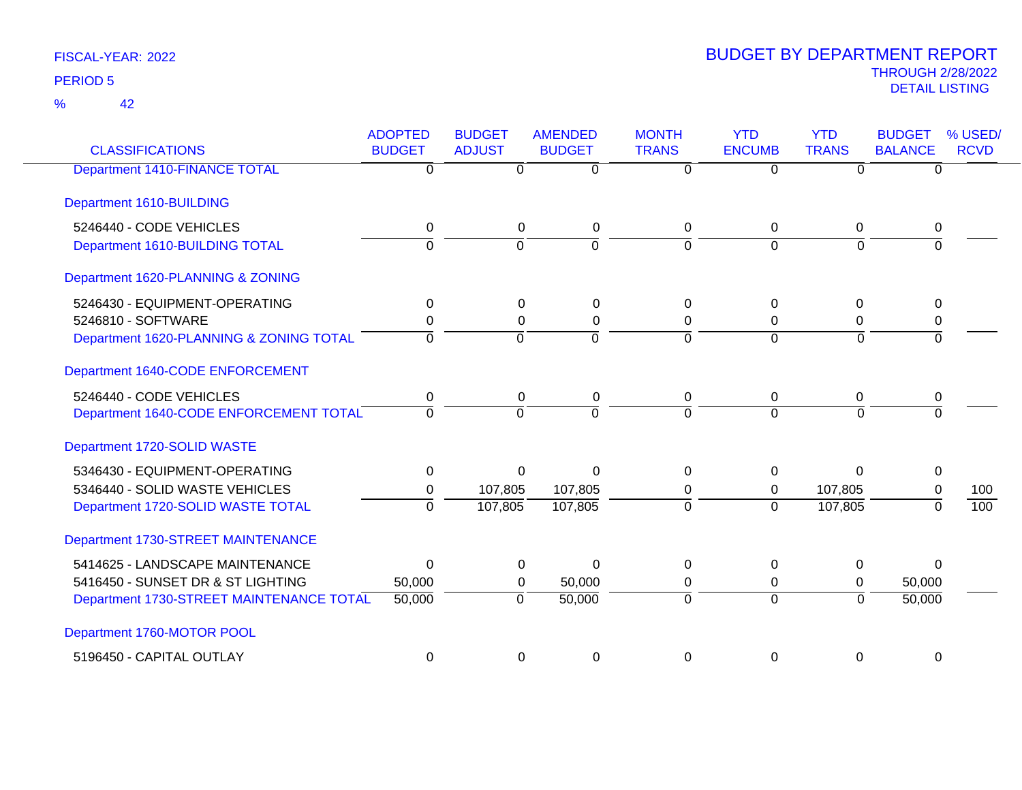42 %

| <b>CLASSIFICATIONS</b>                   | <b>ADOPTED</b><br><b>BUDGET</b> | <b>BUDGET</b><br><b>ADJUST</b> | <b>AMENDED</b><br><b>BUDGET</b> | <b>MONTH</b><br><b>TRANS</b> | <b>YTD</b><br><b>ENCUMB</b> | <b>YTD</b><br><b>TRANS</b> | <b>BUDGET</b><br><b>BALANCE</b> | % USED/<br><b>RCVD</b> |
|------------------------------------------|---------------------------------|--------------------------------|---------------------------------|------------------------------|-----------------------------|----------------------------|---------------------------------|------------------------|
| <b>Department 1410-FINANCE TOTAL</b>     | $\overline{0}$                  | $\Omega$                       | $\overline{0}$                  | $\overline{0}$               | 0                           | $\Omega$                   | $\Omega$                        |                        |
| Department 1610-BUILDING                 |                                 |                                |                                 |                              |                             |                            |                                 |                        |
| 5246440 - CODE VEHICLES                  | 0                               | $\mathbf 0$                    | $\mathbf 0$                     | 0                            | $\mathbf 0$                 | 0                          | 0                               |                        |
| Department 1610-BUILDING TOTAL           | 0                               | $\overline{0}$                 | 0                               | $\Omega$                     | $\overline{0}$              | $\overline{0}$             | $\overline{0}$                  |                        |
| Department 1620-PLANNING & ZONING        |                                 |                                |                                 |                              |                             |                            |                                 |                        |
| 5246430 - EQUIPMENT-OPERATING            | 0                               | 0                              | 0                               | 0                            | 0                           | 0                          | 0                               |                        |
| 5246810 - SOFTWARE                       | 0                               | $\Omega$                       | 0                               | $\Omega$                     | $\Omega$                    | 0                          | $\Omega$                        |                        |
| Department 1620-PLANNING & ZONING TOTAL  | $\Omega$                        | $\mathbf 0$                    | $\overline{0}$                  | $\Omega$                     | $\overline{0}$              | 0                          | $\Omega$                        |                        |
| Department 1640-CODE ENFORCEMENT         |                                 |                                |                                 |                              |                             |                            |                                 |                        |
| 5246440 - CODE VEHICLES                  | 0                               | 0                              | 0                               | 0                            | 0                           | 0                          | 0                               |                        |
| Department 1640-CODE ENFORCEMENT TOTAL   | 0                               | $\overline{0}$                 | $\overline{0}$                  | 0                            | $\Omega$                    | 0                          | $\overline{0}$                  |                        |
| Department 1720-SOLID WASTE              |                                 |                                |                                 |                              |                             |                            |                                 |                        |
| 5346430 - EQUIPMENT-OPERATING            | 0                               | $\Omega$                       | $\Omega$                        | 0                            | 0                           | $\Omega$                   | $\mathbf 0$                     |                        |
| 5346440 - SOLID WASTE VEHICLES           | 0                               | 107,805                        | 107,805                         | 0                            | $\mathbf{0}$                | 107,805                    | $\mathbf 0$                     | 100                    |
| Department 1720-SOLID WASTE TOTAL        | $\Omega$                        | 107,805                        | 107,805                         | $\Omega$                     | $\Omega$                    | 107,805                    | $\Omega$                        | 100                    |
| Department 1730-STREET MAINTENANCE       |                                 |                                |                                 |                              |                             |                            |                                 |                        |
| 5414625 - LANDSCAPE MAINTENANCE          | $\mathbf 0$                     | 0                              | $\Omega$                        | 0                            | 0                           | 0                          | $\Omega$                        |                        |
| 5416450 - SUNSET DR & ST LIGHTING        | 50,000                          | $\mathbf{0}$                   | 50,000                          | 0                            | $\mathbf 0$                 | 0                          | 50,000                          |                        |
| Department 1730-STREET MAINTENANCE TOTAL | 50,000                          | $\overline{0}$                 | 50,000                          | $\overline{0}$               | $\overline{0}$              | $\overline{0}$             | 50,000                          |                        |
| Department 1760-MOTOR POOL               |                                 |                                |                                 |                              |                             |                            |                                 |                        |
| 5196450 - CAPITAL OUTLAY                 | $\mathbf 0$                     | 0                              | 0                               | $\mathbf 0$                  | 0                           | 0                          | 0                               |                        |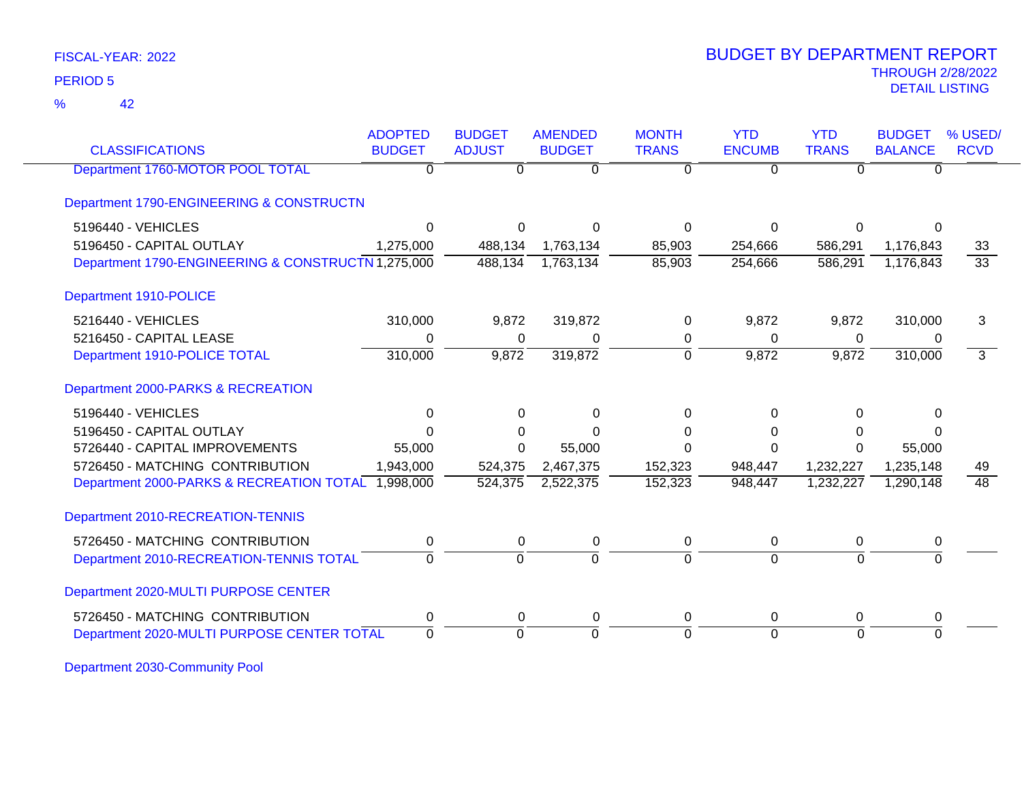42 %

### THROUGH 2/28/2022<br>DETAIL LISTING DETAIL LISTING PERIOD <sup>5</sup> BUDGET BY DEPARTMENT REPORT

| <b>CLASSIFICATIONS</b>                             | <b>ADOPTED</b><br><b>BUDGET</b> | <b>BUDGET</b><br><b>ADJUST</b> | <b>AMENDED</b><br><b>BUDGET</b> | <b>MONTH</b><br><b>TRANS</b> | <b>YTD</b><br><b>ENCUMB</b> | <b>YTD</b><br><b>TRANS</b> | <b>BUDGET</b><br><b>BALANCE</b> | % USED/<br><b>RCVD</b> |
|----------------------------------------------------|---------------------------------|--------------------------------|---------------------------------|------------------------------|-----------------------------|----------------------------|---------------------------------|------------------------|
| Department 1760-MOTOR POOL TOTAL                   | 0                               | 0                              | $\overline{0}$                  | $\Omega$                     | $\overline{0}$              | $\Omega$                   | $\Omega$                        |                        |
| Department 1790-ENGINEERING & CONSTRUCTN           |                                 |                                |                                 |                              |                             |                            |                                 |                        |
| 5196440 - VEHICLES                                 | $\Omega$                        | 0                              | ∩                               | 0                            | $\Omega$                    | 0                          | O                               |                        |
| 5196450 - CAPITAL OUTLAY                           | 1,275,000                       | 488,134                        | 1,763,134                       | 85,903                       | 254,666                     | 586,291                    | 1,176,843                       | 33                     |
| Department 1790-ENGINEERING & CONSTRUCTN 1,275,000 |                                 | 488,134                        | 1,763,134                       | 85,903                       | 254,666                     | 586,291                    | 1,176,843                       | $\overline{33}$        |
| Department 1910-POLICE                             |                                 |                                |                                 |                              |                             |                            |                                 |                        |
| 5216440 - VEHICLES                                 | 310,000                         | 9,872                          | 319,872                         | 0                            | 9,872                       | 9,872                      | 310,000                         | 3                      |
| 5216450 - CAPITAL LEASE                            | 0                               | 0                              | 0                               | 0                            | $\mathbf{0}$                | 0                          | 0                               |                        |
| Department 1910-POLICE TOTAL                       | 310,000                         | 9,872                          | 319,872                         | $\Omega$                     | 9,872                       | 9,872                      | 310,000                         | $\overline{3}$         |
| Department 2000-PARKS & RECREATION                 |                                 |                                |                                 |                              |                             |                            |                                 |                        |
| 5196440 - VEHICLES                                 | $\Omega$                        | $\Omega$                       | $\Omega$                        | 0                            | $\Omega$                    | $\Omega$                   | $\Omega$                        |                        |
| 5196450 - CAPITAL OUTLAY                           |                                 | 0                              | U                               | 0                            | $\Omega$                    | 0                          | 0                               |                        |
| 5726440 - CAPITAL IMPROVEMENTS                     | 55,000                          | $\Omega$                       | 55,000                          | 0                            | $\Omega$                    | $\Omega$                   | 55,000                          |                        |
| 5726450 - MATCHING CONTRIBUTION                    | 1,943,000                       | 524,375                        | 2,467,375                       | 152,323                      | 948,447                     | 1,232,227                  | 1,235,148                       | 49                     |
| Department 2000-PARKS & RECREATION TOTAL 1,998,000 |                                 | 524,375                        | 2,522,375                       | 152,323                      | 948,447                     | 1,232,227                  | 1,290,148                       | 48                     |
| Department 2010-RECREATION-TENNIS                  |                                 |                                |                                 |                              |                             |                            |                                 |                        |
| 5726450 - MATCHING CONTRIBUTION                    | 0                               | 0                              | 0                               | 0                            | 0                           | 0                          | 0                               |                        |
| Department 2010-RECREATION-TENNIS TOTAL            | 0                               | $\overline{0}$                 | $\overline{0}$                  | $\Omega$                     | $\Omega$                    | $\mathbf 0$                | $\overline{0}$                  |                        |
| Department 2020-MULTI PURPOSE CENTER               |                                 |                                |                                 |                              |                             |                            |                                 |                        |
| 5726450 - MATCHING CONTRIBUTION                    | 0                               | 0                              | 0                               | 0                            | $\mathbf 0$                 | 0                          | 0                               |                        |
| Department 2020-MULTI PURPOSE CENTER TOTAL         | $\Omega$                        | $\overline{0}$                 | $\Omega$                        | $\Omega$                     | $\Omega$                    | 0                          | $\Omega$                        |                        |

Department 2030-Community Pool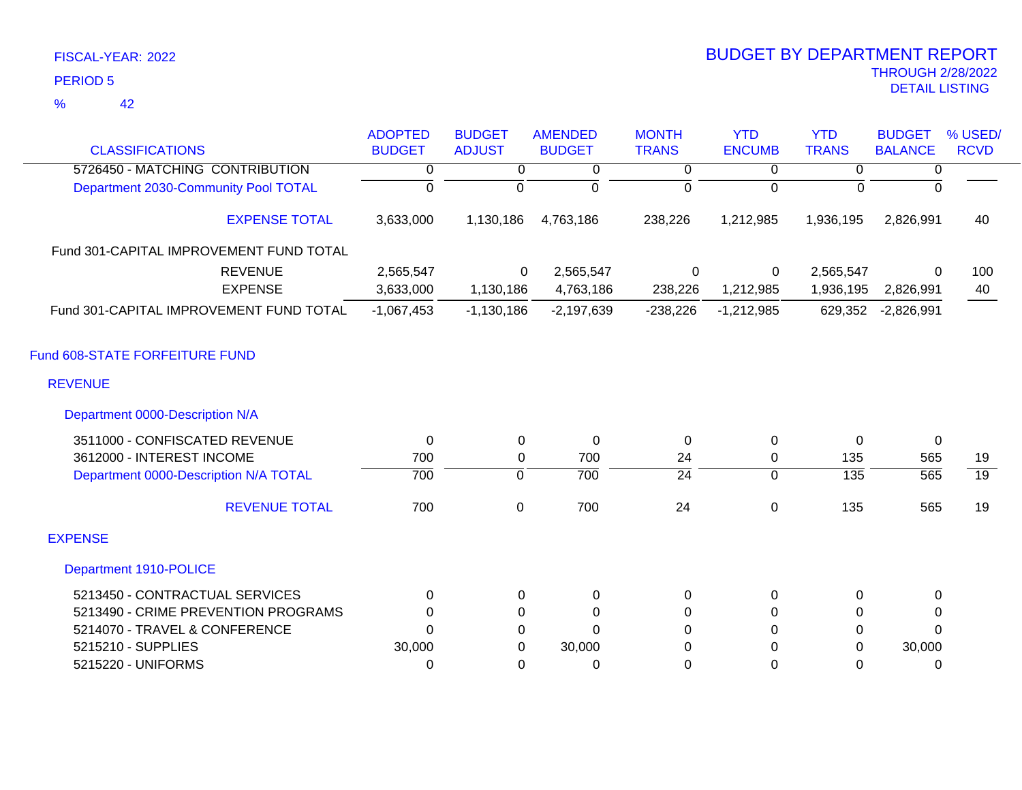42 %

| <b>CLASSIFICATIONS</b>                  | <b>ADOPTED</b><br><b>BUDGET</b> | <b>BUDGET</b><br><b>ADJUST</b> | <b>AMENDED</b><br><b>BUDGET</b> | <b>MONTH</b><br><b>TRANS</b> | <b>YTD</b><br><b>ENCUMB</b> | <b>YTD</b><br><b>TRANS</b> | <b>BUDGET</b><br><b>BALANCE</b> | % USED/<br><b>RCVD</b> |
|-----------------------------------------|---------------------------------|--------------------------------|---------------------------------|------------------------------|-----------------------------|----------------------------|---------------------------------|------------------------|
|                                         |                                 |                                |                                 |                              |                             |                            |                                 |                        |
| 5726450 - MATCHING CONTRIBUTION         | 0                               | 0                              | 0                               | 0                            | 0                           | 0                          | 0                               |                        |
| Department 2030-Community Pool TOTAL    | 0                               | $\overline{0}$                 | $\overline{0}$                  | $\overline{0}$               | $\overline{0}$              | $\Omega$                   | $\overline{0}$                  |                        |
| <b>EXPENSE TOTAL</b>                    | 3,633,000                       | 1,130,186                      | 4,763,186                       | 238,226                      | 1,212,985                   | 1,936,195                  | 2,826,991                       | 40                     |
| Fund 301-CAPITAL IMPROVEMENT FUND TOTAL |                                 |                                |                                 |                              |                             |                            |                                 |                        |
| <b>REVENUE</b>                          | 2,565,547                       | 0                              | 2,565,547                       | 0                            | 0                           | 2,565,547                  | 0                               | 100                    |
| <b>EXPENSE</b>                          | 3,633,000                       | 1,130,186                      | 4,763,186                       | 238,226                      | 1,212,985                   | 1,936,195                  | 2,826,991                       | 40                     |
| Fund 301-CAPITAL IMPROVEMENT FUND TOTAL | $-1,067,453$                    | $-1,130,186$                   | $-2,197,639$                    | $-238,226$                   | $-1,212,985$                | 629,352                    | $-2,826,991$                    |                        |
| Fund 608-STATE FORFEITURE FUND          |                                 |                                |                                 |                              |                             |                            |                                 |                        |
| <b>REVENUE</b>                          |                                 |                                |                                 |                              |                             |                            |                                 |                        |
| Department 0000-Description N/A         |                                 |                                |                                 |                              |                             |                            |                                 |                        |
| 3511000 - CONFISCATED REVENUE           | 0                               | 0                              | 0                               | 0                            | 0                           | 0                          | $\overline{0}$                  |                        |
| 3612000 - INTEREST INCOME               | 700                             | 0                              | 700                             | 24                           | 0                           | 135                        | 565                             | 19                     |
| Department 0000-Description N/A TOTAL   | 700                             | $\mathbf 0$                    | 700                             | $\overline{24}$              | $\mathbf{0}$                | $\overline{135}$           | 565                             | $\overline{19}$        |
| <b>REVENUE TOTAL</b>                    | 700                             | $\mathbf 0$                    | 700                             | 24                           | 0                           | 135                        | 565                             | 19                     |
| <b>EXPENSE</b>                          |                                 |                                |                                 |                              |                             |                            |                                 |                        |
| Department 1910-POLICE                  |                                 |                                |                                 |                              |                             |                            |                                 |                        |
| 5213450 - CONTRACTUAL SERVICES          | 0                               | 0                              | $\pmb{0}$                       | 0                            | 0                           | 0                          | 0                               |                        |
| 5213490 - CRIME PREVENTION PROGRAMS     | 0                               | 0                              | $\Omega$                        | 0                            | $\Omega$                    | 0                          | 0                               |                        |
| 5214070 - TRAVEL & CONFERENCE           | $\Omega$                        | 0                              | $\Omega$                        | 0                            | 0                           | 0                          | $\Omega$                        |                        |
| 5215210 - SUPPLIES                      | 30,000                          | $\Omega$                       | 30,000                          | 0                            | 0                           | 0                          | 30,000                          |                        |
| 5215220 - UNIFORMS                      | 0                               | 0                              | 0                               | 0                            | $\Omega$                    | 0                          | 0                               |                        |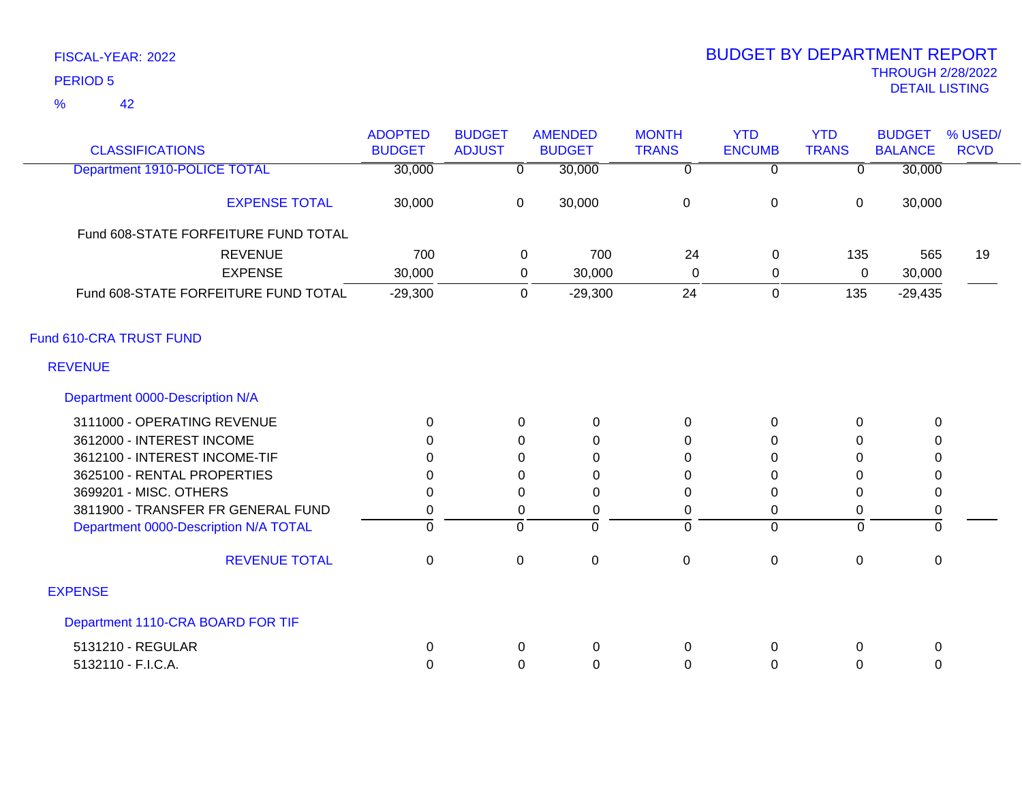42 %

| <b>CLASSIFICATIONS</b>                | <b>ADOPTED</b><br><b>BUDGET</b> | <b>BUDGET</b><br><b>ADJUST</b> | <b>AMENDED</b><br><b>BUDGET</b> | <b>MONTH</b><br><b>TRANS</b> | <b>YTD</b><br><b>ENCUMB</b> | <b>YTD</b><br><b>TRANS</b> | <b>BUDGET</b><br><b>BALANCE</b> | % USED/<br><b>RCVD</b> |
|---------------------------------------|---------------------------------|--------------------------------|---------------------------------|------------------------------|-----------------------------|----------------------------|---------------------------------|------------------------|
| Department 1910-POLICE TOTAL          | 30,000                          | $\overline{0}$                 | 30,000                          | $\overline{0}$               | $\overline{0}$              | $\overline{0}$             | 30,000                          |                        |
| <b>EXPENSE TOTAL</b>                  | 30,000                          | $\mathbf 0$                    | 30,000                          | $\mathbf 0$                  | $\boldsymbol{0}$            | $\boldsymbol{0}$           | 30,000                          |                        |
| Fund 608-STATE FORFEITURE FUND TOTAL  |                                 |                                |                                 |                              |                             |                            |                                 |                        |
| <b>REVENUE</b>                        | 700                             |                                | 700<br>0                        | 24                           | $\mathbf 0$                 | 135                        | 565                             | 19                     |
| <b>EXPENSE</b>                        | 30,000                          |                                | 0<br>30,000                     | 0                            | $\mathbf 0$                 | 0                          | 30,000                          |                        |
| Fund 608-STATE FORFEITURE FUND TOTAL  | $-29,300$                       |                                | $\mathbf 0$<br>$-29,300$        | 24                           | $\mathbf 0$                 | 135                        | $-29,435$                       |                        |
| Fund 610-CRA TRUST FUND               |                                 |                                |                                 |                              |                             |                            |                                 |                        |
| <b>REVENUE</b>                        |                                 |                                |                                 |                              |                             |                            |                                 |                        |
| Department 0000-Description N/A       |                                 |                                |                                 |                              |                             |                            |                                 |                        |
| 3111000 - OPERATING REVENUE           | $\Omega$                        | $\Omega$                       | $\mathbf 0$                     | $\mathbf{0}$                 | 0                           | $\Omega$                   | 0                               |                        |
| 3612000 - INTEREST INCOME             | 0                               | 0                              | 0                               | 0                            | 0                           | $\Omega$                   | $\Omega$                        |                        |
| 3612100 - INTEREST INCOME-TIF         | $\Omega$                        | 0                              | 0                               | $\Omega$                     | $\Omega$                    | $\Omega$                   | $\Omega$                        |                        |
| 3625100 - RENTAL PROPERTIES           | 0                               | 0                              | 0                               | 0                            | 0                           | 0                          | 0                               |                        |
| 3699201 - MISC. OTHERS                | 0                               | $\Omega$                       | $\Omega$                        | $\Omega$                     | $\Omega$                    | $\Omega$                   | $\mathbf 0$                     |                        |
| 3811900 - TRANSFER FR GENERAL FUND    | 0                               | $\pmb{0}$                      | $\mathbf 0$                     | 0                            | 0                           | $\mathbf 0$                | $\mathbf 0$                     |                        |
| Department 0000-Description N/A TOTAL | $\overline{0}$                  | $\overline{0}$                 | $\mathbf 0$                     | $\overline{0}$               | $\Omega$                    | $\mathbf 0$                | $\overline{0}$                  |                        |
| <b>REVENUE TOTAL</b>                  | $\mathbf 0$                     | $\pmb{0}$                      | $\mathbf 0$                     | $\mathbf 0$                  | 0                           | $\pmb{0}$                  | $\mathbf 0$                     |                        |
| <b>EXPENSE</b>                        |                                 |                                |                                 |                              |                             |                            |                                 |                        |
| Department 1110-CRA BOARD FOR TIF     |                                 |                                |                                 |                              |                             |                            |                                 |                        |
| 5131210 - REGULAR                     | 0                               | 0                              | $\mathbf 0$                     | 0                            | 0                           | 0                          | 0                               |                        |
| 5132110 - F.I.C.A.                    | 0                               | 0                              | $\mathbf 0$                     | 0                            | 0                           | 0                          | 0                               |                        |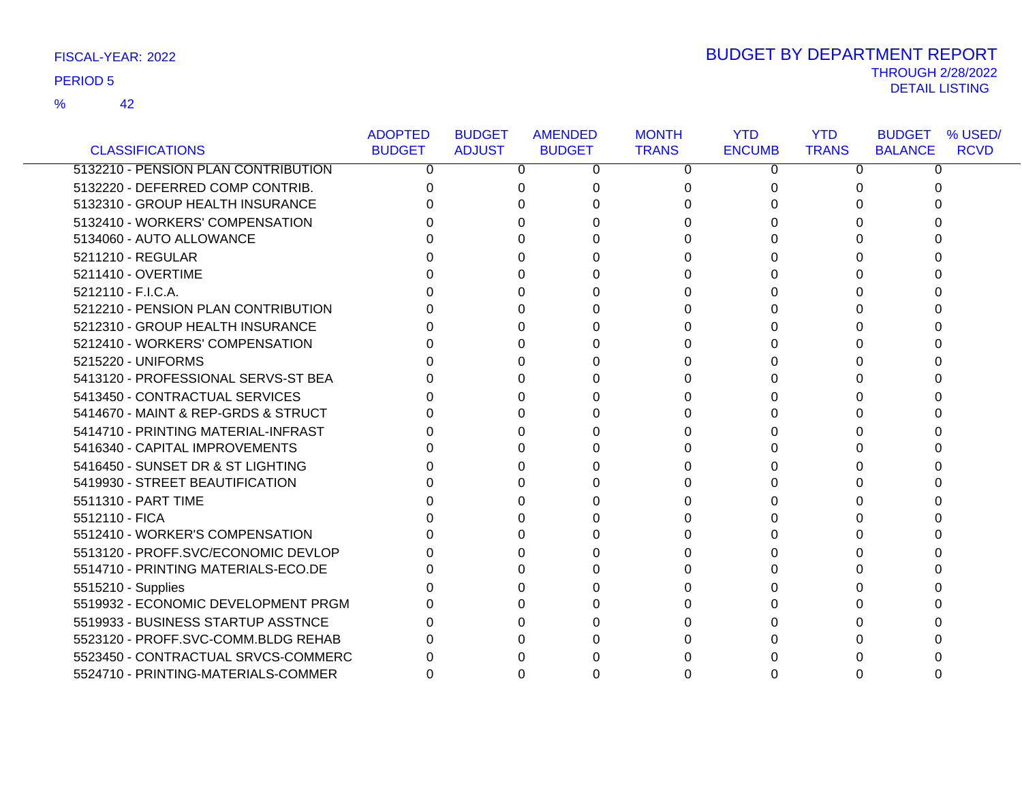42 %

| FISCAL-YEAR: 2022 | <b>BUDGET BY DEPARTMENT REPORT</b> |
|-------------------|------------------------------------|
|                   | <b>THROUGH 2/28/2022</b>           |
| <b>PERIOD 5</b>   | DETAIL LISTING                     |

|                                     | <b>ADOPTED</b> | <b>BUDGET</b> | <b>AMENDED</b> | <b>MONTH</b> | <b>YTD</b>    | <b>YTD</b>   | <b>BUDGET</b><br>% USED/      |
|-------------------------------------|----------------|---------------|----------------|--------------|---------------|--------------|-------------------------------|
| <b>CLASSIFICATIONS</b>              | <b>BUDGET</b>  | <b>ADJUST</b> | <b>BUDGET</b>  | <b>TRANS</b> | <b>ENCUMB</b> | <b>TRANS</b> | <b>RCVD</b><br><b>BALANCE</b> |
| 5132210 - PENSION PLAN CONTRIBUTION | $\Omega$       | 0             | 0              | $\Omega$     | 0             | 0            | 0                             |
| 5132220 - DEFERRED COMP CONTRIB.    |                | 0             | 0              | 0            |               |              |                               |
| 5132310 - GROUP HEALTH INSURANCE    |                |               |                | $\Omega$     |               |              |                               |
| 5132410 - WORKERS' COMPENSATION     |                |               |                | $\Omega$     |               |              |                               |
| 5134060 - AUTO ALLOWANCE            |                |               |                | 0            |               |              |                               |
| 5211210 - REGULAR                   |                |               | 0              | 0            |               |              |                               |
| 5211410 - OVERTIME                  |                |               |                | 0            |               |              |                               |
| 5212110 - F.I.C.A.                  |                |               |                | 0            |               |              |                               |
| 5212210 - PENSION PLAN CONTRIBUTION |                |               |                | 0            |               |              |                               |
| 5212310 - GROUP HEALTH INSURANCE    |                |               |                | 0            |               |              |                               |
| 5212410 - WORKERS' COMPENSATION     |                |               | <sup>0</sup>   | 0            |               |              |                               |
| 5215220 - UNIFORMS                  |                |               | O              | $\Omega$     |               |              |                               |
| 5413120 - PROFESSIONAL SERVS-ST BEA |                |               |                | 0            |               |              |                               |
| 5413450 - CONTRACTUAL SERVICES      |                |               |                | 0            |               |              |                               |
| 5414670 - MAINT & REP-GRDS & STRUCT |                |               |                | $\Omega$     |               |              |                               |
| 5414710 - PRINTING MATERIAL-INFRAST |                |               |                | 0            |               |              |                               |
| 5416340 - CAPITAL IMPROVEMENTS      |                |               | <sup>0</sup>   | 0            |               |              |                               |
| 5416450 - SUNSET DR & ST LIGHTING   |                |               |                | 0            |               |              |                               |
| 5419930 - STREET BEAUTIFICATION     |                |               |                | 0            |               |              |                               |
| 5511310 - PART TIME                 |                |               |                | 0            |               |              |                               |
| 5512110 - FICA                      |                |               |                | $\Omega$     |               |              |                               |
| 5512410 - WORKER'S COMPENSATION     |                |               |                | 0            |               |              |                               |
| 5513120 - PROFF.SVC/ECONOMIC DEVLOP |                |               |                | 0            |               |              |                               |
| 5514710 - PRINTING MATERIALS-ECO.DE |                |               |                | $\Omega$     |               |              |                               |
| 5515210 - Supplies                  |                |               |                | 0            |               |              |                               |
| 5519932 - ECONOMIC DEVELOPMENT PRGM |                |               |                | 0            |               |              |                               |
| 5519933 - BUSINESS STARTUP ASSTNCE  |                |               |                | 0            |               |              |                               |
| 5523120 - PROFF.SVC-COMM.BLDG REHAB |                |               |                | 0            |               |              |                               |
| 5523450 - CONTRACTUAL SRVCS-COMMERC |                |               |                | 0            |               |              |                               |
| 5524710 - PRINTING-MATERIALS-COMMER |                |               | 0              | 0            |               |              |                               |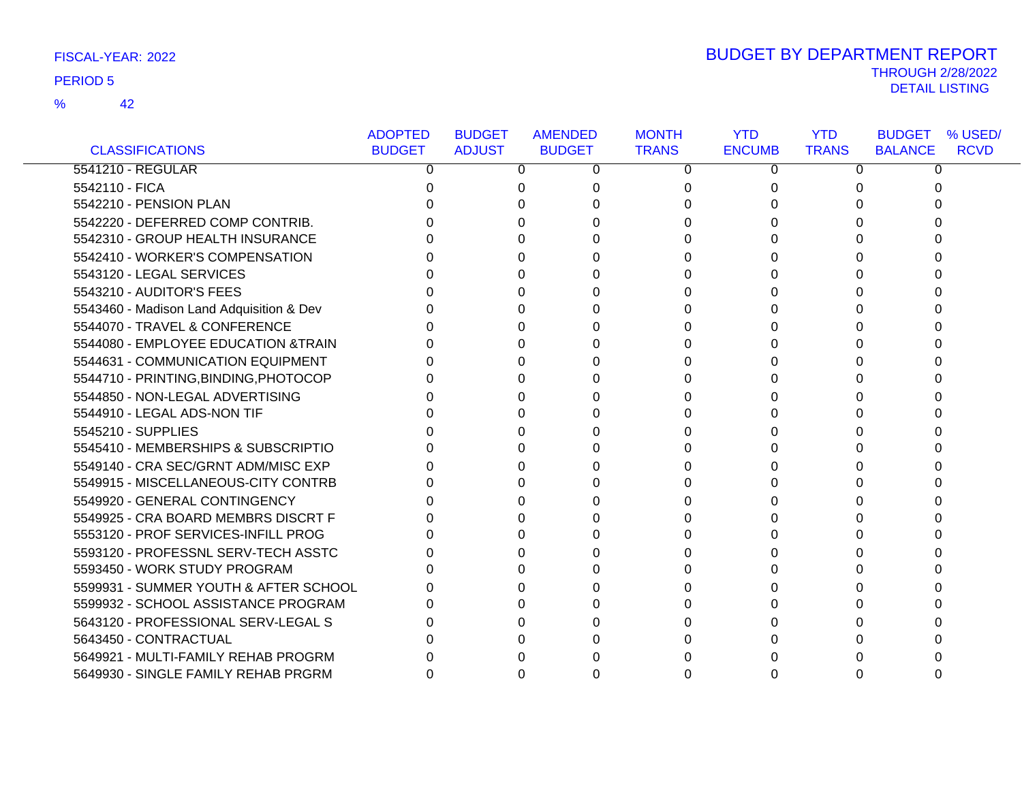42 %

|                                          | <b>ADOPTED</b> | <b>BUDGET</b> | <b>AMENDED</b> | <b>MONTH</b> | <b>YTD</b>    | <b>YTD</b>   | <b>BUDGET</b><br>% USED/      |
|------------------------------------------|----------------|---------------|----------------|--------------|---------------|--------------|-------------------------------|
| <b>CLASSIFICATIONS</b>                   | <b>BUDGET</b>  | <b>ADJUST</b> | <b>BUDGET</b>  | <b>TRANS</b> | <b>ENCUMB</b> | <b>TRANS</b> | <b>RCVD</b><br><b>BALANCE</b> |
| 5541210 - REGULAR                        | 0              | 0             | 0              | $\mathbf{0}$ | 0             | 0            | 0                             |
| 5542110 - FICA                           |                | 0             | 0              | 0            | 0             |              |                               |
| 5542210 - PENSION PLAN                   |                |               | O              | $\Omega$     |               |              |                               |
| 5542220 - DEFERRED COMP CONTRIB.         |                |               |                | 0            |               |              |                               |
| 5542310 - GROUP HEALTH INSURANCE         |                | O             | $\Omega$       | $\Omega$     |               |              |                               |
| 5542410 - WORKER'S COMPENSATION          |                |               | 0              | $\Omega$     |               |              |                               |
| 5543120 - LEGAL SERVICES                 |                |               | 0              | 0            |               |              |                               |
| 5543210 - AUDITOR'S FEES                 |                |               | <sup>0</sup>   | $\Omega$     |               |              |                               |
| 5543460 - Madison Land Adquisition & Dev |                |               | n              | 0            |               |              |                               |
| 5544070 - TRAVEL & CONFERENCE            |                |               | 0              | 0            |               |              |                               |
| 5544080 - EMPLOYEE EDUCATION & TRAIN     |                | 0             | 0              | 0            | O             | 0            |                               |
| 5544631 - COMMUNICATION EQUIPMENT        |                |               | U              | $\Omega$     |               |              |                               |
| 5544710 - PRINTING, BINDING, PHOTOCOP    |                |               |                | 0            |               |              |                               |
| 5544850 - NON-LEGAL ADVERTISING          |                |               |                | 0            |               |              |                               |
| 5544910 - LEGAL ADS-NON TIF              |                |               | U              | $\Omega$     |               |              |                               |
| 5545210 - SUPPLIES                       |                |               | <sup>0</sup>   | 0            |               |              |                               |
| 5545410 - MEMBERSHIPS & SUBSCRIPTIO      |                |               | 0              | 0            |               |              |                               |
| 5549140 - CRA SEC/GRNT ADM/MISC EXP      |                |               | O              | 0            |               |              |                               |
| 5549915 - MISCELLANEOUS-CITY CONTRB      |                |               |                | 0            |               |              |                               |
| 5549920 - GENERAL CONTINGENCY            |                |               |                | 0            |               |              |                               |
| 5549925 - CRA BOARD MEMBRS DISCRT F      |                |               |                | $\Omega$     |               |              |                               |
| 5553120 - PROF SERVICES-INFILL PROG      |                |               | 0              | 0            |               |              |                               |
| 5593120 - PROFESSNL SERV-TECH ASSTC      |                | 0             | 0              | 0            |               |              |                               |
| 5593450 - WORK STUDY PROGRAM             |                |               | U              | $\Omega$     |               |              |                               |
| 5599931 - SUMMER YOUTH & AFTER SCHOOL    |                | 0             | O              | $\Omega$     |               |              |                               |
| 5599932 - SCHOOL ASSISTANCE PROGRAM      |                |               |                | 0            |               |              |                               |
| 5643120 - PROFESSIONAL SERV-LEGAL S      |                |               |                | 0            |               |              |                               |
| 5643450 - CONTRACTUAL                    |                |               |                | 0            |               |              |                               |
| 5649921 - MULTI-FAMILY REHAB PROGRM      |                |               |                | <sup>0</sup> |               |              |                               |
| 5649930 - SINGLE FAMILY REHAB PRGRM      | 0              | 0             | $\Omega$       | 0            | O             |              |                               |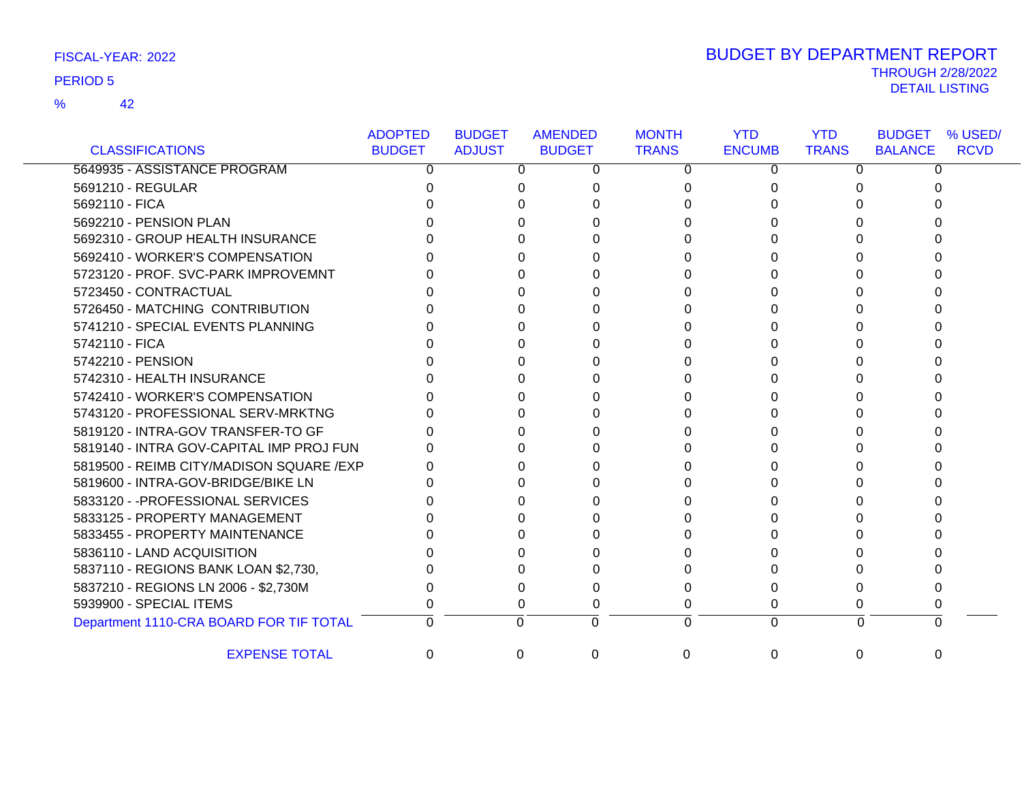42 %

| FISCAL-YEAR: 2022 | <b>BUDGET BY DEPARTMENT REPORT</b> |
|-------------------|------------------------------------|
|                   | <b>THROUGH 2/28/2022</b>           |
| <b>PERIOD 5</b>   | DETAIL LISTING                     |

|                                           | <b>ADOPTED</b> | <b>BUDGET</b> | <b>AMENDED</b> | <b>MONTH</b> | <b>YTD</b>    | <b>YTD</b>   | <b>BUDGET</b><br>% USED/      |
|-------------------------------------------|----------------|---------------|----------------|--------------|---------------|--------------|-------------------------------|
| <b>CLASSIFICATIONS</b>                    | <b>BUDGET</b>  | <b>ADJUST</b> | <b>BUDGET</b>  | <b>TRANS</b> | <b>ENCUMB</b> | <b>TRANS</b> | <b>BALANCE</b><br><b>RCVD</b> |
| 5649935 - ASSISTANCE PROGRAM              | 0              | 0             | 0              | 0            | 0             | 0            | 0                             |
| 5691210 - REGULAR                         |                |               |                | 0            | U             |              |                               |
| 5692110 - FICA                            |                |               |                |              |               |              |                               |
| 5692210 - PENSION PLAN                    |                |               |                | 0            | n             |              |                               |
| 5692310 - GROUP HEALTH INSURANCE          |                |               |                | U            |               |              |                               |
| 5692410 - WORKER'S COMPENSATION           |                |               |                | O            |               |              |                               |
| 5723120 - PROF. SVC-PARK IMPROVEMNT       |                |               |                | n            |               |              |                               |
| 5723450 - CONTRACTUAL                     |                |               |                |              |               |              |                               |
| 5726450 - MATCHING CONTRIBUTION           |                |               |                | U            |               |              |                               |
| 5741210 - SPECIAL EVENTS PLANNING         |                |               |                |              |               |              |                               |
| 5742110 - FICA                            |                |               |                | n            |               |              |                               |
| 5742210 - PENSION                         |                |               |                |              |               |              |                               |
| 5742310 - HEALTH INSURANCE                |                |               |                | 0            | O             |              |                               |
| 5742410 - WORKER'S COMPENSATION           |                |               |                | 0            |               |              |                               |
| 5743120 - PROFESSIONAL SERV-MRKTNG        |                |               |                | 0            |               |              |                               |
| 5819120 - INTRA-GOV TRANSFER-TO GF        |                |               |                |              |               |              |                               |
| 5819140 - INTRA GOV-CAPITAL IMP PROJ FUN  |                |               |                |              |               |              |                               |
| 5819500 - REIMB CITY/MADISON SQUARE / EXP |                |               |                | 0            |               |              |                               |
| 5819600 - INTRA-GOV-BRIDGE/BIKE LN        |                |               |                | U            |               |              |                               |
| 5833120 - - PROFESSIONAL SERVICES         |                |               |                | 0            |               |              |                               |
| 5833125 - PROPERTY MANAGEMENT             |                |               |                | O            |               |              |                               |
| 5833455 - PROPERTY MAINTENANCE            |                |               |                | 0            |               |              |                               |
| 5836110 - LAND ACQUISITION                |                |               |                | 0            |               |              |                               |
| 5837110 - REGIONS BANK LOAN \$2,730,      |                |               |                |              |               |              |                               |
| 5837210 - REGIONS LN 2006 - \$2,730M      |                |               |                | O            |               |              |                               |
| 5939900 - SPECIAL ITEMS                   |                |               |                | 0            | 0             |              |                               |
| Department 1110-CRA BOARD FOR TIF TOTAL   |                | $\Omega$      | $\Omega$       | 0            | $\Omega$      | $\Omega$     | 0                             |
| <b>EXPENSE TOTAL</b>                      | 0              | $\Omega$      | $\Omega$       | 0            | $\Omega$      | $\Omega$     | 0                             |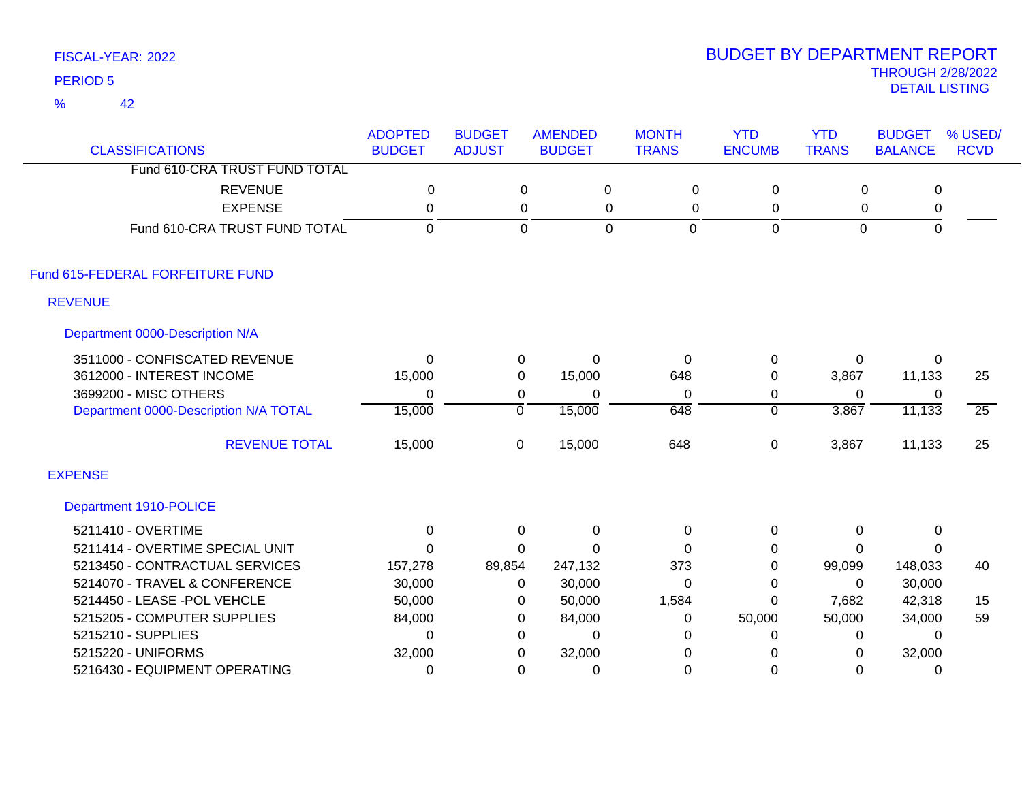42 %

| <b>CLASSIFICATIONS</b>                | <b>ADOPTED</b><br><b>BUDGET</b> | <b>BUDGET</b><br><b>ADJUST</b> | <b>AMENDED</b><br><b>BUDGET</b> | <b>MONTH</b><br><b>TRANS</b> | <b>YTD</b><br><b>ENCUMB</b> | <b>YTD</b><br><b>TRANS</b> | <b>BUDGET</b><br><b>BALANCE</b> | % USED/<br><b>RCVD</b> |
|---------------------------------------|---------------------------------|--------------------------------|---------------------------------|------------------------------|-----------------------------|----------------------------|---------------------------------|------------------------|
| Fund 610-CRA TRUST FUND TOTAL         |                                 |                                |                                 |                              |                             |                            |                                 |                        |
| <b>REVENUE</b>                        | $\mathbf 0$                     |                                | 0                               | $\pmb{0}$<br>$\mathbf 0$     | $\mathbf 0$                 | $\mathbf 0$                | $\mathbf 0$                     |                        |
| <b>EXPENSE</b>                        | $\mathbf{0}$                    |                                | 0                               | 0<br>0                       | 0                           | 0                          | 0                               |                        |
| Fund 610-CRA TRUST FUND TOTAL         | $\mathbf 0$                     |                                | $\mathbf 0$                     | $\overline{0}$<br>0          | $\mathbf 0$                 | $\mathbf 0$                | $\mathsf 0$                     |                        |
| Fund 615-FEDERAL FORFEITURE FUND      |                                 |                                |                                 |                              |                             |                            |                                 |                        |
| <b>REVENUE</b>                        |                                 |                                |                                 |                              |                             |                            |                                 |                        |
| Department 0000-Description N/A       |                                 |                                |                                 |                              |                             |                            |                                 |                        |
| 3511000 - CONFISCATED REVENUE         | $\Omega$                        | 0                              | $\Omega$                        | $\Omega$                     | 0                           | 0                          | $\Omega$                        |                        |
| 3612000 - INTEREST INCOME             | 15,000                          | 0                              | 15,000                          | 648                          | 0                           | 3,867                      | 11,133                          | 25                     |
| 3699200 - MISC OTHERS                 | $\mathbf{0}$                    | 0                              | $\mathbf 0$                     | $\Omega$                     | $\mathbf 0$                 | $\Omega$                   | 0                               |                        |
| Department 0000-Description N/A TOTAL | 15,000                          | $\overline{0}$                 | 15,000                          | 648                          | $\overline{0}$              | 3,867                      | 11,133                          | $\overline{25}$        |
| <b>REVENUE TOTAL</b>                  | 15,000                          | 0                              | 15,000                          | 648                          | 0                           | 3,867                      | 11,133                          | 25                     |
| <b>EXPENSE</b>                        |                                 |                                |                                 |                              |                             |                            |                                 |                        |
| Department 1910-POLICE                |                                 |                                |                                 |                              |                             |                            |                                 |                        |
| 5211410 - OVERTIME                    | 0                               | 0                              | $\mathbf 0$                     | 0                            | 0                           | 0                          | 0                               |                        |
| 5211414 - OVERTIME SPECIAL UNIT       | $\Omega$                        | $\Omega$                       | $\Omega$                        | $\Omega$                     | 0                           | 0                          | $\mathbf{0}$                    |                        |
| 5213450 - CONTRACTUAL SERVICES        | 157,278                         | 89,854                         | 247,132                         | 373                          | $\mathbf 0$                 | 99,099                     | 148,033                         | 40                     |
| 5214070 - TRAVEL & CONFERENCE         | 30,000                          | $\Omega$                       | 30,000                          | $\Omega$                     | $\Omega$                    | $\Omega$                   | 30,000                          |                        |
| 5214450 - LEASE -POL VEHCLE           | 50,000                          | $\Omega$                       | 50,000                          | 1,584                        | $\Omega$                    | 7,682                      | 42,318                          | 15                     |
| 5215205 - COMPUTER SUPPLIES           | 84,000                          | 0                              | 84,000                          | 0                            | 50,000                      | 50,000                     | 34,000                          | 59                     |
| 5215210 - SUPPLIES                    | $\mathbf{0}$                    | $\Omega$                       | $\Omega$                        | 0                            | 0                           | 0                          | $\mathbf{0}$                    |                        |
| 5215220 - UNIFORMS                    | 32,000                          | 0                              | 32,000                          | 0                            | 0                           | 0                          | 32,000                          |                        |
| 5216430 - EQUIPMENT OPERATING         | $\mathbf{0}$                    | $\Omega$                       | 0                               | 0                            | 0                           | 0                          | 0                               |                        |